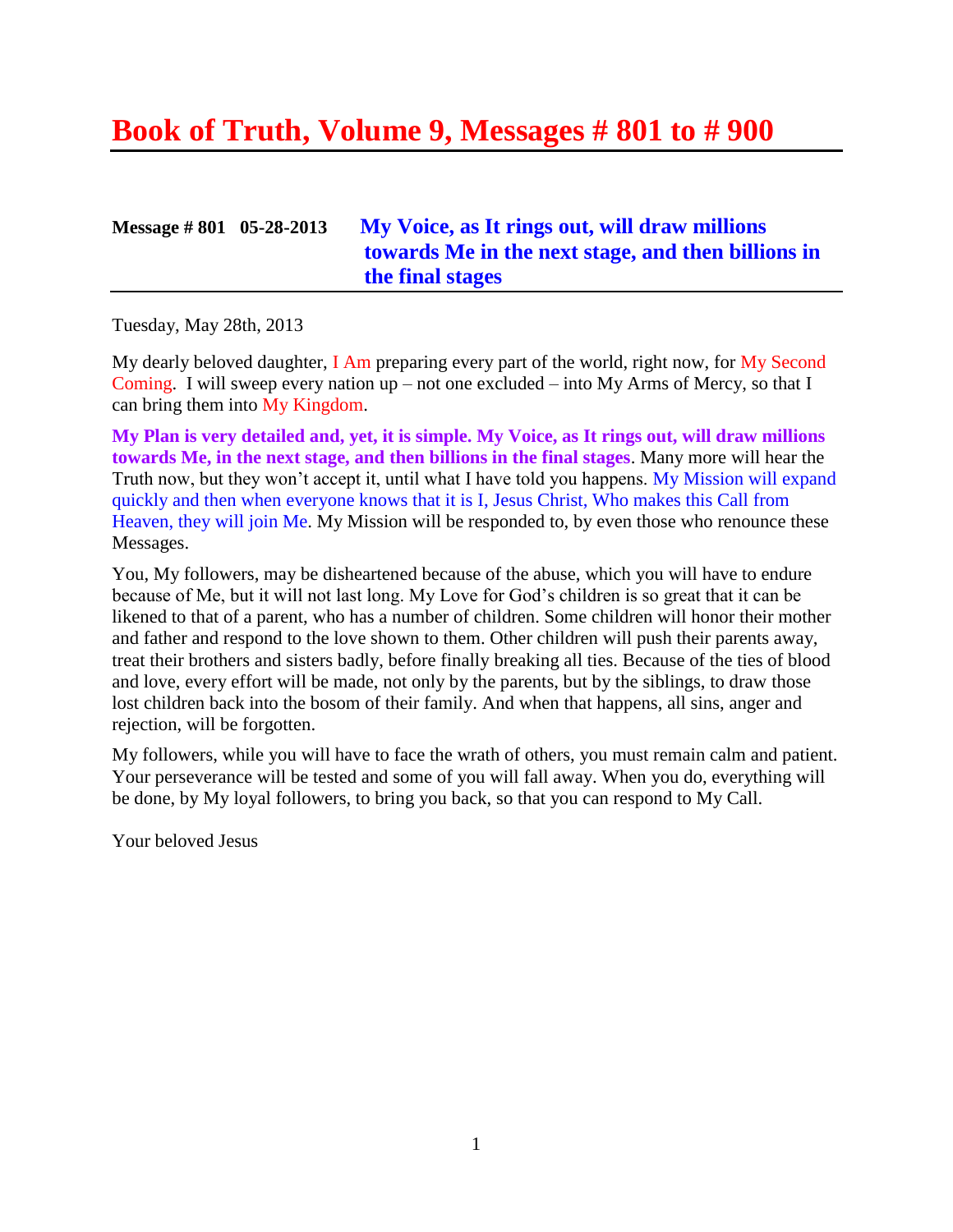# **Book of Truth, Volume 9, Messages # 801 to # 900**

# **Message # 801 05-28-2013 [My Voice, as It rings out, will draw millions](http://www.thewarningsecondcoming.com/my-voice-as-it-rings-out-will-draw-millions-towards-me-in-the-next-stage-and-then-billions-in-the-final-stages/)  [towards Me in the next stage, and then billions in](http://www.thewarningsecondcoming.com/my-voice-as-it-rings-out-will-draw-millions-towards-me-in-the-next-stage-and-then-billions-in-the-final-stages/)  [the final stages](http://www.thewarningsecondcoming.com/my-voice-as-it-rings-out-will-draw-millions-towards-me-in-the-next-stage-and-then-billions-in-the-final-stages/)**

Tuesday, May 28th, 2013

My dearly beloved daughter, I Am preparing every part of the world, right now, for My Second Coming. I will sweep every nation up – not one excluded – into My Arms of Mercy, so that I can bring them into My Kingdom.

**My Plan is very detailed and, yet, it is simple. My Voice, as It rings out, will draw millions towards Me, in the next stage, and then billions in the final stages**. Many more will hear the Truth now, but they won't accept it, until what I have told you happens. My Mission will expand quickly and then when everyone knows that it is I, Jesus Christ, Who makes this Call from Heaven, they will join Me. My Mission will be responded to, by even those who renounce these Messages.

You, My followers, may be disheartened because of the abuse, which you will have to endure because of Me, but it will not last long. My Love for God's children is so great that it can be likened to that of a parent, who has a number of children. Some children will honor their mother and father and respond to the love shown to them. Other children will push their parents away, treat their brothers and sisters badly, before finally breaking all ties. Because of the ties of blood and love, every effort will be made, not only by the parents, but by the siblings, to draw those lost children back into the bosom of their family. And when that happens, all sins, anger and rejection, will be forgotten.

My followers, while you will have to face the wrath of others, you must remain calm and patient. Your perseverance will be tested and some of you will fall away. When you do, everything will be done, by My loyal followers, to bring you back, so that you can respond to My Call.

Your beloved Jesus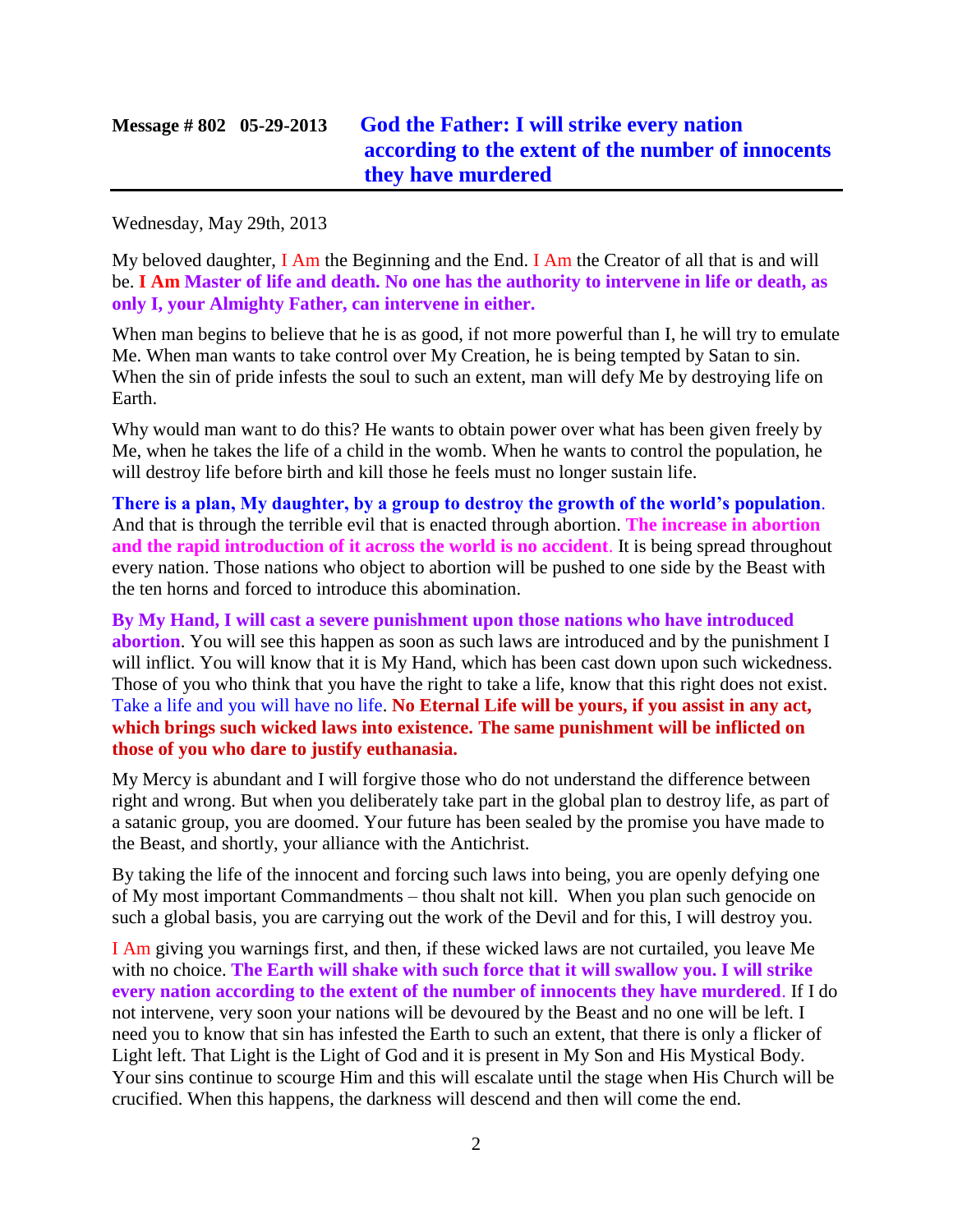# **Message # 802 05-29-2013 [God the Father: I will strike every nation](http://www.thewarningsecondcoming.com/god-the-father-i-will-strike-every-nation-according-to-the-extent-of-the-number-of-innocents-they-have-murdered/)  [according to the extent of the number of innocents](http://www.thewarningsecondcoming.com/god-the-father-i-will-strike-every-nation-according-to-the-extent-of-the-number-of-innocents-they-have-murdered/)  [they have murdered](http://www.thewarningsecondcoming.com/god-the-father-i-will-strike-every-nation-according-to-the-extent-of-the-number-of-innocents-they-have-murdered/)**

Wednesday, May 29th, 2013

My beloved daughter,  $\overline{I}$  Am the Beginning and the End.  $\overline{I}$  Am the Creator of all that is and will be. **I Am Master of life and death. No one has the authority to intervene in life or death, as only I, your Almighty Father, can intervene in either.**

When man begins to believe that he is as good, if not more powerful than I, he will try to emulate Me. When man wants to take control over My Creation, he is being tempted by Satan to sin. When the sin of pride infests the soul to such an extent, man will defy Me by destroying life on Earth.

Why would man want to do this? He wants to obtain power over what has been given freely by Me, when he takes the life of a child in the womb. When he wants to control the population, he will destroy life before birth and kill those he feels must no longer sustain life.

**There is a plan, My daughter, by a group to destroy the growth of the world's population**. And that is through the terrible evil that is enacted through abortion. **The increase in abortion and the rapid introduction of it across the world is no accident**. It is being spread throughout every nation. Those nations who object to abortion will be pushed to one side by the Beast with the ten horns and forced to introduce this abomination.

**By My Hand, I will cast a severe punishment upon those nations who have introduced abortion**. You will see this happen as soon as such laws are introduced and by the punishment I will inflict. You will know that it is My Hand, which has been cast down upon such wickedness. Those of you who think that you have the right to take a life, know that this right does not exist. Take a life and you will have no life. **No Eternal Life will be yours, if you assist in any act, which brings such wicked laws into existence. The same punishment will be inflicted on those of you who dare to justify euthanasia.**

My Mercy is abundant and I will forgive those who do not understand the difference between right and wrong. But when you deliberately take part in the global plan to destroy life, as part of a satanic group, you are doomed. Your future has been sealed by the promise you have made to the Beast, and shortly, your alliance with the Antichrist.

By taking the life of the innocent and forcing such laws into being, you are openly defying one of My most important Commandments – thou shalt not kill. When you plan such genocide on such a global basis, you are carrying out the work of the Devil and for this, I will destroy you.

I Am giving you warnings first, and then, if these wicked laws are not curtailed, you leave Me with no choice. **The Earth will shake with such force that it will swallow you. I will strike every nation according to the extent of the number of innocents they have murdered**. If I do not intervene, very soon your nations will be devoured by the Beast and no one will be left. I need you to know that sin has infested the Earth to such an extent, that there is only a flicker of Light left. That Light is the Light of God and it is present in My Son and His Mystical Body. Your sins continue to scourge Him and this will escalate until the stage when His Church will be crucified. When this happens, the darkness will descend and then will come the end.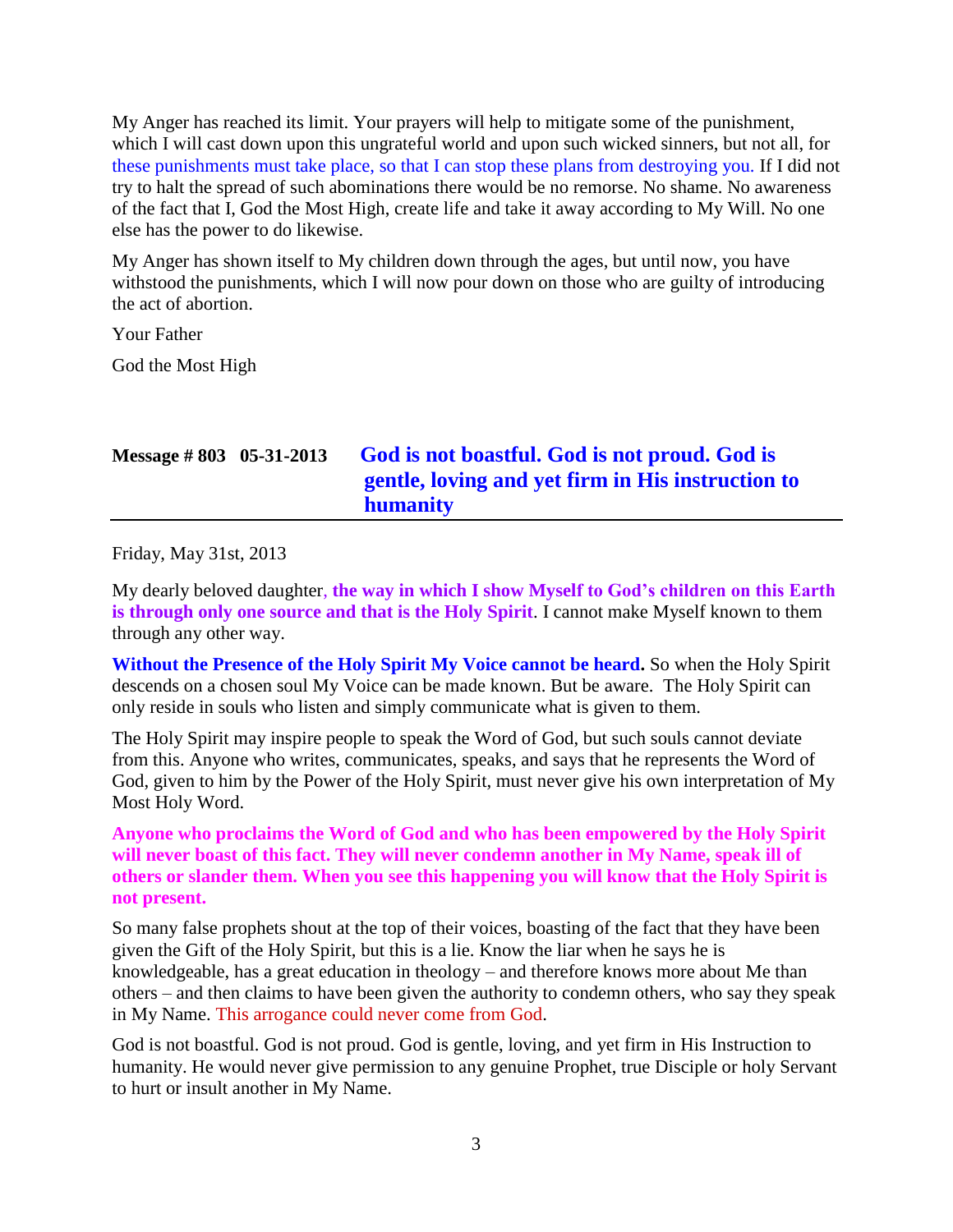My Anger has reached its limit. Your prayers will help to mitigate some of the punishment, which I will cast down upon this ungrateful world and upon such wicked sinners, but not all, for these punishments must take place, so that I can stop these plans from destroying you. If I did not try to halt the spread of such abominations there would be no remorse. No shame. No awareness of the fact that I, God the Most High, create life and take it away according to My Will. No one else has the power to do likewise.

My Anger has shown itself to My children down through the ages, but until now, you have withstood the punishments, which I will now pour down on those who are guilty of introducing the act of abortion.

Your Father

God the Most High

# **Message # 803 05-31-2013 [God is not boastful. God is not proud. God is](http://www.thewarningsecondcoming.com/god-is-not-boastful-god-is-not-proud-god-is-gentle-loving-and-yet-firm-in-his-instruction-to-humanity/)  [gentle, loving and yet firm in His instruction to](http://www.thewarningsecondcoming.com/god-is-not-boastful-god-is-not-proud-god-is-gentle-loving-and-yet-firm-in-his-instruction-to-humanity/)  [humanity](http://www.thewarningsecondcoming.com/god-is-not-boastful-god-is-not-proud-god-is-gentle-loving-and-yet-firm-in-his-instruction-to-humanity/)**

Friday, May 31st, 2013

My dearly beloved daughter, **the way in which I show Myself to God's children on this Earth is through only one source and that is the Holy Spirit**. I cannot make Myself known to them through any other way.

**Without the Presence of the Holy Spirit My Voice cannot be heard.** So when the Holy Spirit descends on a chosen soul My Voice can be made known. But be aware. The Holy Spirit can only reside in souls who listen and simply communicate what is given to them.

The Holy Spirit may inspire people to speak the Word of God, but such souls cannot deviate from this. Anyone who writes, communicates, speaks, and says that he represents the Word of God, given to him by the Power of the Holy Spirit, must never give his own interpretation of My Most Holy Word.

**Anyone who proclaims the Word of God and who has been empowered by the Holy Spirit will never boast of this fact. They will never condemn another in My Name, speak ill of others or slander them. When you see this happening you will know that the Holy Spirit is not present.**

So many false prophets shout at the top of their voices, boasting of the fact that they have been given the Gift of the Holy Spirit, but this is a lie. Know the liar when he says he is knowledgeable, has a great education in theology – and therefore knows more about Me than others – and then claims to have been given the authority to condemn others, who say they speak in My Name. This arrogance could never come from God.

God is not boastful. God is not proud. God is gentle, loving, and yet firm in His Instruction to humanity. He would never give permission to any genuine Prophet, true Disciple or holy Servant to hurt or insult another in My Name.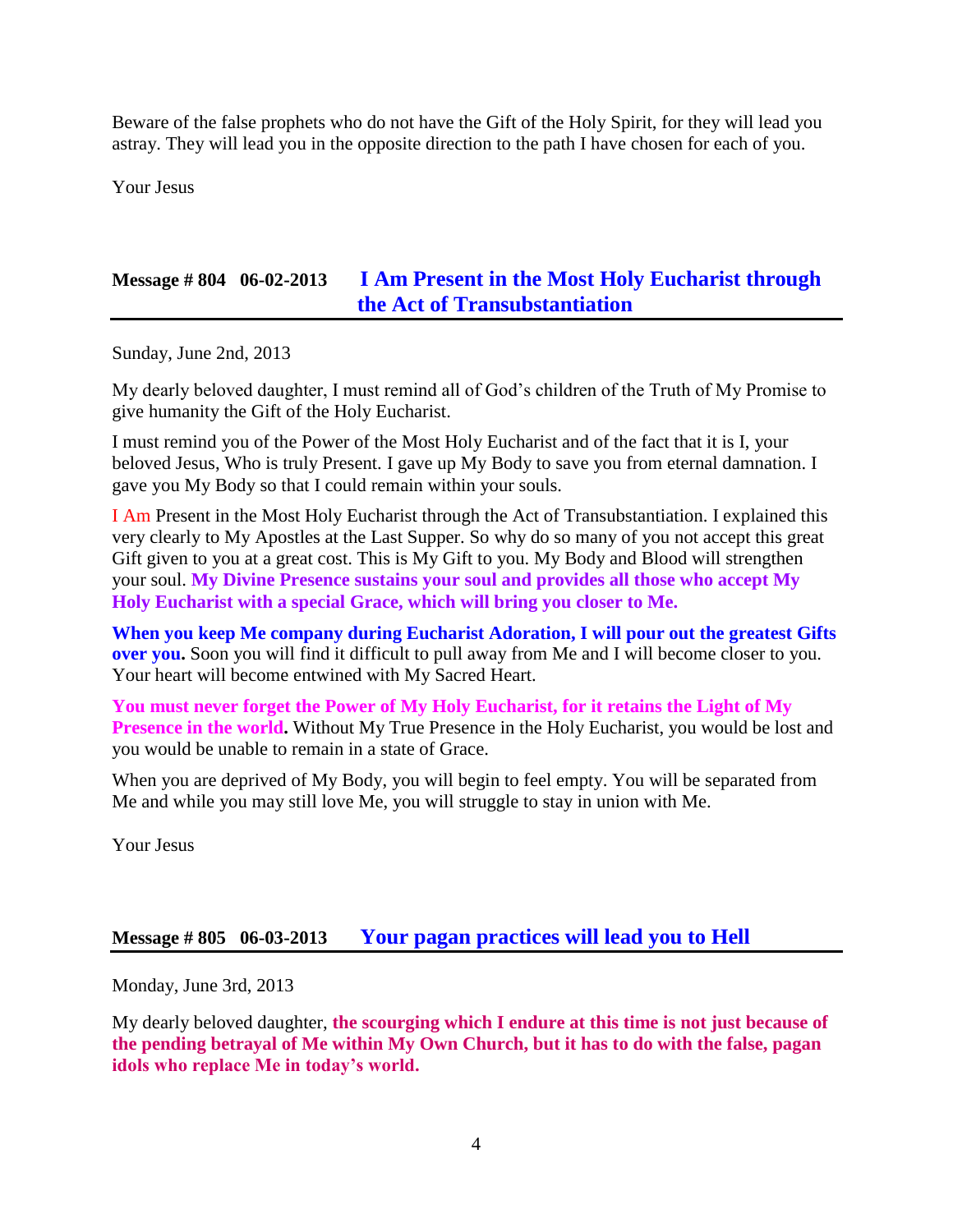Beware of the false prophets who do not have the Gift of the Holy Spirit, for they will lead you astray. They will lead you in the opposite direction to the path I have chosen for each of you.

Your Jesus

## **Message # 804 06-02-2013 [I Am Present in the Most Holy Eucharist through](http://www.thewarningsecondcoming.com/i-am-present-in-the-most-holy-eucharist-through-the-act-of-transubstantiation/)  [the Act of Transubstantiation](http://www.thewarningsecondcoming.com/i-am-present-in-the-most-holy-eucharist-through-the-act-of-transubstantiation/)**

Sunday, June 2nd, 2013

My dearly beloved daughter, I must remind all of God's children of the Truth of My Promise to give humanity the Gift of the Holy Eucharist.

I must remind you of the Power of the Most Holy Eucharist and of the fact that it is I, your beloved Jesus, Who is truly Present. I gave up My Body to save you from eternal damnation. I gave you My Body so that I could remain within your souls.

I Am Present in the Most Holy Eucharist through the Act of Transubstantiation. I explained this very clearly to My Apostles at the Last Supper. So why do so many of you not accept this great Gift given to you at a great cost. This is My Gift to you. My Body and Blood will strengthen your soul. **My Divine Presence sustains your soul and provides all those who accept My Holy Eucharist with a special Grace, which will bring you closer to Me.**

**When you keep Me company during Eucharist Adoration, I will pour out the greatest Gifts over you.** Soon you will find it difficult to pull away from Me and I will become closer to you. Your heart will become entwined with My Sacred Heart.

**You must never forget the Power of My Holy Eucharist, for it retains the Light of My Presence in the world.** Without My True Presence in the Holy Eucharist, you would be lost and you would be unable to remain in a state of Grace.

When you are deprived of My Body, you will begin to feel empty. You will be separated from Me and while you may still love Me, you will struggle to stay in union with Me.

Your Jesus

### **Message # 805 06-03-2013 [Your pagan practices will lead you to Hell](http://www.thewarningsecondcoming.com/your-pagan-practices-will-lead-you-to-hell/)**

Monday, June 3rd, 2013

My dearly beloved daughter, **the scourging which I endure at this time is not just because of the pending betrayal of Me within My Own Church, but it has to do with the false, pagan idols who replace Me in today's world.**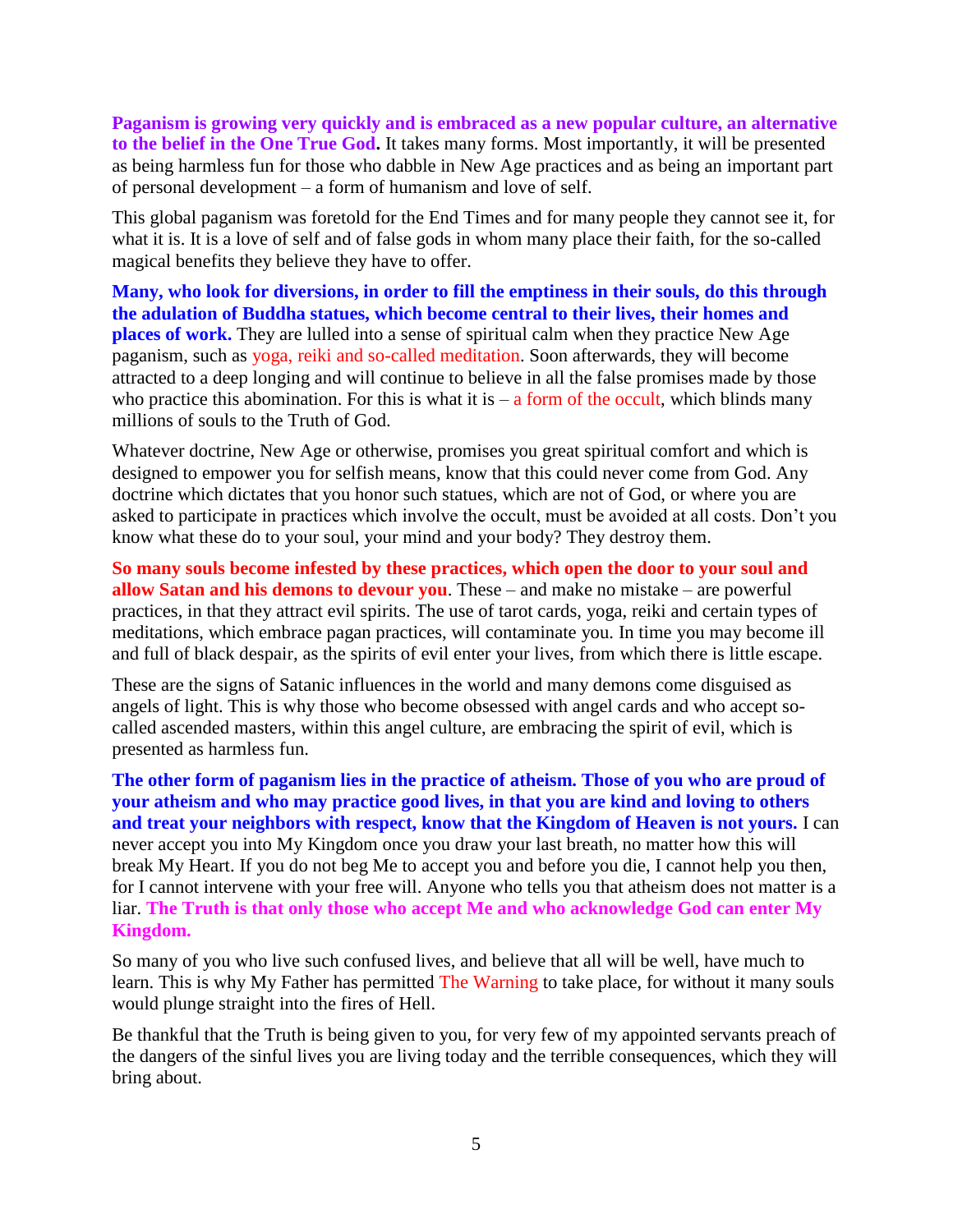**Paganism is growing very quickly and is embraced as a new popular culture, an alternative to the belief in the One True God.** It takes many forms. Most importantly, it will be presented as being harmless fun for those who dabble in New Age practices and as being an important part of personal development – a form of humanism and love of self.

This global paganism was foretold for the End Times and for many people they cannot see it, for what it is. It is a love of self and of false gods in whom many place their faith, for the so-called magical benefits they believe they have to offer.

**Many, who look for diversions, in order to fill the emptiness in their souls, do this through the adulation of Buddha statues, which become central to their lives, their homes and places of work.** They are lulled into a sense of spiritual calm when they practice New Age paganism, such as yoga, reiki and so-called meditation. Soon afterwards, they will become attracted to a deep longing and will continue to believe in all the false promises made by those who practice this abomination. For this is what it is  $-$  a form of the occult, which blinds many millions of souls to the Truth of God.

Whatever doctrine, New Age or otherwise, promises you great spiritual comfort and which is designed to empower you for selfish means, know that this could never come from God. Any doctrine which dictates that you honor such statues, which are not of God, or where you are asked to participate in practices which involve the occult, must be avoided at all costs. Don't you know what these do to your soul, your mind and your body? They destroy them.

**So many souls become infested by these practices, which open the door to your soul and allow Satan and his demons to devour you**. These – and make no mistake – are powerful practices, in that they attract evil spirits. The use of tarot cards, yoga, reiki and certain types of meditations, which embrace pagan practices, will contaminate you. In time you may become ill and full of black despair, as the spirits of evil enter your lives, from which there is little escape.

These are the signs of Satanic influences in the world and many demons come disguised as angels of light. This is why those who become obsessed with angel cards and who accept socalled ascended masters, within this angel culture, are embracing the spirit of evil, which is presented as harmless fun.

**The other form of paganism lies in the practice of atheism. Those of you who are proud of your atheism and who may practice good lives, in that you are kind and loving to others and treat your neighbors with respect, know that the Kingdom of Heaven is not yours.** I can never accept you into My Kingdom once you draw your last breath, no matter how this will break My Heart. If you do not beg Me to accept you and before you die, I cannot help you then, for I cannot intervene with your free will. Anyone who tells you that atheism does not matter is a liar. **The Truth is that only those who accept Me and who acknowledge God can enter My Kingdom.**

So many of you who live such confused lives, and believe that all will be well, have much to learn. This is why My Father has permitted The Warning to take place, for without it many souls would plunge straight into the fires of Hell.

Be thankful that the Truth is being given to you, for very few of my appointed servants preach of the dangers of the sinful lives you are living today and the terrible consequences, which they will bring about.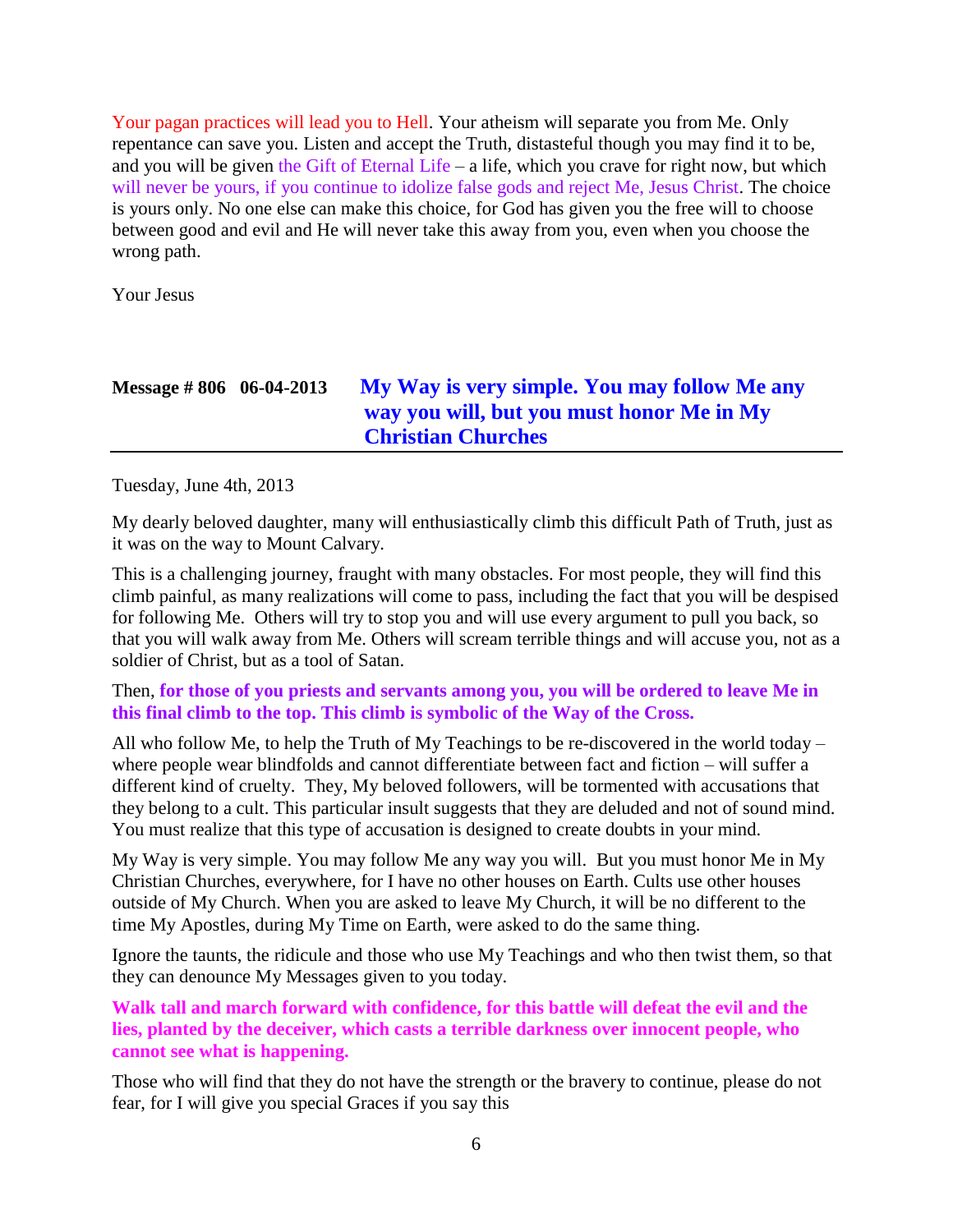Your pagan practices will lead you to Hell. Your atheism will separate you from Me. Only repentance can save you. Listen and accept the Truth, distasteful though you may find it to be, and you will be given the Gift of Eternal Life – a life, which you crave for right now, but which will never be yours, if you continue to idolize false gods and reject Me, Jesus Christ. The choice is yours only. No one else can make this choice, for God has given you the free will to choose between good and evil and He will never take this away from you, even when you choose the wrong path.

Your Jesus

# **Message # 806 06-04-2013 [My Way is very simple. You may follow Me any](http://www.thewarningsecondcoming.com/my-way-is-very-simple-you-may-follow-me-any-way-you-will-but-you-must-honour-me-in-my-christian-churches/)  [way you will, but you must honor Me in My](http://www.thewarningsecondcoming.com/my-way-is-very-simple-you-may-follow-me-any-way-you-will-but-you-must-honour-me-in-my-christian-churches/)  [Christian Churches](http://www.thewarningsecondcoming.com/my-way-is-very-simple-you-may-follow-me-any-way-you-will-but-you-must-honour-me-in-my-christian-churches/)**

Tuesday, June 4th, 2013

My dearly beloved daughter, many will enthusiastically climb this difficult Path of Truth, just as it was on the way to Mount Calvary.

This is a challenging journey, fraught with many obstacles. For most people, they will find this climb painful, as many realizations will come to pass, including the fact that you will be despised for following Me. Others will try to stop you and will use every argument to pull you back, so that you will walk away from Me. Others will scream terrible things and will accuse you, not as a soldier of Christ, but as a tool of Satan.

#### Then, **for those of you priests and servants among you, you will be ordered to leave Me in this final climb to the top. This climb is symbolic of the Way of the Cross.**

All who follow Me, to help the Truth of My Teachings to be re-discovered in the world today – where people wear blindfolds and cannot differentiate between fact and fiction – will suffer a different kind of cruelty. They, My beloved followers, will be tormented with accusations that they belong to a cult. This particular insult suggests that they are deluded and not of sound mind. You must realize that this type of accusation is designed to create doubts in your mind.

My Way is very simple. You may follow Me any way you will. But you must honor Me in My Christian Churches, everywhere, for I have no other houses on Earth. Cults use other houses outside of My Church. When you are asked to leave My Church, it will be no different to the time My Apostles, during My Time on Earth, were asked to do the same thing.

Ignore the taunts, the ridicule and those who use My Teachings and who then twist them, so that they can denounce My Messages given to you today.

**Walk tall and march forward with confidence, for this battle will defeat the evil and the lies, planted by the deceiver, which casts a terrible darkness over innocent people, who cannot see what is happening.**

Those who will find that they do not have the strength or the bravery to continue, please do not fear, for I will give you special Graces if you say this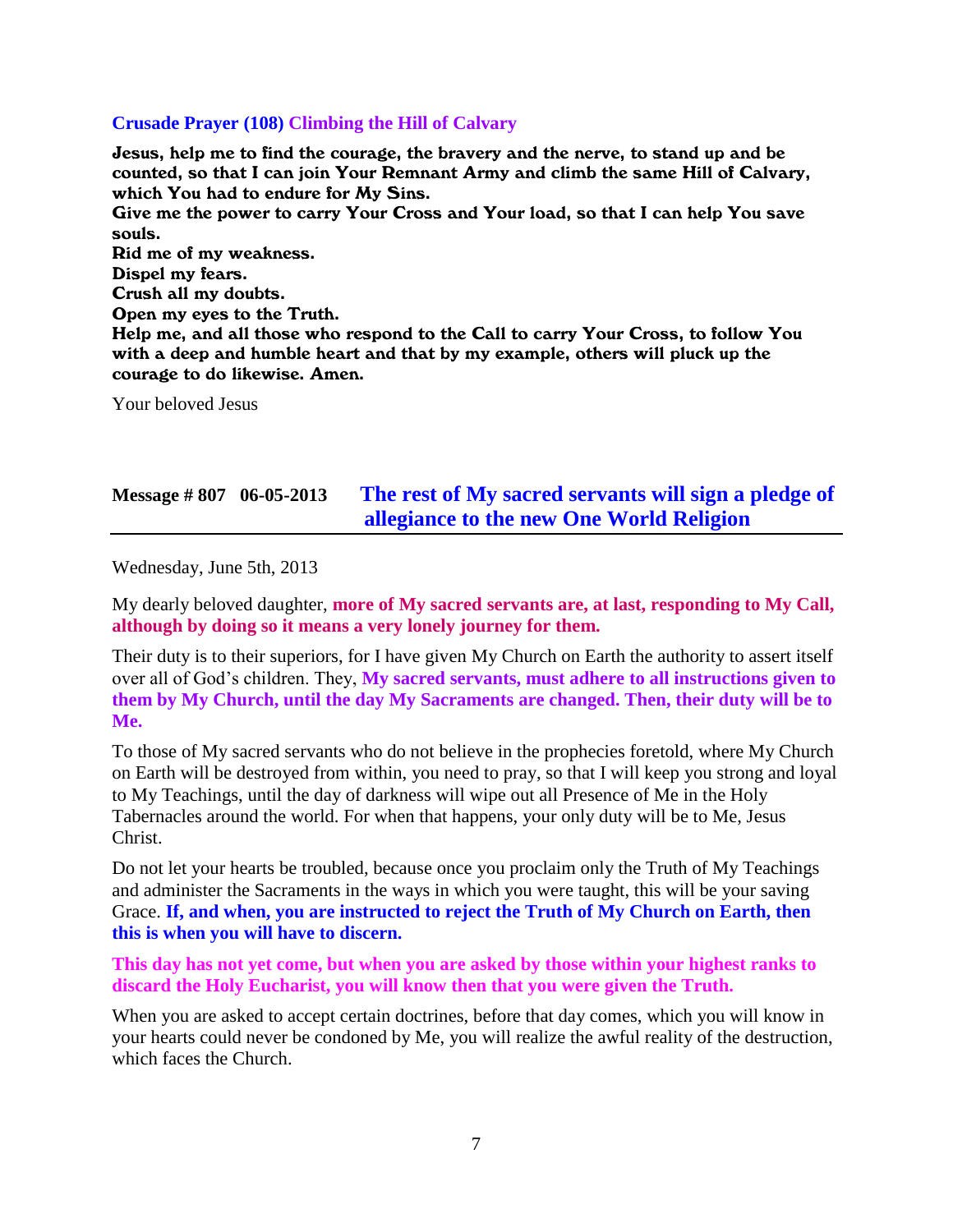#### **Crusade Prayer (108) Climbing the Hill of Calvary**

Jesus, help me to find the courage, the bravery and the nerve, to stand up and be counted, so that I can join Your Remnant Army and climb the same Hill of Calvary, which You had to endure for My Sins.

Give me the power to carry Your Cross and Your load, so that I can help You save souls.

Rid me of my weakness. Dispel my fears. Crush all my doubts. Open my eyes to the Truth. Help me, and all those who respond to the Call to carry Your Cross, to follow You with a deep and humble heart and that by my example, others will pluck up the courage to do likewise. Amen.

Your beloved Jesus

### **Message # 807 06-05-2013 [The rest of My sacred servants will sign a pledge of](http://www.thewarningsecondcoming.com/the-rest-of-my-sacred-servants-will-sign-a-pledge-of-allegiance-to-the-new-one-world-religion/)  [allegiance to the new One World Religion](http://www.thewarningsecondcoming.com/the-rest-of-my-sacred-servants-will-sign-a-pledge-of-allegiance-to-the-new-one-world-religion/)**

Wednesday, June 5th, 2013

My dearly beloved daughter, **more of My sacred servants are, at last, responding to My Call, although by doing so it means a very lonely journey for them.**

Their duty is to their superiors, for I have given My Church on Earth the authority to assert itself over all of God's children. They, **My sacred servants, must adhere to all instructions given to them by My Church, until the day My Sacraments are changed. Then, their duty will be to Me.**

To those of My sacred servants who do not believe in the prophecies foretold, where My Church on Earth will be destroyed from within, you need to pray, so that I will keep you strong and loyal to My Teachings, until the day of darkness will wipe out all Presence of Me in the Holy Tabernacles around the world. For when that happens, your only duty will be to Me, Jesus Christ.

Do not let your hearts be troubled, because once you proclaim only the Truth of My Teachings and administer the Sacraments in the ways in which you were taught, this will be your saving Grace. **If, and when, you are instructed to reject the Truth of My Church on Earth, then this is when you will have to discern.**

**This day has not yet come, but when you are asked by those within your highest ranks to discard the Holy Eucharist, you will know then that you were given the Truth.**

When you are asked to accept certain doctrines, before that day comes, which you will know in your hearts could never be condoned by Me, you will realize the awful reality of the destruction, which faces the Church.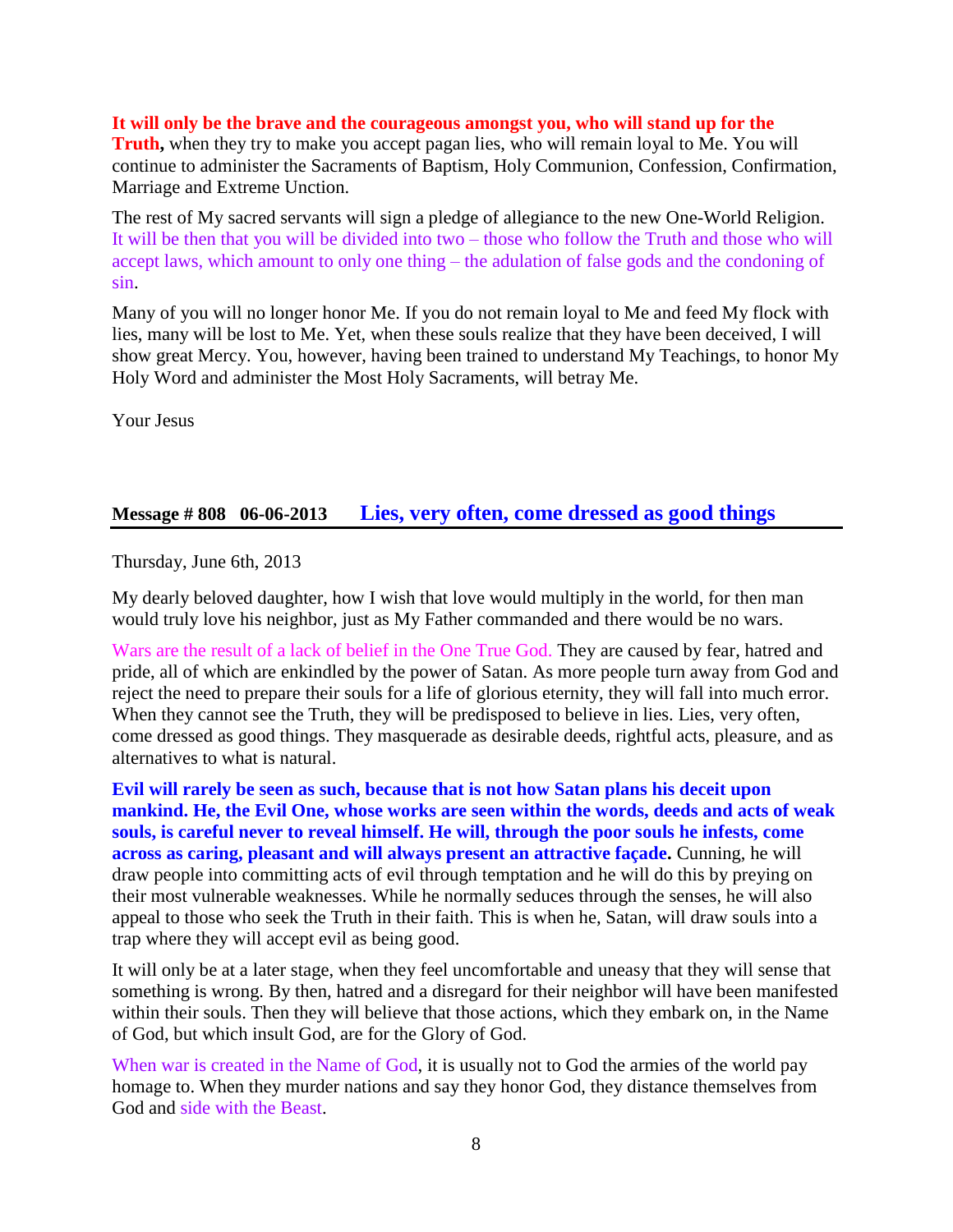#### **It will only be the brave and the courageous amongst you, who will stand up for the**

**Truth,** when they try to make you accept pagan lies, who will remain loyal to Me. You will continue to administer the Sacraments of Baptism, Holy Communion, Confession, Confirmation, Marriage and Extreme Unction.

The rest of My sacred servants will sign a pledge of allegiance to the new One-World Religion. It will be then that you will be divided into two – those who follow the Truth and those who will accept laws, which amount to only one thing – the adulation of false gods and the condoning of sin.

Many of you will no longer honor Me. If you do not remain loyal to Me and feed My flock with lies, many will be lost to Me. Yet, when these souls realize that they have been deceived, I will show great Mercy. You, however, having been trained to understand My Teachings, to honor My Holy Word and administer the Most Holy Sacraments, will betray Me.

Your Jesus

### **Message # 808 06-06-2013 [Lies, very often, come dressed as good things](http://www.thewarningsecondcoming.com/lies-very-often-come-dressed-as-good-things/)**

Thursday, June 6th, 2013

My dearly beloved daughter, how I wish that love would multiply in the world, for then man would truly love his neighbor, just as My Father commanded and there would be no wars.

Wars are the result of a lack of belief in the One True God. They are caused by fear, hatred and pride, all of which are enkindled by the power of Satan. As more people turn away from God and reject the need to prepare their souls for a life of glorious eternity, they will fall into much error. When they cannot see the Truth, they will be predisposed to believe in lies. Lies, very often, come dressed as good things. They masquerade as desirable deeds, rightful acts, pleasure, and as alternatives to what is natural.

**Evil will rarely be seen as such, because that is not how Satan plans his deceit upon mankind. He, the Evil One, whose works are seen within the words, deeds and acts of weak souls, is careful never to reveal himself. He will, through the poor souls he infests, come across as caring, pleasant and will always present an attractive façade.** Cunning, he will draw people into committing acts of evil through temptation and he will do this by preying on their most vulnerable weaknesses. While he normally seduces through the senses, he will also appeal to those who seek the Truth in their faith. This is when he, Satan, will draw souls into a trap where they will accept evil as being good.

It will only be at a later stage, when they feel uncomfortable and uneasy that they will sense that something is wrong. By then, hatred and a disregard for their neighbor will have been manifested within their souls. Then they will believe that those actions, which they embark on, in the Name of God, but which insult God, are for the Glory of God.

When war is created in the Name of God, it is usually not to God the armies of the world pay homage to. When they murder nations and say they honor God, they distance themselves from God and side with the Beast.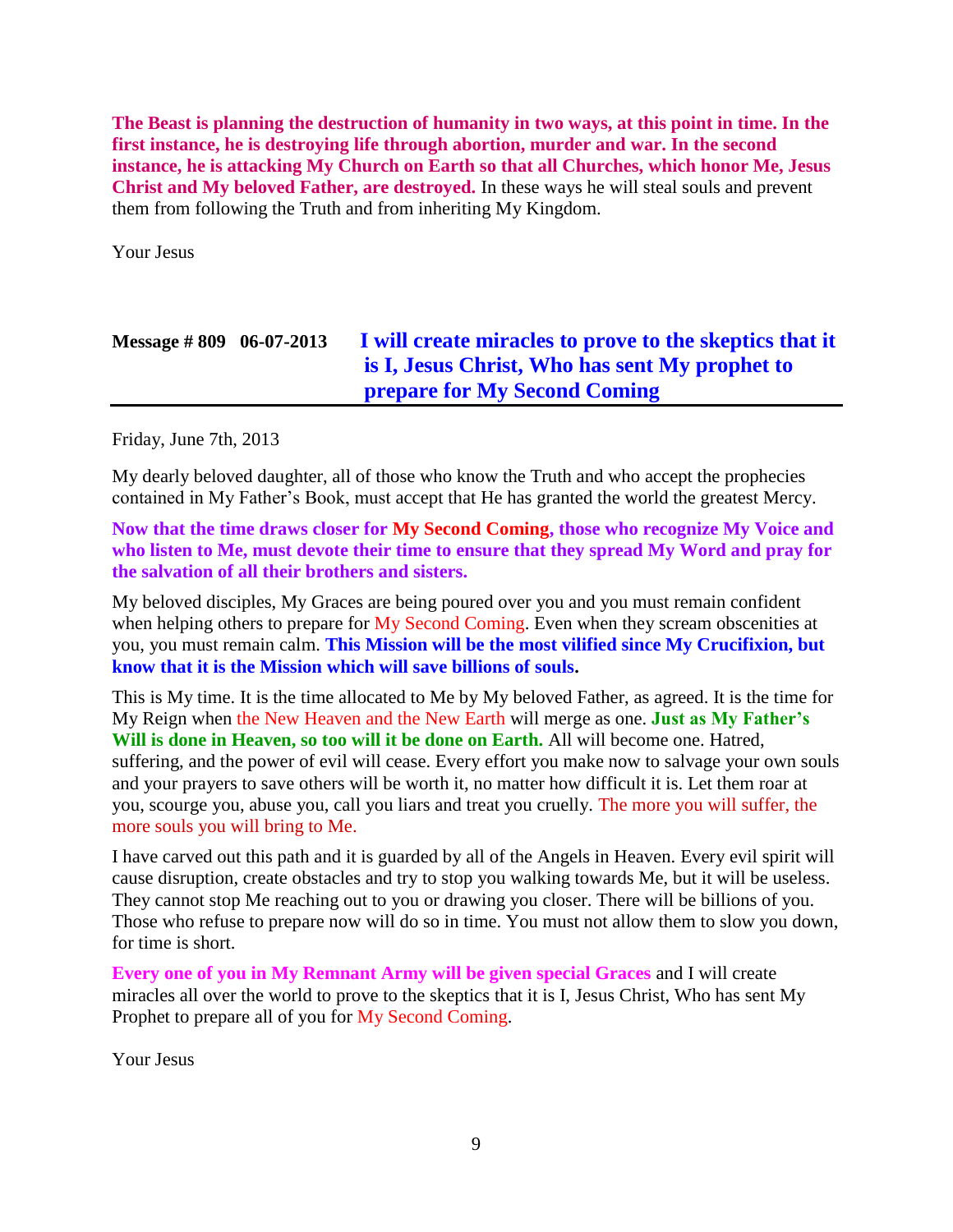**The Beast is planning the destruction of humanity in two ways, at this point in time. In the first instance, he is destroying life through abortion, murder and war. In the second instance, he is attacking My Church on Earth so that all Churches, which honor Me, Jesus Christ and My beloved Father, are destroyed.** In these ways he will steal souls and prevent them from following the Truth and from inheriting My Kingdom.

Your Jesus

# **Message # 809 06-07-2013 I will create miracles to [prove to the skeptics that it](http://www.thewarningsecondcoming.com/i-will-create-miracles-all-over-the-world-to-prove-to-the-skeptics-that-it-is-i-jesus-christ-who-has-sent-my-prophet-to-prepare-all-of-you-for-my-second-coming/)  [is I, Jesus Christ, Who has sent My prophet to](http://www.thewarningsecondcoming.com/i-will-create-miracles-all-over-the-world-to-prove-to-the-skeptics-that-it-is-i-jesus-christ-who-has-sent-my-prophet-to-prepare-all-of-you-for-my-second-coming/)  [prepare for My Second Coming](http://www.thewarningsecondcoming.com/i-will-create-miracles-all-over-the-world-to-prove-to-the-skeptics-that-it-is-i-jesus-christ-who-has-sent-my-prophet-to-prepare-all-of-you-for-my-second-coming/)**

Friday, June 7th, 2013

My dearly beloved daughter, all of those who know the Truth and who accept the prophecies contained in My Father's Book, must accept that He has granted the world the greatest Mercy.

**Now that the time draws closer for My Second Coming, those who recognize My Voice and who listen to Me, must devote their time to ensure that they spread My Word and pray for the salvation of all their brothers and sisters.**

My beloved disciples, My Graces are being poured over you and you must remain confident when helping others to prepare for My Second Coming. Even when they scream obscenities at you, you must remain calm. **This Mission will be the most vilified since My Crucifixion, but know that it is the Mission which will save billions of souls.**

This is My time. It is the time allocated to Me by My beloved Father, as agreed. It is the time for My Reign when the New Heaven and the New Earth will merge as one. **Just as My Father's Will is done in Heaven, so too will it be done on Earth.** All will become one. Hatred, suffering, and the power of evil will cease. Every effort you make now to salvage your own souls and your prayers to save others will be worth it, no matter how difficult it is. Let them roar at you, scourge you, abuse you, call you liars and treat you cruelly. The more you will suffer, the more souls you will bring to Me.

I have carved out this path and it is guarded by all of the Angels in Heaven. Every evil spirit will cause disruption, create obstacles and try to stop you walking towards Me, but it will be useless. They cannot stop Me reaching out to you or drawing you closer. There will be billions of you. Those who refuse to prepare now will do so in time. You must not allow them to slow you down, for time is short.

**Every one of you in My Remnant Army will be given special Graces** and I will create miracles all over the world to prove to the skeptics that it is I, Jesus Christ, Who has sent My Prophet to prepare all of you for My Second Coming.

Your Jesus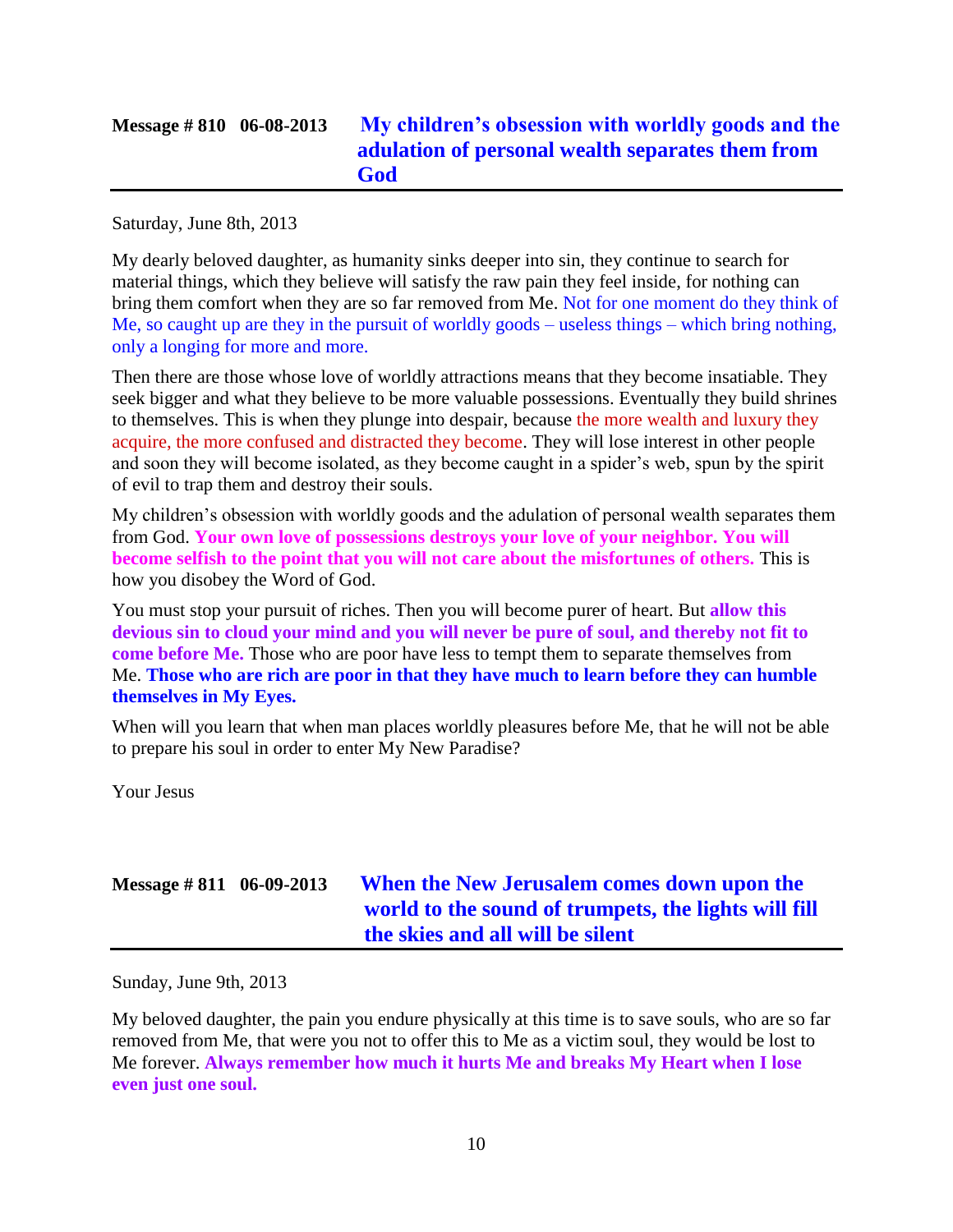# **Message # 810 06-08-2013 [My children's obsession with worldly goods and the](http://www.thewarningsecondcoming.com/my-childrens-obsession-with-worldly-goods-and-the-adulation-of-personal-wealth-separates-them-from-god/)  [adulation of personal wealth separates them from](http://www.thewarningsecondcoming.com/my-childrens-obsession-with-worldly-goods-and-the-adulation-of-personal-wealth-separates-them-from-god/)  [God](http://www.thewarningsecondcoming.com/my-childrens-obsession-with-worldly-goods-and-the-adulation-of-personal-wealth-separates-them-from-god/)**

Saturday, June 8th, 2013

My dearly beloved daughter, as humanity sinks deeper into sin, they continue to search for material things, which they believe will satisfy the raw pain they feel inside, for nothing can bring them comfort when they are so far removed from Me. Not for one moment do they think of Me, so caught up are they in the pursuit of worldly goods – useless things – which bring nothing, only a longing for more and more.

Then there are those whose love of worldly attractions means that they become insatiable. They seek bigger and what they believe to be more valuable possessions. Eventually they build shrines to themselves. This is when they plunge into despair, because the more wealth and luxury they acquire, the more confused and distracted they become. They will lose interest in other people and soon they will become isolated, as they become caught in a spider's web, spun by the spirit of evil to trap them and destroy their souls.

My children's obsession with worldly goods and the adulation of personal wealth separates them from God. **Your own love of possessions destroys your love of your neighbor. You will become selfish to the point that you will not care about the misfortunes of others.** This is how you disobey the Word of God.

You must stop your pursuit of riches. Then you will become purer of heart. But **allow this devious sin to cloud your mind and you will never be pure of soul, and thereby not fit to come before Me.** Those who are poor have less to tempt them to separate themselves from Me. **Those who are rich are poor in that they have much to learn before they can humble themselves in My Eyes.**

When will you learn that when man places worldly pleasures before Me, that he will not be able to prepare his soul in order to enter My New Paradise?

Your Jesus

# **Message # 811 06-09-2013 [When the New Jerusalem comes down upon the](http://www.thewarningsecondcoming.com/when-the-new-jerusalem-comes-down-upon-the-world-to-the-sound-of-trumpets-the-lights-will-fill-the-skies-and-all-will-be-silent/)  [world to the sound of trumpets, the lights will fill](http://www.thewarningsecondcoming.com/when-the-new-jerusalem-comes-down-upon-the-world-to-the-sound-of-trumpets-the-lights-will-fill-the-skies-and-all-will-be-silent/)  [the skies and all will be silent](http://www.thewarningsecondcoming.com/when-the-new-jerusalem-comes-down-upon-the-world-to-the-sound-of-trumpets-the-lights-will-fill-the-skies-and-all-will-be-silent/)**

Sunday, June 9th, 2013

My beloved daughter, the pain you endure physically at this time is to save souls, who are so far removed from Me, that were you not to offer this to Me as a victim soul, they would be lost to Me forever. **Always remember how much it hurts Me and breaks My Heart when I lose even just one soul.**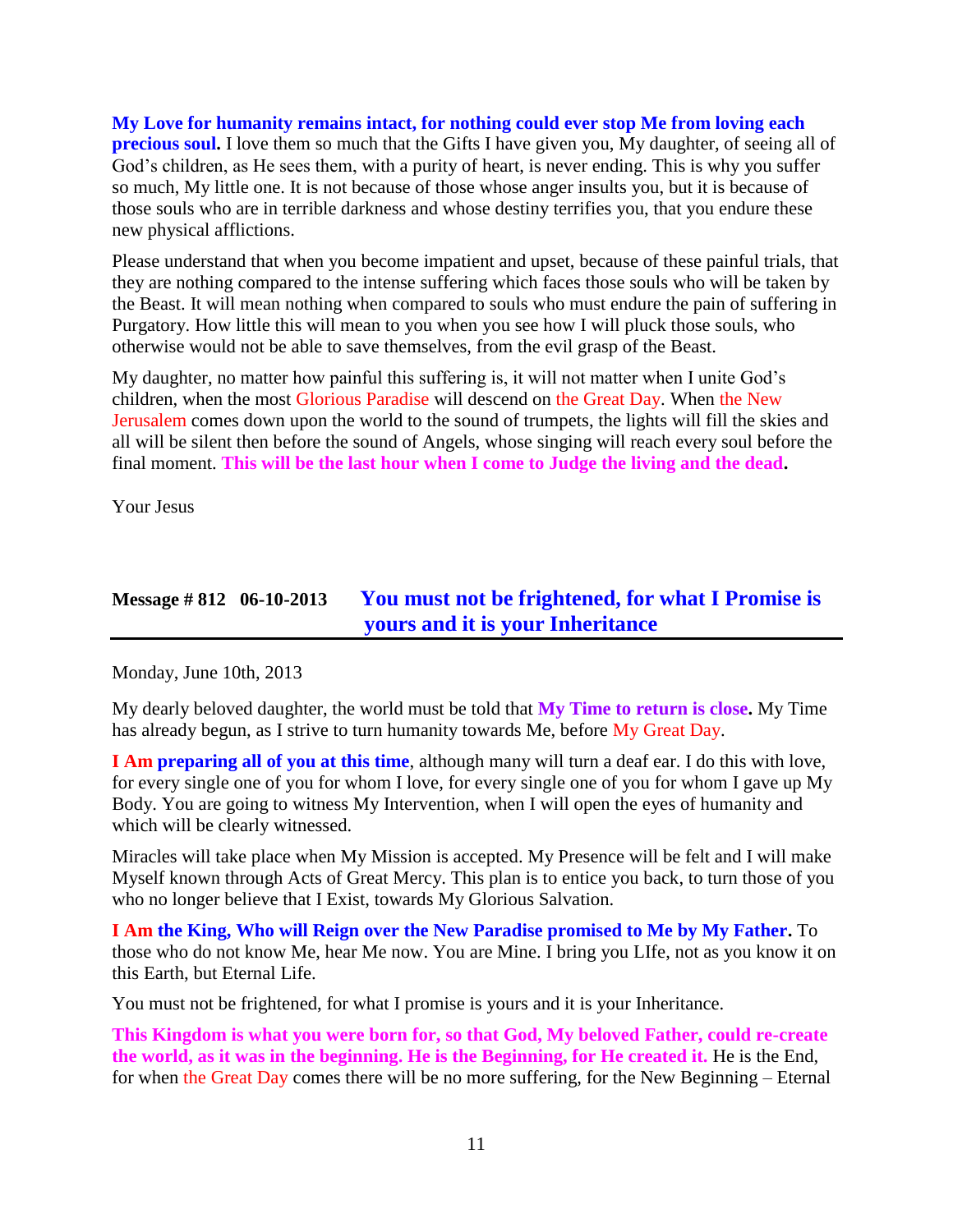#### **My Love for humanity remains intact, for nothing could ever stop Me from loving each precious soul.** I love them so much that the Gifts I have given you, My daughter, of seeing all of God's children, as He sees them, with a purity of heart, is never ending. This is why you suffer so much, My little one. It is not because of those whose anger insults you, but it is because of those souls who are in terrible darkness and whose destiny terrifies you, that you endure these new physical afflictions.

Please understand that when you become impatient and upset, because of these painful trials, that they are nothing compared to the intense suffering which faces those souls who will be taken by the Beast. It will mean nothing when compared to souls who must endure the pain of suffering in Purgatory. How little this will mean to you when you see how I will pluck those souls, who otherwise would not be able to save themselves, from the evil grasp of the Beast.

My daughter, no matter how painful this suffering is, it will not matter when I unite God's children, when the most Glorious Paradise will descend on the Great Day. When the New Jerusalem comes down upon the world to the sound of trumpets, the lights will fill the skies and all will be silent then before the sound of Angels, whose singing will reach every soul before the final moment. **This will be the last hour when I come to Judge the living and the dead.**

Your Jesus

# **Message # 812 06-10-2013 [You must not be frightened, for what I Promise is](http://www.thewarningsecondcoming.com/you-must-not-be-frightened-for-what-i-promise-is-yours-and-it-is-your-inheritance/)  [yours and it is your Inheritance](http://www.thewarningsecondcoming.com/you-must-not-be-frightened-for-what-i-promise-is-yours-and-it-is-your-inheritance/)**

Monday, June 10th, 2013

My dearly beloved daughter, the world must be told that **My Time to return is close.** My Time has already begun, as I strive to turn humanity towards Me, before My Great Day.

**I Am preparing all of you at this time**, although many will turn a deaf ear. I do this with love, for every single one of you for whom I love, for every single one of you for whom I gave up My Body. You are going to witness My Intervention, when I will open the eyes of humanity and which will be clearly witnessed.

Miracles will take place when My Mission is accepted. My Presence will be felt and I will make Myself known through Acts of Great Mercy. This plan is to entice you back, to turn those of you who no longer believe that I Exist, towards My Glorious Salvation.

**I Am the King, Who will Reign over the New Paradise promised to Me by My Father.** To those who do not know Me, hear Me now. You are Mine. I bring you LIfe, not as you know it on this Earth, but Eternal Life.

You must not be frightened, for what I promise is yours and it is your Inheritance.

**This Kingdom is what you were born for, so that God, My beloved Father, could re-create the world, as it was in the beginning. He is the Beginning, for He created it.** He is the End, for when the Great Day comes there will be no more suffering, for the New Beginning – Eternal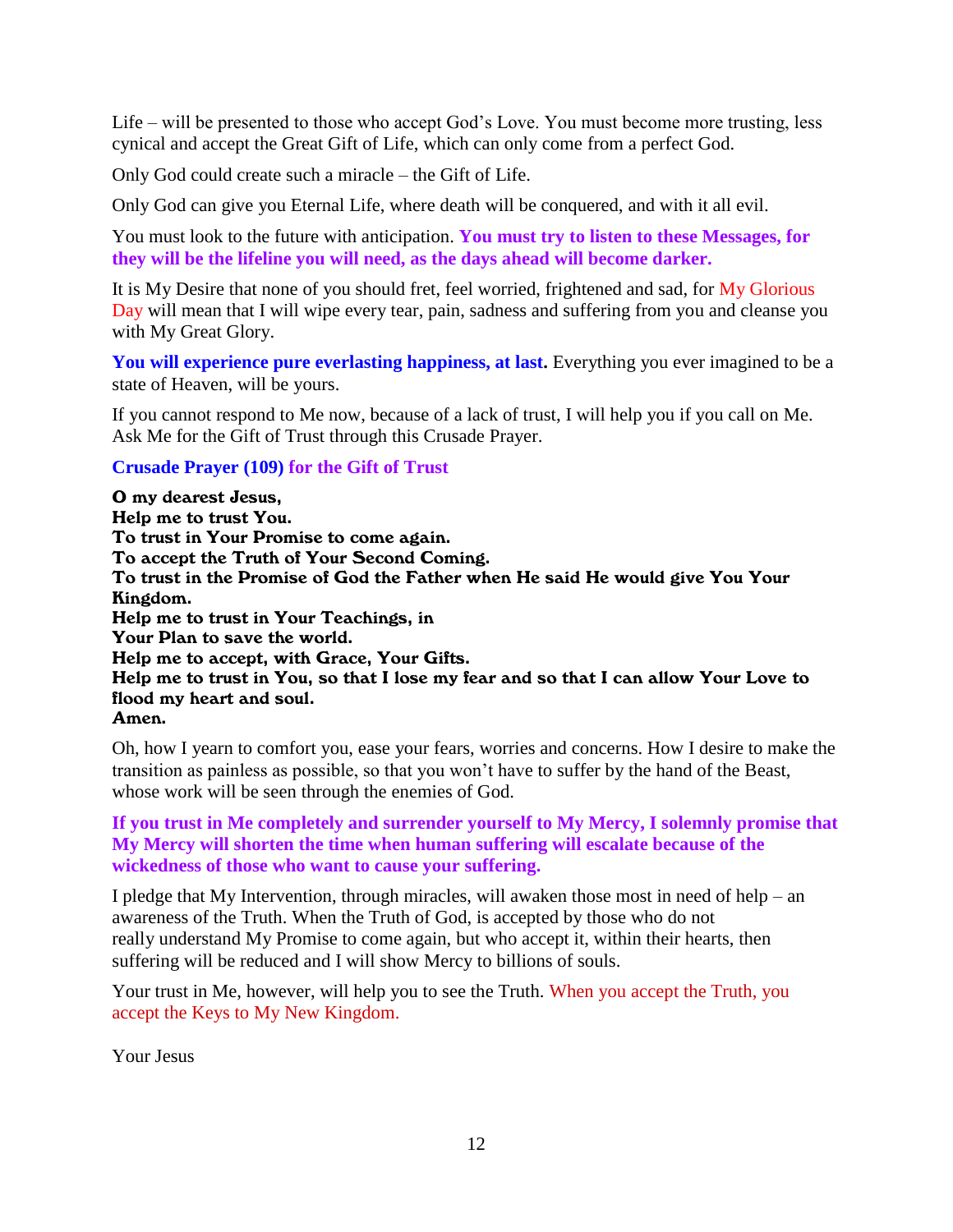Life – will be presented to those who accept God's Love. You must become more trusting, less cynical and accept the Great Gift of Life, which can only come from a perfect God.

Only God could create such a miracle – the Gift of Life.

Only God can give you Eternal Life, where death will be conquered, and with it all evil.

You must look to the future with anticipation. **You must try to listen to these Messages, for they will be the lifeline you will need, as the days ahead will become darker.**

It is My Desire that none of you should fret, feel worried, frightened and sad, for My Glorious Day will mean that I will wipe every tear, pain, sadness and suffering from you and cleanse you with My Great Glory.

**You will experience pure everlasting happiness, at last.** Everything you ever imagined to be a state of Heaven, will be yours.

If you cannot respond to Me now, because of a lack of trust, I will help you if you call on Me. Ask Me for the Gift of Trust through this Crusade Prayer.

#### **Crusade Prayer (109) for the Gift of Trust**

O my dearest Jesus, Help me to trust You. To trust in Your Promise to come again. To accept the Truth of Your Second Coming. To trust in the Promise of God the Father when He said He would give You Your Kingdom. Help me to trust in Your Teachings, in Your Plan to save the world. Help me to accept, with Grace, Your Gifts. Help me to trust in You, so that I lose my fear and so that I can allow Your Love to flood my heart and soul. Amen.

Oh, how I yearn to comfort you, ease your fears, worries and concerns. How I desire to make the transition as painless as possible, so that you won't have to suffer by the hand of the Beast, whose work will be seen through the enemies of God.

**If you trust in Me completely and surrender yourself to My Mercy, I solemnly promise that My Mercy will shorten the time when human suffering will escalate because of the wickedness of those who want to cause your suffering.**

I pledge that My Intervention, through miracles, will awaken those most in need of help – an awareness of the Truth. When the Truth of God, is accepted by those who do not really understand My Promise to come again, but who accept it, within their hearts, then suffering will be reduced and I will show Mercy to billions of souls.

Your trust in Me, however, will help you to see the Truth. When you accept the Truth, you accept the Keys to My New Kingdom.

Your Jesus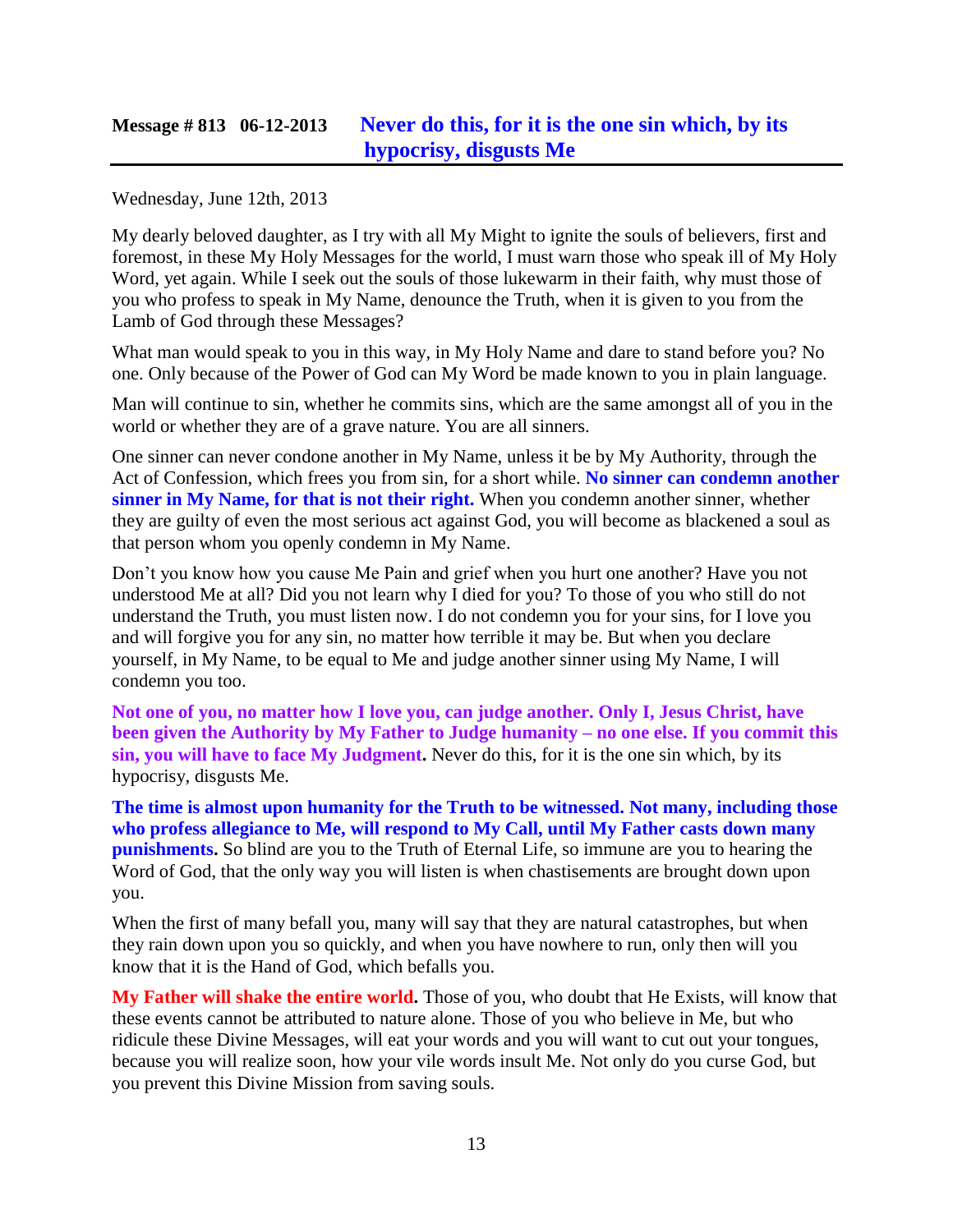### **Message # 813 06-12-2013 [Never do this, for it is the one sin which, by its](http://www.thewarningsecondcoming.com/never-do-this-for-it-is-the-one-sin-which-by-its-hypocrisy-disgusts-me/)  [hypocrisy, disgusts Me](http://www.thewarningsecondcoming.com/never-do-this-for-it-is-the-one-sin-which-by-its-hypocrisy-disgusts-me/)**

Wednesday, June 12th, 2013

My dearly beloved daughter, as I try with all My Might to ignite the souls of believers, first and foremost, in these My Holy Messages for the world, I must warn those who speak ill of My Holy Word, yet again. While I seek out the souls of those lukewarm in their faith, why must those of you who profess to speak in My Name, denounce the Truth, when it is given to you from the Lamb of God through these Messages?

What man would speak to you in this way, in My Holy Name and dare to stand before you? No one. Only because of the Power of God can My Word be made known to you in plain language.

Man will continue to sin, whether he commits sins, which are the same amongst all of you in the world or whether they are of a grave nature. You are all sinners.

One sinner can never condone another in My Name, unless it be by My Authority, through the Act of Confession, which frees you from sin, for a short while. **No sinner can condemn another sinner in My Name, for that is not their right.** When you condemn another sinner, whether they are guilty of even the most serious act against God, you will become as blackened a soul as that person whom you openly condemn in My Name.

Don't you know how you cause Me Pain and grief when you hurt one another? Have you not understood Me at all? Did you not learn why I died for you? To those of you who still do not understand the Truth, you must listen now. I do not condemn you for your sins, for I love you and will forgive you for any sin, no matter how terrible it may be. But when you declare yourself, in My Name, to be equal to Me and judge another sinner using My Name, I will condemn you too.

**Not one of you, no matter how I love you, can judge another. Only I, Jesus Christ, have been given the Authority by My Father to Judge humanity – no one else. If you commit this sin, you will have to face My Judgment.** Never do this, for it is the one sin which, by its hypocrisy, disgusts Me.

**The time is almost upon humanity for the Truth to be witnessed. Not many, including those who profess allegiance to Me, will respond to My Call, until My Father casts down many punishments.** So blind are you to the Truth of Eternal Life, so immune are you to hearing the Word of God, that the only way you will listen is when chastisements are brought down upon you.

When the first of many befall you, many will say that they are natural catastrophes, but when they rain down upon you so quickly, and when you have nowhere to run, only then will you know that it is the Hand of God, which befalls you.

**My Father will shake the entire world.** Those of you, who doubt that He Exists, will know that these events cannot be attributed to nature alone. Those of you who believe in Me, but who ridicule these Divine Messages, will eat your words and you will want to cut out your tongues, because you will realize soon, how your vile words insult Me. Not only do you curse God, but you prevent this Divine Mission from saving souls.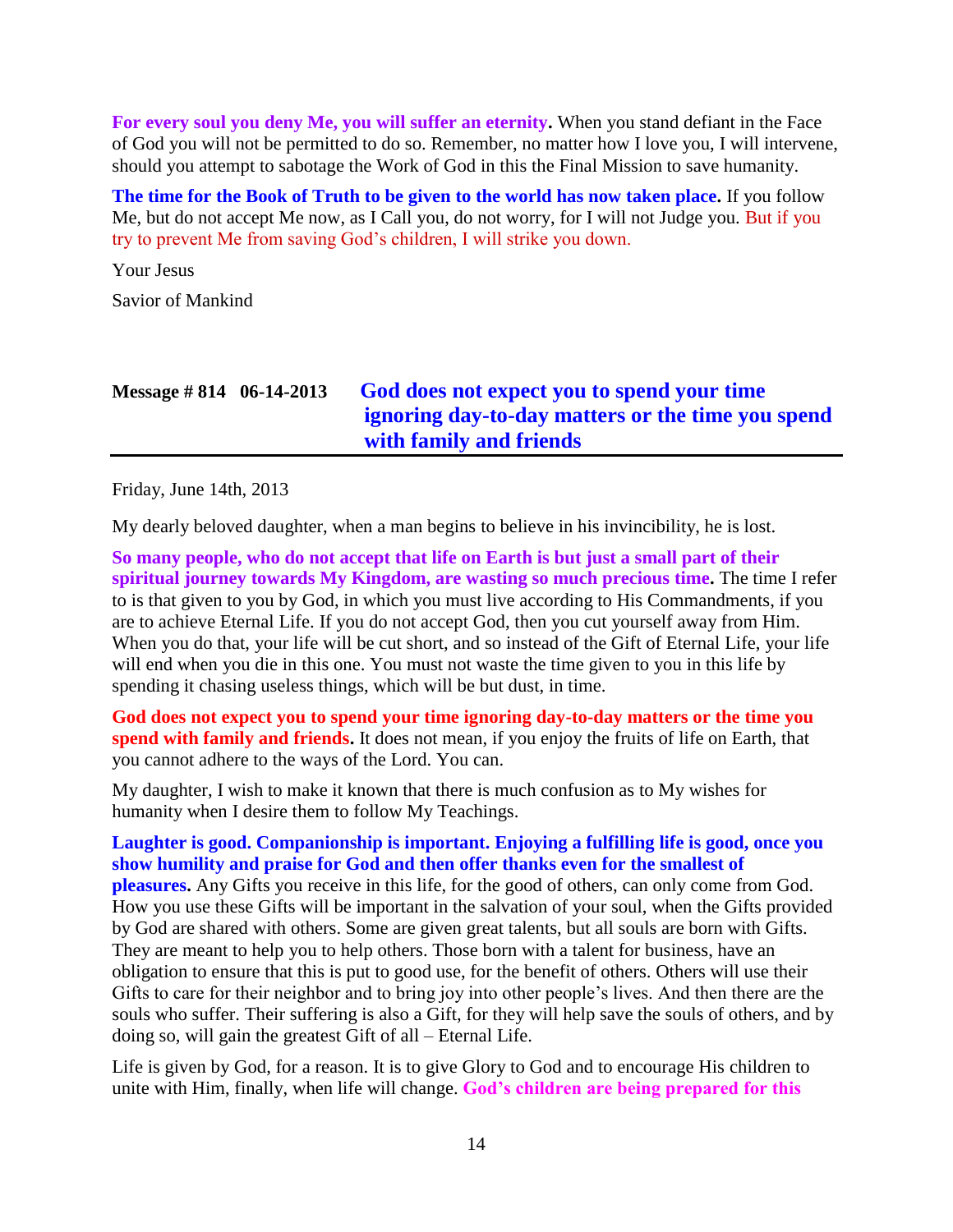**For every soul you deny Me, you will suffer an eternity.** When you stand defiant in the Face of God you will not be permitted to do so. Remember, no matter how I love you, I will intervene, should you attempt to sabotage the Work of God in this the Final Mission to save humanity.

**The time for the Book of Truth to be given to the world has now taken place.** If you follow Me, but do not accept Me now, as I Call you, do not worry, for I will not Judge you. But if you try to prevent Me from saving God's children, I will strike you down.

Your Jesus Savior of Mankind

# **Message # 814 06-14-2013 [God does not expect you to spend your time](http://www.thewarningsecondcoming.com/god-does-not-expect-you-to-spend-your-time-ignoring-day-to-day-matters-or-the-time-you-spend-with-family-and-friend/)  [ignoring day-to-day matters or the time you spend](http://www.thewarningsecondcoming.com/god-does-not-expect-you-to-spend-your-time-ignoring-day-to-day-matters-or-the-time-you-spend-with-family-and-friend/)  [with family and friends](http://www.thewarningsecondcoming.com/god-does-not-expect-you-to-spend-your-time-ignoring-day-to-day-matters-or-the-time-you-spend-with-family-and-friend/)**

Friday, June 14th, 2013

My dearly beloved daughter, when a man begins to believe in his invincibility, he is lost.

**So many people, who do not accept that life on Earth is but just a small part of their spiritual journey towards My Kingdom, are wasting so much precious time.** The time I refer to is that given to you by God, in which you must live according to His Commandments, if you are to achieve Eternal Life. If you do not accept God, then you cut yourself away from Him. When you do that, your life will be cut short, and so instead of the Gift of Eternal Life, your life will end when you die in this one. You must not waste the time given to you in this life by spending it chasing useless things, which will be but dust, in time.

**God does not expect you to spend your time ignoring day-to-day matters or the time you spend with family and friends.** It does not mean, if you enjoy the fruits of life on Earth, that you cannot adhere to the ways of the Lord. You can.

My daughter, I wish to make it known that there is much confusion as to My wishes for humanity when I desire them to follow My Teachings.

**Laughter is good. Companionship is important. Enjoying a fulfilling life is good, once you show humility and praise for God and then offer thanks even for the smallest of pleasures.** Any Gifts you receive in this life, for the good of others, can only come from God. How you use these Gifts will be important in the salvation of your soul, when the Gifts provided by God are shared with others. Some are given great talents, but all souls are born with Gifts. They are meant to help you to help others. Those born with a talent for business, have an obligation to ensure that this is put to good use, for the benefit of others. Others will use their Gifts to care for their neighbor and to bring joy into other people's lives. And then there are the souls who suffer. Their suffering is also a Gift, for they will help save the souls of others, and by doing so, will gain the greatest Gift of all – Eternal Life.

Life is given by God, for a reason. It is to give Glory to God and to encourage His children to unite with Him, finally, when life will change. **God's children are being prepared for this**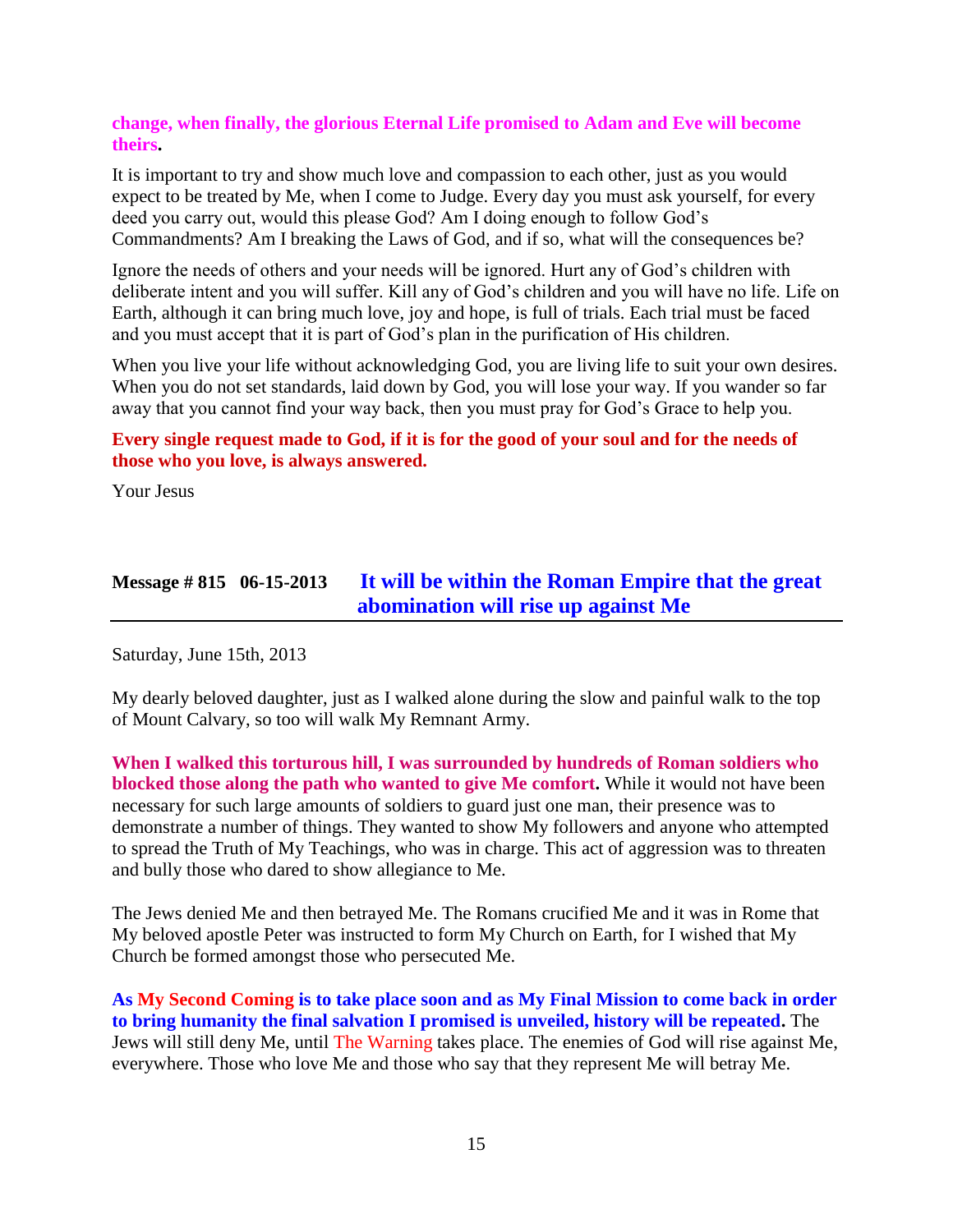#### **change, when finally, the glorious Eternal Life promised to Adam and Eve will become theirs.**

It is important to try and show much love and compassion to each other, just as you would expect to be treated by Me, when I come to Judge. Every day you must ask yourself, for every deed you carry out, would this please God? Am I doing enough to follow God's Commandments? Am I breaking the Laws of God, and if so, what will the consequences be?

Ignore the needs of others and your needs will be ignored. Hurt any of God's children with deliberate intent and you will suffer. Kill any of God's children and you will have no life. Life on Earth, although it can bring much love, joy and hope, is full of trials. Each trial must be faced and you must accept that it is part of God's plan in the purification of His children.

When you live your life without acknowledging God, you are living life to suit your own desires. When you do not set standards, laid down by God, you will lose your way. If you wander so far away that you cannot find your way back, then you must pray for God's Grace to help you.

#### **Every single request made to God, if it is for the good of your soul and for the needs of those who you love, is always answered.**

Your Jesus

## **Message # 815 06-15-2013 [It will be within the Roman Empire that the great](http://www.thewarningsecondcoming.com/it-will-be-within-the-roman-empire-that-the-great-abomination-will-rise-up-against-me/)  [abomination will rise up against Me](http://www.thewarningsecondcoming.com/it-will-be-within-the-roman-empire-that-the-great-abomination-will-rise-up-against-me/)**

Saturday, June 15th, 2013

My dearly beloved daughter, just as I walked alone during the slow and painful walk to the top of Mount Calvary, so too will walk My Remnant Army.

**When I walked this torturous hill, I was surrounded by hundreds of Roman soldiers who blocked those along the path who wanted to give Me comfort.** While it would not have been necessary for such large amounts of soldiers to guard just one man, their presence was to demonstrate a number of things. They wanted to show My followers and anyone who attempted to spread the Truth of My Teachings, who was in charge. This act of aggression was to threaten and bully those who dared to show allegiance to Me.

The Jews denied Me and then betrayed Me. The Romans crucified Me and it was in Rome that My beloved apostle Peter was instructed to form My Church on Earth, for I wished that My Church be formed amongst those who persecuted Me.

**As My Second Coming is to take place soon and as My Final Mission to come back in order to bring humanity the final salvation I promised is unveiled, history will be repeated.** The Jews will still deny Me, until The Warning takes place. The enemies of God will rise against Me, everywhere. Those who love Me and those who say that they represent Me will betray Me.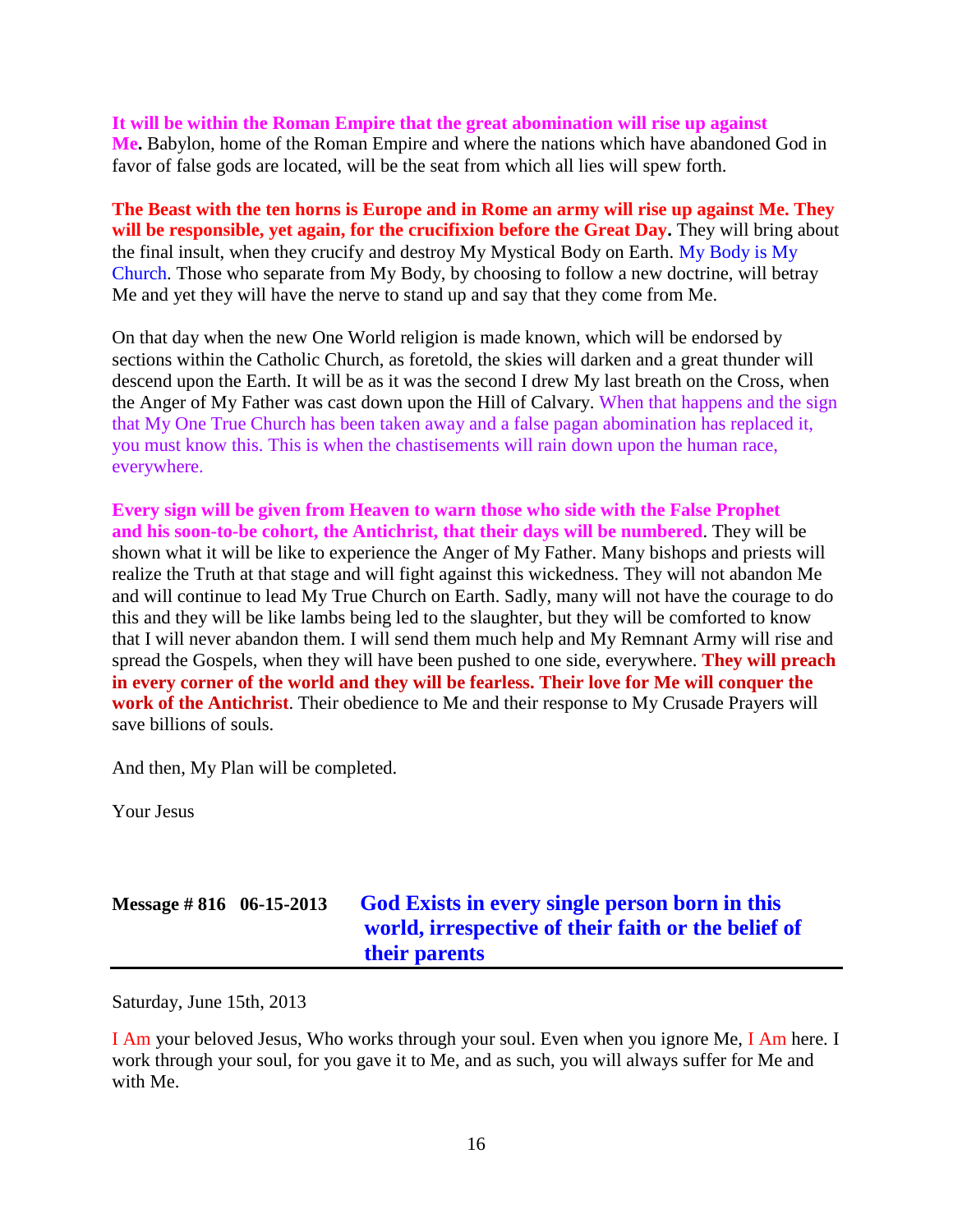**It will be within the Roman Empire that the great abomination will rise up against Me.** Babylon, home of the Roman Empire and where the nations which have abandoned God in favor of false gods are located, will be the seat from which all lies will spew forth.

**The Beast with the ten horns is Europe and in Rome an army will rise up against Me. They will be responsible, yet again, for the crucifixion before the Great Day.** They will bring about the final insult, when they crucify and destroy My Mystical Body on Earth. My Body is My Church. Those who separate from My Body, by choosing to follow a new doctrine, will betray Me and yet they will have the nerve to stand up and say that they come from Me.

On that day when the new One World religion is made known, which will be endorsed by sections within the Catholic Church, as foretold, the skies will darken and a great thunder will descend upon the Earth. It will be as it was the second I drew My last breath on the Cross, when the Anger of My Father was cast down upon the Hill of Calvary. When that happens and the sign that My One True Church has been taken away and a false pagan abomination has replaced it, you must know this. This is when the chastisements will rain down upon the human race, everywhere.

**Every sign will be given from Heaven to warn those who side with the False Prophet and his soon-to-be cohort, the Antichrist, that their days will be numbered**. They will be shown what it will be like to experience the Anger of My Father. Many bishops and priests will realize the Truth at that stage and will fight against this wickedness. They will not abandon Me and will continue to lead My True Church on Earth. Sadly, many will not have the courage to do this and they will be like lambs being led to the slaughter, but they will be comforted to know that I will never abandon them. I will send them much help and My Remnant Army will rise and spread the Gospels, when they will have been pushed to one side, everywhere. **They will preach in every corner of the world and they will be fearless. Their love for Me will conquer the work of the Antichrist**. Their obedience to Me and their response to My Crusade Prayers will save billions of souls.

And then, My Plan will be completed.

Your Jesus

# **Message # 816 06-15-2013 [God Exists in every single person born in this](http://www.thewarningsecondcoming.com/god-exists-in-every-single-person-born-in-this-world-irrespective-of-their-faith-or-the-belief-of-their-parents/)  [world, irrespective of their faith or the belief of](http://www.thewarningsecondcoming.com/god-exists-in-every-single-person-born-in-this-world-irrespective-of-their-faith-or-the-belief-of-their-parents/)  [their parents](http://www.thewarningsecondcoming.com/god-exists-in-every-single-person-born-in-this-world-irrespective-of-their-faith-or-the-belief-of-their-parents/)**

Saturday, June 15th, 2013

I Am your beloved Jesus, Who works through your soul. Even when you ignore Me, I Am here. I work through your soul, for you gave it to Me, and as such, you will always suffer for Me and with Me.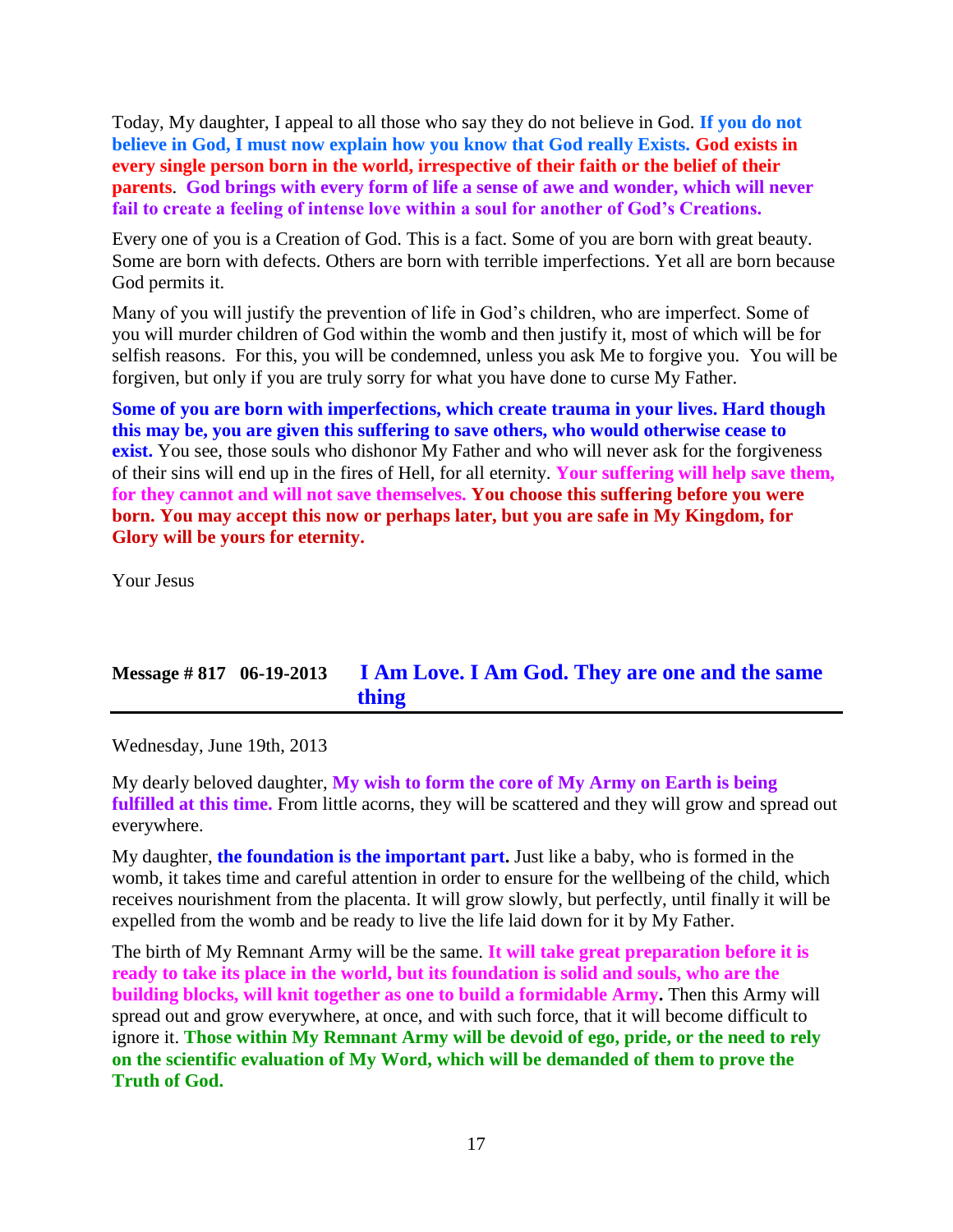Today, My daughter, I appeal to all those who say they do not believe in God. **If you do not believe in God, I must now explain how you know that God really Exists. God exists in every single person born in the world, irrespective of their faith or the belief of their parents**. **God brings with every form of life a sense of awe and wonder, which will never fail to create a feeling of intense love within a soul for another of God's Creations.**

Every one of you is a Creation of God. This is a fact. Some of you are born with great beauty. Some are born with defects. Others are born with terrible imperfections. Yet all are born because God permits it.

Many of you will justify the prevention of life in God's children, who are imperfect. Some of you will murder children of God within the womb and then justify it, most of which will be for selfish reasons. For this, you will be condemned, unless you ask Me to forgive you. You will be forgiven, but only if you are truly sorry for what you have done to curse My Father.

**Some of you are born with imperfections, which create trauma in your lives. Hard though this may be, you are given this suffering to save others, who would otherwise cease to exist.** You see, those souls who dishonor My Father and who will never ask for the forgiveness of their sins will end up in the fires of Hell, for all eternity. **Your suffering will help save them, for they cannot and will not save themselves. You choose this suffering before you were born. You may accept this now or perhaps later, but you are safe in My Kingdom, for Glory will be yours for eternity.**

Your Jesus

### **Message # 817 06-19-2013 [I Am Love. I Am God. They are one and the same](http://www.thewarningsecondcoming.com/i-am-love-i-am-god-they-are-one-and-the-same-thing/)  [thing](http://www.thewarningsecondcoming.com/i-am-love-i-am-god-they-are-one-and-the-same-thing/)**

Wednesday, June 19th, 2013

My dearly beloved daughter, **My wish to form the core of My Army on Earth is being fulfilled at this time.** From little acorns, they will be scattered and they will grow and spread out everywhere.

My daughter, **the foundation is the important part.** Just like a baby, who is formed in the womb, it takes time and careful attention in order to ensure for the wellbeing of the child, which receives nourishment from the placenta. It will grow slowly, but perfectly, until finally it will be expelled from the womb and be ready to live the life laid down for it by My Father.

The birth of My Remnant Army will be the same. **It will take great preparation before it is ready to take its place in the world, but its foundation is solid and souls, who are the building blocks, will knit together as one to build a formidable Army.** Then this Army will spread out and grow everywhere, at once, and with such force, that it will become difficult to ignore it. **Those within My Remnant Army will be devoid of ego, pride, or the need to rely on the scientific evaluation of My Word, which will be demanded of them to prove the Truth of God.**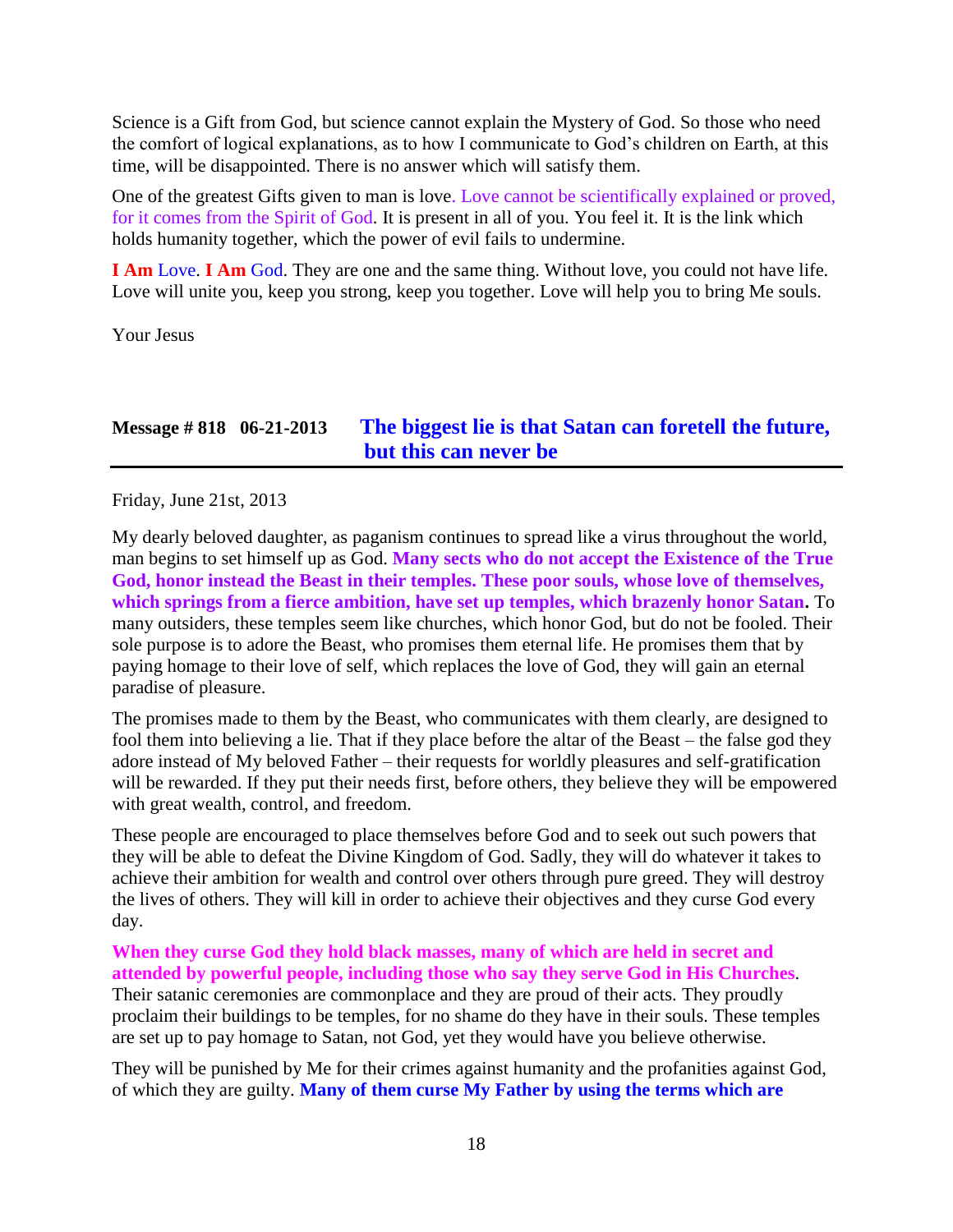Science is a Gift from God, but science cannot explain the Mystery of God. So those who need the comfort of logical explanations, as to how I communicate to God's children on Earth, at this time, will be disappointed. There is no answer which will satisfy them.

One of the greatest Gifts given to man is love. Love cannot be scientifically explained or proved, for it comes from the Spirit of God. It is present in all of you. You feel it. It is the link which holds humanity together, which the power of evil fails to undermine.

**I Am** Love. **I Am** God. They are one and the same thing. Without love, you could not have life. Love will unite you, keep you strong, keep you together. Love will help you to bring Me souls.

Your Jesus

### **Message # 818 06-21-2013 [The biggest lie is that Satan can foretell](http://www.thewarningsecondcoming.com/the-biggest-lie-is-that-satan-can-foretell-the-future-but-this-can-never-be/) the future, [but this can never be](http://www.thewarningsecondcoming.com/the-biggest-lie-is-that-satan-can-foretell-the-future-but-this-can-never-be/)**

Friday, June 21st, 2013

My dearly beloved daughter, as paganism continues to spread like a virus throughout the world, man begins to set himself up as God. **Many sects who do not accept the Existence of the True God, honor instead the Beast in their temples. These poor souls, whose love of themselves, which springs from a fierce ambition, have set up temples, which brazenly honor Satan.** To many outsiders, these temples seem like churches, which honor God, but do not be fooled. Their sole purpose is to adore the Beast, who promises them eternal life. He promises them that by paying homage to their love of self, which replaces the love of God, they will gain an eternal paradise of pleasure.

The promises made to them by the Beast, who communicates with them clearly, are designed to fool them into believing a lie. That if they place before the altar of the Beast – the false god they adore instead of My beloved Father – their requests for worldly pleasures and self-gratification will be rewarded. If they put their needs first, before others, they believe they will be empowered with great wealth, control, and freedom.

These people are encouraged to place themselves before God and to seek out such powers that they will be able to defeat the Divine Kingdom of God. Sadly, they will do whatever it takes to achieve their ambition for wealth and control over others through pure greed. They will destroy the lives of others. They will kill in order to achieve their objectives and they curse God every day.

**When they curse God they hold black masses, many of which are held in secret and attended by powerful people, including those who say they serve God in His Churches**. Their satanic ceremonies are commonplace and they are proud of their acts. They proudly proclaim their buildings to be temples, for no shame do they have in their souls. These temples are set up to pay homage to Satan, not God, yet they would have you believe otherwise.

They will be punished by Me for their crimes against humanity and the profanities against God, of which they are guilty. **Many of them curse My Father by using the terms which are**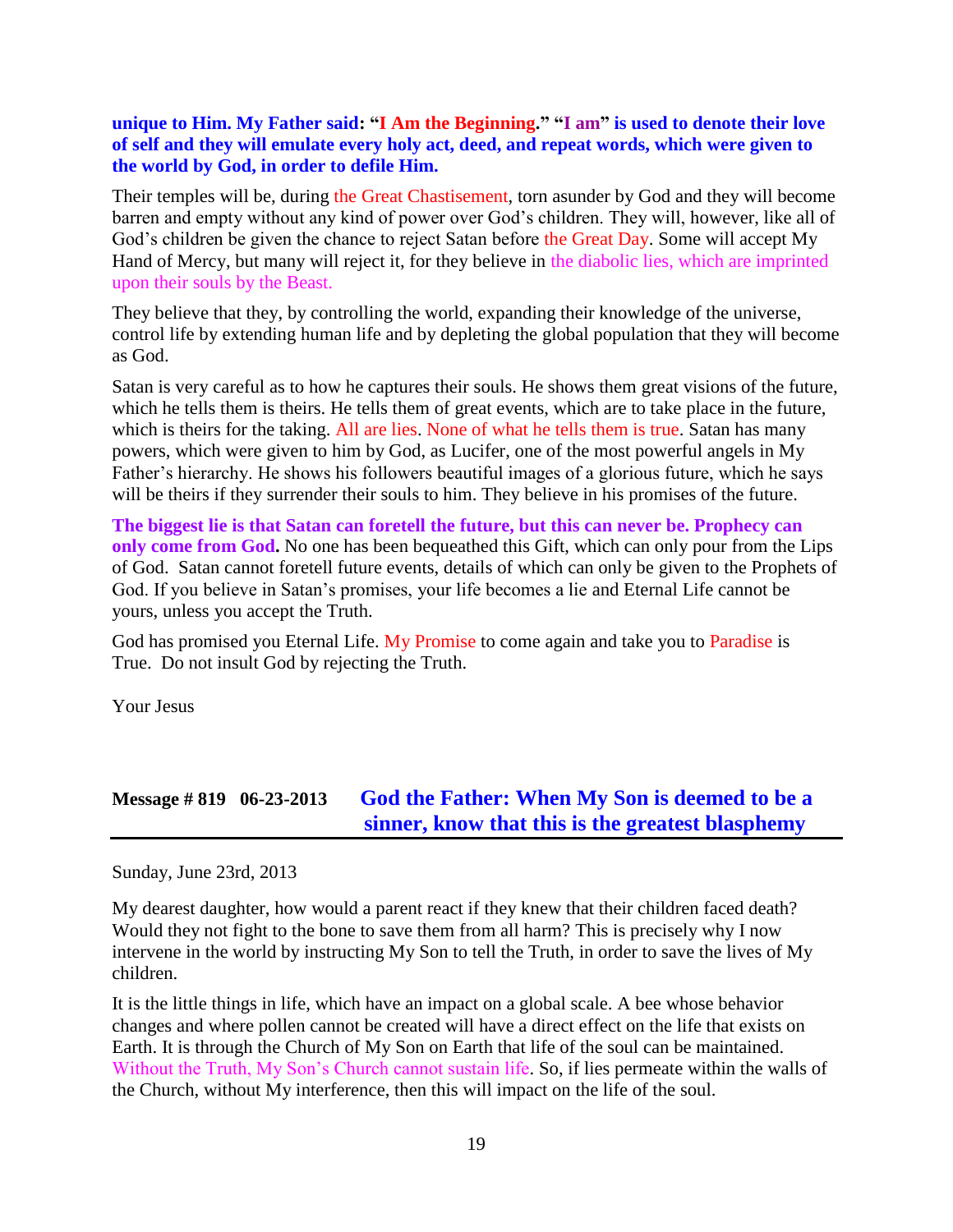#### **unique to Him. My Father said: "I Am the Beginning." "I am" is used to denote their love of self and they will emulate every holy act, deed, and repeat words, which were given to the world by God, in order to defile Him.**

Their temples will be, during the Great Chastisement, torn asunder by God and they will become barren and empty without any kind of power over God's children. They will, however, like all of God's children be given the chance to reject Satan before the Great Day. Some will accept My Hand of Mercy, but many will reject it, for they believe in the diabolic lies, which are imprinted upon their souls by the Beast.

They believe that they, by controlling the world, expanding their knowledge of the universe, control life by extending human life and by depleting the global population that they will become as God.

Satan is very careful as to how he captures their souls. He shows them great visions of the future, which he tells them is theirs. He tells them of great events, which are to take place in the future, which is theirs for the taking. All are lies. None of what he tells them is true. Satan has many powers, which were given to him by God, as Lucifer, one of the most powerful angels in My Father's hierarchy. He shows his followers beautiful images of a glorious future, which he says will be theirs if they surrender their souls to him. They believe in his promises of the future.

**The biggest lie is that Satan can foretell the future, but this can never be. Prophecy can only come from God.** No one has been bequeathed this Gift, which can only pour from the Lips of God. Satan cannot foretell future events, details of which can only be given to the Prophets of God. If you believe in Satan's promises, your life becomes a lie and Eternal Life cannot be yours, unless you accept the Truth.

God has promised you Eternal Life. My Promise to come again and take you to Paradise is True. Do not insult God by rejecting the Truth.

Your Jesus

## **Message # 819 06-23-2013 [God the Father: When My Son is deemed to be a](http://www.thewarningsecondcoming.com/god-the-father-when-my-son-is-deemed-to-be-a-sinner-know-that-this-is-the-greatest-blasphemy/)  [sinner, know that this is the greatest blasphemy](http://www.thewarningsecondcoming.com/god-the-father-when-my-son-is-deemed-to-be-a-sinner-know-that-this-is-the-greatest-blasphemy/)**

Sunday, June 23rd, 2013

My dearest daughter, how would a parent react if they knew that their children faced death? Would they not fight to the bone to save them from all harm? This is precisely why I now intervene in the world by instructing My Son to tell the Truth, in order to save the lives of My children.

It is the little things in life, which have an impact on a global scale. A bee whose behavior changes and where pollen cannot be created will have a direct effect on the life that exists on Earth. It is through the Church of My Son on Earth that life of the soul can be maintained. Without the Truth, My Son's Church cannot sustain life. So, if lies permeate within the walls of the Church, without My interference, then this will impact on the life of the soul.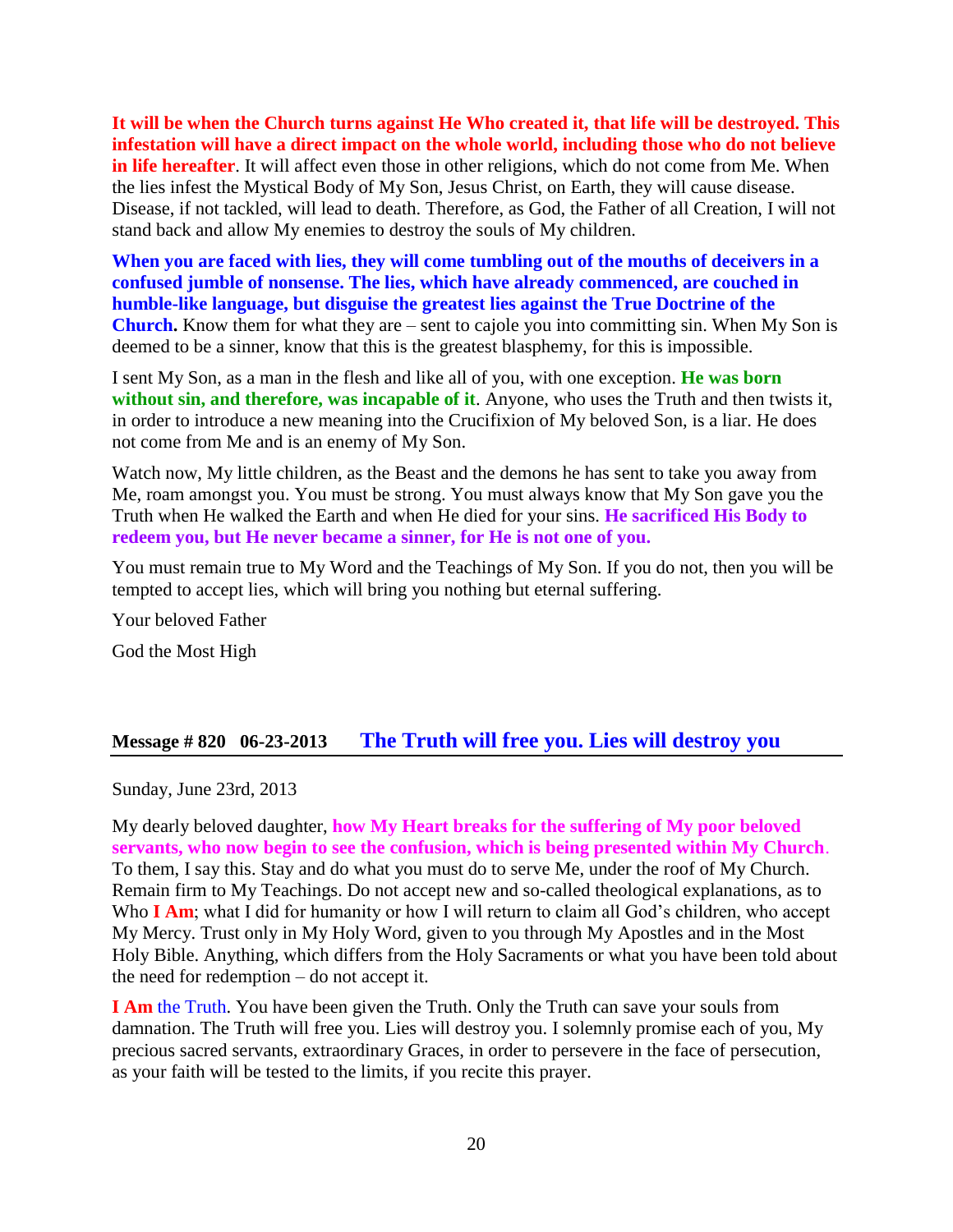**It will be when the Church turns against He Who created it, that life will be destroyed. This infestation will have a direct impact on the whole world, including those who do not believe in life hereafter**. It will affect even those in other religions, which do not come from Me. When the lies infest the Mystical Body of My Son, Jesus Christ, on Earth, they will cause disease. Disease, if not tackled, will lead to death. Therefore, as God, the Father of all Creation, I will not stand back and allow My enemies to destroy the souls of My children.

**When you are faced with lies, they will come tumbling out of the mouths of deceivers in a confused jumble of nonsense. The lies, which have already commenced, are couched in humble-like language, but disguise the greatest lies against the True Doctrine of the Church.** Know them for what they are – sent to cajole you into committing sin. When My Son is deemed to be a sinner, know that this is the greatest blasphemy, for this is impossible.

I sent My Son, as a man in the flesh and like all of you, with one exception. **He was born without sin, and therefore, was incapable of it**. Anyone, who uses the Truth and then twists it, in order to introduce a new meaning into the Crucifixion of My beloved Son, is a liar. He does not come from Me and is an enemy of My Son.

Watch now, My little children, as the Beast and the demons he has sent to take you away from Me, roam amongst you. You must be strong. You must always know that My Son gave you the Truth when He walked the Earth and when He died for your sins. **He sacrificed His Body to redeem you, but He never became a sinner, for He is not one of you.**

You must remain true to My Word and the Teachings of My Son. If you do not, then you will be tempted to accept lies, which will bring you nothing but eternal suffering.

Your beloved Father God the Most High

#### **Message # 820 06-23-2013 [The Truth will free you. Lies will destroy you](http://www.thewarningsecondcoming.com/the-truth-will-free-you-lies-will-destroy-you/)**

Sunday, June 23rd, 2013

My dearly beloved daughter, **how My Heart breaks for the suffering of My poor beloved servants, who now begin to see the confusion, which is being presented within My Church**. To them, I say this. Stay and do what you must do to serve Me, under the roof of My Church. Remain firm to My Teachings. Do not accept new and so-called theological explanations, as to Who **I Am**; what I did for humanity or how I will return to claim all God's children, who accept My Mercy. Trust only in My Holy Word, given to you through My Apostles and in the Most Holy Bible. Anything, which differs from the Holy Sacraments or what you have been told about the need for redemption – do not accept it.

**I Am** the Truth. You have been given the Truth. Only the Truth can save your souls from damnation. The Truth will free you. Lies will destroy you. I solemnly promise each of you, My precious sacred servants, extraordinary Graces, in order to persevere in the face of persecution, as your faith will be tested to the limits, if you recite this prayer.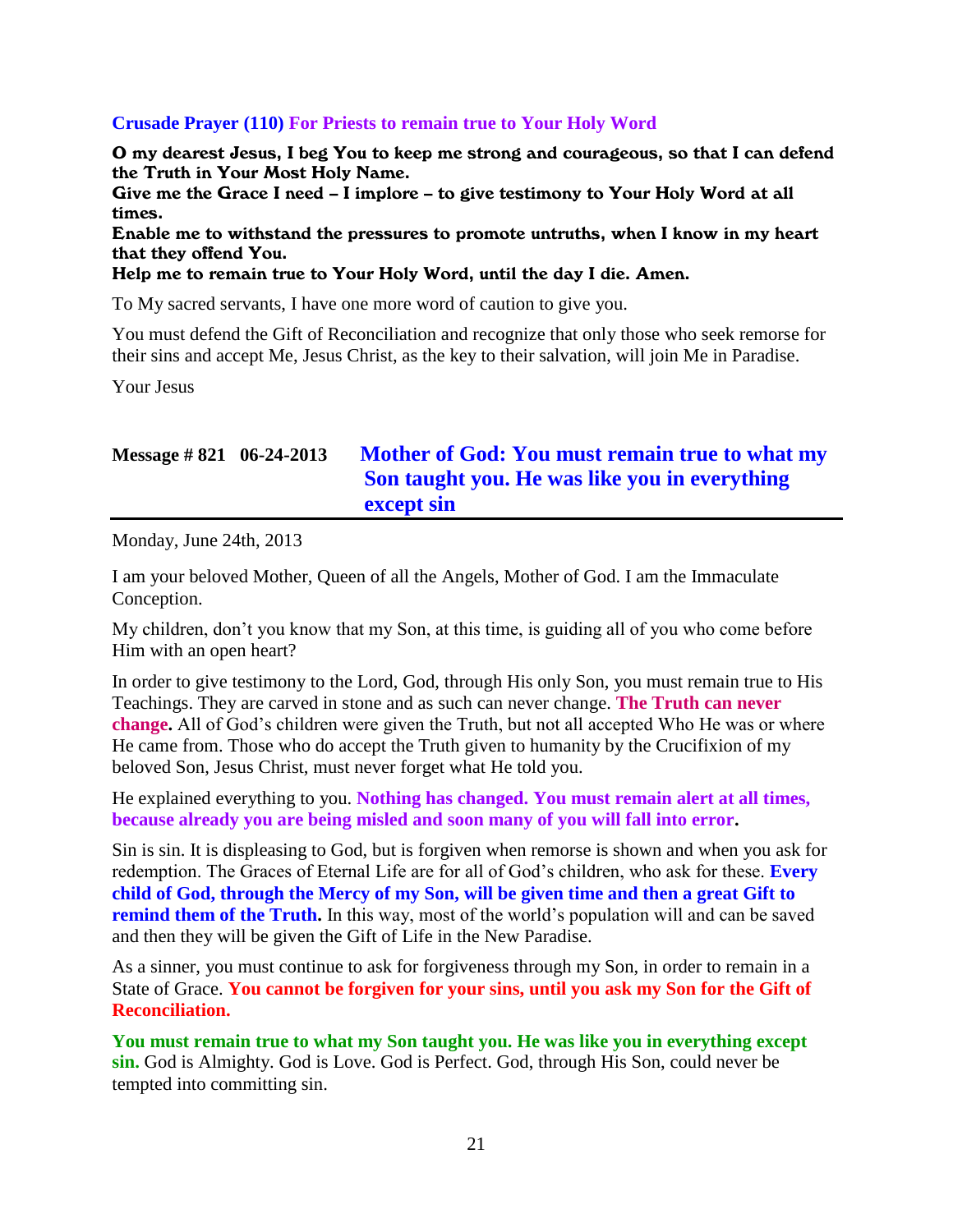#### **Crusade Prayer (110) For Priests to remain true to Your Holy Word**

O my dearest Jesus, I beg You to keep me strong and courageous, so that I can defend the Truth in Your Most Holy Name.

Give me the Grace I need – I implore – to give testimony to Your Holy Word at all times.

Enable me to withstand the pressures to promote untruths, when I know in my heart that they offend You.

#### Help me to remain true to Your Holy Word, until the day I die. Amen.

To My sacred servants, I have one more word of caution to give you.

You must defend the Gift of Reconciliation and recognize that only those who seek remorse for their sins and accept Me, Jesus Christ, as the key to their salvation, will join Me in Paradise.

Your Jesus

## **Message # 821 06-24-2013 [Mother of God: You must remain true to what my](http://www.thewarningsecondcoming.com/mother-of-god-you-must-remain-true-to-what-my-son-taught-you-he-was-like-you-in-everything-except-sin/)  [Son taught you. He was like you in everything](http://www.thewarningsecondcoming.com/mother-of-god-you-must-remain-true-to-what-my-son-taught-you-he-was-like-you-in-everything-except-sin/)  [except sin](http://www.thewarningsecondcoming.com/mother-of-god-you-must-remain-true-to-what-my-son-taught-you-he-was-like-you-in-everything-except-sin/)**

Monday, June 24th, 2013

I am your beloved Mother, Queen of all the Angels, Mother of God. I am the Immaculate Conception.

My children, don't you know that my Son, at this time, is guiding all of you who come before Him with an open heart?

In order to give testimony to the Lord, God, through His only Son, you must remain true to His Teachings. They are carved in stone and as such can never change. **The Truth can never change.** All of God's children were given the Truth, but not all accepted Who He was or where He came from. Those who do accept the Truth given to humanity by the Crucifixion of my beloved Son, Jesus Christ, must never forget what He told you.

He explained everything to you. **Nothing has changed. You must remain alert at all times, because already you are being misled and soon many of you will fall into error.**

Sin is sin. It is displeasing to God, but is forgiven when remorse is shown and when you ask for redemption. The Graces of Eternal Life are for all of God's children, who ask for these. **Every child of God, through the Mercy of my Son, will be given time and then a great Gift to remind them of the Truth.** In this way, most of the world's population will and can be saved and then they will be given the Gift of Life in the New Paradise.

As a sinner, you must continue to ask for forgiveness through my Son, in order to remain in a State of Grace. **You cannot be forgiven for your sins, until you ask my Son for the Gift of Reconciliation.**

**You must remain true to what my Son taught you. He was like you in everything except sin.** God is Almighty. God is Love. God is Perfect. God, through His Son, could never be tempted into committing sin.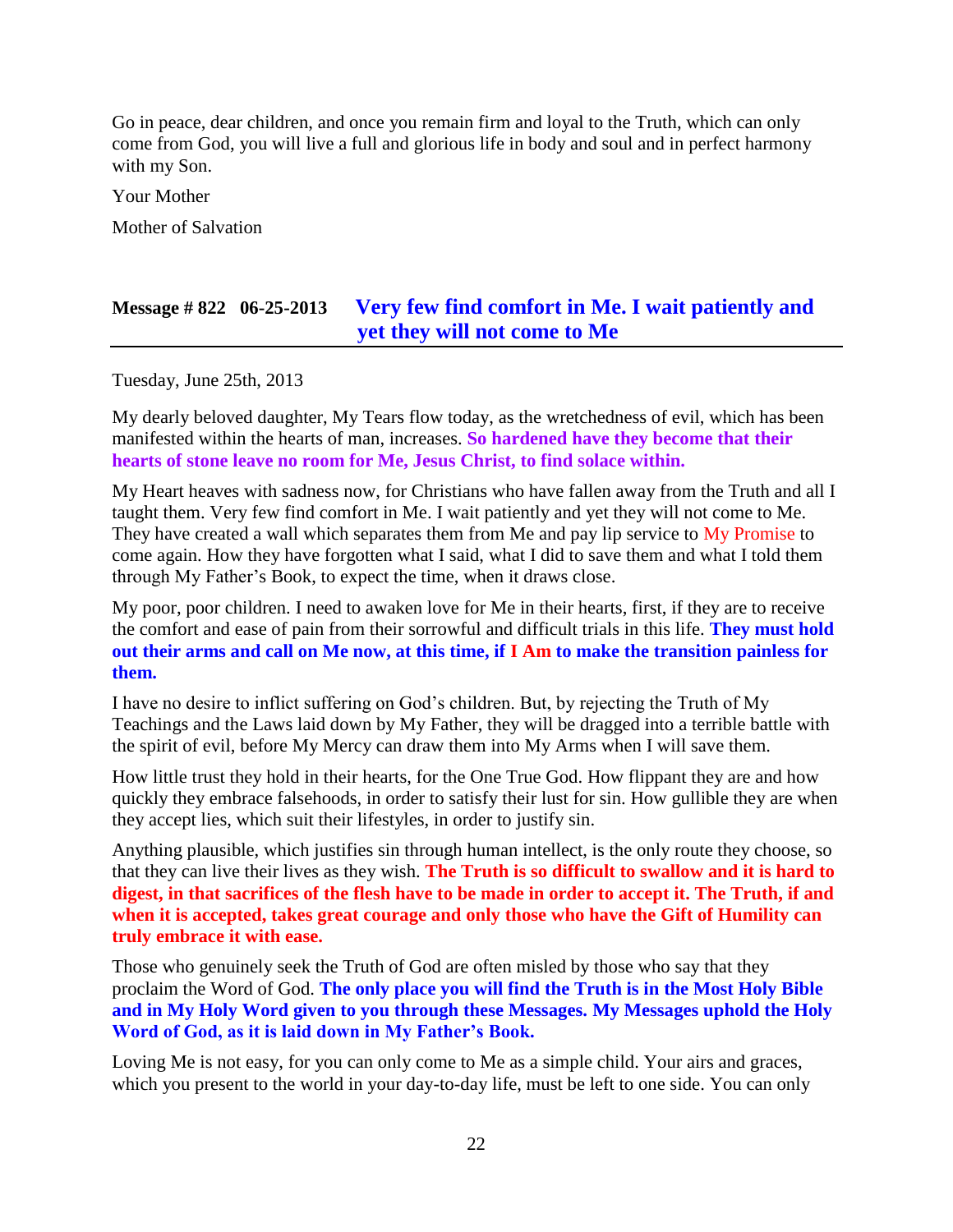Go in peace, dear children, and once you remain firm and loyal to the Truth, which can only come from God, you will live a full and glorious life in body and soul and in perfect harmony with my Son.

Your Mother

Mother of Salvation

# **Message # 822 06-25-2013 [Very few find comfort in Me. I wait patiently and](http://www.thewarningsecondcoming.com/very-few-find-comfort-in-me-i-wait-patiently-and-yet-they-will-not-come-to-me-2/)  [yet they will not come to Me](http://www.thewarningsecondcoming.com/very-few-find-comfort-in-me-i-wait-patiently-and-yet-they-will-not-come-to-me-2/)**

Tuesday, June 25th, 2013

My dearly beloved daughter, My Tears flow today, as the wretchedness of evil, which has been manifested within the hearts of man, increases. **So hardened have they become that their hearts of stone leave no room for Me, Jesus Christ, to find solace within.**

My Heart heaves with sadness now, for Christians who have fallen away from the Truth and all I taught them. Very few find comfort in Me. I wait patiently and yet they will not come to Me. They have created a wall which separates them from Me and pay lip service to My Promise to come again. How they have forgotten what I said, what I did to save them and what I told them through My Father's Book, to expect the time, when it draws close.

My poor, poor children. I need to awaken love for Me in their hearts, first, if they are to receive the comfort and ease of pain from their sorrowful and difficult trials in this life. **They must hold out their arms and call on Me now, at this time, if I Am to make the transition painless for them.**

I have no desire to inflict suffering on God's children. But, by rejecting the Truth of My Teachings and the Laws laid down by My Father, they will be dragged into a terrible battle with the spirit of evil, before My Mercy can draw them into My Arms when I will save them.

How little trust they hold in their hearts, for the One True God. How flippant they are and how quickly they embrace falsehoods, in order to satisfy their lust for sin. How gullible they are when they accept lies, which suit their lifestyles, in order to justify sin.

Anything plausible, which justifies sin through human intellect, is the only route they choose, so that they can live their lives as they wish. **The Truth is so difficult to swallow and it is hard to digest, in that sacrifices of the flesh have to be made in order to accept it. The Truth, if and when it is accepted, takes great courage and only those who have the Gift of Humility can truly embrace it with ease.**

Those who genuinely seek the Truth of God are often misled by those who say that they proclaim the Word of God. **The only place you will find the Truth is in the Most Holy Bible and in My Holy Word given to you through these Messages. My Messages uphold the Holy Word of God, as it is laid down in My Father's Book.**

Loving Me is not easy, for you can only come to Me as a simple child. Your airs and graces, which you present to the world in your day-to-day life, must be left to one side. You can only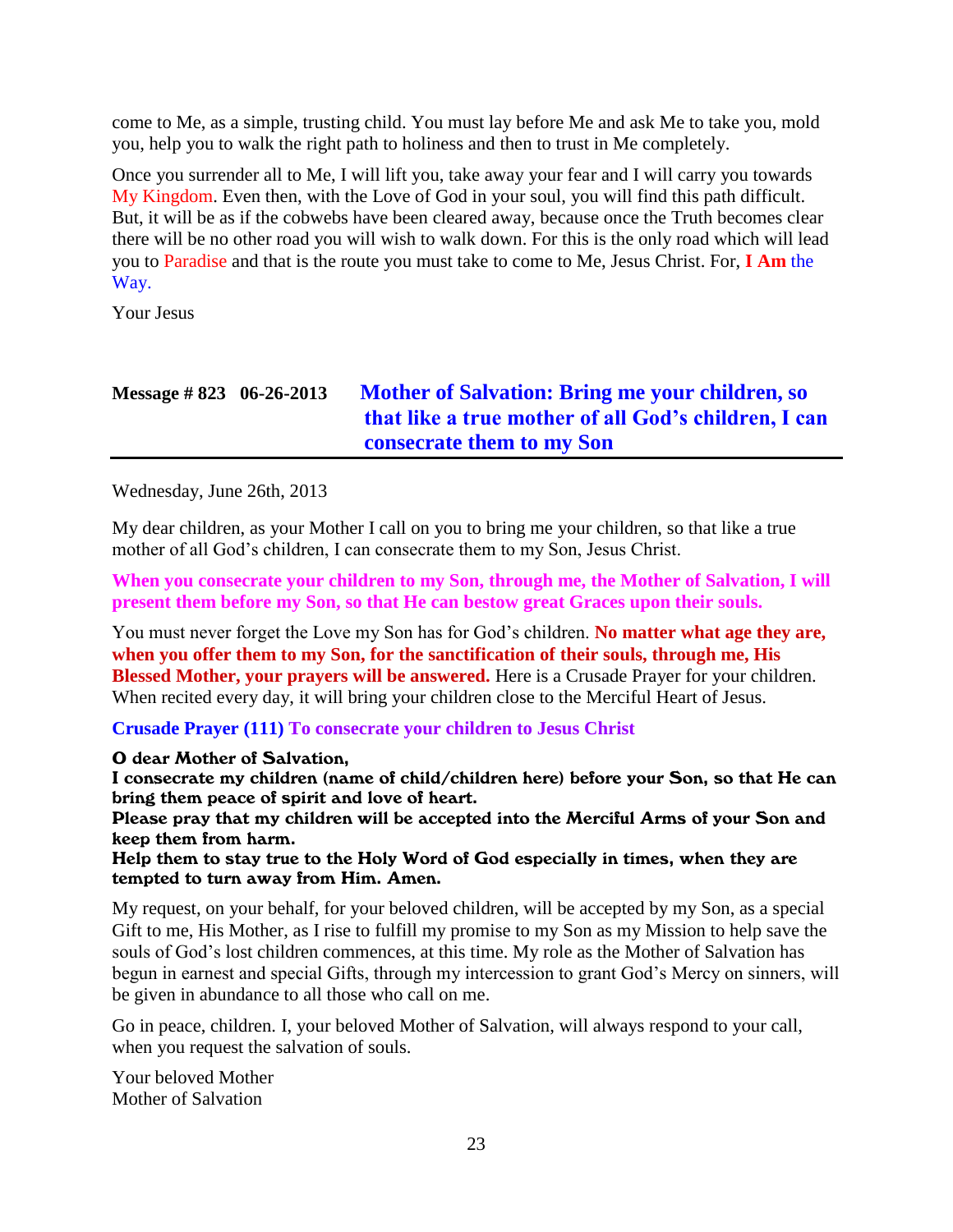come to Me, as a simple, trusting child. You must lay before Me and ask Me to take you, mold you, help you to walk the right path to holiness and then to trust in Me completely.

Once you surrender all to Me, I will lift you, take away your fear and I will carry you towards My Kingdom. Even then, with the Love of God in your soul, you will find this path difficult. But, it will be as if the cobwebs have been cleared away, because once the Truth becomes clear there will be no other road you will wish to walk down. For this is the only road which will lead you to Paradise and that is the route you must take to come to Me, Jesus Christ. For, **I Am** the Way.

Your Jesus

# **Message # 823 06-26-2013 [Mother of Salvation: Bring me your children, so](http://www.thewarningsecondcoming.com/mother-of-salvation-bring-me-your-children-so-that-like-a-true-mother-of-all-gods-children-i-can-consecrate-them-to-my-son/)  [that like a true mother of all God's children, I can](http://www.thewarningsecondcoming.com/mother-of-salvation-bring-me-your-children-so-that-like-a-true-mother-of-all-gods-children-i-can-consecrate-them-to-my-son/)  [consecrate them to my Son](http://www.thewarningsecondcoming.com/mother-of-salvation-bring-me-your-children-so-that-like-a-true-mother-of-all-gods-children-i-can-consecrate-them-to-my-son/)**

Wednesday, June 26th, 2013

My dear children, as your Mother I call on you to bring me your children, so that like a true mother of all God's children, I can consecrate them to my Son, Jesus Christ.

**When you consecrate your children to my Son, through me, the Mother of Salvation, I will present them before my Son, so that He can bestow great Graces upon their souls.**

You must never forget the Love my Son has for God's children. **No matter what age they are, when you offer them to my Son, for the sanctification of their souls, through me, His Blessed Mother, your prayers will be answered.** Here is a Crusade Prayer for your children. When recited every day, it will bring your children close to the Merciful Heart of Jesus.

#### **Crusade Prayer (111) To consecrate your children to Jesus Christ**

#### O dear Mother of Salvation,

I consecrate my children (name of child/children here) before your Son, so that He can bring them peace of spirit and love of heart.

Please pray that my children will be accepted into the Merciful Arms of your Son and keep them from harm.

Help them to stay true to the Holy Word of God especially in times, when they are tempted to turn away from Him. Amen.

My request, on your behalf, for your beloved children, will be accepted by my Son, as a special Gift to me, His Mother, as I rise to fulfill my promise to my Son as my Mission to help save the souls of God's lost children commences, at this time. My role as the Mother of Salvation has begun in earnest and special Gifts, through my intercession to grant God's Mercy on sinners, will be given in abundance to all those who call on me.

Go in peace, children. I, your beloved Mother of Salvation, will always respond to your call, when you request the salvation of souls.

Your beloved Mother Mother of Salvation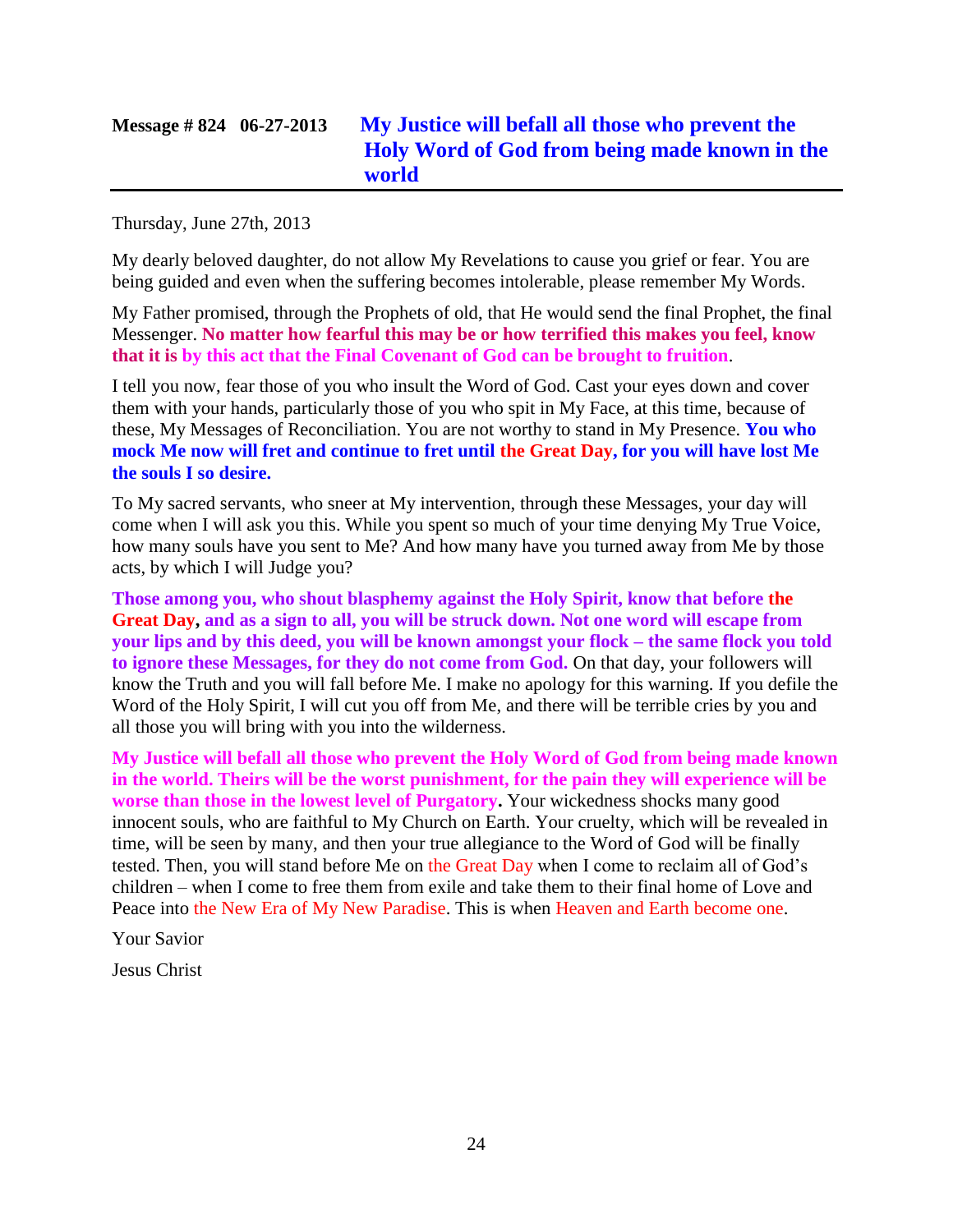# **Message # 824 06-27-2013 [My Justice will befall all those who prevent the](http://www.thewarningsecondcoming.com/my-justice-will-befall-all-those-who-prevent-the-holy-word-of-god-from-being-made-known-in-the-world/)  [Holy Word of God from being made known in the](http://www.thewarningsecondcoming.com/my-justice-will-befall-all-those-who-prevent-the-holy-word-of-god-from-being-made-known-in-the-world/)  [world](http://www.thewarningsecondcoming.com/my-justice-will-befall-all-those-who-prevent-the-holy-word-of-god-from-being-made-known-in-the-world/)**

Thursday, June 27th, 2013

My dearly beloved daughter, do not allow My Revelations to cause you grief or fear. You are being guided and even when the suffering becomes intolerable, please remember My Words.

My Father promised, through the Prophets of old, that He would send the final Prophet, the final Messenger. **No matter how fearful this may be or how terrified this makes you feel, know that it is by this act that the Final Covenant of God can be brought to fruition**.

I tell you now, fear those of you who insult the Word of God. Cast your eyes down and cover them with your hands, particularly those of you who spit in My Face, at this time, because of these, My Messages of Reconciliation. You are not worthy to stand in My Presence. **You who mock Me now will fret and continue to fret until the Great Day, for you will have lost Me the souls I so desire.**

To My sacred servants, who sneer at My intervention, through these Messages, your day will come when I will ask you this. While you spent so much of your time denying My True Voice, how many souls have you sent to Me? And how many have you turned away from Me by those acts, by which I will Judge you?

**Those among you, who shout blasphemy against the Holy Spirit, know that before the Great Day, and as a sign to all, you will be struck down. Not one word will escape from your lips and by this deed, you will be known amongst your flock – the same flock you told to ignore these Messages, for they do not come from God.** On that day, your followers will know the Truth and you will fall before Me. I make no apology for this warning. If you defile the Word of the Holy Spirit, I will cut you off from Me, and there will be terrible cries by you and all those you will bring with you into the wilderness.

**My Justice will befall all those who prevent the Holy Word of God from being made known in the world. Theirs will be the worst punishment, for the pain they will experience will be worse than those in the lowest level of Purgatory.** Your wickedness shocks many good innocent souls, who are faithful to My Church on Earth. Your cruelty, which will be revealed in time, will be seen by many, and then your true allegiance to the Word of God will be finally tested. Then, you will stand before Me on the Great Day when I come to reclaim all of God's children – when I come to free them from exile and take them to their final home of Love and Peace into the New Era of My New Paradise. This is when Heaven and Earth become one.

Your Savior

Jesus Christ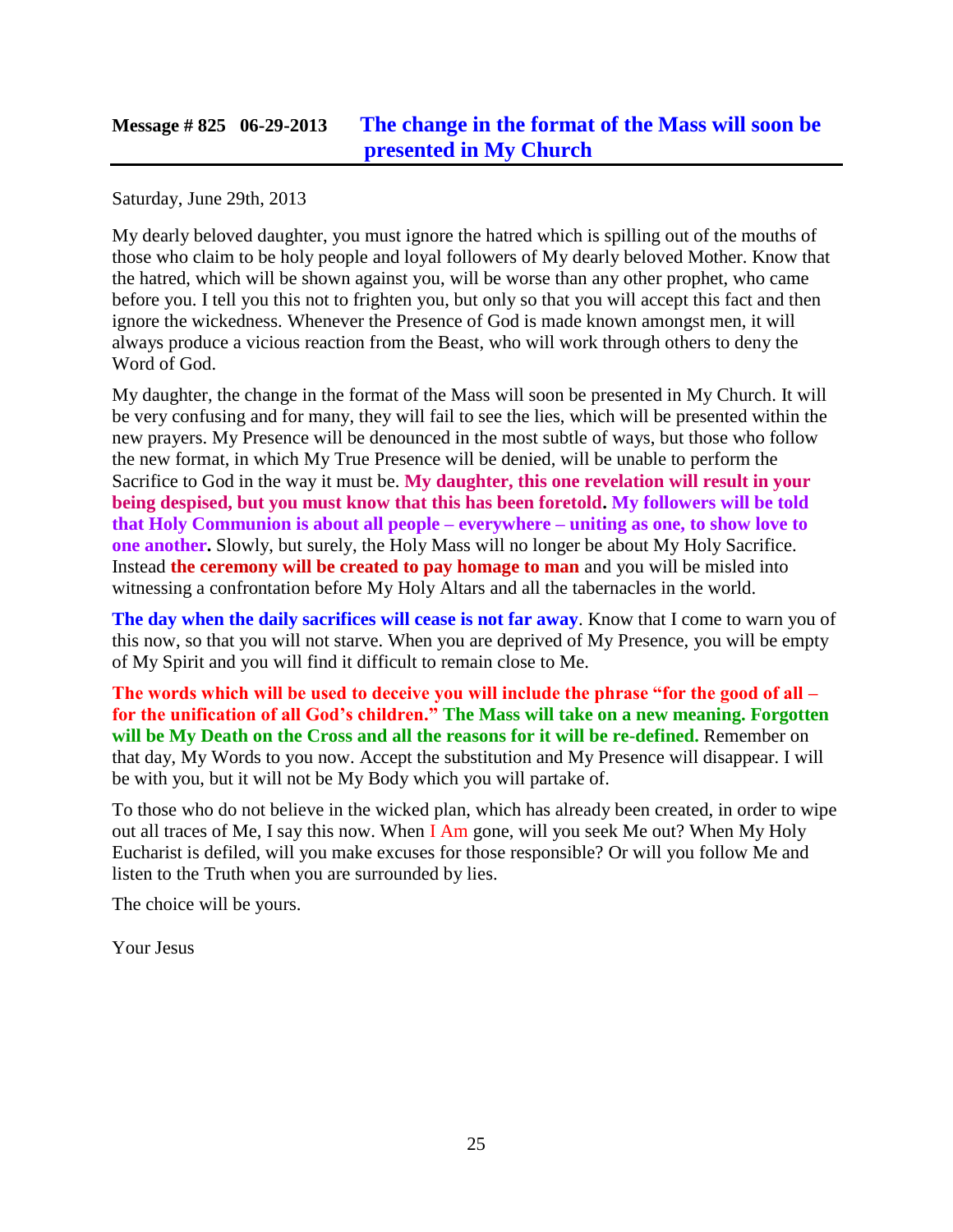### **Message # 825 06-29-2013 [The change in the format of the Mass will soon be](http://www.thewarningsecondcoming.com/the-change-in-the-format-of-the-mass-will-soon-be-presented-in-my-church/)  [presented in My Church](http://www.thewarningsecondcoming.com/the-change-in-the-format-of-the-mass-will-soon-be-presented-in-my-church/)**

Saturday, June 29th, 2013

My dearly beloved daughter, you must ignore the hatred which is spilling out of the mouths of those who claim to be holy people and loyal followers of My dearly beloved Mother. Know that the hatred, which will be shown against you, will be worse than any other prophet, who came before you. I tell you this not to frighten you, but only so that you will accept this fact and then ignore the wickedness. Whenever the Presence of God is made known amongst men, it will always produce a vicious reaction from the Beast, who will work through others to deny the Word of God.

My daughter, the change in the format of the Mass will soon be presented in My Church. It will be very confusing and for many, they will fail to see the lies, which will be presented within the new prayers. My Presence will be denounced in the most subtle of ways, but those who follow the new format, in which My True Presence will be denied, will be unable to perform the Sacrifice to God in the way it must be. **My daughter, this one revelation will result in your being despised, but you must know that this has been foretold. My followers will be told that Holy Communion is about all people – everywhere – uniting as one, to show love to one another.** Slowly, but surely, the Holy Mass will no longer be about My Holy Sacrifice. Instead **the ceremony will be created to pay homage to man** and you will be misled into witnessing a confrontation before My Holy Altars and all the tabernacles in the world.

**The day when the daily sacrifices will cease is not far away**. Know that I come to warn you of this now, so that you will not starve. When you are deprived of My Presence, you will be empty of My Spirit and you will find it difficult to remain close to Me.

**The words which will be used to deceive you will include the phrase "for the good of all – for the unification of all God's children." The Mass will take on a new meaning. Forgotten will be My Death on the Cross and all the reasons for it will be re-defined.** Remember on that day, My Words to you now. Accept the substitution and My Presence will disappear. I will be with you, but it will not be My Body which you will partake of.

To those who do not believe in the wicked plan, which has already been created, in order to wipe out all traces of Me, I say this now. When I Am gone, will you seek Me out? When My Holy Eucharist is defiled, will you make excuses for those responsible? Or will you follow Me and listen to the Truth when you are surrounded by lies.

The choice will be yours.

Your Jesus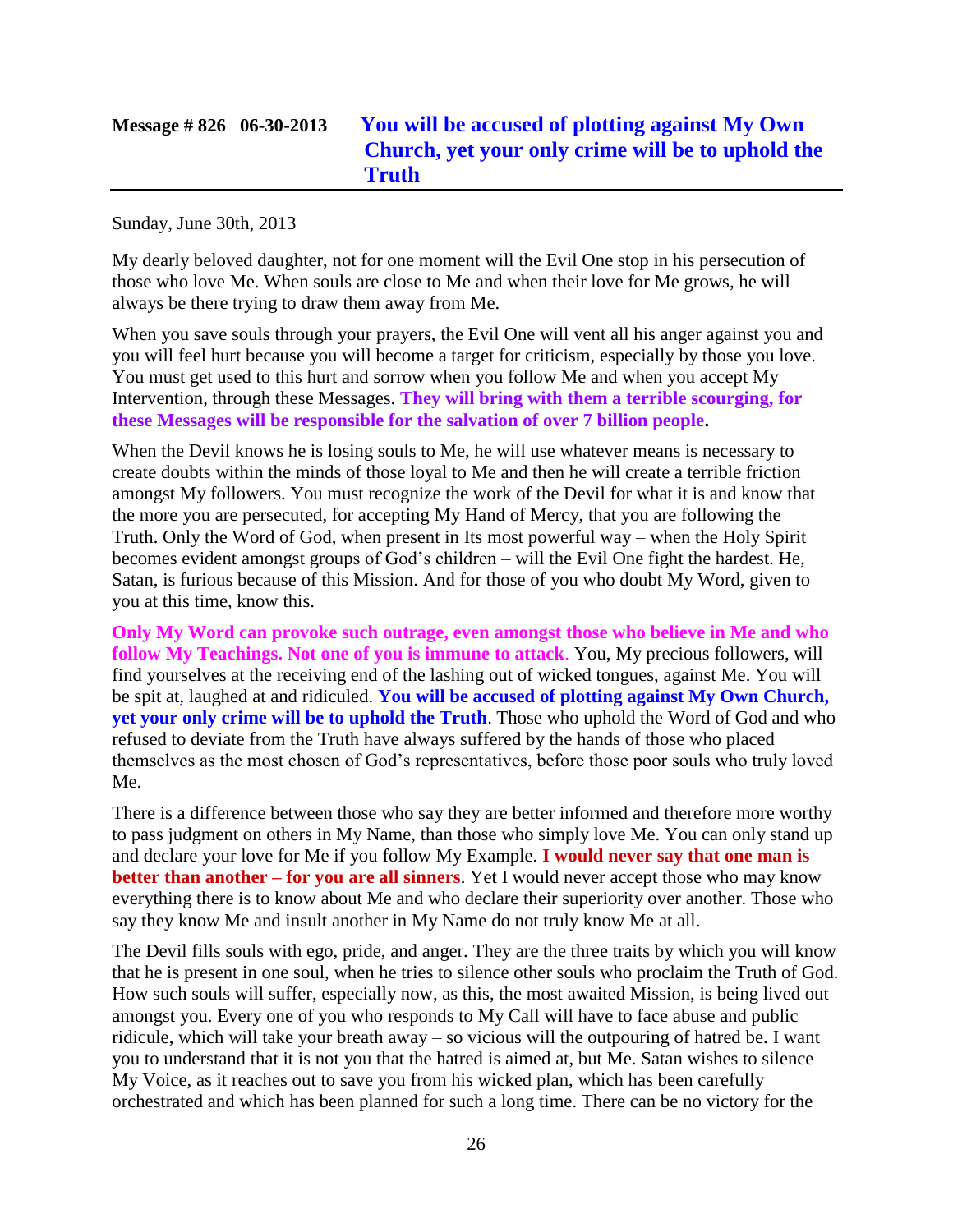# **Message # 826 06-30-2013 [You will be accused of plotting against My Own](http://www.thewarningsecondcoming.com/you-will-be-accused-of-plotting-against-my-own-church-yet-your-only-crime-will-be-to-uphold-the-truth/)  [Church, yet your only crime will be to uphold the](http://www.thewarningsecondcoming.com/you-will-be-accused-of-plotting-against-my-own-church-yet-your-only-crime-will-be-to-uphold-the-truth/)  [Truth](http://www.thewarningsecondcoming.com/you-will-be-accused-of-plotting-against-my-own-church-yet-your-only-crime-will-be-to-uphold-the-truth/)**

Sunday, June 30th, 2013

My dearly beloved daughter, not for one moment will the Evil One stop in his persecution of those who love Me. When souls are close to Me and when their love for Me grows, he will always be there trying to draw them away from Me.

When you save souls through your prayers, the Evil One will vent all his anger against you and you will feel hurt because you will become a target for criticism, especially by those you love. You must get used to this hurt and sorrow when you follow Me and when you accept My Intervention, through these Messages. **They will bring with them a terrible scourging, for these Messages will be responsible for the salvation of over 7 billion people.**

When the Devil knows he is losing souls to Me, he will use whatever means is necessary to create doubts within the minds of those loyal to Me and then he will create a terrible friction amongst My followers. You must recognize the work of the Devil for what it is and know that the more you are persecuted, for accepting My Hand of Mercy, that you are following the Truth. Only the Word of God, when present in Its most powerful way – when the Holy Spirit becomes evident amongst groups of God's children – will the Evil One fight the hardest. He, Satan, is furious because of this Mission. And for those of you who doubt My Word, given to you at this time, know this.

**Only My Word can provoke such outrage, even amongst those who believe in Me and who follow My Teachings. Not one of you is immune to attack**. You, My precious followers, will find yourselves at the receiving end of the lashing out of wicked tongues, against Me. You will be spit at, laughed at and ridiculed. **You will be accused of plotting against My Own Church, yet your only crime will be to uphold the Truth**. Those who uphold the Word of God and who refused to deviate from the Truth have always suffered by the hands of those who placed themselves as the most chosen of God's representatives, before those poor souls who truly loved Me.

There is a difference between those who say they are better informed and therefore more worthy to pass judgment on others in My Name, than those who simply love Me. You can only stand up and declare your love for Me if you follow My Example. **I would never say that one man is better than another – for you are all sinners**. Yet I would never accept those who may know everything there is to know about Me and who declare their superiority over another. Those who say they know Me and insult another in My Name do not truly know Me at all.

The Devil fills souls with ego, pride, and anger. They are the three traits by which you will know that he is present in one soul, when he tries to silence other souls who proclaim the Truth of God. How such souls will suffer, especially now, as this, the most awaited Mission, is being lived out amongst you. Every one of you who responds to My Call will have to face abuse and public ridicule, which will take your breath away – so vicious will the outpouring of hatred be. I want you to understand that it is not you that the hatred is aimed at, but Me. Satan wishes to silence My Voice, as it reaches out to save you from his wicked plan, which has been carefully orchestrated and which has been planned for such a long time. There can be no victory for the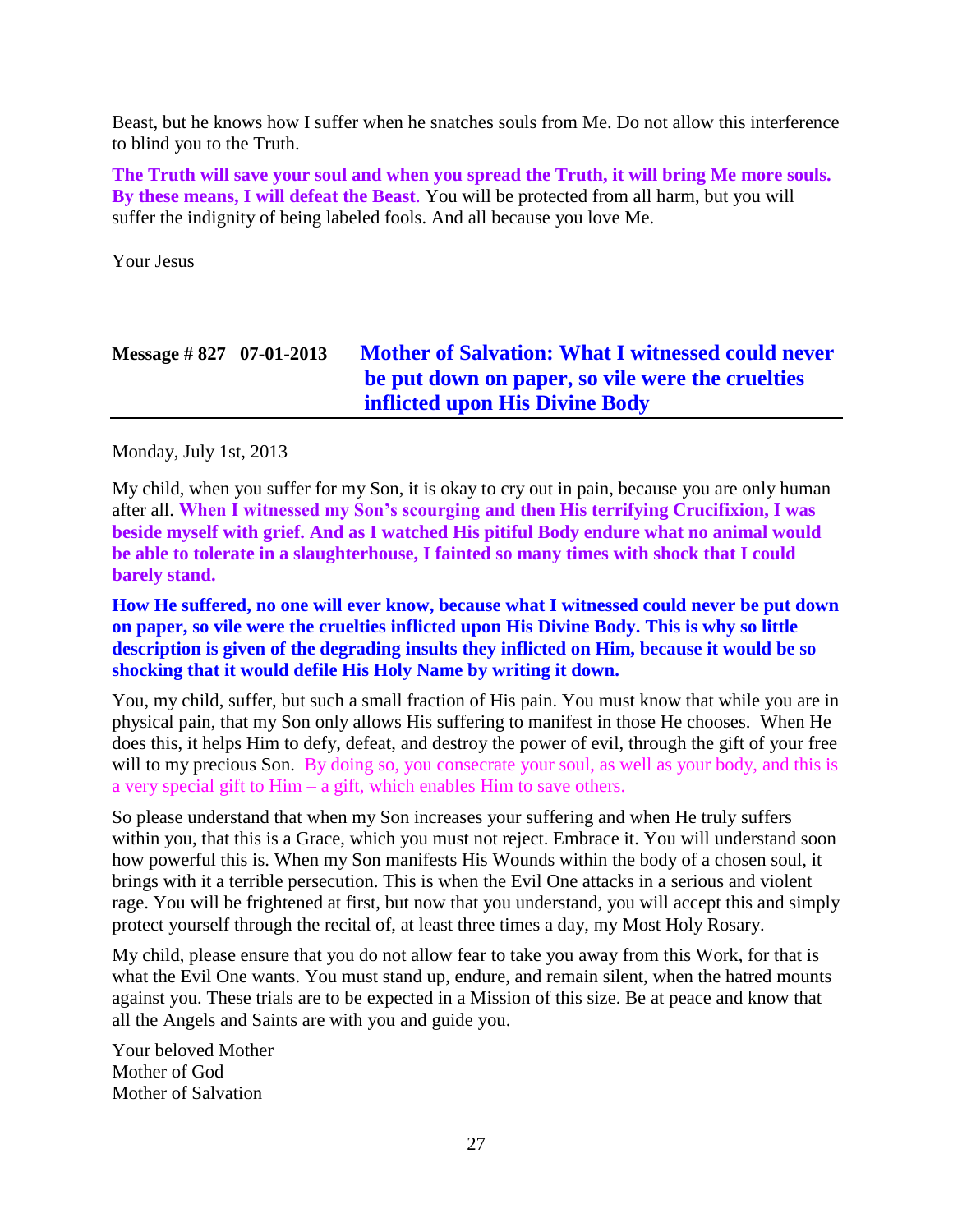Beast, but he knows how I suffer when he snatches souls from Me. Do not allow this interference to blind you to the Truth.

**The Truth will save your soul and when you spread the Truth, it will bring Me more souls. By these means, I will defeat the Beast**. You will be protected from all harm, but you will suffer the indignity of being labeled fools. And all because you love Me.

Your Jesus

# **Message # 827 07-01-2013 [Mother of Salvation: What I witnessed could never](http://www.thewarningsecondcoming.com/mother-of-salvation-what-i-witnessed-could-never-be-put-down-on-paper-so-vile-were-the-cruelties-inflicted-upon-his-divine-body/)  [be put down on paper, so vile were the cruelties](http://www.thewarningsecondcoming.com/mother-of-salvation-what-i-witnessed-could-never-be-put-down-on-paper-so-vile-were-the-cruelties-inflicted-upon-his-divine-body/)  [inflicted upon His Divine Body](http://www.thewarningsecondcoming.com/mother-of-salvation-what-i-witnessed-could-never-be-put-down-on-paper-so-vile-were-the-cruelties-inflicted-upon-his-divine-body/)**

Monday, July 1st, 2013

My child, when you suffer for my Son, it is okay to cry out in pain, because you are only human after all. **When I witnessed my Son's scourging and then His terrifying Crucifixion, I was beside myself with grief. And as I watched His pitiful Body endure what no animal would be able to tolerate in a slaughterhouse, I fainted so many times with shock that I could barely stand.**

**How He suffered, no one will ever know, because what I witnessed could never be put down on paper, so vile were the cruelties inflicted upon His Divine Body. This is why so little description is given of the degrading insults they inflicted on Him, because it would be so shocking that it would defile His Holy Name by writing it down.**

You, my child, suffer, but such a small fraction of His pain. You must know that while you are in physical pain, that my Son only allows His suffering to manifest in those He chooses. When He does this, it helps Him to defy, defeat, and destroy the power of evil, through the gift of your free will to my precious Son. By doing so, you consecrate your soul, as well as your body, and this is a very special gift to Him – a gift, which enables Him to save others.

So please understand that when my Son increases your suffering and when He truly suffers within you, that this is a Grace, which you must not reject. Embrace it. You will understand soon how powerful this is. When my Son manifests His Wounds within the body of a chosen soul, it brings with it a terrible persecution. This is when the Evil One attacks in a serious and violent rage. You will be frightened at first, but now that you understand, you will accept this and simply protect yourself through the recital of, at least three times a day, my Most Holy Rosary.

My child, please ensure that you do not allow fear to take you away from this Work, for that is what the Evil One wants. You must stand up, endure, and remain silent, when the hatred mounts against you. These trials are to be expected in a Mission of this size. Be at peace and know that all the Angels and Saints are with you and guide you.

Your beloved Mother Mother of God Mother of Salvation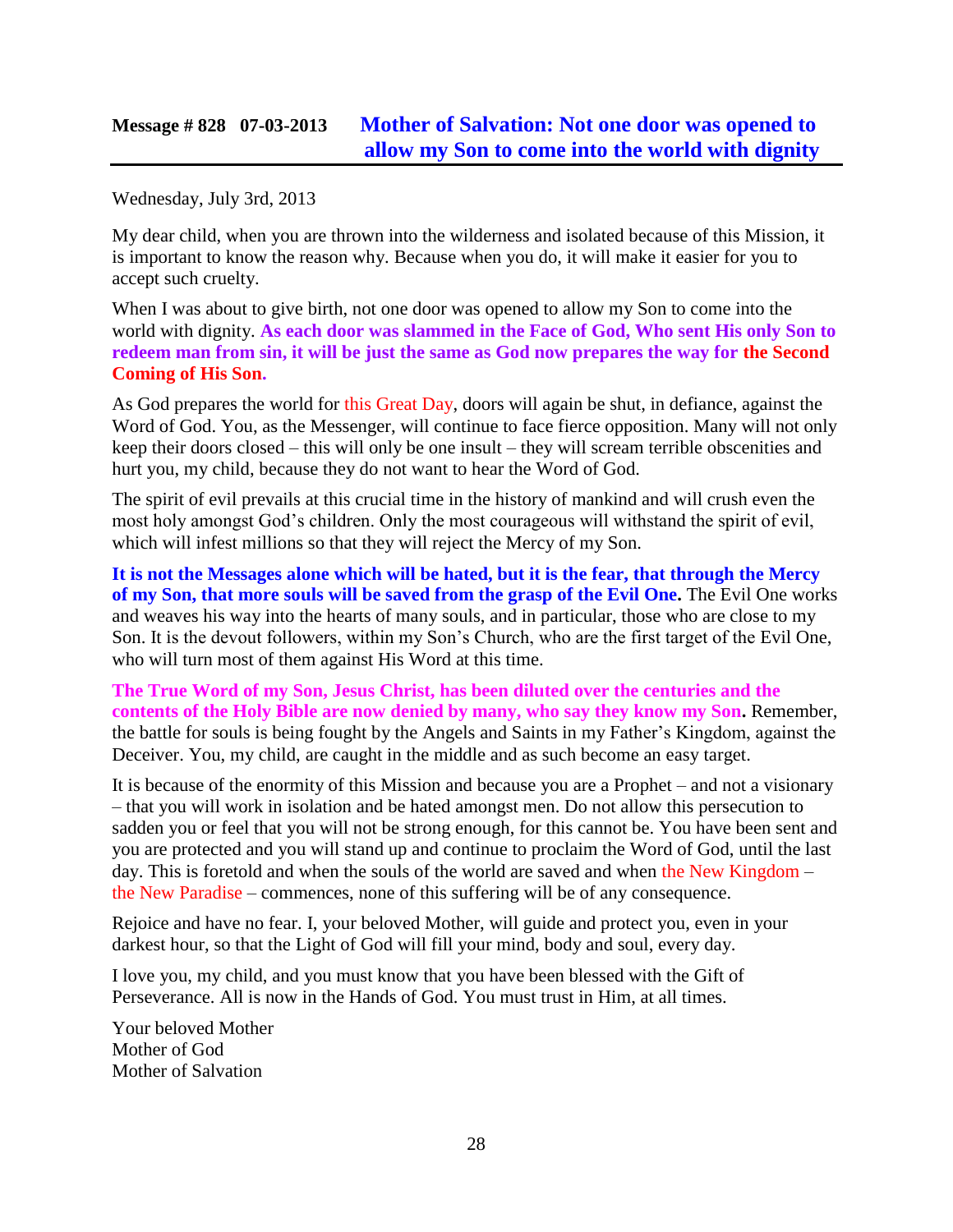### **Message # 828 07-03-2013 [Mother of Salvation: Not one door was opened to](http://www.thewarningsecondcoming.com/mother-of-salvation-not-one-door-was-opened-to-allow-my-son-to-come-into-the-world-with-dignity/)  [allow my Son to come into the world with dignity](http://www.thewarningsecondcoming.com/mother-of-salvation-not-one-door-was-opened-to-allow-my-son-to-come-into-the-world-with-dignity/)**

Wednesday, July 3rd, 2013

My dear child, when you are thrown into the wilderness and isolated because of this Mission, it is important to know the reason why. Because when you do, it will make it easier for you to accept such cruelty.

When I was about to give birth, not one door was opened to allow my Son to come into the world with dignity. **As each door was slammed in the Face of God, Who sent His only Son to redeem man from sin, it will be just the same as God now prepares the way for the Second Coming of His Son.**

As God prepares the world for this Great Day, doors will again be shut, in defiance, against the Word of God. You, as the Messenger, will continue to face fierce opposition. Many will not only keep their doors closed – this will only be one insult – they will scream terrible obscenities and hurt you, my child, because they do not want to hear the Word of God.

The spirit of evil prevails at this crucial time in the history of mankind and will crush even the most holy amongst God's children. Only the most courageous will withstand the spirit of evil, which will infest millions so that they will reject the Mercy of my Son.

**It is not the Messages alone which will be hated, but it is the fear, that through the Mercy of my Son, that more souls will be saved from the grasp of the Evil One.** The Evil One works and weaves his way into the hearts of many souls, and in particular, those who are close to my Son. It is the devout followers, within my Son's Church, who are the first target of the Evil One, who will turn most of them against His Word at this time.

**The True Word of my Son, Jesus Christ, has been diluted over the centuries and the contents of the Holy Bible are now denied by many, who say they know my Son.** Remember, the battle for souls is being fought by the Angels and Saints in my Father's Kingdom, against the Deceiver. You, my child, are caught in the middle and as such become an easy target.

It is because of the enormity of this Mission and because you are a Prophet – and not a visionary – that you will work in isolation and be hated amongst men. Do not allow this persecution to sadden you or feel that you will not be strong enough, for this cannot be. You have been sent and you are protected and you will stand up and continue to proclaim the Word of God, until the last day. This is foretold and when the souls of the world are saved and when the New Kingdom – the New Paradise – commences, none of this suffering will be of any consequence.

Rejoice and have no fear. I, your beloved Mother, will guide and protect you, even in your darkest hour, so that the Light of God will fill your mind, body and soul, every day.

I love you, my child, and you must know that you have been blessed with the Gift of Perseverance. All is now in the Hands of God. You must trust in Him, at all times.

Your beloved Mother Mother of God Mother of Salvation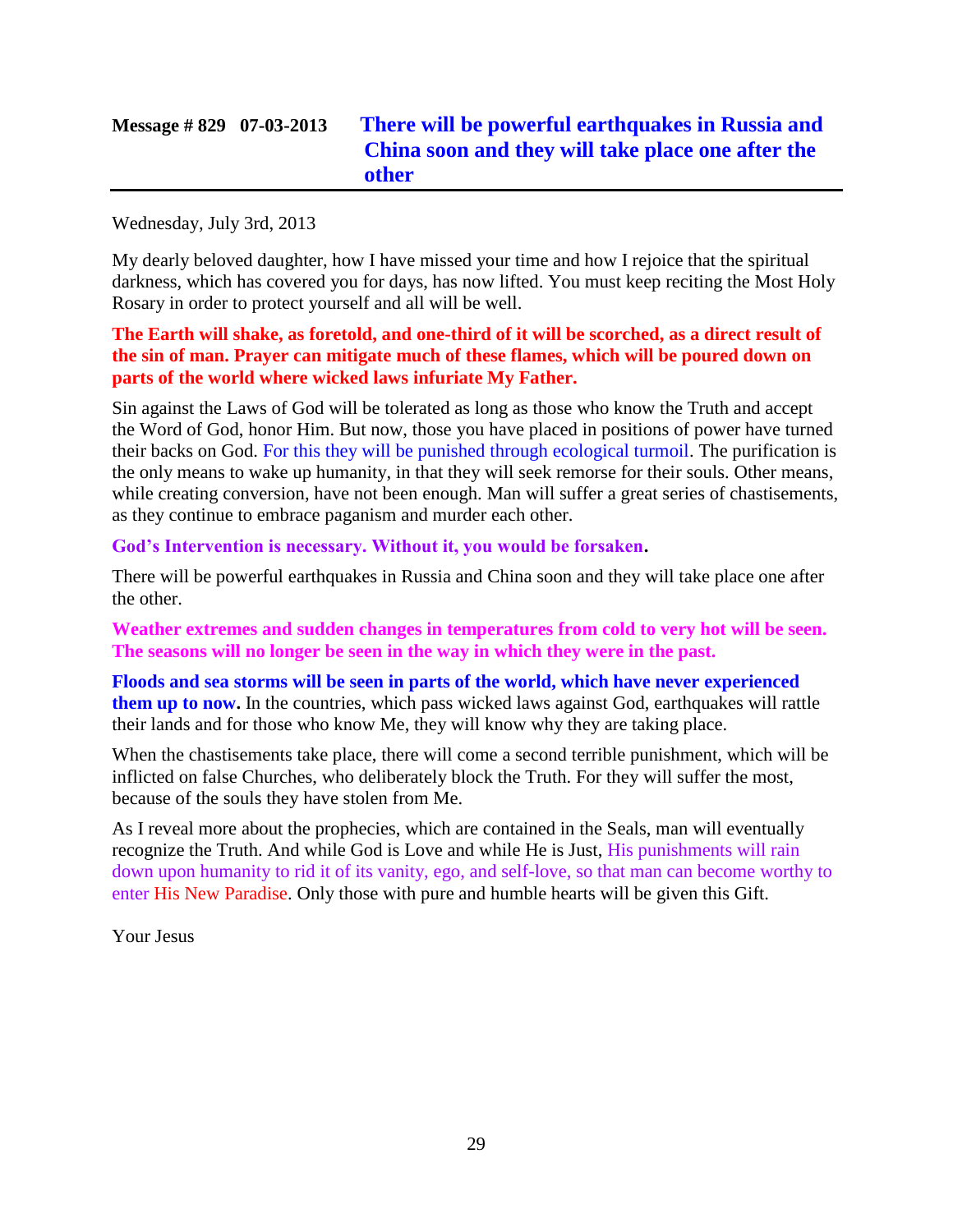# **Message # 829 07-03-2013 [There will be powerful earthquakes in Russia and](http://www.thewarningsecondcoming.com/there-will-be-powerful-earthquakes-in-russia-and-china-soon-and-they-will-take-place-one-after-the-other/)  [China soon and they will take place one after the](http://www.thewarningsecondcoming.com/there-will-be-powerful-earthquakes-in-russia-and-china-soon-and-they-will-take-place-one-after-the-other/)  [other](http://www.thewarningsecondcoming.com/there-will-be-powerful-earthquakes-in-russia-and-china-soon-and-they-will-take-place-one-after-the-other/)**

#### Wednesday, July 3rd, 2013

My dearly beloved daughter, how I have missed your time and how I rejoice that the spiritual darkness, which has covered you for days, has now lifted. You must keep reciting the Most Holy Rosary in order to protect yourself and all will be well.

#### **The Earth will shake, as foretold, and one-third of it will be scorched, as a direct result of the sin of man. Prayer can mitigate much of these flames, which will be poured down on parts of the world where wicked laws infuriate My Father.**

Sin against the Laws of God will be tolerated as long as those who know the Truth and accept the Word of God, honor Him. But now, those you have placed in positions of power have turned their backs on God. For this they will be punished through ecological turmoil. The purification is the only means to wake up humanity, in that they will seek remorse for their souls. Other means, while creating conversion, have not been enough. Man will suffer a great series of chastisements, as they continue to embrace paganism and murder each other.

#### **God's Intervention is necessary. Without it, you would be forsaken.**

There will be powerful earthquakes in Russia and China soon and they will take place one after the other.

**Weather extremes and sudden changes in temperatures from cold to very hot will be seen. The seasons will no longer be seen in the way in which they were in the past.**

**Floods and sea storms will be seen in parts of the world, which have never experienced them up to now.** In the countries, which pass wicked laws against God, earthquakes will rattle their lands and for those who know Me, they will know why they are taking place.

When the chastisements take place, there will come a second terrible punishment, which will be inflicted on false Churches, who deliberately block the Truth. For they will suffer the most, because of the souls they have stolen from Me.

As I reveal more about the prophecies, which are contained in the Seals, man will eventually recognize the Truth. And while God is Love and while He is Just, His punishments will rain down upon humanity to rid it of its vanity, ego, and self-love, so that man can become worthy to enter His New Paradise. Only those with pure and humble hearts will be given this Gift.

Your Jesus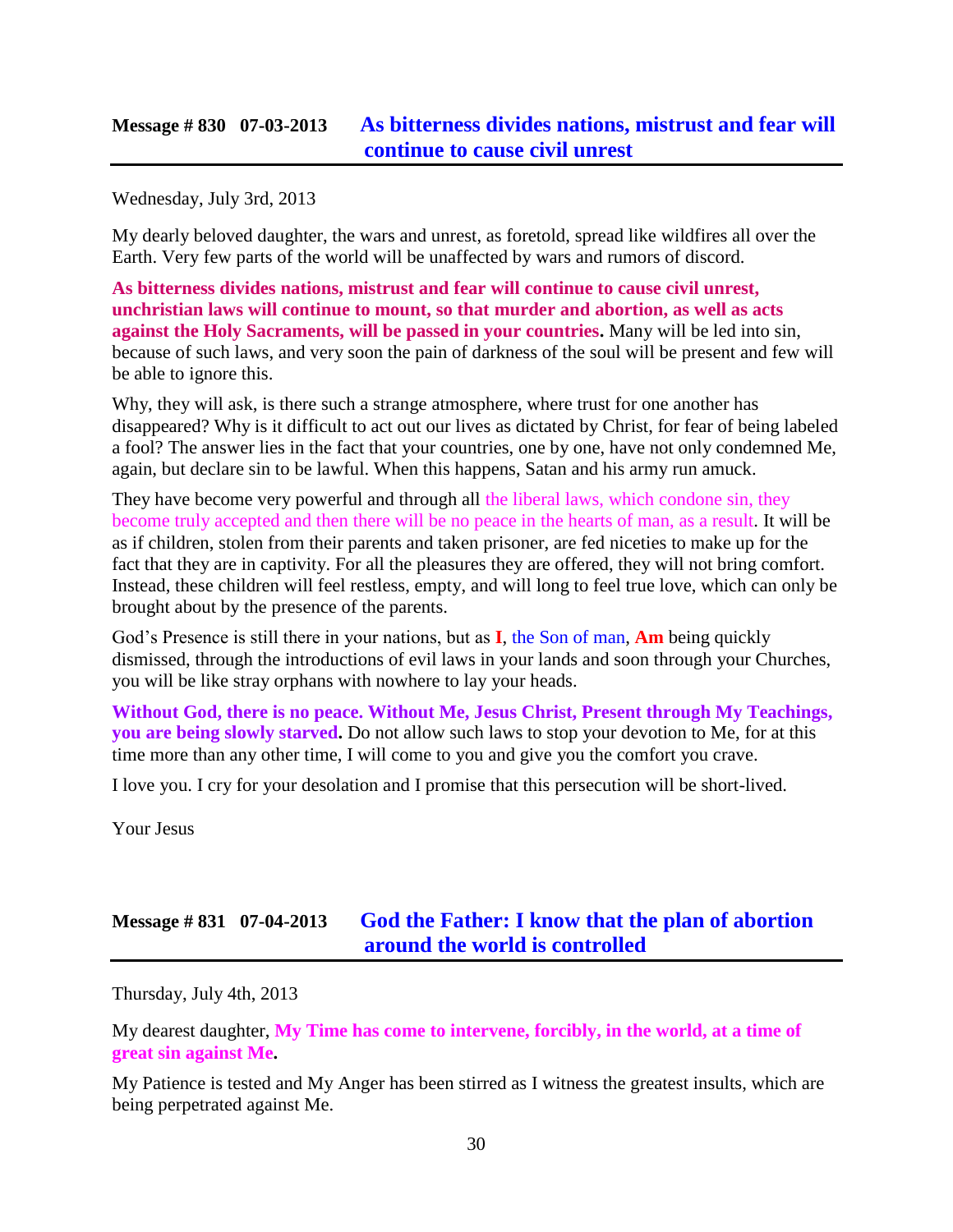### **Message # 830 07-03-2013 [As bitterness divides nations, mistrust and fear will](http://www.thewarningsecondcoming.com/as-bitterness-divides-nations-mistrust-and-fear-will-continue-to-cause-civil-unrest/)  [continue to cause civil unrest](http://www.thewarningsecondcoming.com/as-bitterness-divides-nations-mistrust-and-fear-will-continue-to-cause-civil-unrest/)**

Wednesday, July 3rd, 2013

My dearly beloved daughter, the wars and unrest, as foretold, spread like wildfires all over the Earth. Very few parts of the world will be unaffected by wars and rumors of discord.

**As bitterness divides nations, mistrust and fear will continue to cause civil unrest, unchristian laws will continue to mount, so that murder and abortion, as well as acts against the Holy Sacraments, will be passed in your countries.** Many will be led into sin, because of such laws, and very soon the pain of darkness of the soul will be present and few will be able to ignore this.

Why, they will ask, is there such a strange atmosphere, where trust for one another has disappeared? Why is it difficult to act out our lives as dictated by Christ, for fear of being labeled a fool? The answer lies in the fact that your countries, one by one, have not only condemned Me, again, but declare sin to be lawful. When this happens, Satan and his army run amuck.

They have become very powerful and through all the liberal laws, which condone sin, they become truly accepted and then there will be no peace in the hearts of man, as a result. It will be as if children, stolen from their parents and taken prisoner, are fed niceties to make up for the fact that they are in captivity. For all the pleasures they are offered, they will not bring comfort. Instead, these children will feel restless, empty, and will long to feel true love, which can only be brought about by the presence of the parents.

God's Presence is still there in your nations, but as **I**, the Son of man, **Am** being quickly dismissed, through the introductions of evil laws in your lands and soon through your Churches, you will be like stray orphans with nowhere to lay your heads.

**Without God, there is no peace. Without Me, Jesus Christ, Present through My Teachings, you are being slowly starved.** Do not allow such laws to stop your devotion to Me, for at this time more than any other time, I will come to you and give you the comfort you crave.

I love you. I cry for your desolation and I promise that this persecution will be short-lived.

Your Jesus

## **Message # 831 07-04-2013 [God the Father: I know that the plan of abortion](http://www.thewarningsecondcoming.com/god-the-father-i-know-that-the-plan-of-abortion-around-the-world-is-controlled/)  [around the world is controlled](http://www.thewarningsecondcoming.com/god-the-father-i-know-that-the-plan-of-abortion-around-the-world-is-controlled/)**

Thursday, July 4th, 2013

My dearest daughter, **My Time has come to intervene, forcibly, in the world, at a time of great sin against Me.**

My Patience is tested and My Anger has been stirred as I witness the greatest insults, which are being perpetrated against Me.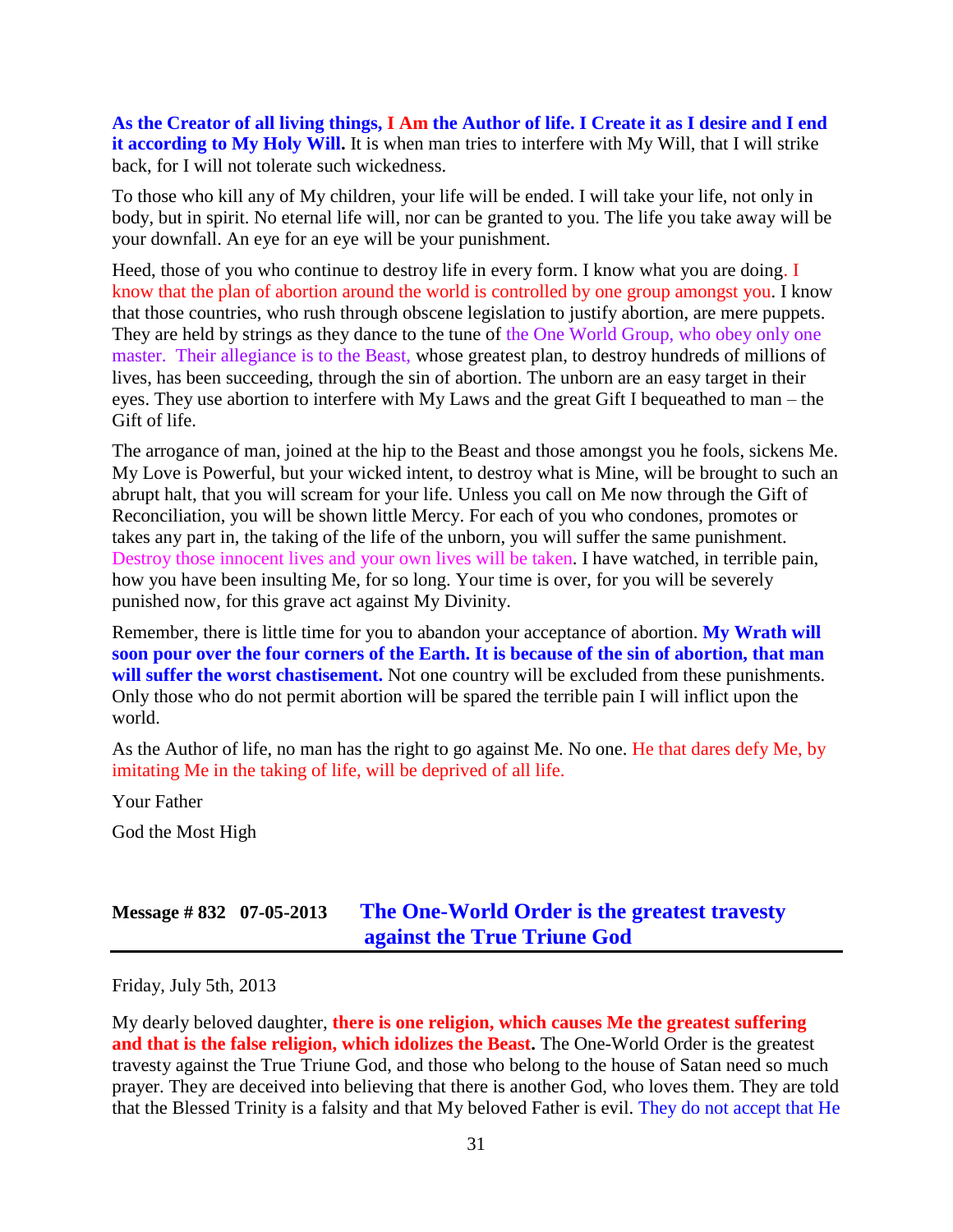**As the Creator of all living things, I Am the Author of life. I Create it as I desire and I end it according to My Holy Will.** It is when man tries to interfere with My Will, that I will strike back, for I will not tolerate such wickedness.

To those who kill any of My children, your life will be ended. I will take your life, not only in body, but in spirit. No eternal life will, nor can be granted to you. The life you take away will be your downfall. An eye for an eye will be your punishment.

Heed, those of you who continue to destroy life in every form. I know what you are doing. I know that the plan of abortion around the world is controlled by one group amongst you. I know that those countries, who rush through obscene legislation to justify abortion, are mere puppets. They are held by strings as they dance to the tune of the One World Group, who obey only one master. Their allegiance is to the Beast, whose greatest plan, to destroy hundreds of millions of lives, has been succeeding, through the sin of abortion. The unborn are an easy target in their eyes. They use abortion to interfere with My Laws and the great Gift I bequeathed to man – the Gift of life.

The arrogance of man, joined at the hip to the Beast and those amongst you he fools, sickens Me. My Love is Powerful, but your wicked intent, to destroy what is Mine, will be brought to such an abrupt halt, that you will scream for your life. Unless you call on Me now through the Gift of Reconciliation, you will be shown little Mercy. For each of you who condones, promotes or takes any part in, the taking of the life of the unborn, you will suffer the same punishment. Destroy those innocent lives and your own lives will be taken. I have watched, in terrible pain, how you have been insulting Me, for so long. Your time is over, for you will be severely punished now, for this grave act against My Divinity.

Remember, there is little time for you to abandon your acceptance of abortion. **My Wrath will soon pour over the four corners of the Earth. It is because of the sin of abortion, that man will suffer the worst chastisement.** Not one country will be excluded from these punishments. Only those who do not permit abortion will be spared the terrible pain I will inflict upon the world.

As the Author of life, no man has the right to go against Me. No one. He that dares defy Me, by imitating Me in the taking of life, will be deprived of all life.

Your Father

God the Most High

### **Message # 832 07-05-2013 [The One-World Order is the greatest travesty](http://www.thewarningsecondcoming.com/the-one-world-order-is-the-greatest-travesty-against-the-true-triune-god/)  [against the True Triune God](http://www.thewarningsecondcoming.com/the-one-world-order-is-the-greatest-travesty-against-the-true-triune-god/)**

Friday, July 5th, 2013

My dearly beloved daughter, **there is one religion, which causes Me the greatest suffering and that is the false religion, which idolizes the Beast.** The One-World Order is the greatest travesty against the True Triune God, and those who belong to the house of Satan need so much prayer. They are deceived into believing that there is another God, who loves them. They are told that the Blessed Trinity is a falsity and that My beloved Father is evil. They do not accept that He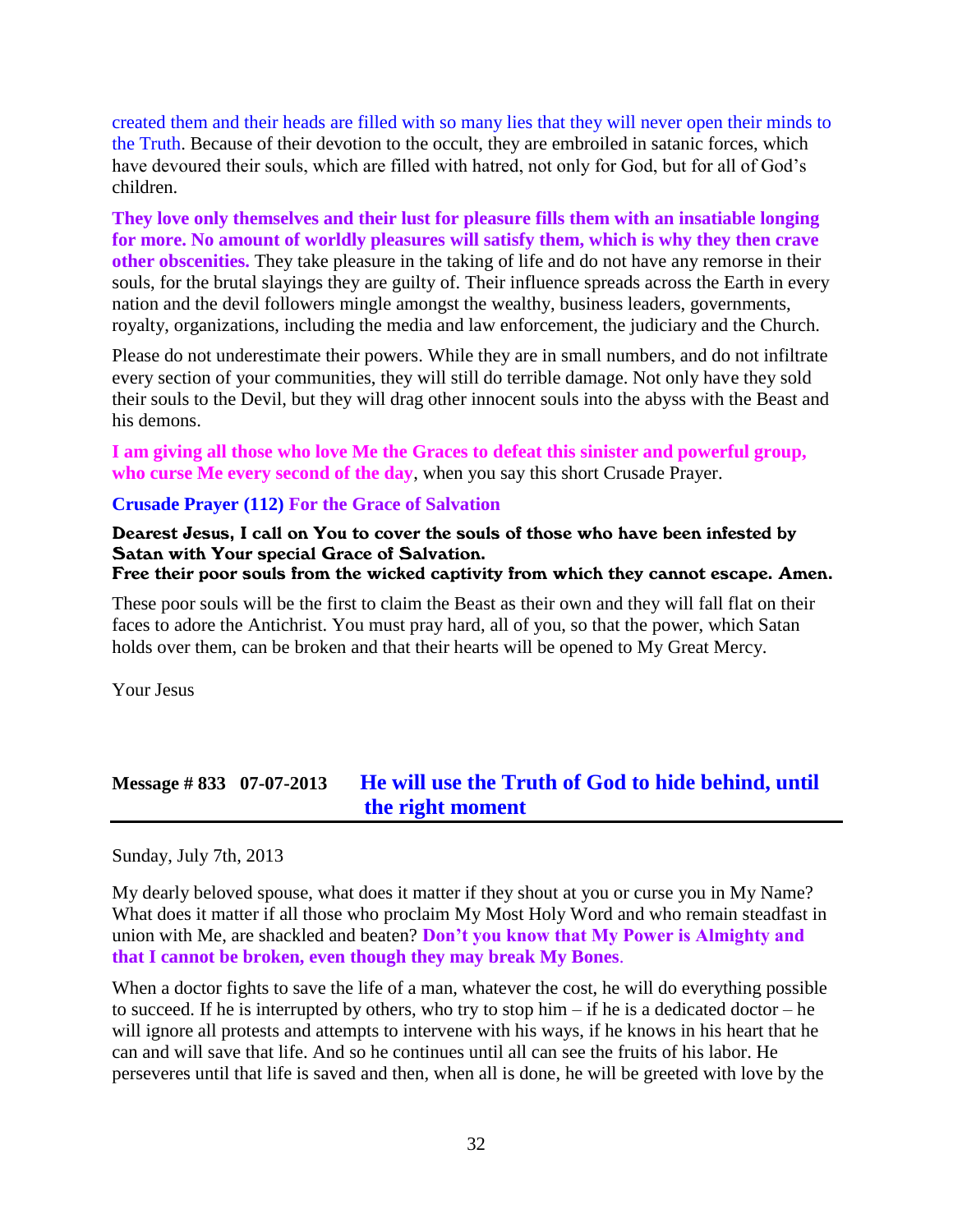created them and their heads are filled with so many lies that they will never open their minds to the Truth. Because of their devotion to the occult, they are embroiled in satanic forces, which have devoured their souls, which are filled with hatred, not only for God, but for all of God's children.

**They love only themselves and their lust for pleasure fills them with an insatiable longing for more. No amount of worldly pleasures will satisfy them, which is why they then crave other obscenities.** They take pleasure in the taking of life and do not have any remorse in their souls, for the brutal slayings they are guilty of. Their influence spreads across the Earth in every nation and the devil followers mingle amongst the wealthy, business leaders, governments, royalty, organizations, including the media and law enforcement, the judiciary and the Church.

Please do not underestimate their powers. While they are in small numbers, and do not infiltrate every section of your communities, they will still do terrible damage. Not only have they sold their souls to the Devil, but they will drag other innocent souls into the abyss with the Beast and his demons.

**I am giving all those who love Me the Graces to defeat this sinister and powerful group, who curse Me every second of the day**, when you say this short Crusade Prayer.

#### **Crusade Prayer (112) For the Grace of Salvation**

Dearest Jesus, I call on You to cover the souls of those who have been infested by Satan with Your special Grace of Salvation.

Free their poor souls from the wicked captivity from which they cannot escape. Amen.

These poor souls will be the first to claim the Beast as their own and they will fall flat on their faces to adore the Antichrist. You must pray hard, all of you, so that the power, which Satan holds over them, can be broken and that their hearts will be opened to My Great Mercy.

Your Jesus

### **Message # 833 07-07-2013 [He will use the Truth of God to hide behind, until](http://www.thewarningsecondcoming.com/he-will-use-the-truth-of-god-to-hide-behind-until-the-right-moment/)  [the right moment](http://www.thewarningsecondcoming.com/he-will-use-the-truth-of-god-to-hide-behind-until-the-right-moment/)**

Sunday, July 7th, 2013

My dearly beloved spouse, what does it matter if they shout at you or curse you in My Name? What does it matter if all those who proclaim My Most Holy Word and who remain steadfast in union with Me, are shackled and beaten? **Don't you know that My Power is Almighty and that I cannot be broken, even though they may break My Bones**.

When a doctor fights to save the life of a man, whatever the cost, he will do everything possible to succeed. If he is interrupted by others, who try to stop him – if he is a dedicated doctor – he will ignore all protests and attempts to intervene with his ways, if he knows in his heart that he can and will save that life. And so he continues until all can see the fruits of his labor. He perseveres until that life is saved and then, when all is done, he will be greeted with love by the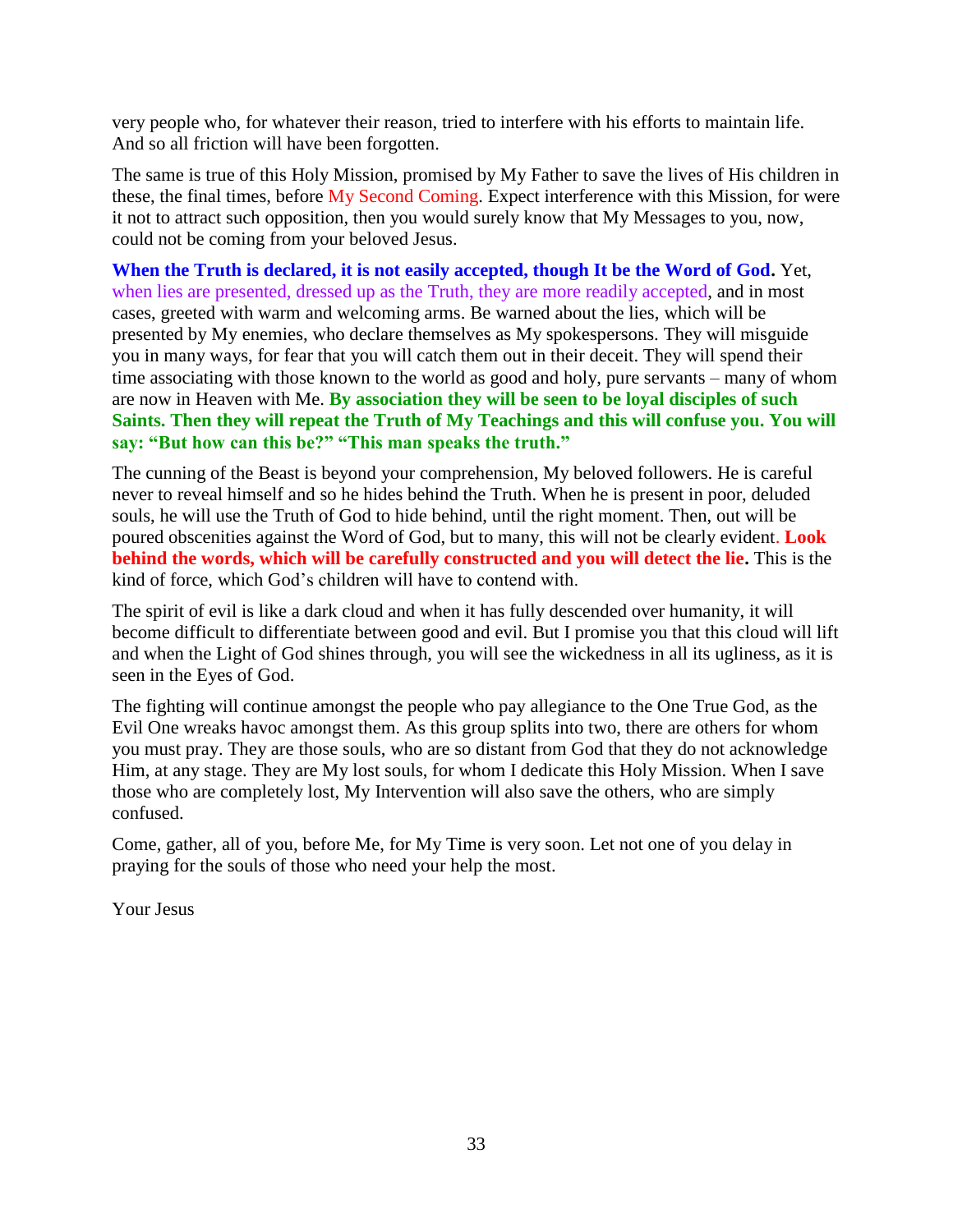very people who, for whatever their reason, tried to interfere with his efforts to maintain life. And so all friction will have been forgotten.

The same is true of this Holy Mission, promised by My Father to save the lives of His children in these, the final times, before My Second Coming. Expect interference with this Mission, for were it not to attract such opposition, then you would surely know that My Messages to you, now, could not be coming from your beloved Jesus.

**When the Truth is declared, it is not easily accepted, though It be the Word of God.** Yet, when lies are presented, dressed up as the Truth, they are more readily accepted, and in most cases, greeted with warm and welcoming arms. Be warned about the lies, which will be presented by My enemies, who declare themselves as My spokespersons. They will misguide you in many ways, for fear that you will catch them out in their deceit. They will spend their time associating with those known to the world as good and holy, pure servants – many of whom are now in Heaven with Me. **By association they will be seen to be loyal disciples of such Saints. Then they will repeat the Truth of My Teachings and this will confuse you. You will say: "But how can this be?" "This man speaks the truth."**

The cunning of the Beast is beyond your comprehension, My beloved followers. He is careful never to reveal himself and so he hides behind the Truth. When he is present in poor, deluded souls, he will use the Truth of God to hide behind, until the right moment. Then, out will be poured obscenities against the Word of God, but to many, this will not be clearly evident. **Look behind the words, which will be carefully constructed and you will detect the lie.** This is the kind of force, which God's children will have to contend with.

The spirit of evil is like a dark cloud and when it has fully descended over humanity, it will become difficult to differentiate between good and evil. But I promise you that this cloud will lift and when the Light of God shines through, you will see the wickedness in all its ugliness, as it is seen in the Eyes of God.

The fighting will continue amongst the people who pay allegiance to the One True God, as the Evil One wreaks havoc amongst them. As this group splits into two, there are others for whom you must pray. They are those souls, who are so distant from God that they do not acknowledge Him, at any stage. They are My lost souls, for whom I dedicate this Holy Mission. When I save those who are completely lost, My Intervention will also save the others, who are simply confused.

Come, gather, all of you, before Me, for My Time is very soon. Let not one of you delay in praying for the souls of those who need your help the most.

Your Jesus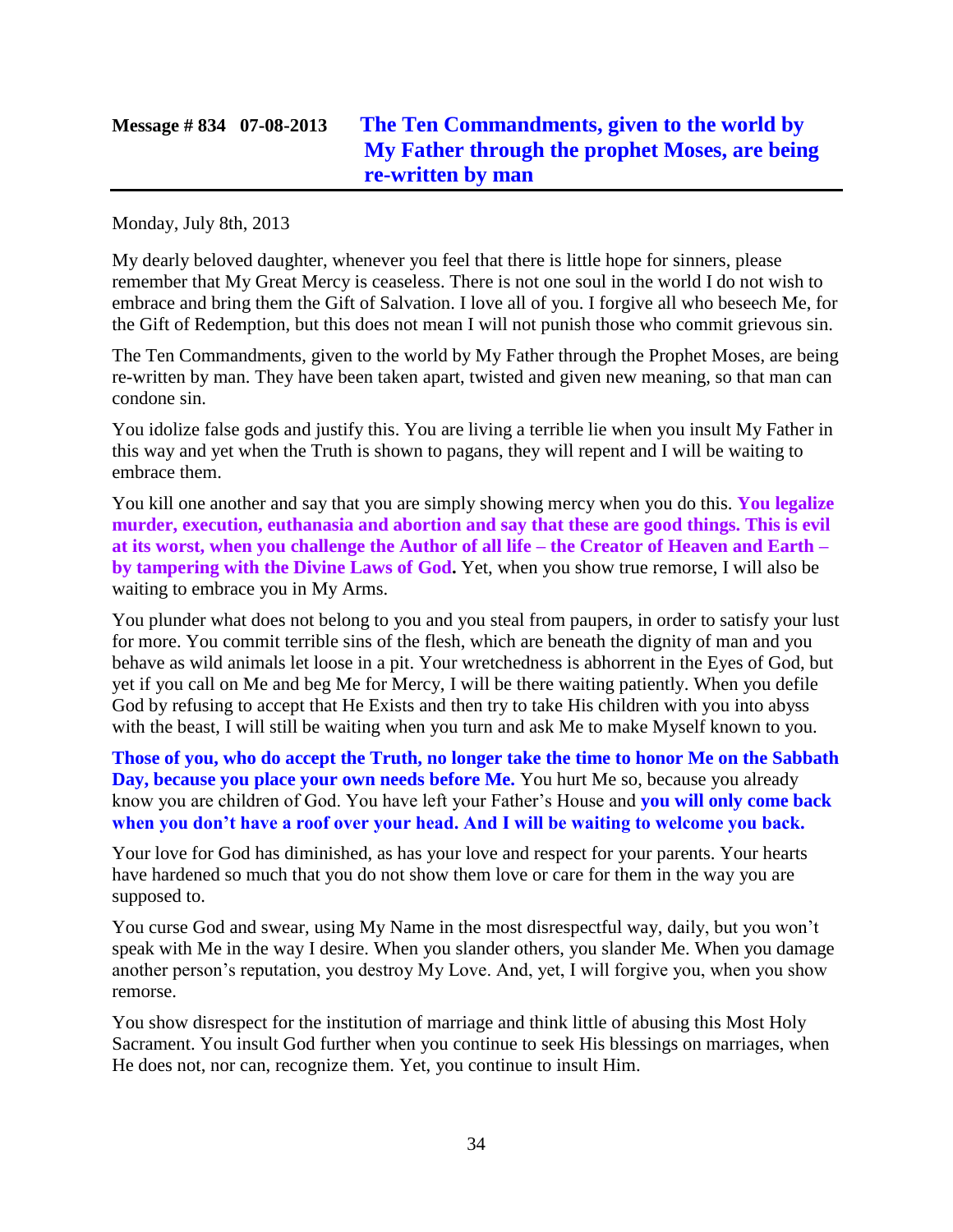# **Message # 834 07-08-2013 [The Ten Commandments, given to the world by](http://www.thewarningsecondcoming.com/the-ten-commandments-given-to-the-world-by-my-father-through-the-prophet-moses-are-being-re-written-by-man/)  [My Father through the prophet Moses, are being](http://www.thewarningsecondcoming.com/the-ten-commandments-given-to-the-world-by-my-father-through-the-prophet-moses-are-being-re-written-by-man/)  [re-written by man](http://www.thewarningsecondcoming.com/the-ten-commandments-given-to-the-world-by-my-father-through-the-prophet-moses-are-being-re-written-by-man/)**

Monday, July 8th, 2013

My dearly beloved daughter, whenever you feel that there is little hope for sinners, please remember that My Great Mercy is ceaseless. There is not one soul in the world I do not wish to embrace and bring them the Gift of Salvation. I love all of you. I forgive all who beseech Me, for the Gift of Redemption, but this does not mean I will not punish those who commit grievous sin.

The Ten Commandments, given to the world by My Father through the Prophet Moses, are being re-written by man. They have been taken apart, twisted and given new meaning, so that man can condone sin.

You idolize false gods and justify this. You are living a terrible lie when you insult My Father in this way and yet when the Truth is shown to pagans, they will repent and I will be waiting to embrace them.

You kill one another and say that you are simply showing mercy when you do this. **You legalize murder, execution, euthanasia and abortion and say that these are good things. This is evil at its worst, when you challenge the Author of all life – the Creator of Heaven and Earth – by tampering with the Divine Laws of God.** Yet, when you show true remorse, I will also be waiting to embrace you in My Arms.

You plunder what does not belong to you and you steal from paupers, in order to satisfy your lust for more. You commit terrible sins of the flesh, which are beneath the dignity of man and you behave as wild animals let loose in a pit. Your wretchedness is abhorrent in the Eyes of God, but yet if you call on Me and beg Me for Mercy, I will be there waiting patiently. When you defile God by refusing to accept that He Exists and then try to take His children with you into abyss with the beast, I will still be waiting when you turn and ask Me to make Myself known to you.

**Those of you, who do accept the Truth, no longer take the time to honor Me on the Sabbath Day, because you place your own needs before Me.** You hurt Me so, because you already know you are children of God. You have left your Father's House and **you will only come back when you don't have a roof over your head. And I will be waiting to welcome you back.**

Your love for God has diminished, as has your love and respect for your parents. Your hearts have hardened so much that you do not show them love or care for them in the way you are supposed to.

You curse God and swear, using My Name in the most disrespectful way, daily, but you won't speak with Me in the way I desire. When you slander others, you slander Me. When you damage another person's reputation, you destroy My Love. And, yet, I will forgive you, when you show remorse.

You show disrespect for the institution of marriage and think little of abusing this Most Holy Sacrament. You insult God further when you continue to seek His blessings on marriages, when He does not, nor can, recognize them. Yet, you continue to insult Him.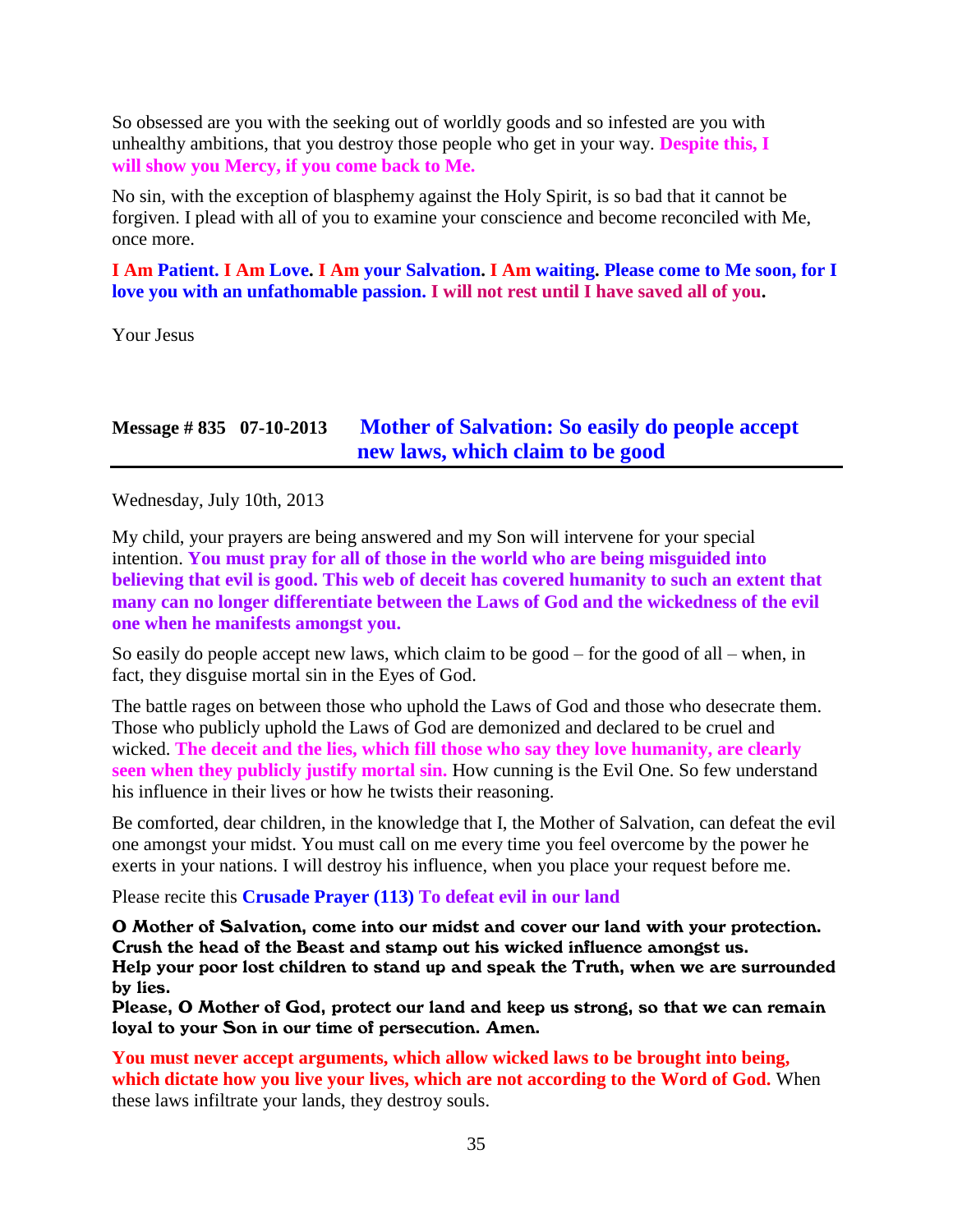So obsessed are you with the seeking out of worldly goods and so infested are you with unhealthy ambitions, that you destroy those people who get in your way. **Despite this, I will show you Mercy, if you come back to Me.**

No sin, with the exception of blasphemy against the Holy Spirit, is so bad that it cannot be forgiven. I plead with all of you to examine your conscience and become reconciled with Me, once more.

**I Am Patient. I Am Love. I Am your Salvation. I Am waiting. Please come to Me soon, for I love you with an unfathomable passion. I will not rest until I have saved all of you.**

Your Jesus

## **Message # 835 07-10-2013 [Mother of Salvation: So easily do people accept](http://www.thewarningsecondcoming.com/mother-of-salvation-so-easily-do-people-accept-new-laws-which-claim-to-be-good/)  [new laws, which claim to be good](http://www.thewarningsecondcoming.com/mother-of-salvation-so-easily-do-people-accept-new-laws-which-claim-to-be-good/)**

Wednesday, July 10th, 2013

My child, your prayers are being answered and my Son will intervene for your special intention. **You must pray for all of those in the world who are being misguided into believing that evil is good. This web of deceit has covered humanity to such an extent that many can no longer differentiate between the Laws of God and the wickedness of the evil one when he manifests amongst you.**

So easily do people accept new laws, which claim to be good – for the good of all – when, in fact, they disguise mortal sin in the Eyes of God.

The battle rages on between those who uphold the Laws of God and those who desecrate them. Those who publicly uphold the Laws of God are demonized and declared to be cruel and wicked. **The deceit and the lies, which fill those who say they love humanity, are clearly seen when they publicly justify mortal sin.** How cunning is the Evil One. So few understand his influence in their lives or how he twists their reasoning.

Be comforted, dear children, in the knowledge that I, the Mother of Salvation, can defeat the evil one amongst your midst. You must call on me every time you feel overcome by the power he exerts in your nations. I will destroy his influence, when you place your request before me.

Please recite this **Crusade Prayer (113) To defeat evil in our land**

O Mother of Salvation, come into our midst and cover our land with your protection. Crush the head of the Beast and stamp out his wicked influence amongst us. Help your poor lost children to stand up and speak the Truth, when we are surrounded by lies.

Please, O Mother of God, protect our land and keep us strong, so that we can remain loyal to your Son in our time of persecution. Amen.

**You must never accept arguments, which allow wicked laws to be brought into being, which dictate how you live your lives, which are not according to the Word of God.** When these laws infiltrate your lands, they destroy souls.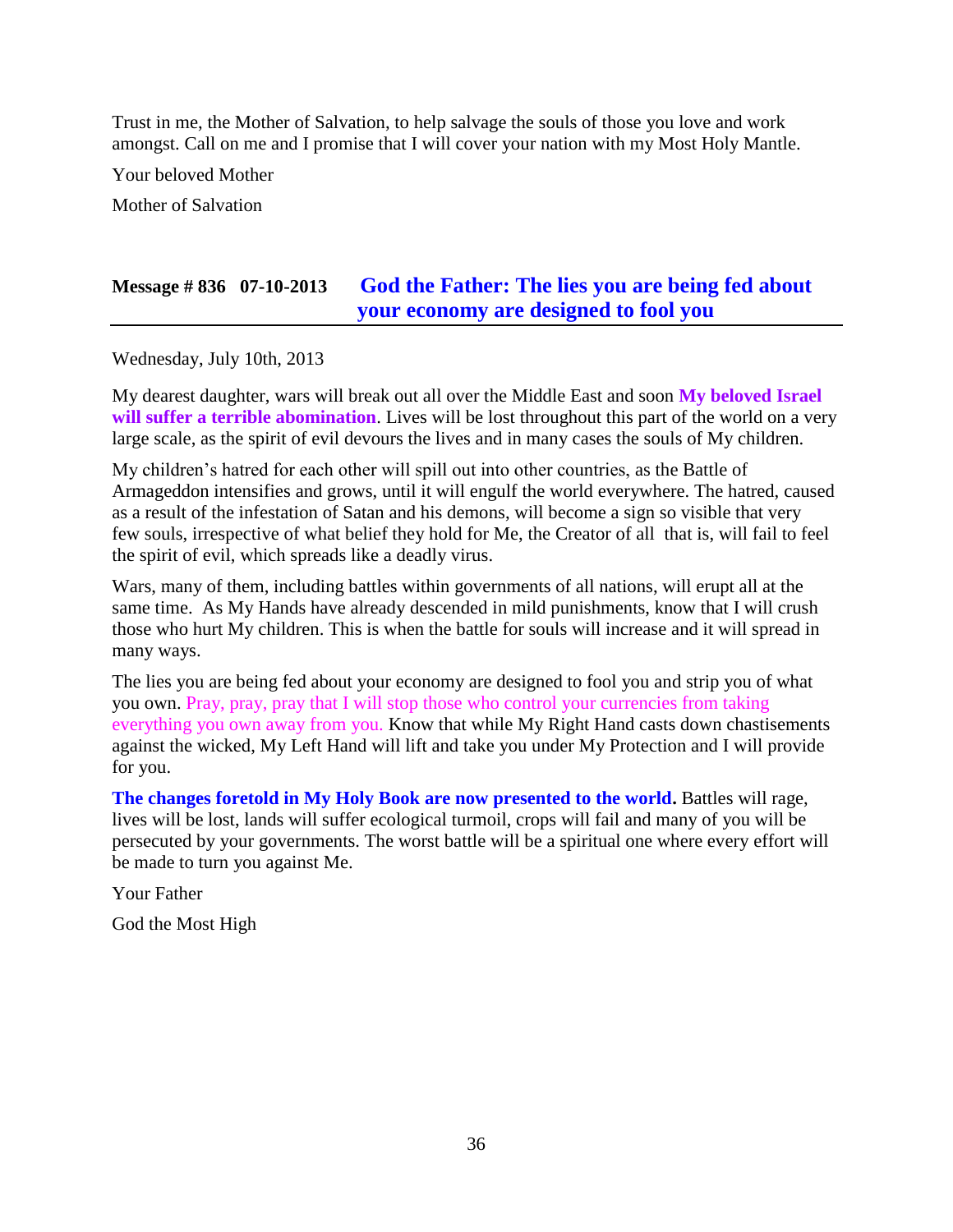Trust in me, the Mother of Salvation, to help salvage the souls of those you love and work amongst. Call on me and I promise that I will cover your nation with my Most Holy Mantle.

Your beloved Mother

Mother of Salvation

## **Message # 836 07-10-2013 [God the Father: The lies you are being fed about](http://www.thewarningsecondcoming.com/god-the-father-the-lies-you-are-being-fed-about-your-economy-are-designed-to-fool-you/)  [your economy are designed to fool you](http://www.thewarningsecondcoming.com/god-the-father-the-lies-you-are-being-fed-about-your-economy-are-designed-to-fool-you/)**

Wednesday, July 10th, 2013

My dearest daughter, wars will break out all over the Middle East and soon **My beloved Israel will suffer a terrible abomination**. Lives will be lost throughout this part of the world on a very large scale, as the spirit of evil devours the lives and in many cases the souls of My children.

My children's hatred for each other will spill out into other countries, as the Battle of Armageddon intensifies and grows, until it will engulf the world everywhere. The hatred, caused as a result of the infestation of Satan and his demons, will become a sign so visible that very few souls, irrespective of what belief they hold for Me, the Creator of all that is, will fail to feel the spirit of evil, which spreads like a deadly virus.

Wars, many of them, including battles within governments of all nations, will erupt all at the same time. As My Hands have already descended in mild punishments, know that I will crush those who hurt My children. This is when the battle for souls will increase and it will spread in many ways.

The lies you are being fed about your economy are designed to fool you and strip you of what you own. Pray, pray, pray that I will stop those who control your currencies from taking everything you own away from you. Know that while My Right Hand casts down chastisements against the wicked, My Left Hand will lift and take you under My Protection and I will provide for you.

**The changes foretold in My Holy Book are now presented to the world.** Battles will rage, lives will be lost, lands will suffer ecological turmoil, crops will fail and many of you will be persecuted by your governments. The worst battle will be a spiritual one where every effort will be made to turn you against Me.

Your Father

God the Most High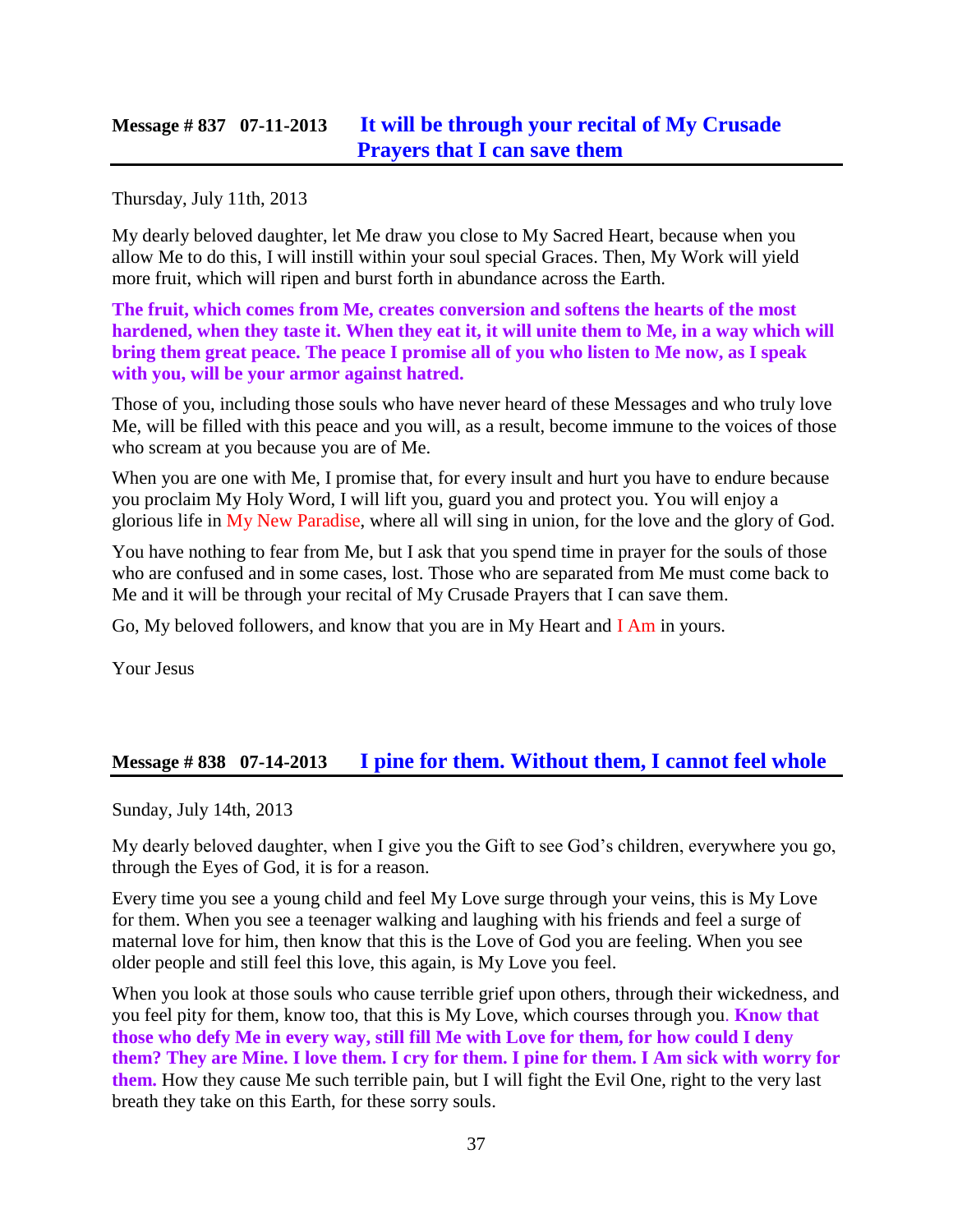### **Message # 837 07-11-2013 [It will be through your recital of My Crusade](http://www.thewarningsecondcoming.com/it-will-be-through-your-recital-of-my-crusade-prayers-that-i-can-save-them/)  [Prayers that I can save them](http://www.thewarningsecondcoming.com/it-will-be-through-your-recital-of-my-crusade-prayers-that-i-can-save-them/)**

Thursday, July 11th, 2013

My dearly beloved daughter, let Me draw you close to My Sacred Heart, because when you allow Me to do this, I will instill within your soul special Graces. Then, My Work will yield more fruit, which will ripen and burst forth in abundance across the Earth.

**The fruit, which comes from Me, creates conversion and softens the hearts of the most hardened, when they taste it. When they eat it, it will unite them to Me, in a way which will bring them great peace. The peace I promise all of you who listen to Me now, as I speak with you, will be your armor against hatred.**

Those of you, including those souls who have never heard of these Messages and who truly love Me, will be filled with this peace and you will, as a result, become immune to the voices of those who scream at you because you are of Me.

When you are one with Me, I promise that, for every insult and hurt you have to endure because you proclaim My Holy Word, I will lift you, guard you and protect you. You will enjoy a glorious life in My New Paradise, where all will sing in union, for the love and the glory of God.

You have nothing to fear from Me, but I ask that you spend time in prayer for the souls of those who are confused and in some cases, lost. Those who are separated from Me must come back to Me and it will be through your recital of My Crusade Prayers that I can save them.

Go, My beloved followers, and know that you are in My Heart and I Am in yours.

Your Jesus

## **Message # 838 07-14-2013 [I pine for them. Without them, I cannot feel whole](http://www.thewarningsecondcoming.com/i-pine-for-them-without-them-i-cannot-feel-whole/)**

Sunday, July 14th, 2013

My dearly beloved daughter, when I give you the Gift to see God's children, everywhere you go, through the Eyes of God, it is for a reason.

Every time you see a young child and feel My Love surge through your veins, this is My Love for them. When you see a teenager walking and laughing with his friends and feel a surge of maternal love for him, then know that this is the Love of God you are feeling. When you see older people and still feel this love, this again, is My Love you feel.

When you look at those souls who cause terrible grief upon others, through their wickedness, and you feel pity for them, know too, that this is My Love, which courses through you. **Know that those who defy Me in every way, still fill Me with Love for them, for how could I deny them? They are Mine. I love them. I cry for them. I pine for them. I Am sick with worry for them.** How they cause Me such terrible pain, but I will fight the Evil One, right to the very last breath they take on this Earth, for these sorry souls.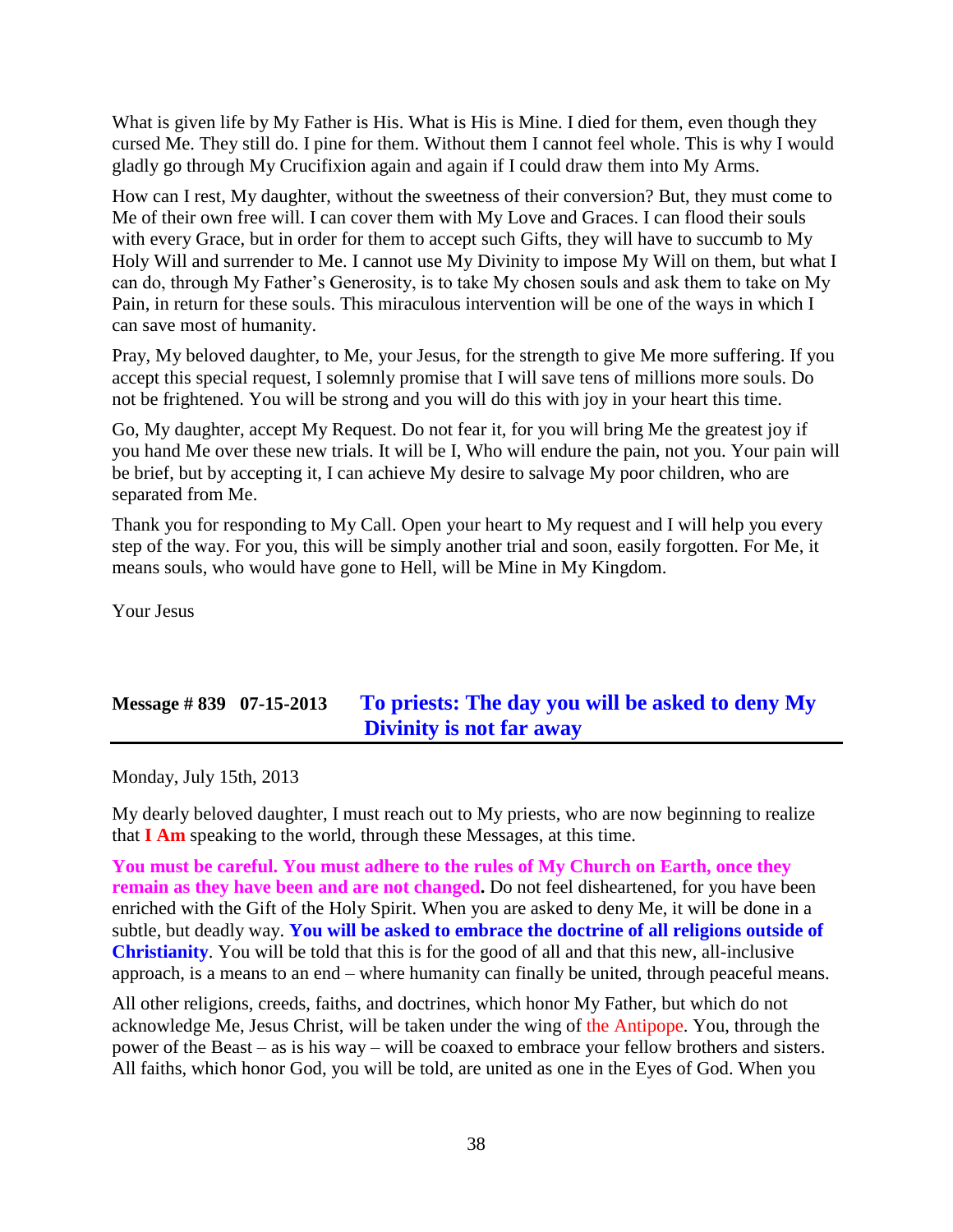What is given life by My Father is His. What is His is Mine. I died for them, even though they cursed Me. They still do. I pine for them. Without them I cannot feel whole. This is why I would gladly go through My Crucifixion again and again if I could draw them into My Arms.

How can I rest, My daughter, without the sweetness of their conversion? But, they must come to Me of their own free will. I can cover them with My Love and Graces. I can flood their souls with every Grace, but in order for them to accept such Gifts, they will have to succumb to My Holy Will and surrender to Me. I cannot use My Divinity to impose My Will on them, but what I can do, through My Father's Generosity, is to take My chosen souls and ask them to take on My Pain, in return for these souls. This miraculous intervention will be one of the ways in which I can save most of humanity.

Pray, My beloved daughter, to Me, your Jesus, for the strength to give Me more suffering. If you accept this special request, I solemnly promise that I will save tens of millions more souls. Do not be frightened. You will be strong and you will do this with joy in your heart this time.

Go, My daughter, accept My Request. Do not fear it, for you will bring Me the greatest joy if you hand Me over these new trials. It will be I, Who will endure the pain, not you. Your pain will be brief, but by accepting it, I can achieve My desire to salvage My poor children, who are separated from Me.

Thank you for responding to My Call. Open your heart to My request and I will help you every step of the way. For you, this will be simply another trial and soon, easily forgotten. For Me, it means souls, who would have gone to Hell, will be Mine in My Kingdom.

Your Jesus

## **Message # 839 07-15-2013 [To priests: The day you will be asked to deny My](http://www.thewarningsecondcoming.com/to-priests-the-day-you-will-be-asked-to-deny-my-divinity-is-not-far-away/)  [Divinity is not far away](http://www.thewarningsecondcoming.com/to-priests-the-day-you-will-be-asked-to-deny-my-divinity-is-not-far-away/)**

Monday, July 15th, 2013

My dearly beloved daughter, I must reach out to My priests, who are now beginning to realize that **I Am** speaking to the world, through these Messages, at this time.

**You must be careful. You must adhere to the rules of My Church on Earth, once they remain as they have been and are not changed.** Do not feel disheartened, for you have been enriched with the Gift of the Holy Spirit. When you are asked to deny Me, it will be done in a subtle, but deadly way. **You will be asked to embrace the doctrine of all religions outside of Christianity**. You will be told that this is for the good of all and that this new, all-inclusive approach, is a means to an end – where humanity can finally be united, through peaceful means.

All other religions, creeds, faiths, and doctrines, which honor My Father, but which do not acknowledge Me, Jesus Christ, will be taken under the wing of the Antipope. You, through the power of the Beast – as is his way – will be coaxed to embrace your fellow brothers and sisters. All faiths, which honor God, you will be told, are united as one in the Eyes of God. When you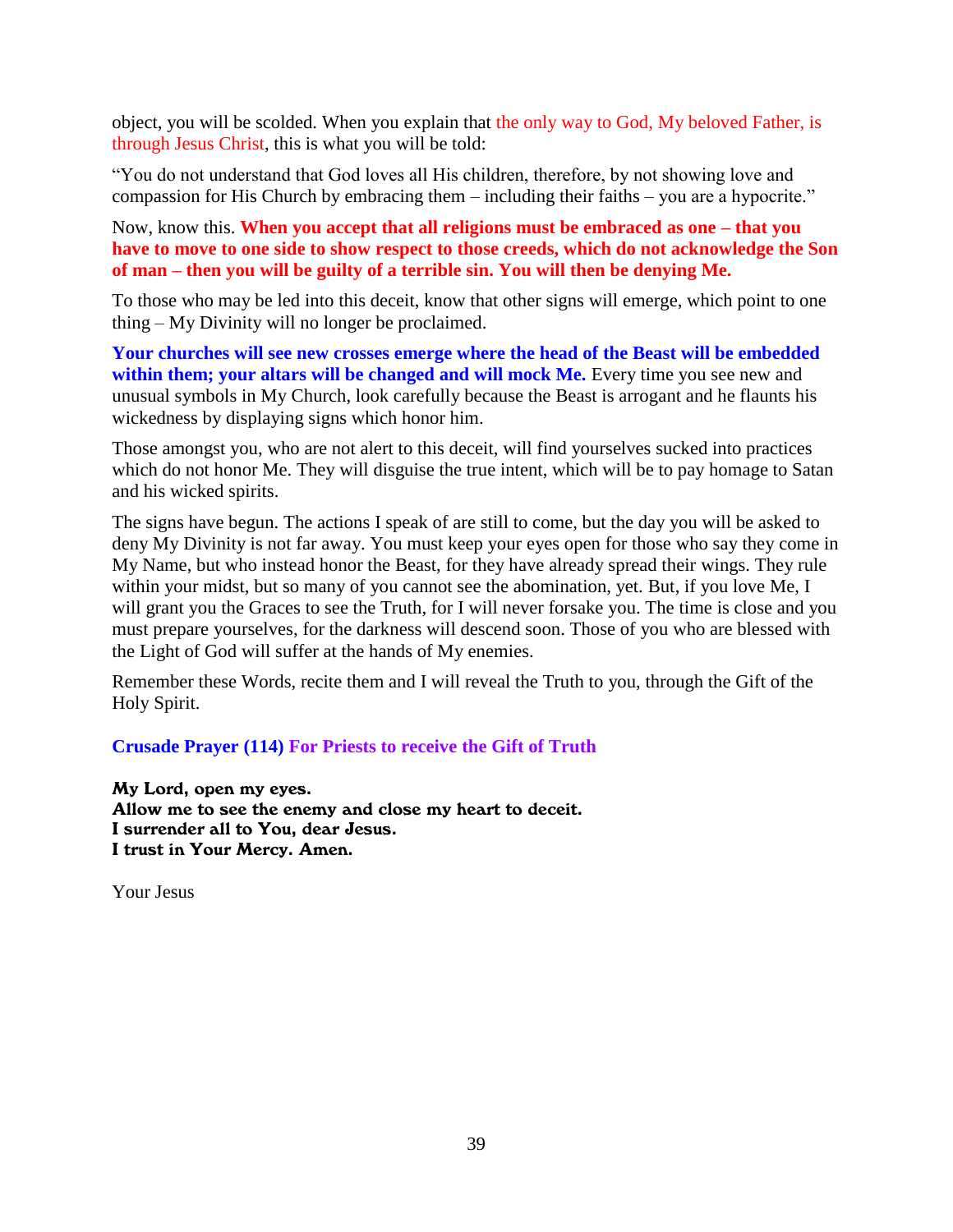object, you will be scolded. When you explain that the only way to God, My beloved Father, is through Jesus Christ, this is what you will be told:

"You do not understand that God loves all His children, therefore, by not showing love and compassion for His Church by embracing them – including their faiths – you are a hypocrite."

Now, know this. **When you accept that all religions must be embraced as one – that you have to move to one side to show respect to those creeds, which do not acknowledge the Son of man – then you will be guilty of a terrible sin. You will then be denying Me.**

To those who may be led into this deceit, know that other signs will emerge, which point to one thing – My Divinity will no longer be proclaimed.

**Your churches will see new crosses emerge where the head of the Beast will be embedded**  within them; your altars will be changed and will mock Me. Every time you see new and unusual symbols in My Church, look carefully because the Beast is arrogant and he flaunts his wickedness by displaying signs which honor him.

Those amongst you, who are not alert to this deceit, will find yourselves sucked into practices which do not honor Me. They will disguise the true intent, which will be to pay homage to Satan and his wicked spirits.

The signs have begun. The actions I speak of are still to come, but the day you will be asked to deny My Divinity is not far away. You must keep your eyes open for those who say they come in My Name, but who instead honor the Beast, for they have already spread their wings. They rule within your midst, but so many of you cannot see the abomination, yet. But, if you love Me, I will grant you the Graces to see the Truth, for I will never forsake you. The time is close and you must prepare yourselves, for the darkness will descend soon. Those of you who are blessed with the Light of God will suffer at the hands of My enemies.

Remember these Words, recite them and I will reveal the Truth to you, through the Gift of the Holy Spirit.

#### **Crusade Prayer (114) For Priests to receive the Gift of Truth**

My Lord, open my eyes. Allow me to see the enemy and close my heart to deceit. I surrender all to You, dear Jesus. I trust in Your Mercy. Amen.

Your Jesus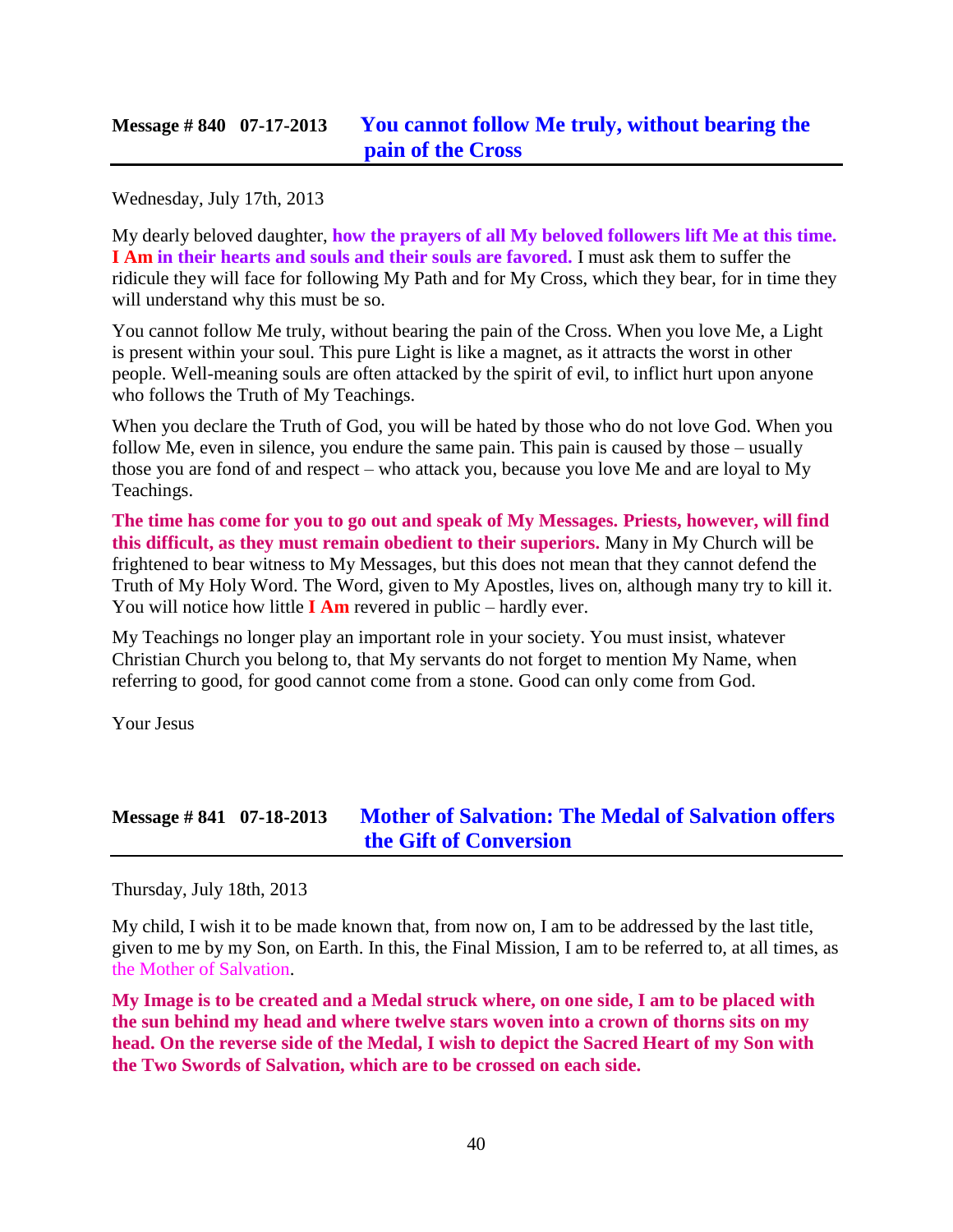#### **Message # 840 07-17-2013 [You cannot follow Me truly, without bearing the](http://www.thewarningsecondcoming.com/you-cannot-follow-me-truly-without-bearing-the-pain-of-the-cross/)  [pain of the Cross](http://www.thewarningsecondcoming.com/you-cannot-follow-me-truly-without-bearing-the-pain-of-the-cross/)**

Wednesday, July 17th, 2013

My dearly beloved daughter, **how the prayers of all My beloved followers lift Me at this time. I Am in their hearts and souls and their souls are favored.** I must ask them to suffer the ridicule they will face for following My Path and for My Cross, which they bear, for in time they will understand why this must be so.

You cannot follow Me truly, without bearing the pain of the Cross. When you love Me, a Light is present within your soul. This pure Light is like a magnet, as it attracts the worst in other people. Well-meaning souls are often attacked by the spirit of evil, to inflict hurt upon anyone who follows the Truth of My Teachings.

When you declare the Truth of God, you will be hated by those who do not love God. When you follow Me, even in silence, you endure the same pain. This pain is caused by those – usually those you are fond of and respect – who attack you, because you love Me and are loyal to My Teachings.

**The time has come for you to go out and speak of My Messages. Priests, however, will find this difficult, as they must remain obedient to their superiors.** Many in My Church will be frightened to bear witness to My Messages, but this does not mean that they cannot defend the Truth of My Holy Word. The Word, given to My Apostles, lives on, although many try to kill it. You will notice how little **I Am** revered in public – hardly ever.

My Teachings no longer play an important role in your society. You must insist, whatever Christian Church you belong to, that My servants do not forget to mention My Name, when referring to good, for good cannot come from a stone. Good can only come from God.

Your Jesus

### **Message # 841 07-18-2013 [Mother of Salvation: The Medal of Salvation offers](http://www.thewarningsecondcoming.com/mother-of-salvation-the-medal-of-salvation-offers-the-gift-of-conversion/)  [the Gift of Conversion](http://www.thewarningsecondcoming.com/mother-of-salvation-the-medal-of-salvation-offers-the-gift-of-conversion/)**

Thursday, July 18th, 2013

My child, I wish it to be made known that, from now on, I am to be addressed by the last title, given to me by my Son, on Earth. In this, the Final Mission, I am to be referred to, at all times, as the Mother of Salvation.

**My Image is to be created and a Medal struck where, on one side, I am to be placed with the sun behind my head and where twelve stars woven into a crown of thorns sits on my head. On the reverse side of the Medal, I wish to depict the Sacred Heart of my Son with the Two Swords of Salvation, which are to be crossed on each side.**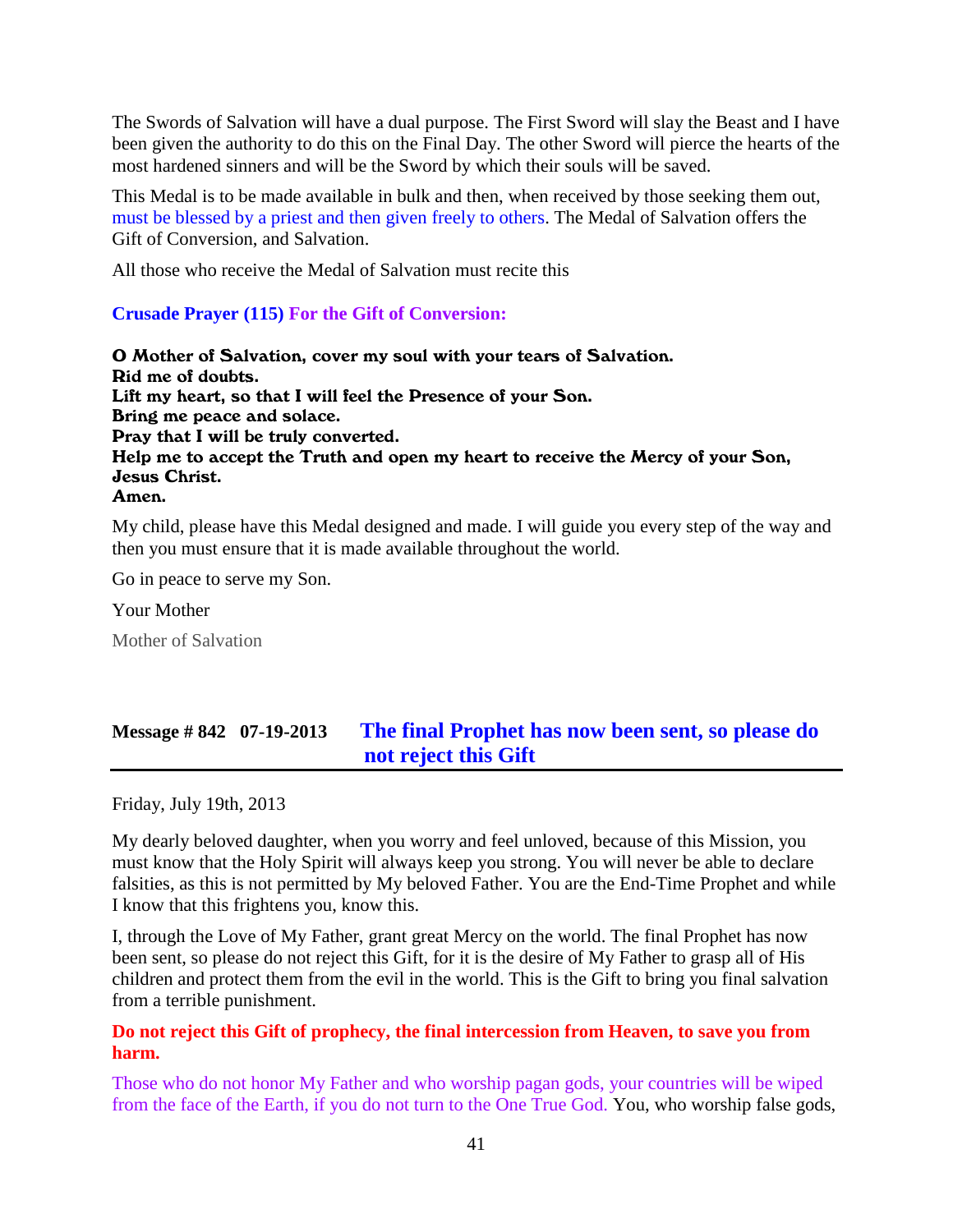The Swords of Salvation will have a dual purpose. The First Sword will slay the Beast and I have been given the authority to do this on the Final Day. The other Sword will pierce the hearts of the most hardened sinners and will be the Sword by which their souls will be saved.

This Medal is to be made available in bulk and then, when received by those seeking them out, must be blessed by a priest and then given freely to others. The Medal of Salvation offers the Gift of Conversion, and Salvation.

All those who receive the Medal of Salvation must recite this

#### **Crusade Prayer (115) For the Gift of Conversion:**

O Mother of Salvation, cover my soul with your tears of Salvation. Rid me of doubts. Lift my heart, so that I will feel the Presence of your Son. Bring me peace and solace. Pray that I will be truly converted. Help me to accept the Truth and open my heart to receive the Mercy of your Son, Jesus Christ. Amen.

My child, please have this Medal designed and made. I will guide you every step of the way and then you must ensure that it is made available throughout the world.

Go in peace to serve my Son.

Your Mother

Mother of Salvation

## **Message # 842 07-19-2013 [The final Prophet has now been sent, so please do](http://www.thewarningsecondcoming.com/the-final-prophet-has-now-been-sent-so-please-do-not-reject-this-gift/)  [not reject this Gift](http://www.thewarningsecondcoming.com/the-final-prophet-has-now-been-sent-so-please-do-not-reject-this-gift/)**

Friday, July 19th, 2013

My dearly beloved daughter, when you worry and feel unloved, because of this Mission, you must know that the Holy Spirit will always keep you strong. You will never be able to declare falsities, as this is not permitted by My beloved Father. You are the End-Time Prophet and while I know that this frightens you, know this.

I, through the Love of My Father, grant great Mercy on the world. The final Prophet has now been sent, so please do not reject this Gift, for it is the desire of My Father to grasp all of His children and protect them from the evil in the world. This is the Gift to bring you final salvation from a terrible punishment.

#### **Do not reject this Gift of prophecy, the final intercession from Heaven, to save you from harm.**

Those who do not honor My Father and who worship pagan gods, your countries will be wiped from the face of the Earth, if you do not turn to the One True God. You, who worship false gods,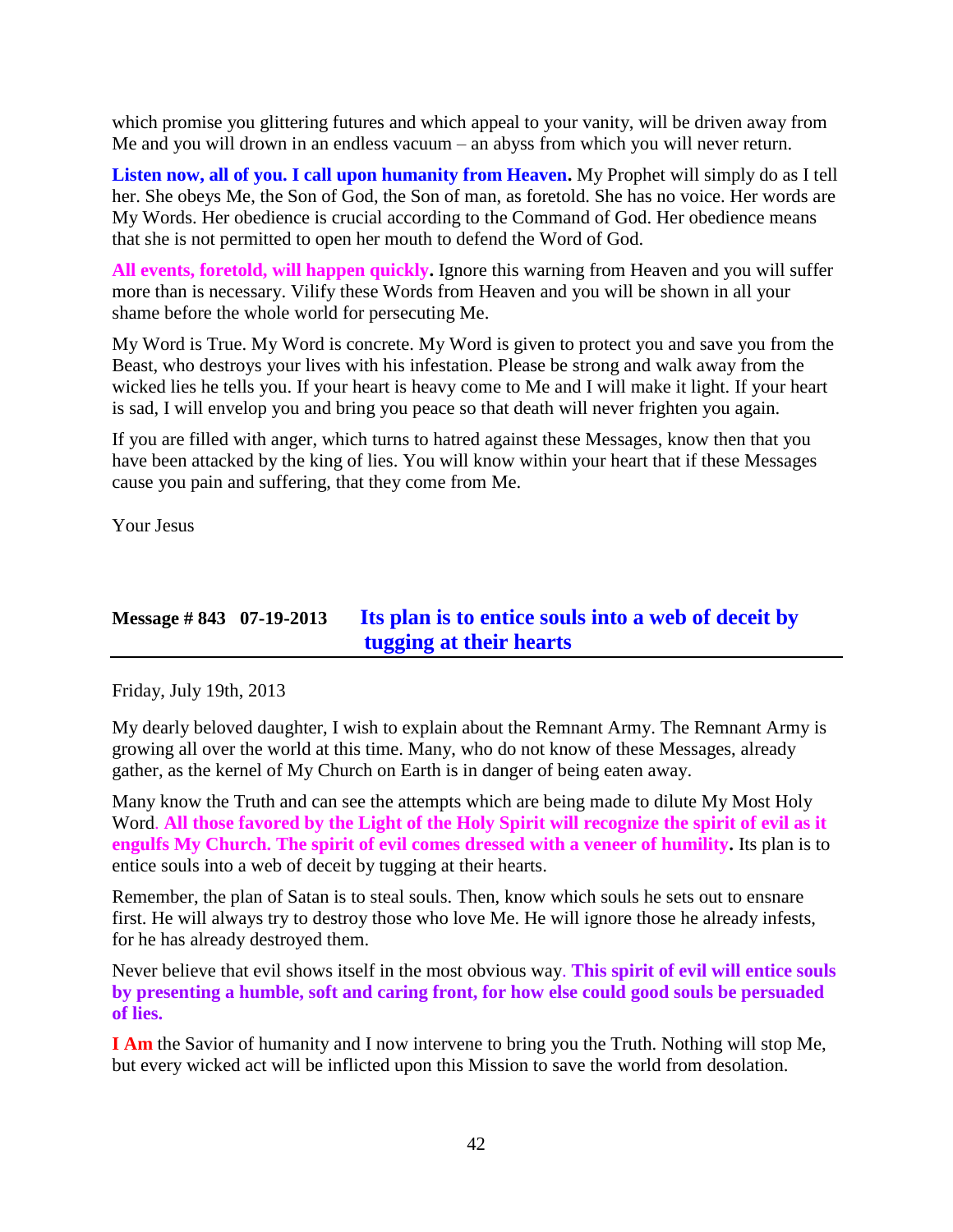which promise you glittering futures and which appeal to your vanity, will be driven away from Me and you will drown in an endless vacuum – an abyss from which you will never return.

**Listen now, all of you. I call upon humanity from Heaven.** My Prophet will simply do as I tell her. She obeys Me, the Son of God, the Son of man, as foretold. She has no voice. Her words are My Words. Her obedience is crucial according to the Command of God. Her obedience means that she is not permitted to open her mouth to defend the Word of God.

**All events, foretold, will happen quickly.** Ignore this warning from Heaven and you will suffer more than is necessary. Vilify these Words from Heaven and you will be shown in all your shame before the whole world for persecuting Me.

My Word is True. My Word is concrete. My Word is given to protect you and save you from the Beast, who destroys your lives with his infestation. Please be strong and walk away from the wicked lies he tells you. If your heart is heavy come to Me and I will make it light. If your heart is sad, I will envelop you and bring you peace so that death will never frighten you again.

If you are filled with anger, which turns to hatred against these Messages, know then that you have been attacked by the king of lies. You will know within your heart that if these Messages cause you pain and suffering, that they come from Me.

Your Jesus

## **Message # 843 07-19-2013 [Its plan is to entice souls into a web of deceit by](http://www.thewarningsecondcoming.com/its-plan-is-to-entice-souls-into-a-web-of-deceit-by-tugging-at-their-hearts/)  [tugging at their hearts](http://www.thewarningsecondcoming.com/its-plan-is-to-entice-souls-into-a-web-of-deceit-by-tugging-at-their-hearts/)**

Friday, July 19th, 2013

My dearly beloved daughter, I wish to explain about the Remnant Army. The Remnant Army is growing all over the world at this time. Many, who do not know of these Messages, already gather, as the kernel of My Church on Earth is in danger of being eaten away.

Many know the Truth and can see the attempts which are being made to dilute My Most Holy Word. **All those favored by the Light of the Holy Spirit will recognize the spirit of evil as it engulfs My Church. The spirit of evil comes dressed with a veneer of humility.** Its plan is to entice souls into a web of deceit by tugging at their hearts.

Remember, the plan of Satan is to steal souls. Then, know which souls he sets out to ensnare first. He will always try to destroy those who love Me. He will ignore those he already infests, for he has already destroyed them.

Never believe that evil shows itself in the most obvious way. **This spirit of evil will entice souls by presenting a humble, soft and caring front, for how else could good souls be persuaded of lies.**

**I Am** the Savior of humanity and I now intervene to bring you the Truth. Nothing will stop Me, but every wicked act will be inflicted upon this Mission to save the world from desolation.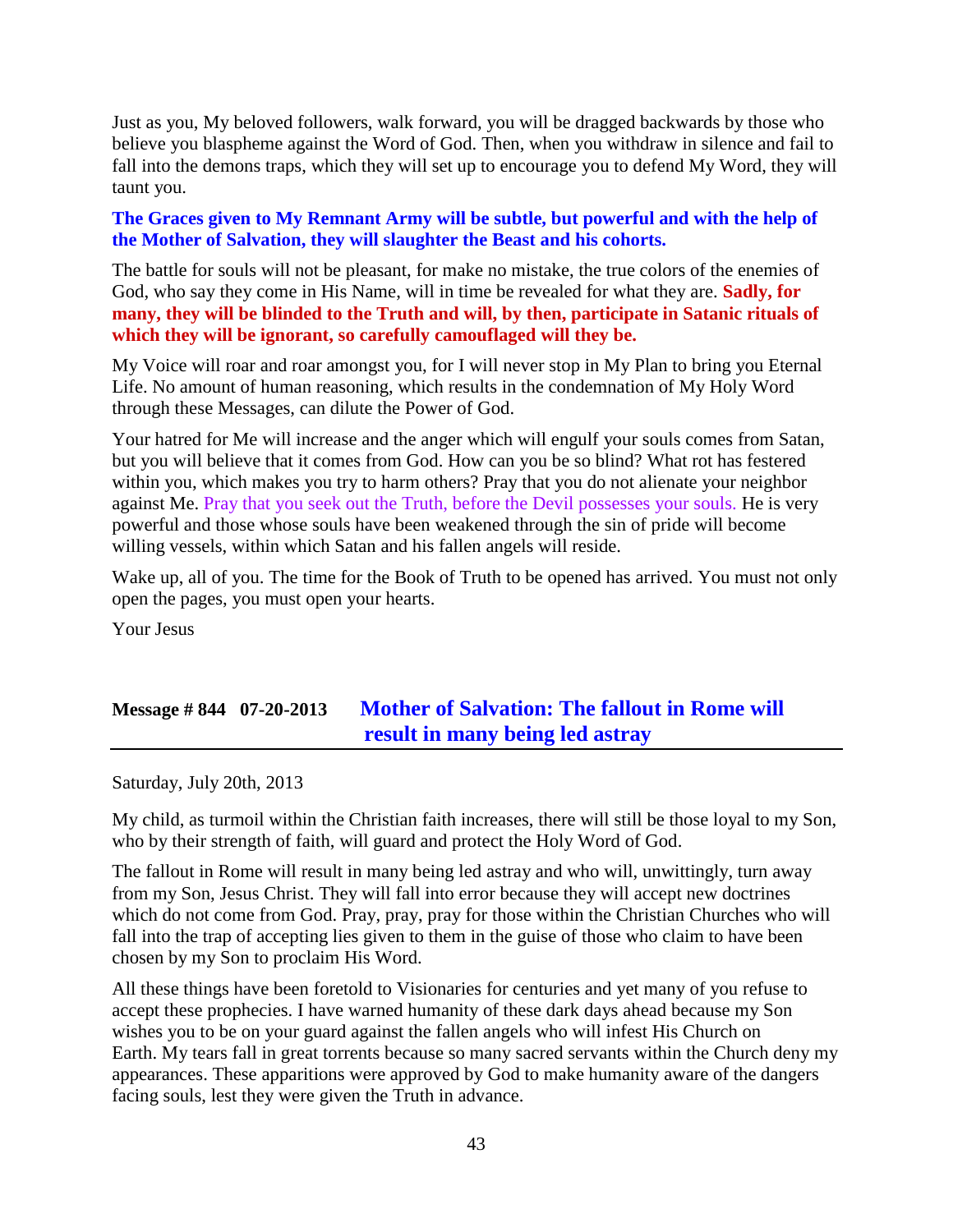Just as you, My beloved followers, walk forward, you will be dragged backwards by those who believe you blaspheme against the Word of God. Then, when you withdraw in silence and fail to fall into the demons traps, which they will set up to encourage you to defend My Word, they will taunt you.

**The Graces given to My Remnant Army will be subtle, but powerful and with the help of the Mother of Salvation, they will slaughter the Beast and his cohorts.**

The battle for souls will not be pleasant, for make no mistake, the true colors of the enemies of God, who say they come in His Name, will in time be revealed for what they are. **Sadly, for many, they will be blinded to the Truth and will, by then, participate in Satanic rituals of which they will be ignorant, so carefully camouflaged will they be.**

My Voice will roar and roar amongst you, for I will never stop in My Plan to bring you Eternal Life. No amount of human reasoning, which results in the condemnation of My Holy Word through these Messages, can dilute the Power of God.

Your hatred for Me will increase and the anger which will engulf your souls comes from Satan, but you will believe that it comes from God. How can you be so blind? What rot has festered within you, which makes you try to harm others? Pray that you do not alienate your neighbor against Me. Pray that you seek out the Truth, before the Devil possesses your souls. He is very powerful and those whose souls have been weakened through the sin of pride will become willing vessels, within which Satan and his fallen angels will reside.

Wake up, all of you. The time for the Book of Truth to be opened has arrived. You must not only open the pages, you must open your hearts.

Your Jesus

## **Message # 844 07-20-2013 [Mother of Salvation: The fallout in Rome will](http://www.thewarningsecondcoming.com/mother-of-salvation-the-fallout-in-rome-will-result-in-many-being-led-astray/)  result [in many being led astray](http://www.thewarningsecondcoming.com/mother-of-salvation-the-fallout-in-rome-will-result-in-many-being-led-astray/)**

Saturday, July 20th, 2013

My child, as turmoil within the Christian faith increases, there will still be those loyal to my Son, who by their strength of faith, will guard and protect the Holy Word of God.

The fallout in Rome will result in many being led astray and who will, unwittingly, turn away from my Son, Jesus Christ. They will fall into error because they will accept new doctrines which do not come from God. Pray, pray, pray for those within the Christian Churches who will fall into the trap of accepting lies given to them in the guise of those who claim to have been chosen by my Son to proclaim His Word.

All these things have been foretold to Visionaries for centuries and yet many of you refuse to accept these prophecies. I have warned humanity of these dark days ahead because my Son wishes you to be on your guard against the fallen angels who will infest His Church on Earth. My tears fall in great torrents because so many sacred servants within the Church deny my appearances. These apparitions were approved by God to make humanity aware of the dangers facing souls, lest they were given the Truth in advance.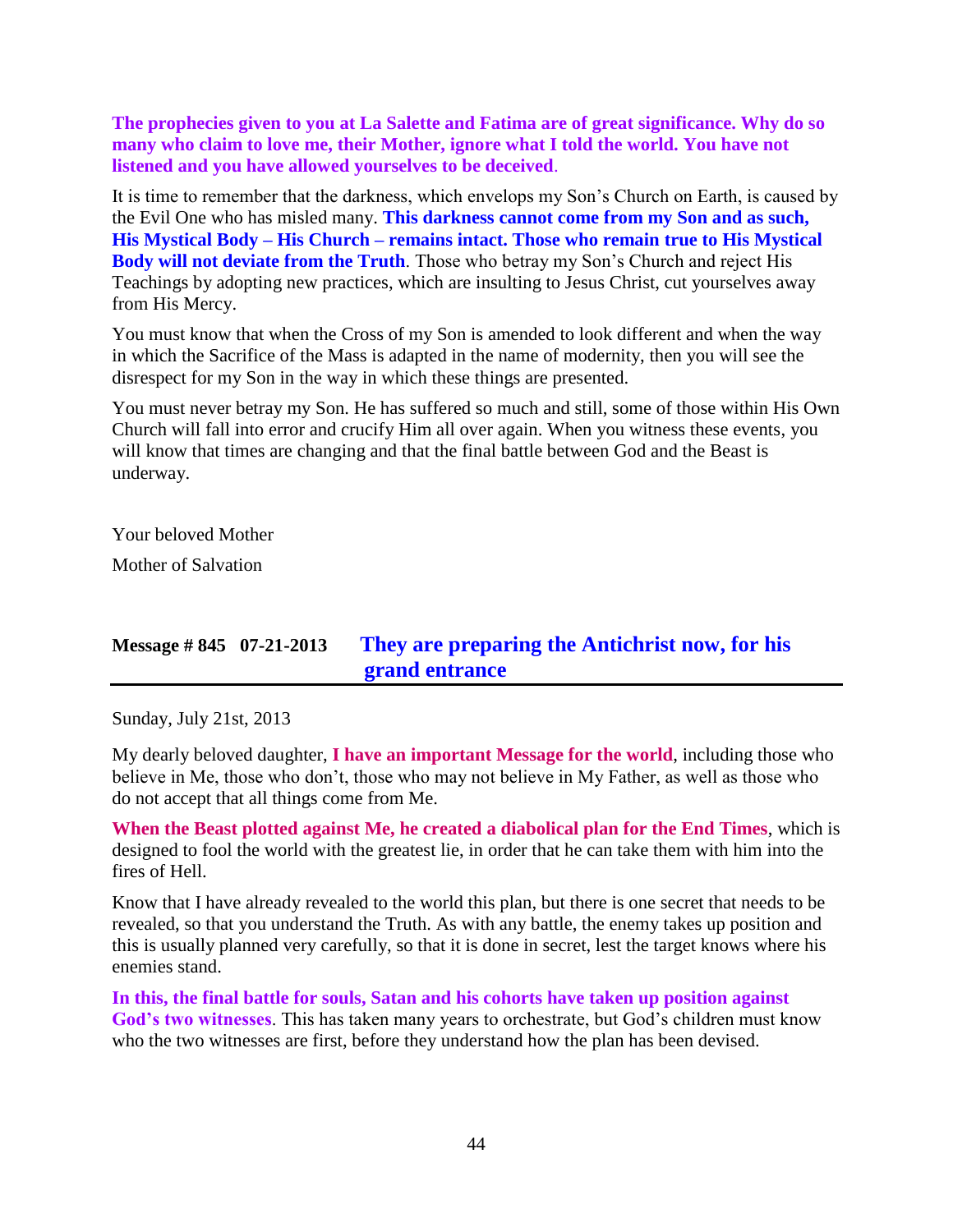**The prophecies given to you at La Salette and Fatima are of great significance. Why do so many who claim to love me, their Mother, ignore what I told the world. You have not listened and you have allowed yourselves to be deceived**.

It is time to remember that the darkness, which envelops my Son's Church on Earth, is caused by the Evil One who has misled many. **This darkness cannot come from my Son and as such, His Mystical Body – His Church – remains intact. Those who remain true to His Mystical Body will not deviate from the Truth**. Those who betray my Son's Church and reject His Teachings by adopting new practices, which are insulting to Jesus Christ, cut yourselves away from His Mercy.

You must know that when the Cross of my Son is amended to look different and when the way in which the Sacrifice of the Mass is adapted in the name of modernity, then you will see the disrespect for my Son in the way in which these things are presented.

You must never betray my Son. He has suffered so much and still, some of those within His Own Church will fall into error and crucify Him all over again. When you witness these events, you will know that times are changing and that the final battle between God and the Beast is underway.

Your beloved Mother

Mother of Salvation

## **Message # 845 07-21-2013 [They are preparing the Antichrist now, for his](http://www.thewarningsecondcoming.com/they-are-preparing-the-antichrist-now-for-his-grand-entrance/)  [grand entrance](http://www.thewarningsecondcoming.com/they-are-preparing-the-antichrist-now-for-his-grand-entrance/)**

Sunday, July 21st, 2013

My dearly beloved daughter, **I have an important Message for the world**, including those who believe in Me, those who don't, those who may not believe in My Father, as well as those who do not accept that all things come from Me.

**When the Beast plotted against Me, he created a diabolical plan for the End Times**, which is designed to fool the world with the greatest lie, in order that he can take them with him into the fires of Hell.

Know that I have already revealed to the world this plan, but there is one secret that needs to be revealed, so that you understand the Truth. As with any battle, the enemy takes up position and this is usually planned very carefully, so that it is done in secret, lest the target knows where his enemies stand.

**In this, the final battle for souls, Satan and his cohorts have taken up position against God's two witnesses**. This has taken many years to orchestrate, but God's children must know who the two witnesses are first, before they understand how the plan has been devised.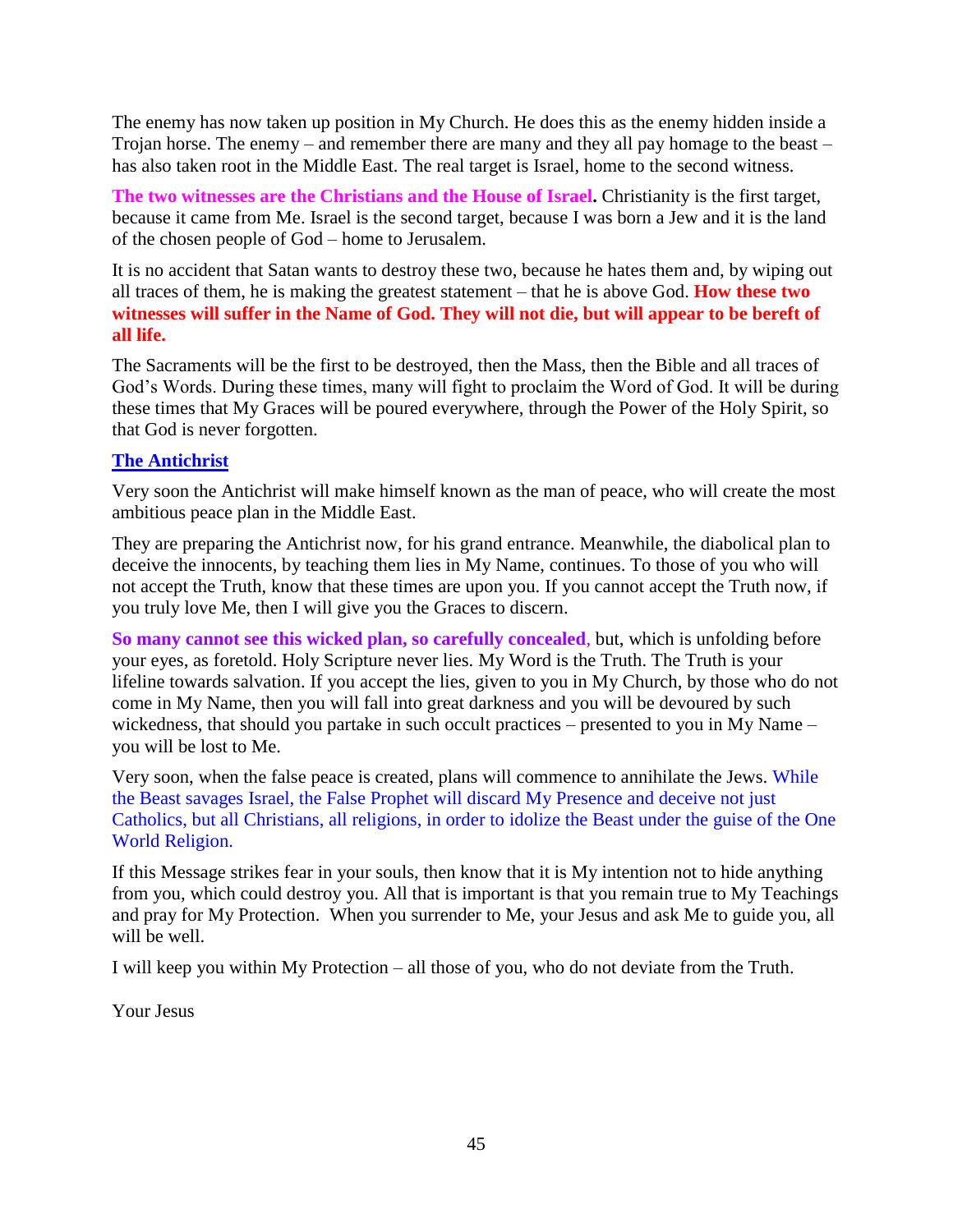The enemy has now taken up position in My Church. He does this as the enemy hidden inside a Trojan horse. The enemy – and remember there are many and they all pay homage to the beast – has also taken root in the Middle East. The real target is Israel, home to the second witness.

**The two witnesses are the Christians and the House of Israel.** Christianity is the first target, because it came from Me. Israel is the second target, because I was born a Jew and it is the land of the chosen people of God – home to Jerusalem.

It is no accident that Satan wants to destroy these two, because he hates them and, by wiping out all traces of them, he is making the greatest statement – that he is above God. **How these two witnesses will suffer in the Name of God. They will not die, but will appear to be bereft of all life.**

The Sacraments will be the first to be destroyed, then the Mass, then the Bible and all traces of God's Words. During these times, many will fight to proclaim the Word of God. It will be during these times that My Graces will be poured everywhere, through the Power of the Holy Spirit, so that God is never forgotten.

#### **The Antichrist**

Very soon the Antichrist will make himself known as the man of peace, who will create the most ambitious peace plan in the Middle East.

They are preparing the Antichrist now, for his grand entrance. Meanwhile, the diabolical plan to deceive the innocents, by teaching them lies in My Name, continues. To those of you who will not accept the Truth, know that these times are upon you. If you cannot accept the Truth now, if you truly love Me, then I will give you the Graces to discern.

**So many cannot see this wicked plan, so carefully concealed**, but, which is unfolding before your eyes, as foretold. Holy Scripture never lies. My Word is the Truth. The Truth is your lifeline towards salvation. If you accept the lies, given to you in My Church, by those who do not come in My Name, then you will fall into great darkness and you will be devoured by such wickedness, that should you partake in such occult practices – presented to you in My Name – you will be lost to Me.

Very soon, when the false peace is created, plans will commence to annihilate the Jews. While the Beast savages Israel, the False Prophet will discard My Presence and deceive not just Catholics, but all Christians, all religions, in order to idolize the Beast under the guise of the One World Religion.

If this Message strikes fear in your souls, then know that it is My intention not to hide anything from you, which could destroy you. All that is important is that you remain true to My Teachings and pray for My Protection. When you surrender to Me, your Jesus and ask Me to guide you, all will be well.

I will keep you within My Protection – all those of you, who do not deviate from the Truth.

Your Jesus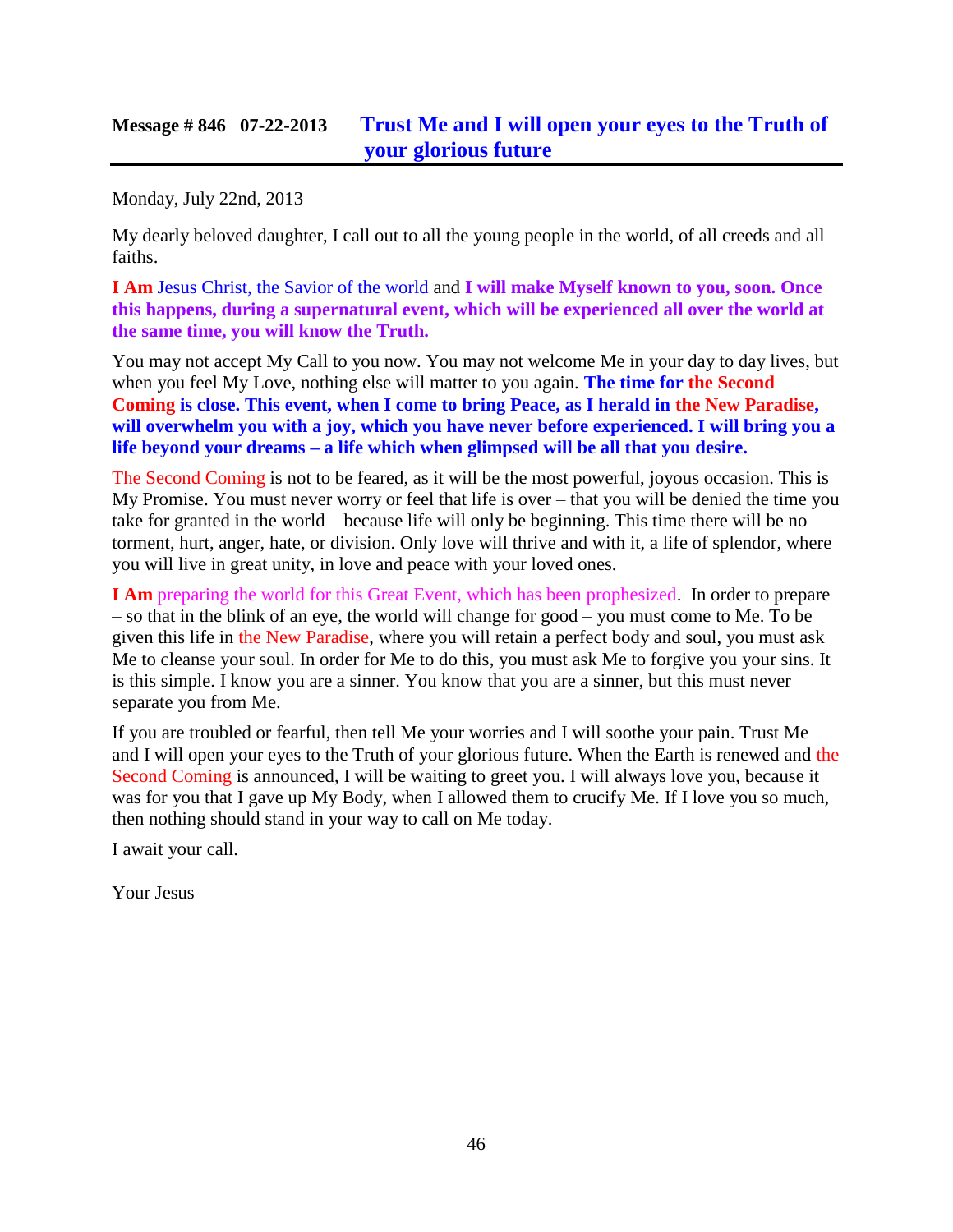### **Message # 846 07-22-2013 [Trust Me and I will open your eyes to the Truth of](http://www.thewarningsecondcoming.com/trust-me-and-i-will-open-your-eyes-to-the-truth-of-your-glorious-future/)  [your glorious future](http://www.thewarningsecondcoming.com/trust-me-and-i-will-open-your-eyes-to-the-truth-of-your-glorious-future/)**

Monday, July 22nd, 2013

My dearly beloved daughter, I call out to all the young people in the world, of all creeds and all faiths.

**I Am** Jesus Christ, the Savior of the world and **I will make Myself known to you, soon. Once this happens, during a supernatural event, which will be experienced all over the world at the same time, you will know the Truth.**

You may not accept My Call to you now. You may not welcome Me in your day to day lives, but when you feel My Love, nothing else will matter to you again. **The time for the Second Coming is close. This event, when I come to bring Peace, as I herald in the New Paradise, will overwhelm you with a joy, which you have never before experienced. I will bring you a life beyond your dreams – a life which when glimpsed will be all that you desire.**

The Second Coming is not to be feared, as it will be the most powerful, joyous occasion. This is My Promise. You must never worry or feel that life is over – that you will be denied the time you take for granted in the world – because life will only be beginning. This time there will be no torment, hurt, anger, hate, or division. Only love will thrive and with it, a life of splendor, where you will live in great unity, in love and peace with your loved ones.

**I Am** preparing the world for this Great Event, which has been prophesized. In order to prepare – so that in the blink of an eye, the world will change for good – you must come to Me. To be given this life in the New Paradise, where you will retain a perfect body and soul, you must ask Me to cleanse your soul. In order for Me to do this, you must ask Me to forgive you your sins. It is this simple. I know you are a sinner. You know that you are a sinner, but this must never separate you from Me.

If you are troubled or fearful, then tell Me your worries and I will soothe your pain. Trust Me and I will open your eyes to the Truth of your glorious future. When the Earth is renewed and the Second Coming is announced, I will be waiting to greet you. I will always love you, because it was for you that I gave up My Body, when I allowed them to crucify Me. If I love you so much, then nothing should stand in your way to call on Me today.

I await your call.

Your Jesus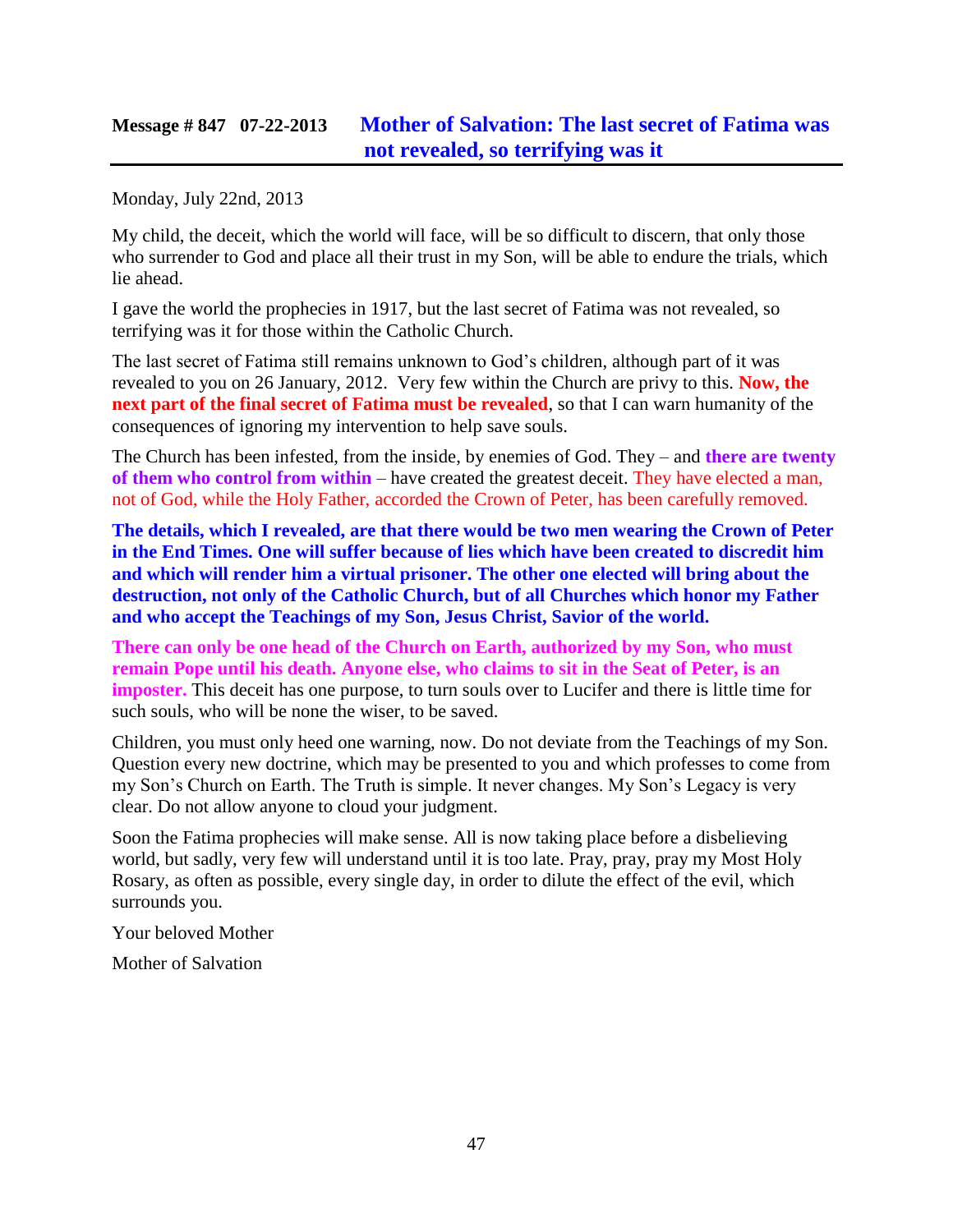### **Message # 847 07-22-2013 [Mother of Salvation: The last secret of Fatima was](http://www.thewarningsecondcoming.com/mother-of-salvation-the-last-secret-of-fatima-was-not-revealed-so-terrifying-was-it/)  [not revealed, so terrifying was it](http://www.thewarningsecondcoming.com/mother-of-salvation-the-last-secret-of-fatima-was-not-revealed-so-terrifying-was-it/)**

Monday, July 22nd, 2013

My child, the deceit, which the world will face, will be so difficult to discern, that only those who surrender to God and place all their trust in my Son, will be able to endure the trials, which lie ahead.

I gave the world the prophecies in 1917, but the last secret of Fatima was not revealed, so terrifying was it for those within the Catholic Church.

The last secret of Fatima still remains unknown to God's children, although part of it was revealed to you on 26 January, 2012. Very few within the Church are privy to this. **Now, the next part of the final secret of Fatima must be revealed**, so that I can warn humanity of the consequences of ignoring my intervention to help save souls.

The Church has been infested, from the inside, by enemies of God. They – and **there are twenty of them who control from within** – have created the greatest deceit. They have elected a man, not of God, while the Holy Father, accorded the Crown of Peter, has been carefully removed.

**The details, which I revealed, are that there would be two men wearing the Crown of Peter in the End Times. One will suffer because of lies which have been created to discredit him and which will render him a virtual prisoner. The other one elected will bring about the destruction, not only of the Catholic Church, but of all Churches which honor my Father and who accept the Teachings of my Son, Jesus Christ, Savior of the world.**

**There can only be one head of the Church on Earth, authorized by my Son, who must remain Pope until his death. Anyone else, who claims to sit in the Seat of Peter, is an imposter.** This deceit has one purpose, to turn souls over to Lucifer and there is little time for such souls, who will be none the wiser, to be saved.

Children, you must only heed one warning, now. Do not deviate from the Teachings of my Son. Question every new doctrine, which may be presented to you and which professes to come from my Son's Church on Earth. The Truth is simple. It never changes. My Son's Legacy is very clear. Do not allow anyone to cloud your judgment.

Soon the Fatima prophecies will make sense. All is now taking place before a disbelieving world, but sadly, very few will understand until it is too late. Pray, pray, pray my Most Holy Rosary, as often as possible, every single day, in order to dilute the effect of the evil, which surrounds you.

Your beloved Mother

Mother of Salvation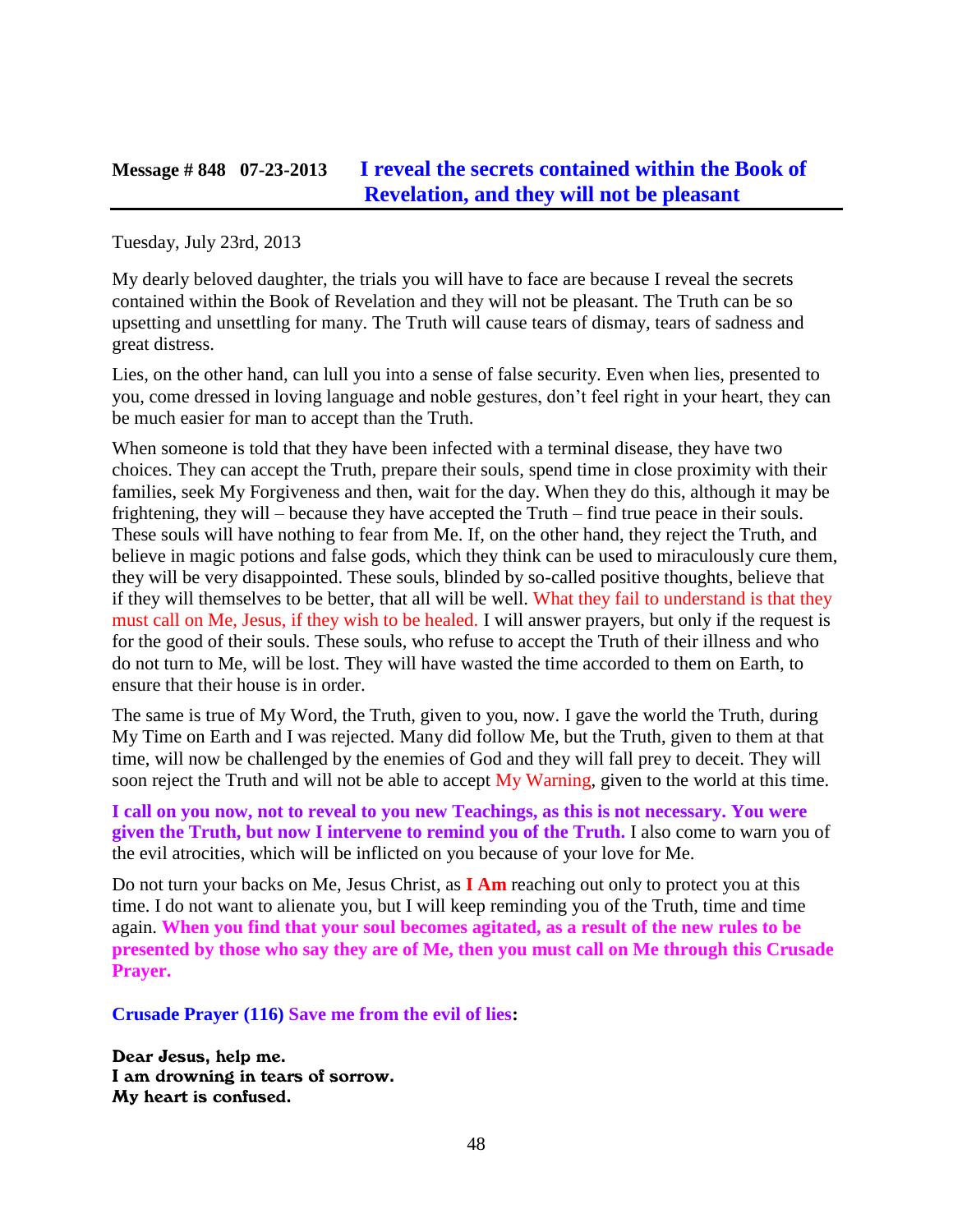#### **Message # 848 07-23-2013 [I reveal the secrets contained within the Book of](http://www.thewarningsecondcoming.com/i-reveal-the-secrets-contained-within-the-book-of-revelation-and-they-will-not-be-pleasant/)  [Revelation, and they will not be pleasant](http://www.thewarningsecondcoming.com/i-reveal-the-secrets-contained-within-the-book-of-revelation-and-they-will-not-be-pleasant/)**

Tuesday, July 23rd, 2013

My dearly beloved daughter, the trials you will have to face are because I reveal the secrets contained within the Book of Revelation and they will not be pleasant. The Truth can be so upsetting and unsettling for many. The Truth will cause tears of dismay, tears of sadness and great distress.

Lies, on the other hand, can lull you into a sense of false security. Even when lies, presented to you, come dressed in loving language and noble gestures, don't feel right in your heart, they can be much easier for man to accept than the Truth.

When someone is told that they have been infected with a terminal disease, they have two choices. They can accept the Truth, prepare their souls, spend time in close proximity with their families, seek My Forgiveness and then, wait for the day. When they do this, although it may be frightening, they will – because they have accepted the Truth – find true peace in their souls. These souls will have nothing to fear from Me. If, on the other hand, they reject the Truth, and believe in magic potions and false gods, which they think can be used to miraculously cure them, they will be very disappointed. These souls, blinded by so-called positive thoughts, believe that if they will themselves to be better, that all will be well. What they fail to understand is that they must call on Me, Jesus, if they wish to be healed. I will answer prayers, but only if the request is for the good of their souls. These souls, who refuse to accept the Truth of their illness and who do not turn to Me, will be lost. They will have wasted the time accorded to them on Earth, to ensure that their house is in order.

The same is true of My Word, the Truth, given to you, now. I gave the world the Truth, during My Time on Earth and I was rejected. Many did follow Me, but the Truth, given to them at that time, will now be challenged by the enemies of God and they will fall prey to deceit. They will soon reject the Truth and will not be able to accept My Warning, given to the world at this time.

**I call on you now, not to reveal to you new Teachings, as this is not necessary. You were given the Truth, but now I intervene to remind you of the Truth.** I also come to warn you of the evil atrocities, which will be inflicted on you because of your love for Me.

Do not turn your backs on Me, Jesus Christ, as **I Am** reaching out only to protect you at this time. I do not want to alienate you, but I will keep reminding you of the Truth, time and time again. **When you find that your soul becomes agitated, as a result of the new rules to be presented by those who say they are of Me, then you must call on Me through this Crusade Prayer.**

**Crusade Prayer (116) Save me from the evil of lies:**

Dear Jesus, help me. I am drowning in tears of sorrow. My heart is confused.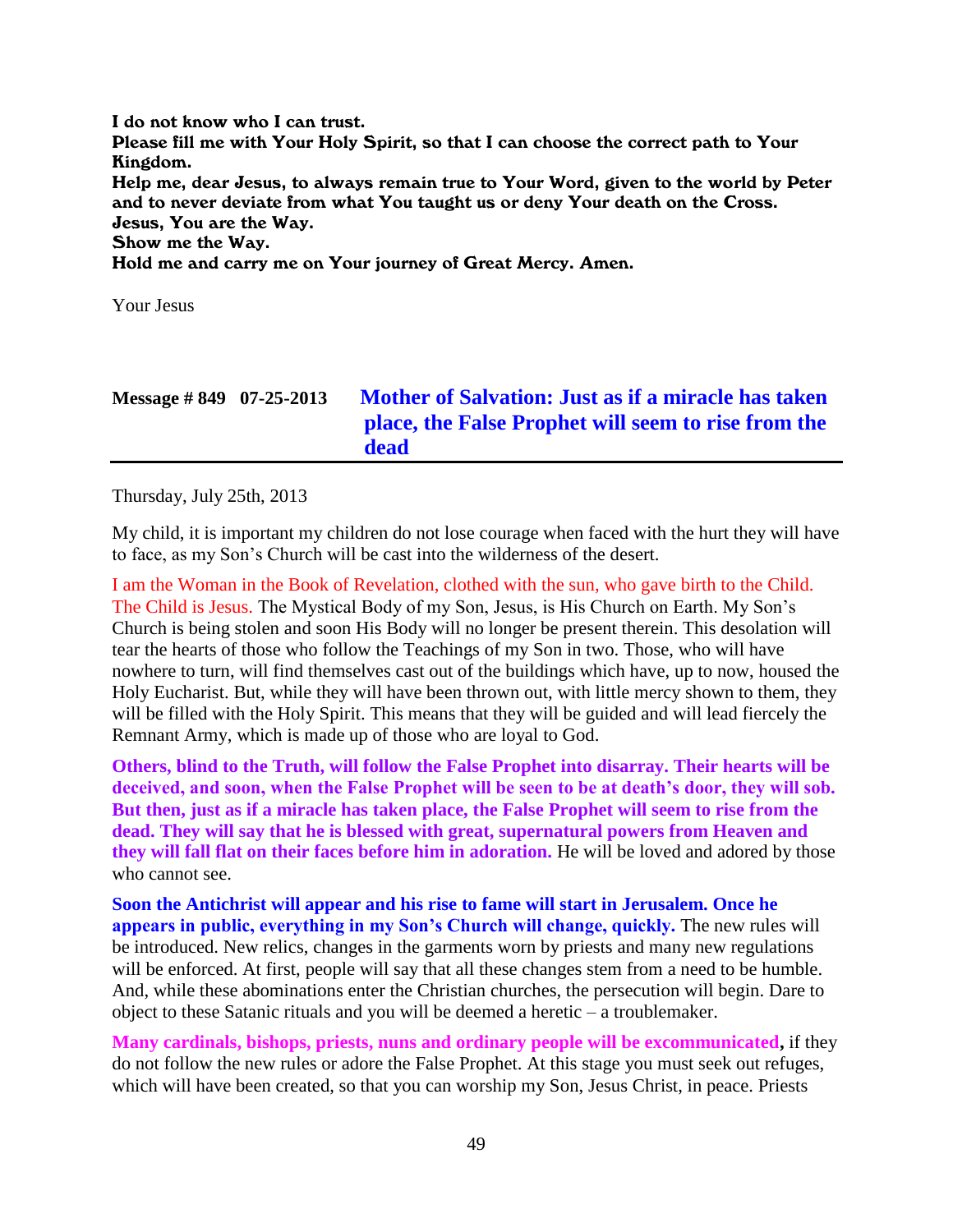I do not know who I can trust. Please fill me with Your Holy Spirit, so that I can choose the correct path to Your Kingdom. Help me, dear Jesus, to always remain true to Your Word, given to the world by Peter and to never deviate from what You taught us or deny Your death on the Cross. Jesus, You are the Way. Show me the Way. Hold me and carry me on Your journey of Great Mercy. Amen.

Your Jesus

| Message $\# 849$ 07-25-2013 | Mother of Salvation: Just as if a miracle has taken |
|-----------------------------|-----------------------------------------------------|
|                             | place, the False Prophet will seem to rise from the |
|                             | dead                                                |

Thursday, July 25th, 2013

My child, it is important my children do not lose courage when faced with the hurt they will have to face, as my Son's Church will be cast into the wilderness of the desert.

I am the Woman in the Book of Revelation, clothed with the sun, who gave birth to the Child. The Child is Jesus. The Mystical Body of my Son, Jesus, is His Church on Earth. My Son's Church is being stolen and soon His Body will no longer be present therein. This desolation will tear the hearts of those who follow the Teachings of my Son in two. Those, who will have nowhere to turn, will find themselves cast out of the buildings which have, up to now, housed the Holy Eucharist. But, while they will have been thrown out, with little mercy shown to them, they will be filled with the Holy Spirit. This means that they will be guided and will lead fiercely the Remnant Army, which is made up of those who are loyal to God.

**Others, blind to the Truth, will follow the False Prophet into disarray. Their hearts will be deceived, and soon, when the False Prophet will be seen to be at death's door, they will sob. But then, just as if a miracle has taken place, the False Prophet will seem to rise from the dead. They will say that he is blessed with great, supernatural powers from Heaven and they will fall flat on their faces before him in adoration.** He will be loved and adored by those who cannot see.

**Soon the Antichrist will appear and his rise to fame will start in Jerusalem. Once he appears in public, everything in my Son's Church will change, quickly.** The new rules will be introduced. New relics, changes in the garments worn by priests and many new regulations will be enforced. At first, people will say that all these changes stem from a need to be humble. And, while these abominations enter the Christian churches, the persecution will begin. Dare to object to these Satanic rituals and you will be deemed a heretic – a troublemaker.

**Many cardinals, bishops, priests, nuns and ordinary people will be excommunicated,** if they do not follow the new rules or adore the False Prophet. At this stage you must seek out refuges, which will have been created, so that you can worship my Son, Jesus Christ, in peace. Priests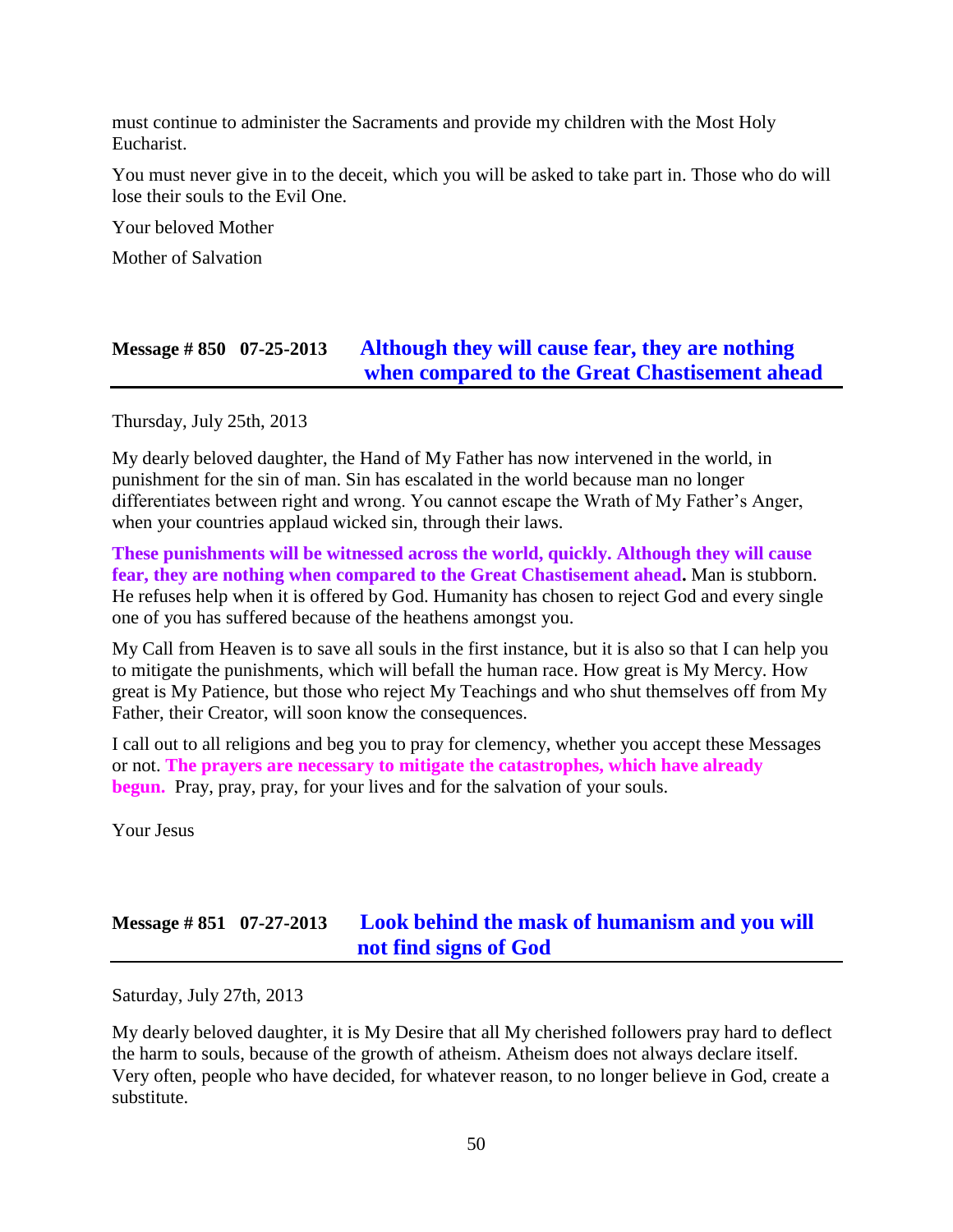must continue to administer the Sacraments and provide my children with the Most Holy Eucharist.

You must never give in to the deceit, which you will be asked to take part in. Those who do will lose their souls to the Evil One.

Your beloved Mother

Mother of Salvation

## **Message # 850 07-25-2013 [Although they will cause fear, they are nothing](http://www.thewarningsecondcoming.com/although-they-will-cause-fear-they-are-nothing-when-compared-to-the-great-chastisement-ahead/)  [when compared to the Great Chastisement ahead](http://www.thewarningsecondcoming.com/although-they-will-cause-fear-they-are-nothing-when-compared-to-the-great-chastisement-ahead/)**

Thursday, July 25th, 2013

My dearly beloved daughter, the Hand of My Father has now intervened in the world, in punishment for the sin of man. Sin has escalated in the world because man no longer differentiates between right and wrong. You cannot escape the Wrath of My Father's Anger, when your countries applaud wicked sin, through their laws.

**These punishments will be witnessed across the world, quickly. Although they will cause fear, they are nothing when compared to the Great Chastisement ahead.** Man is stubborn. He refuses help when it is offered by God. Humanity has chosen to reject God and every single one of you has suffered because of the heathens amongst you.

My Call from Heaven is to save all souls in the first instance, but it is also so that I can help you to mitigate the punishments, which will befall the human race. How great is My Mercy. How great is My Patience, but those who reject My Teachings and who shut themselves off from My Father, their Creator, will soon know the consequences.

I call out to all religions and beg you to pray for clemency, whether you accept these Messages or not. **The prayers are necessary to mitigate the catastrophes, which have already begun.** Pray, pray, pray, for your lives and for the salvation of your souls.

Your Jesus

## **Message # 851 07-27-2013 [Look behind the mask of humanism and you will](http://www.thewarningsecondcoming.com/look-behind-the-mask-of-humanism-and-you-will-not-find-signs-of-god/)  [not find signs of God](http://www.thewarningsecondcoming.com/look-behind-the-mask-of-humanism-and-you-will-not-find-signs-of-god/)**

Saturday, July 27th, 2013

My dearly beloved daughter, it is My Desire that all My cherished followers pray hard to deflect the harm to souls, because of the growth of atheism. Atheism does not always declare itself. Very often, people who have decided, for whatever reason, to no longer believe in God, create a substitute.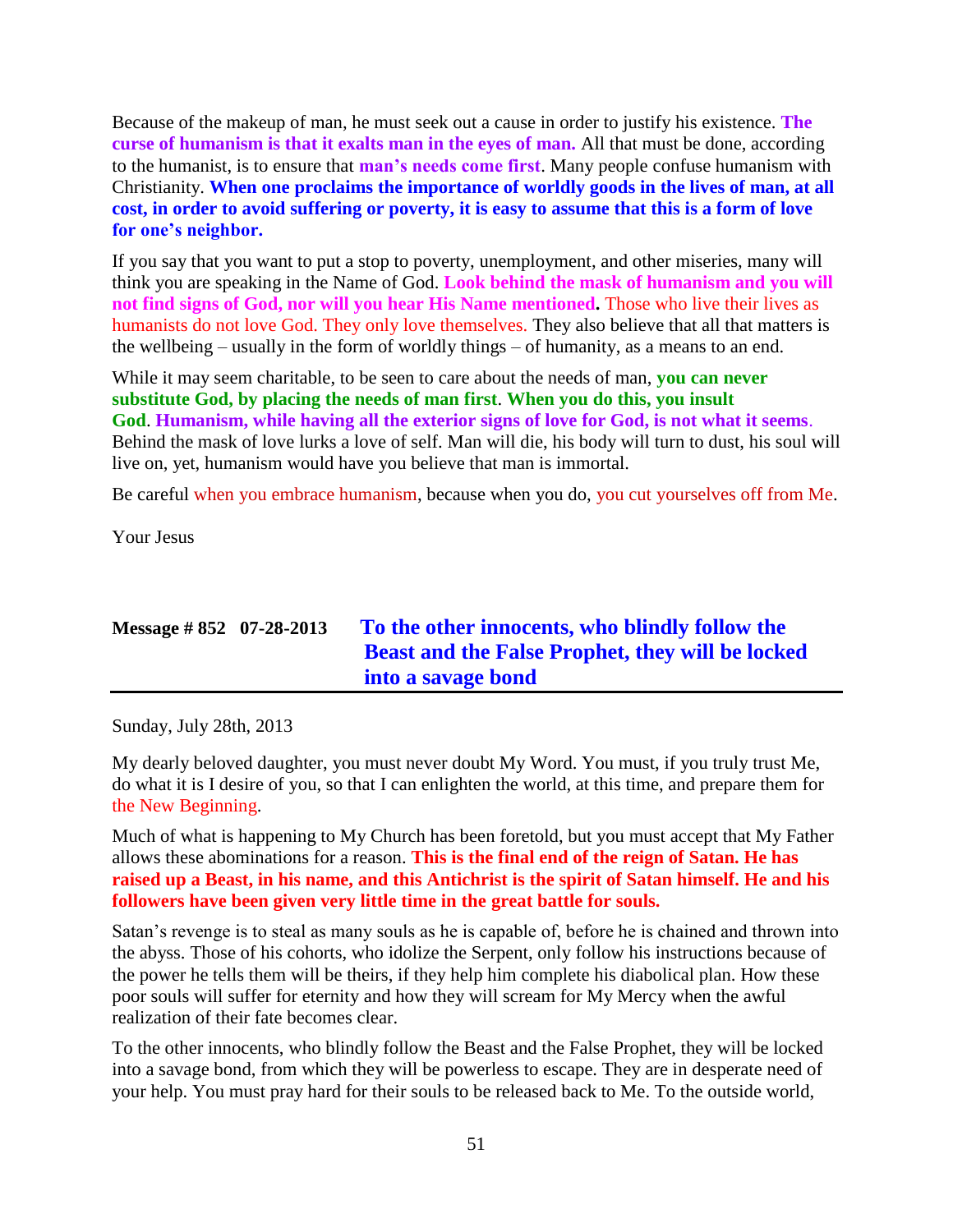Because of the makeup of man, he must seek out a cause in order to justify his existence. **The curse of humanism is that it exalts man in the eyes of man.** All that must be done, according to the humanist, is to ensure that **man's needs come first**. Many people confuse humanism with Christianity. **When one proclaims the importance of worldly goods in the lives of man, at all cost, in order to avoid suffering or poverty, it is easy to assume that this is a form of love for one's neighbor.**

If you say that you want to put a stop to poverty, unemployment, and other miseries, many will think you are speaking in the Name of God. **Look behind the mask of humanism and you will not find signs of God, nor will you hear His Name mentioned.** Those who live their lives as humanists do not love God. They only love themselves. They also believe that all that matters is the wellbeing – usually in the form of worldly things – of humanity, as a means to an end.

While it may seem charitable, to be seen to care about the needs of man, **you can never substitute God, by placing the needs of man first**. **When you do this, you insult God**. **Humanism, while having all the exterior signs of love for God, is not what it seems**. Behind the mask of love lurks a love of self. Man will die, his body will turn to dust, his soul will live on, yet, humanism would have you believe that man is immortal.

Be careful when you embrace humanism, because when you do, you cut yourselves off from Me.

Your Jesus

| Message $\#$ 852 07-28-2013 | To the other innocents, who blindly follow the          |
|-----------------------------|---------------------------------------------------------|
|                             | <b>Beast and the False Prophet, they will be locked</b> |
|                             | into a savage bond                                      |

Sunday, July 28th, 2013

My dearly beloved daughter, you must never doubt My Word. You must, if you truly trust Me, do what it is I desire of you, so that I can enlighten the world, at this time, and prepare them for the New Beginning.

Much of what is happening to My Church has been foretold, but you must accept that My Father allows these abominations for a reason. **This is the final end of the reign of Satan. He has raised up a Beast, in his name, and this Antichrist is the spirit of Satan himself. He and his followers have been given very little time in the great battle for souls.**

Satan's revenge is to steal as many souls as he is capable of, before he is chained and thrown into the abyss. Those of his cohorts, who idolize the Serpent, only follow his instructions because of the power he tells them will be theirs, if they help him complete his diabolical plan. How these poor souls will suffer for eternity and how they will scream for My Mercy when the awful realization of their fate becomes clear.

To the other innocents, who blindly follow the Beast and the False Prophet, they will be locked into a savage bond, from which they will be powerless to escape. They are in desperate need of your help. You must pray hard for their souls to be released back to Me. To the outside world,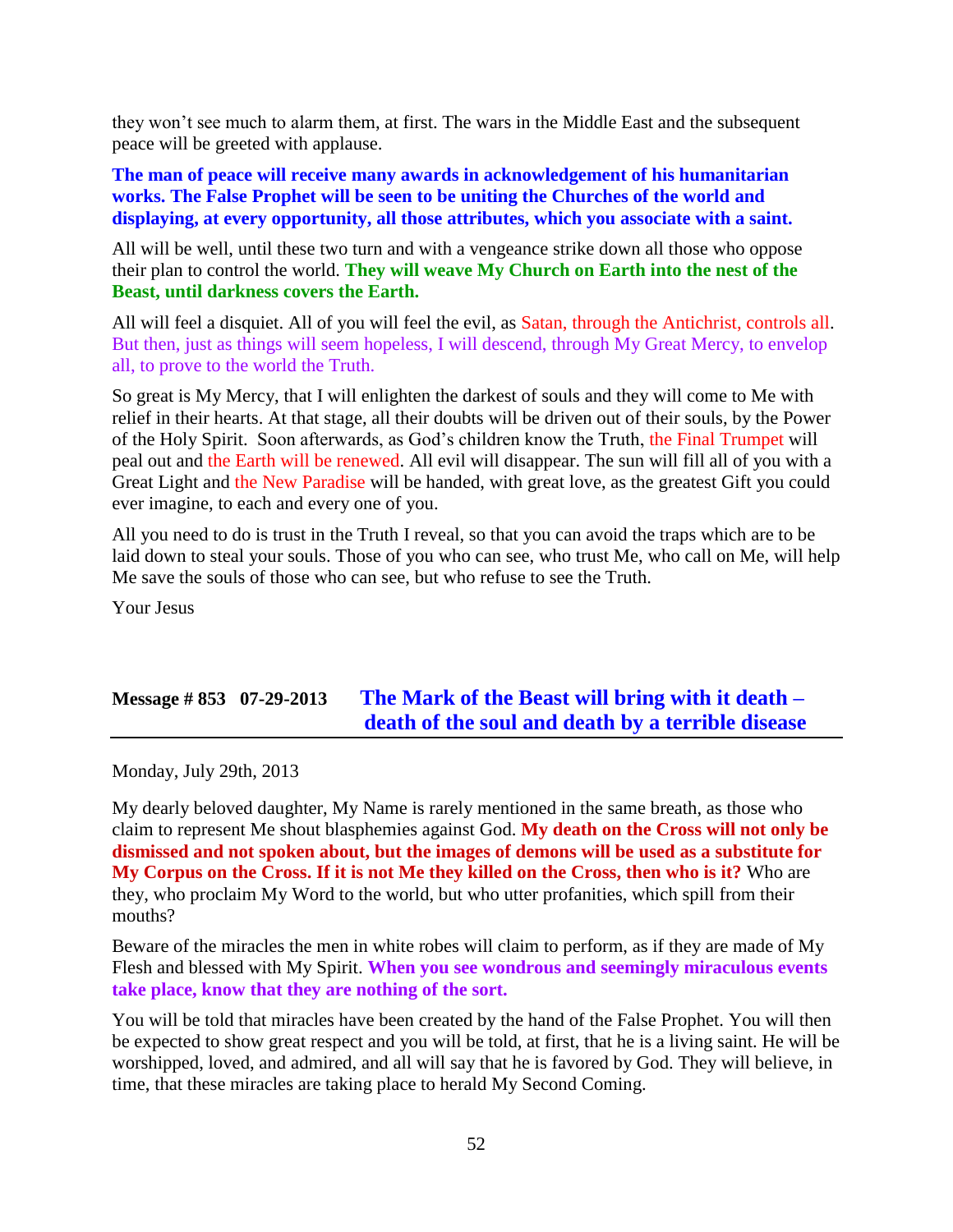they won't see much to alarm them, at first. The wars in the Middle East and the subsequent peace will be greeted with applause.

**The man of peace will receive many awards in acknowledgement of his humanitarian works. The False Prophet will be seen to be uniting the Churches of the world and displaying, at every opportunity, all those attributes, which you associate with a saint.**

All will be well, until these two turn and with a vengeance strike down all those who oppose their plan to control the world. **They will weave My Church on Earth into the nest of the Beast, until darkness covers the Earth.**

All will feel a disquiet. All of you will feel the evil, as Satan, through the Antichrist, controls all. But then, just as things will seem hopeless, I will descend, through My Great Mercy, to envelop all, to prove to the world the Truth.

So great is My Mercy, that I will enlighten the darkest of souls and they will come to Me with relief in their hearts. At that stage, all their doubts will be driven out of their souls, by the Power of the Holy Spirit. Soon afterwards, as God's children know the Truth, the Final Trumpet will peal out and the Earth will be renewed. All evil will disappear. The sun will fill all of you with a Great Light and the New Paradise will be handed, with great love, as the greatest Gift you could ever imagine, to each and every one of you.

All you need to do is trust in the Truth I reveal, so that you can avoid the traps which are to be laid down to steal your souls. Those of you who can see, who trust Me, who call on Me, will help Me save the souls of those who can see, but who refuse to see the Truth.

Your Jesus

## **Message # 853 07-29-2013 [The Mark of the Beast will bring with it death –](http://www.thewarningsecondcoming.com/the-mark-of-the-beast-will-bring-with-it-death-death-of-the-soul-and-death-by-a-terrible-disease/) [death of the soul and death by a terrible disease](http://www.thewarningsecondcoming.com/the-mark-of-the-beast-will-bring-with-it-death-death-of-the-soul-and-death-by-a-terrible-disease/)**

Monday, July 29th, 2013

My dearly beloved daughter, My Name is rarely mentioned in the same breath, as those who claim to represent Me shout blasphemies against God. **My death on the Cross will not only be dismissed and not spoken about, but the images of demons will be used as a substitute for My Corpus on the Cross. If it is not Me they killed on the Cross, then who is it?** Who are they, who proclaim My Word to the world, but who utter profanities, which spill from their mouths?

Beware of the miracles the men in white robes will claim to perform, as if they are made of My Flesh and blessed with My Spirit. **When you see wondrous and seemingly miraculous events take place, know that they are nothing of the sort.**

You will be told that miracles have been created by the hand of the False Prophet. You will then be expected to show great respect and you will be told, at first, that he is a living saint. He will be worshipped, loved, and admired, and all will say that he is favored by God. They will believe, in time, that these miracles are taking place to herald My Second Coming.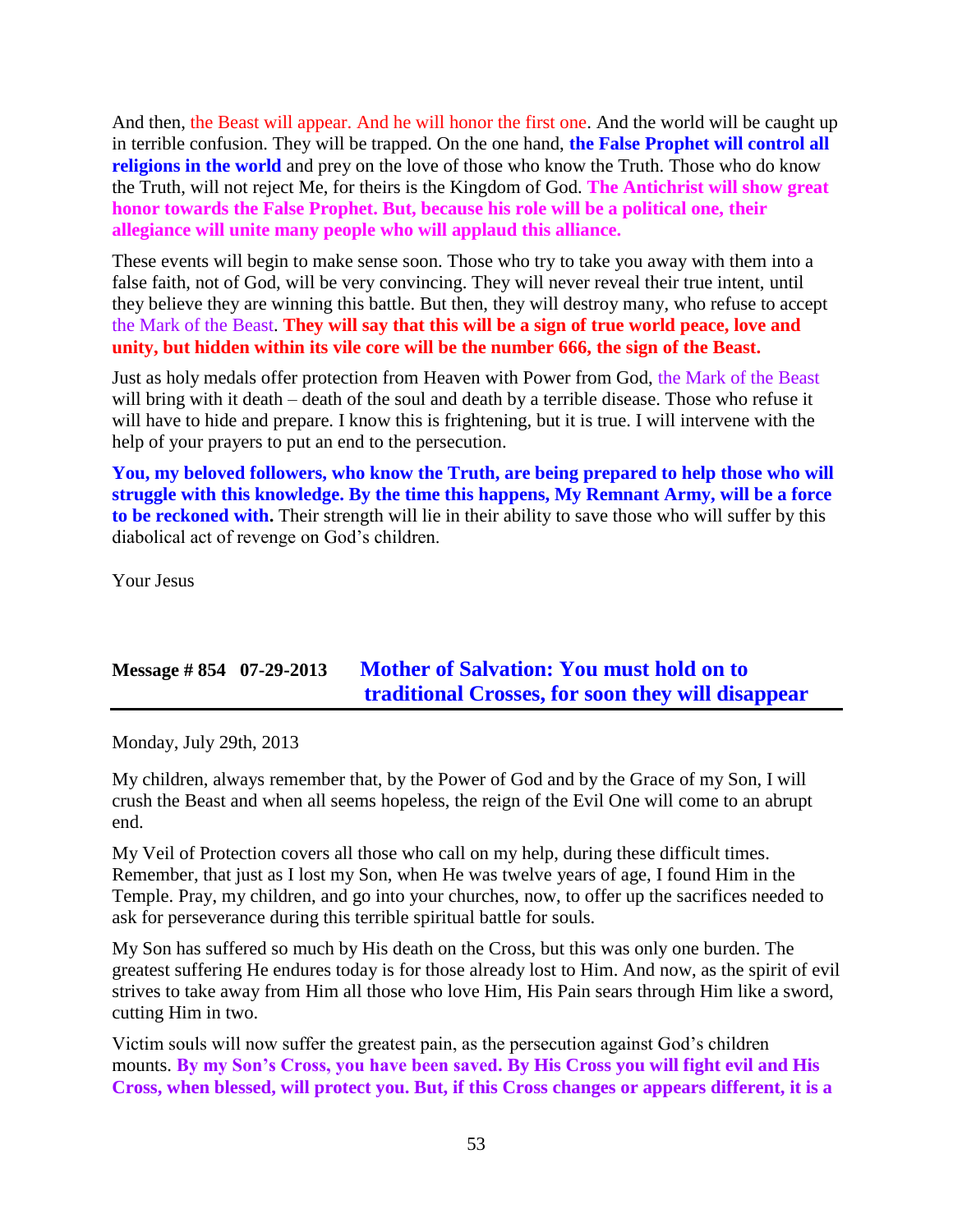And then, the Beast will appear. And he will honor the first one. And the world will be caught up in terrible confusion. They will be trapped. On the one hand, **the False Prophet will control all religions in the world** and prey on the love of those who know the Truth. Those who do know the Truth, will not reject Me, for theirs is the Kingdom of God. **The Antichrist will show great honor towards the False Prophet. But, because his role will be a political one, their allegiance will unite many people who will applaud this alliance.**

These events will begin to make sense soon. Those who try to take you away with them into a false faith, not of God, will be very convincing. They will never reveal their true intent, until they believe they are winning this battle. But then, they will destroy many, who refuse to accept the Mark of the Beast. **They will say that this will be a sign of true world peace, love and unity, but hidden within its vile core will be the number 666, the sign of the Beast.**

Just as holy medals offer protection from Heaven with Power from God, the Mark of the Beast will bring with it death – death of the soul and death by a terrible disease. Those who refuse it will have to hide and prepare. I know this is frightening, but it is true. I will intervene with the help of your prayers to put an end to the persecution.

**You, my beloved followers, who know the Truth, are being prepared to help those who will struggle with this knowledge. By the time this happens, My Remnant Army, will be a force to be reckoned with.** Their strength will lie in their ability to save those who will suffer by this diabolical act of revenge on God's children.

Your Jesus

#### **Message # 854 07-29-2013 [Mother of Salvation: You must hold on to](http://www.thewarningsecondcoming.com/mother-of-salvation-you-must-hold-on-to-traditional-crosses-for-soon-they-will-disappear/)  [traditional Crosses, for soon they will disappear](http://www.thewarningsecondcoming.com/mother-of-salvation-you-must-hold-on-to-traditional-crosses-for-soon-they-will-disappear/)**

Monday, July 29th, 2013

My children, always remember that, by the Power of God and by the Grace of my Son, I will crush the Beast and when all seems hopeless, the reign of the Evil One will come to an abrupt end.

My Veil of Protection covers all those who call on my help, during these difficult times. Remember, that just as I lost my Son, when He was twelve years of age, I found Him in the Temple. Pray, my children, and go into your churches, now, to offer up the sacrifices needed to ask for perseverance during this terrible spiritual battle for souls.

My Son has suffered so much by His death on the Cross, but this was only one burden. The greatest suffering He endures today is for those already lost to Him. And now, as the spirit of evil strives to take away from Him all those who love Him, His Pain sears through Him like a sword, cutting Him in two.

Victim souls will now suffer the greatest pain, as the persecution against God's children mounts. **By my Son's Cross, you have been saved. By His Cross you will fight evil and His Cross, when blessed, will protect you. But, if this Cross changes or appears different, it is a**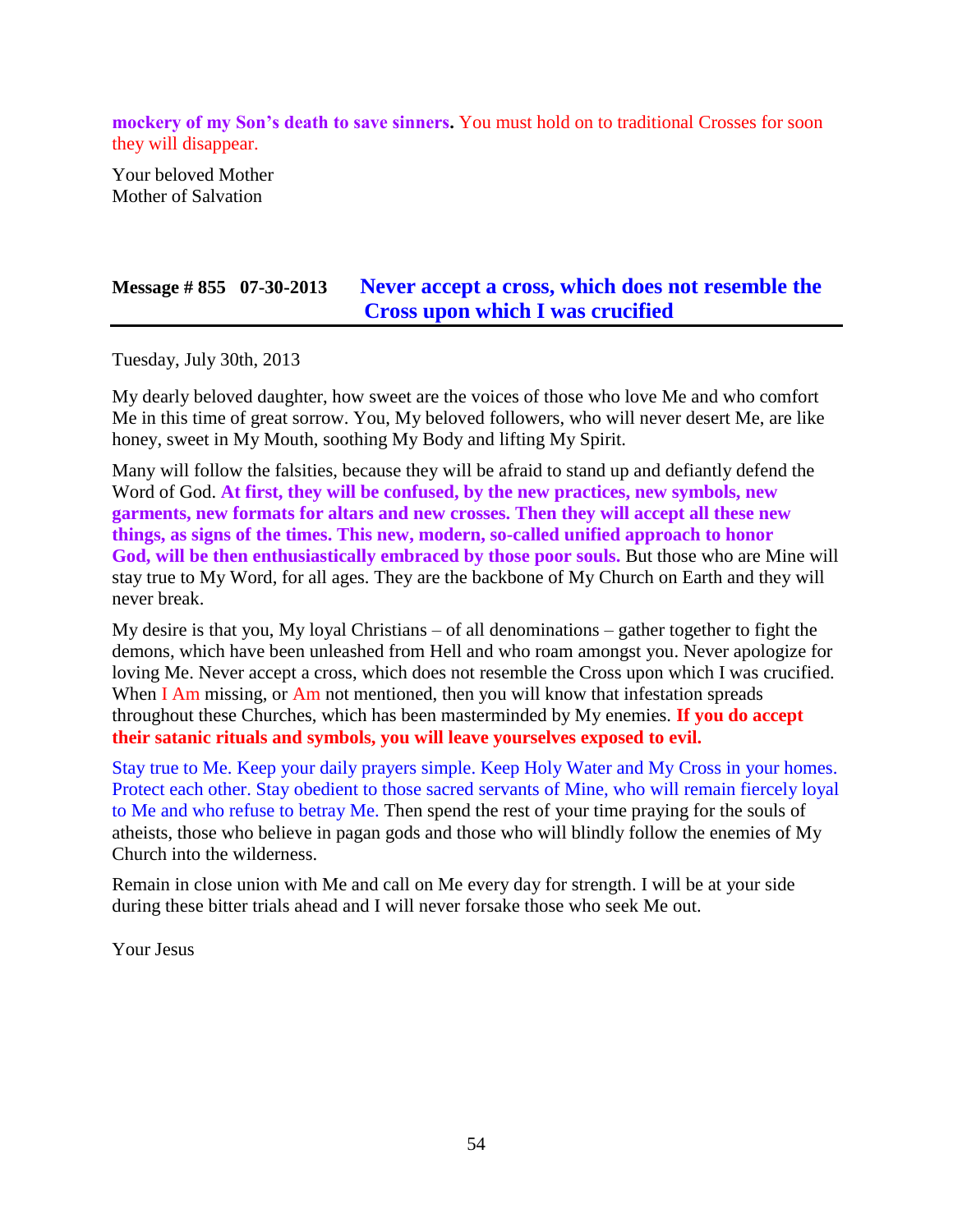**mockery of my Son's death to save sinners.** You must hold on to traditional Crosses for soon they will disappear.

Your beloved Mother Mother of Salvation

### **Message # 855 07-30-2013 [Never accept a cross, which does not resemble the](http://www.thewarningsecondcoming.com/never-accept-a-cross-which-does-not-resemble-the-cross-upon-which-i-was-crucified/)  [Cross upon which I was crucified](http://www.thewarningsecondcoming.com/never-accept-a-cross-which-does-not-resemble-the-cross-upon-which-i-was-crucified/)**

Tuesday, July 30th, 2013

My dearly beloved daughter, how sweet are the voices of those who love Me and who comfort Me in this time of great sorrow. You, My beloved followers, who will never desert Me, are like honey, sweet in My Mouth, soothing My Body and lifting My Spirit.

Many will follow the falsities, because they will be afraid to stand up and defiantly defend the Word of God. **At first, they will be confused, by the new practices, new symbols, new garments, new formats for altars and new crosses. Then they will accept all these new things, as signs of the times. This new, modern, so-called unified approach to honor God, will be then enthusiastically embraced by those poor souls.** But those who are Mine will stay true to My Word, for all ages. They are the backbone of My Church on Earth and they will never break.

My desire is that you, My loyal Christians – of all denominations – gather together to fight the demons, which have been unleashed from Hell and who roam amongst you. Never apologize for loving Me. Never accept a cross, which does not resemble the Cross upon which I was crucified. When I Am missing, or Am not mentioned, then you will know that infestation spreads throughout these Churches, which has been masterminded by My enemies. **If you do accept their satanic rituals and symbols, you will leave yourselves exposed to evil.**

Stay true to Me. Keep your daily prayers simple. Keep Holy Water and My Cross in your homes. Protect each other. Stay obedient to those sacred servants of Mine, who will remain fiercely loyal to Me and who refuse to betray Me. Then spend the rest of your time praying for the souls of atheists, those who believe in pagan gods and those who will blindly follow the enemies of My Church into the wilderness.

Remain in close union with Me and call on Me every day for strength. I will be at your side during these bitter trials ahead and I will never forsake those who seek Me out.

Your Jesus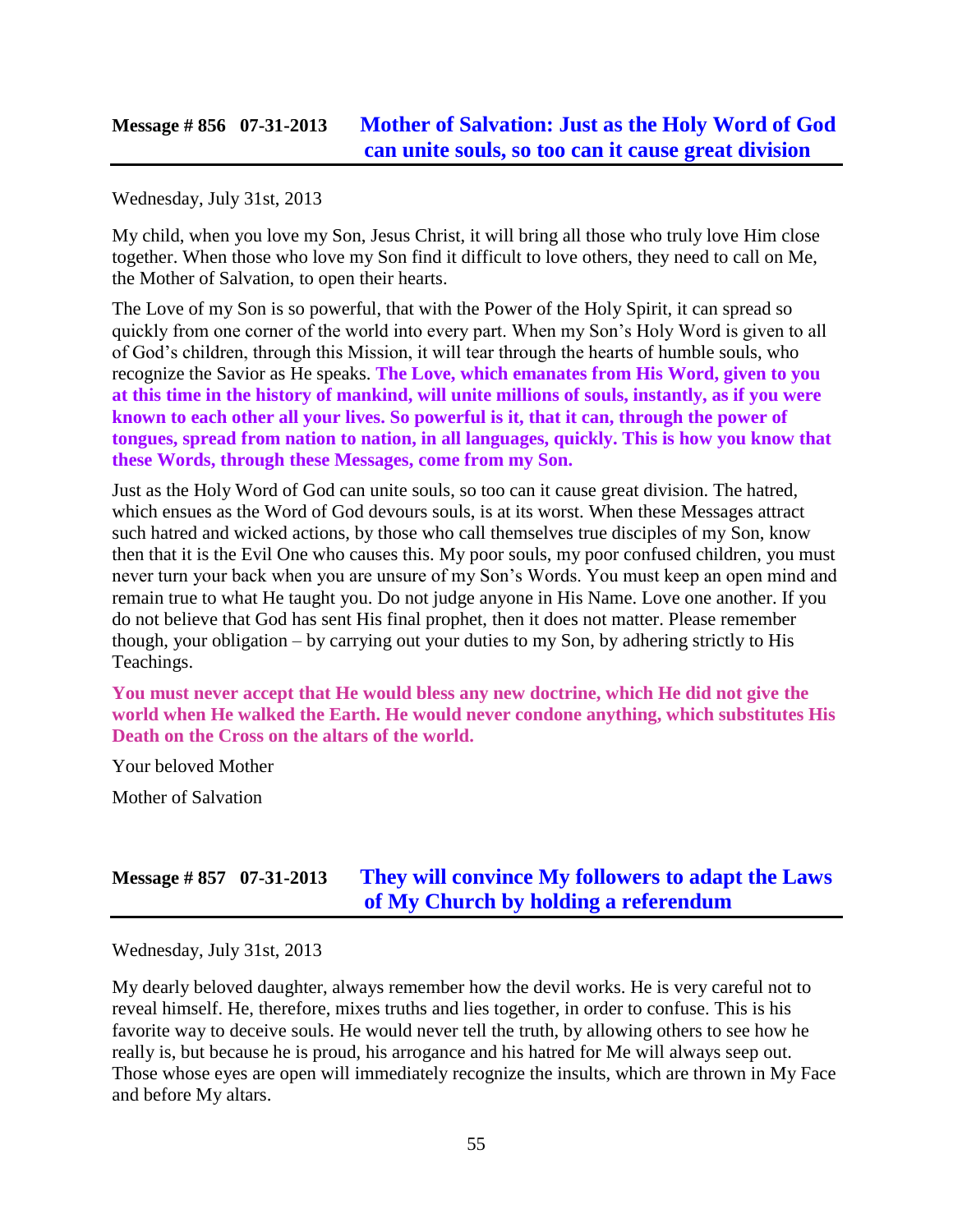#### **Message # 856 07-31-2013 [Mother of Salvation: Just as the Holy Word of God](http://www.thewarningsecondcoming.com/mother-of-salvation-just-as-the-holy-word-of-god-can-unite-souls-so-too-can-it-cause-great-division/)  [can unite souls, so too can it cause great division](http://www.thewarningsecondcoming.com/mother-of-salvation-just-as-the-holy-word-of-god-can-unite-souls-so-too-can-it-cause-great-division/)**

Wednesday, July 31st, 2013

My child, when you love my Son, Jesus Christ, it will bring all those who truly love Him close together. When those who love my Son find it difficult to love others, they need to call on Me, the Mother of Salvation, to open their hearts.

The Love of my Son is so powerful, that with the Power of the Holy Spirit, it can spread so quickly from one corner of the world into every part. When my Son's Holy Word is given to all of God's children, through this Mission, it will tear through the hearts of humble souls, who recognize the Savior as He speaks. **The Love, which emanates from His Word, given to you at this time in the history of mankind, will unite millions of souls, instantly, as if you were known to each other all your lives. So powerful is it, that it can, through the power of tongues, spread from nation to nation, in all languages, quickly. This is how you know that these Words, through these Messages, come from my Son.**

Just as the Holy Word of God can unite souls, so too can it cause great division. The hatred, which ensues as the Word of God devours souls, is at its worst. When these Messages attract such hatred and wicked actions, by those who call themselves true disciples of my Son, know then that it is the Evil One who causes this. My poor souls, my poor confused children, you must never turn your back when you are unsure of my Son's Words. You must keep an open mind and remain true to what He taught you. Do not judge anyone in His Name. Love one another. If you do not believe that God has sent His final prophet, then it does not matter. Please remember though, your obligation – by carrying out your duties to my Son, by adhering strictly to His Teachings.

**You must never accept that He would bless any new doctrine, which He did not give the world when He walked the Earth. He would never condone anything, which substitutes His Death on the Cross on the altars of the world.**

Your beloved Mother

Mother of Salvation

### **Message # 857 07-31-2013 [They will convince My followers to adapt the Laws](http://www.thewarningsecondcoming.com/they-will-convince-my-followers-to-adapt-the-laws-of-my-church-by-holding-a-referendum/)  [of My Church by holding a referendum](http://www.thewarningsecondcoming.com/they-will-convince-my-followers-to-adapt-the-laws-of-my-church-by-holding-a-referendum/)**

Wednesday, July 31st, 2013

My dearly beloved daughter, always remember how the devil works. He is very careful not to reveal himself. He, therefore, mixes truths and lies together, in order to confuse. This is his favorite way to deceive souls. He would never tell the truth, by allowing others to see how he really is, but because he is proud, his arrogance and his hatred for Me will always seep out. Those whose eyes are open will immediately recognize the insults, which are thrown in My Face and before My altars.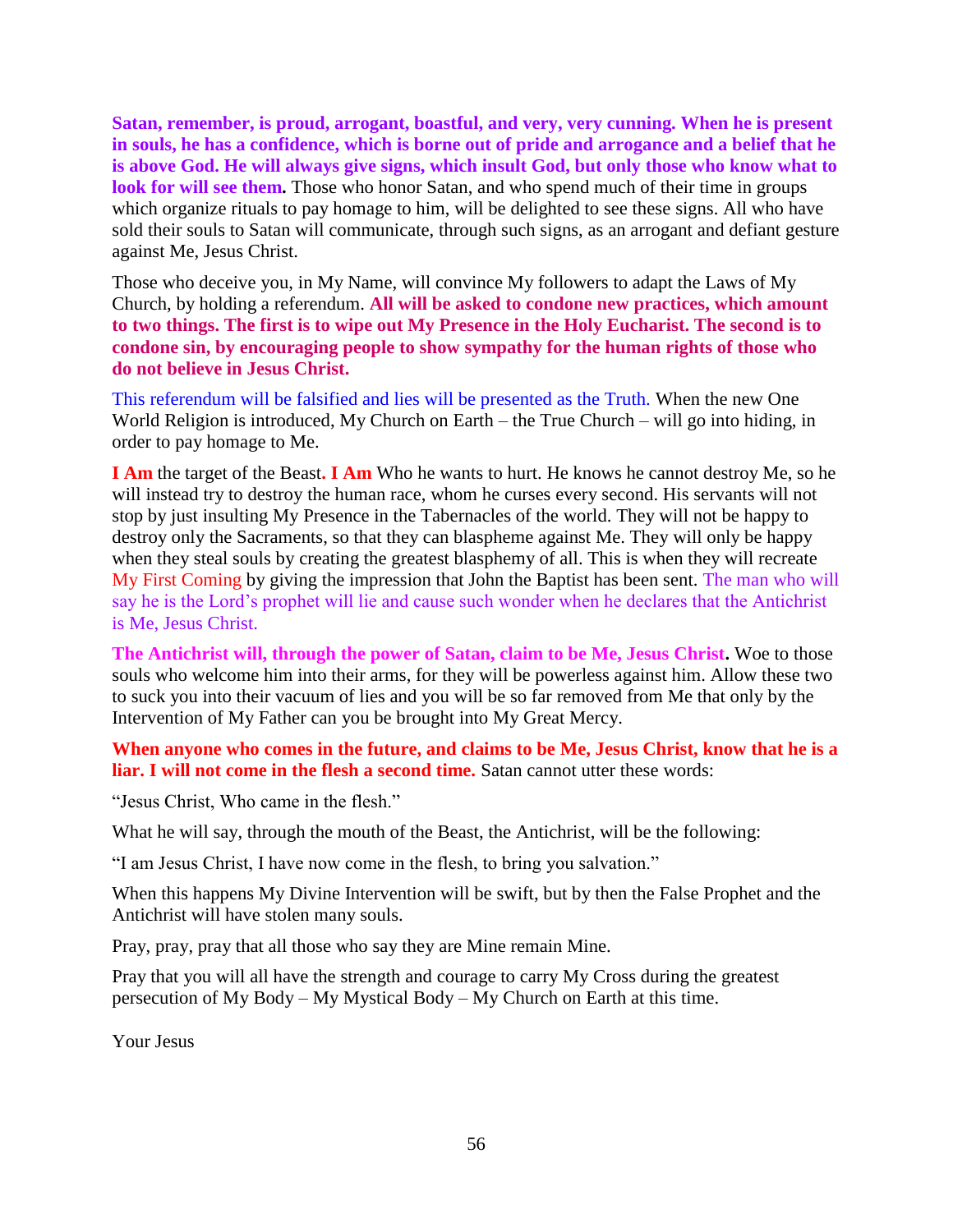**Satan, remember, is proud, arrogant, boastful, and very, very cunning. When he is present in souls, he has a confidence, which is borne out of pride and arrogance and a belief that he is above God. He will always give signs, which insult God, but only those who know what to**  look for will see them. Those who honor Satan, and who spend much of their time in groups which organize rituals to pay homage to him, will be delighted to see these signs. All who have sold their souls to Satan will communicate, through such signs, as an arrogant and defiant gesture against Me, Jesus Christ.

Those who deceive you, in My Name, will convince My followers to adapt the Laws of My Church, by holding a referendum. **All will be asked to condone new practices, which amount to two things. The first is to wipe out My Presence in the Holy Eucharist. The second is to condone sin, by encouraging people to show sympathy for the human rights of those who do not believe in Jesus Christ.**

This referendum will be falsified and lies will be presented as the Truth. When the new One World Religion is introduced, My Church on Earth – the True Church – will go into hiding, in order to pay homage to Me.

**I Am** the target of the Beast. **I Am** Who he wants to hurt. He knows he cannot destroy Me, so he will instead try to destroy the human race, whom he curses every second. His servants will not stop by just insulting My Presence in the Tabernacles of the world. They will not be happy to destroy only the Sacraments, so that they can blaspheme against Me. They will only be happy when they steal souls by creating the greatest blasphemy of all. This is when they will recreate My First Coming by giving the impression that John the Baptist has been sent. The man who will say he is the Lord's prophet will lie and cause such wonder when he declares that the Antichrist is Me, Jesus Christ.

**The Antichrist will, through the power of Satan, claim to be Me, Jesus Christ.** Woe to those souls who welcome him into their arms, for they will be powerless against him. Allow these two to suck you into their vacuum of lies and you will be so far removed from Me that only by the Intervention of My Father can you be brought into My Great Mercy.

**When anyone who comes in the future, and claims to be Me, Jesus Christ, know that he is a liar. I will not come in the flesh a second time.** Satan cannot utter these words:

"Jesus Christ, Who came in the flesh."

What he will say, through the mouth of the Beast, the Antichrist, will be the following:

"I am Jesus Christ, I have now come in the flesh, to bring you salvation."

When this happens My Divine Intervention will be swift, but by then the False Prophet and the Antichrist will have stolen many souls.

Pray, pray, pray that all those who say they are Mine remain Mine.

Pray that you will all have the strength and courage to carry My Cross during the greatest persecution of My Body – My Mystical Body – My Church on Earth at this time.

Your Jesus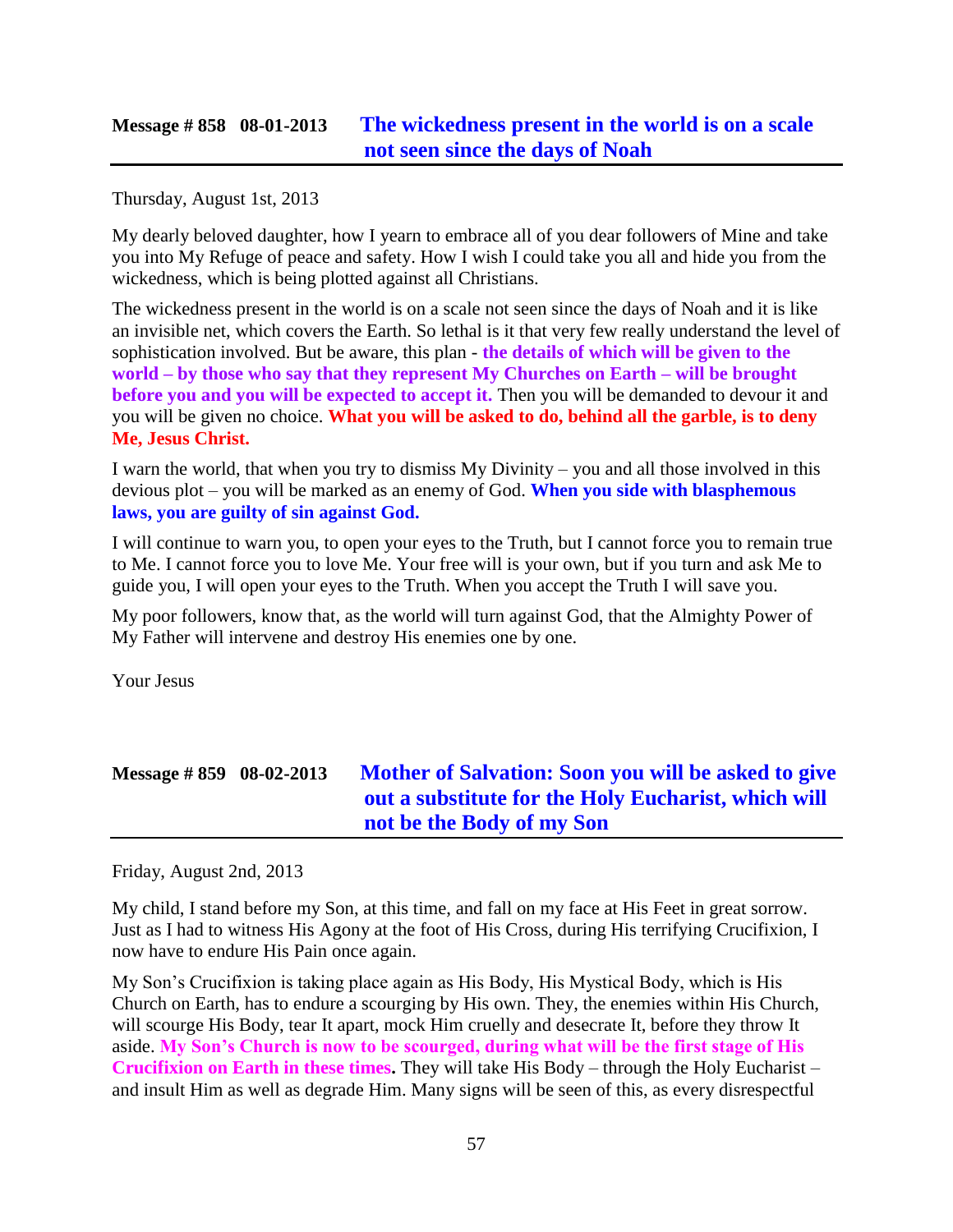#### **Message # 858 08-01-2013 [The wickedness present in the world](http://www.thewarningsecondcoming.com/the-wickedness-present-in-the-world-is-on-a-scale-not-seen-since-the-days-of-noah/) is on a scale [not seen since the days of Noah](http://www.thewarningsecondcoming.com/the-wickedness-present-in-the-world-is-on-a-scale-not-seen-since-the-days-of-noah/)**

Thursday, August 1st, 2013

My dearly beloved daughter, how I yearn to embrace all of you dear followers of Mine and take you into My Refuge of peace and safety. How I wish I could take you all and hide you from the wickedness, which is being plotted against all Christians.

The wickedness present in the world is on a scale not seen since the days of Noah and it is like an invisible net, which covers the Earth. So lethal is it that very few really understand the level of sophistication involved. But be aware, this plan - **the details of which will be given to the world – by those who say that they represent My Churches on Earth – will be brought before you and you will be expected to accept it.** Then you will be demanded to devour it and you will be given no choice. **What you will be asked to do, behind all the garble, is to deny Me, Jesus Christ.**

I warn the world, that when you try to dismiss My Divinity – you and all those involved in this devious plot – you will be marked as an enemy of God. **When you side with blasphemous laws, you are guilty of sin against God.**

I will continue to warn you, to open your eyes to the Truth, but I cannot force you to remain true to Me. I cannot force you to love Me. Your free will is your own, but if you turn and ask Me to guide you, I will open your eyes to the Truth. When you accept the Truth I will save you.

My poor followers, know that, as the world will turn against God, that the Almighty Power of My Father will intervene and destroy His enemies one by one.

Your Jesus

**Message # 859 08-02-2013 [Mother of Salvation: Soon you will be asked to give](http://www.thewarningsecondcoming.com/mother-of-salvation-soon-you-will-be-asked-to-give-out-a-substitute-for-the-holy-eucharist-which-will-not-be-the-body-of-my-son/)  [out a substitute for the Holy Eucharist, which will](http://www.thewarningsecondcoming.com/mother-of-salvation-soon-you-will-be-asked-to-give-out-a-substitute-for-the-holy-eucharist-which-will-not-be-the-body-of-my-son/) [not be the Body of my Son](http://www.thewarningsecondcoming.com/mother-of-salvation-soon-you-will-be-asked-to-give-out-a-substitute-for-the-holy-eucharist-which-will-not-be-the-body-of-my-son/)**

Friday, August 2nd, 2013

My child, I stand before my Son, at this time, and fall on my face at His Feet in great sorrow. Just as I had to witness His Agony at the foot of His Cross, during His terrifying Crucifixion, I now have to endure His Pain once again.

My Son's Crucifixion is taking place again as His Body, His Mystical Body, which is His Church on Earth, has to endure a scourging by His own. They, the enemies within His Church, will scourge His Body, tear It apart, mock Him cruelly and desecrate It, before they throw It aside. **My Son's Church is now to be scourged, during what will be the first stage of His Crucifixion on Earth in these times.** They will take His Body – through the Holy Eucharist – and insult Him as well as degrade Him. Many signs will be seen of this, as every disrespectful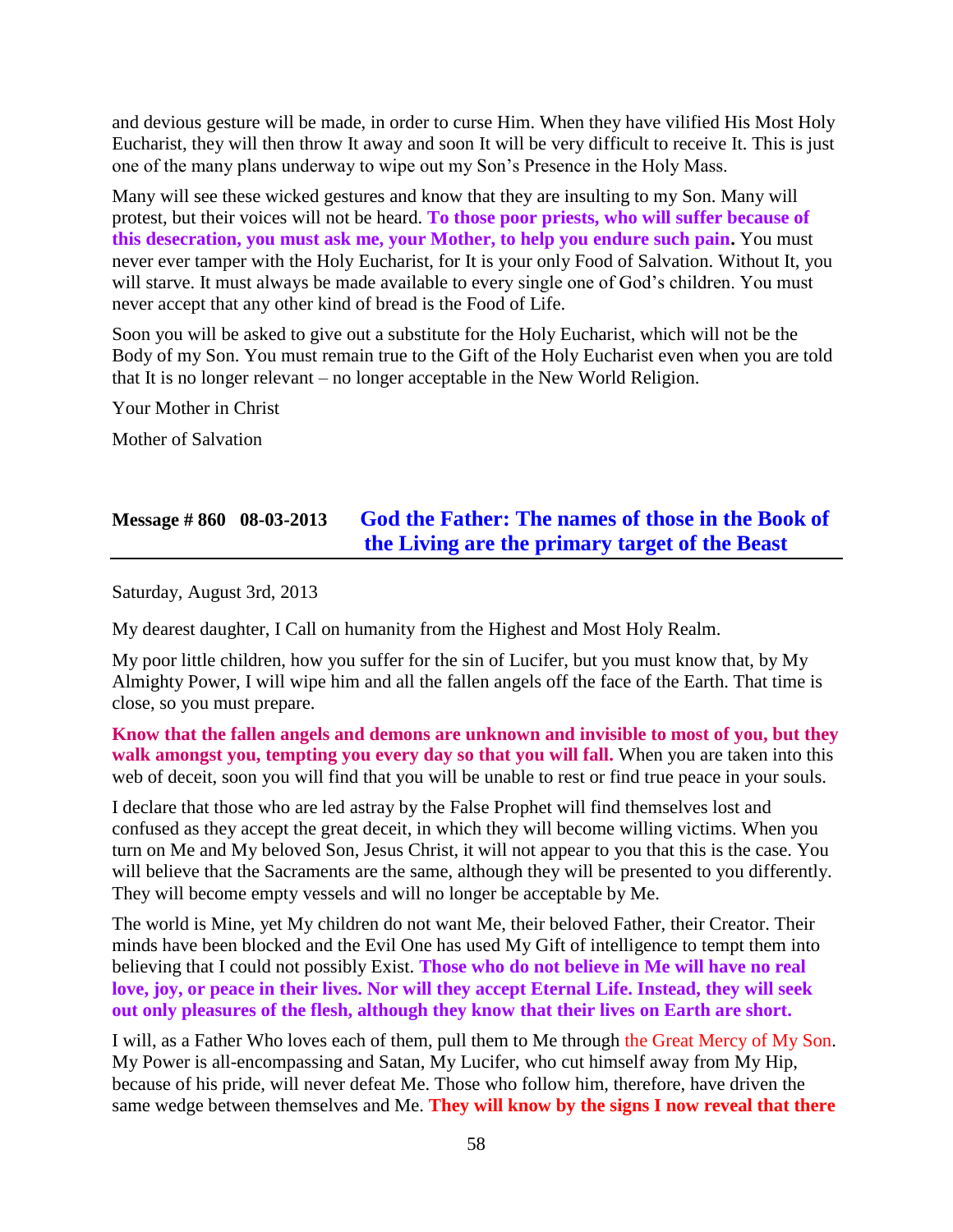and devious gesture will be made, in order to curse Him. When they have vilified His Most Holy Eucharist, they will then throw It away and soon It will be very difficult to receive It. This is just one of the many plans underway to wipe out my Son's Presence in the Holy Mass.

Many will see these wicked gestures and know that they are insulting to my Son. Many will protest, but their voices will not be heard. **To those poor priests, who will suffer because of this desecration, you must ask me, your Mother, to help you endure such pain.** You must never ever tamper with the Holy Eucharist, for It is your only Food of Salvation. Without It, you will starve. It must always be made available to every single one of God's children. You must never accept that any other kind of bread is the Food of Life.

Soon you will be asked to give out a substitute for the Holy Eucharist, which will not be the Body of my Son. You must remain true to the Gift of the Holy Eucharist even when you are told that It is no longer relevant – no longer acceptable in the New World Religion.

Your Mother in Christ

Mother of Salvation

## **Message # 860 08-03-2013 [God the Father: The names of those in the Book of](http://www.thewarningsecondcoming.com/god-the-father-the-names-of-those-in-the-book-of-the-living-are-the-primary-target-of-the-beast/) [the Living are the primary target of the Beast](http://www.thewarningsecondcoming.com/god-the-father-the-names-of-those-in-the-book-of-the-living-are-the-primary-target-of-the-beast/)**

Saturday, August 3rd, 2013

My dearest daughter, I Call on humanity from the Highest and Most Holy Realm.

My poor little children, how you suffer for the sin of Lucifer, but you must know that, by My Almighty Power, I will wipe him and all the fallen angels off the face of the Earth. That time is close, so you must prepare.

**Know that the fallen angels and demons are unknown and invisible to most of you, but they walk amongst you, tempting you every day so that you will fall.** When you are taken into this web of deceit, soon you will find that you will be unable to rest or find true peace in your souls.

I declare that those who are led astray by the False Prophet will find themselves lost and confused as they accept the great deceit, in which they will become willing victims. When you turn on Me and My beloved Son, Jesus Christ, it will not appear to you that this is the case. You will believe that the Sacraments are the same, although they will be presented to you differently. They will become empty vessels and will no longer be acceptable by Me.

The world is Mine, yet My children do not want Me, their beloved Father, their Creator. Their minds have been blocked and the Evil One has used My Gift of intelligence to tempt them into believing that I could not possibly Exist. **Those who do not believe in Me will have no real love, joy, or peace in their lives. Nor will they accept Eternal Life. Instead, they will seek out only pleasures of the flesh, although they know that their lives on Earth are short.**

I will, as a Father Who loves each of them, pull them to Me through the Great Mercy of My Son. My Power is all-encompassing and Satan, My Lucifer, who cut himself away from My Hip, because of his pride, will never defeat Me. Those who follow him, therefore, have driven the same wedge between themselves and Me. **They will know by the signs I now reveal that there**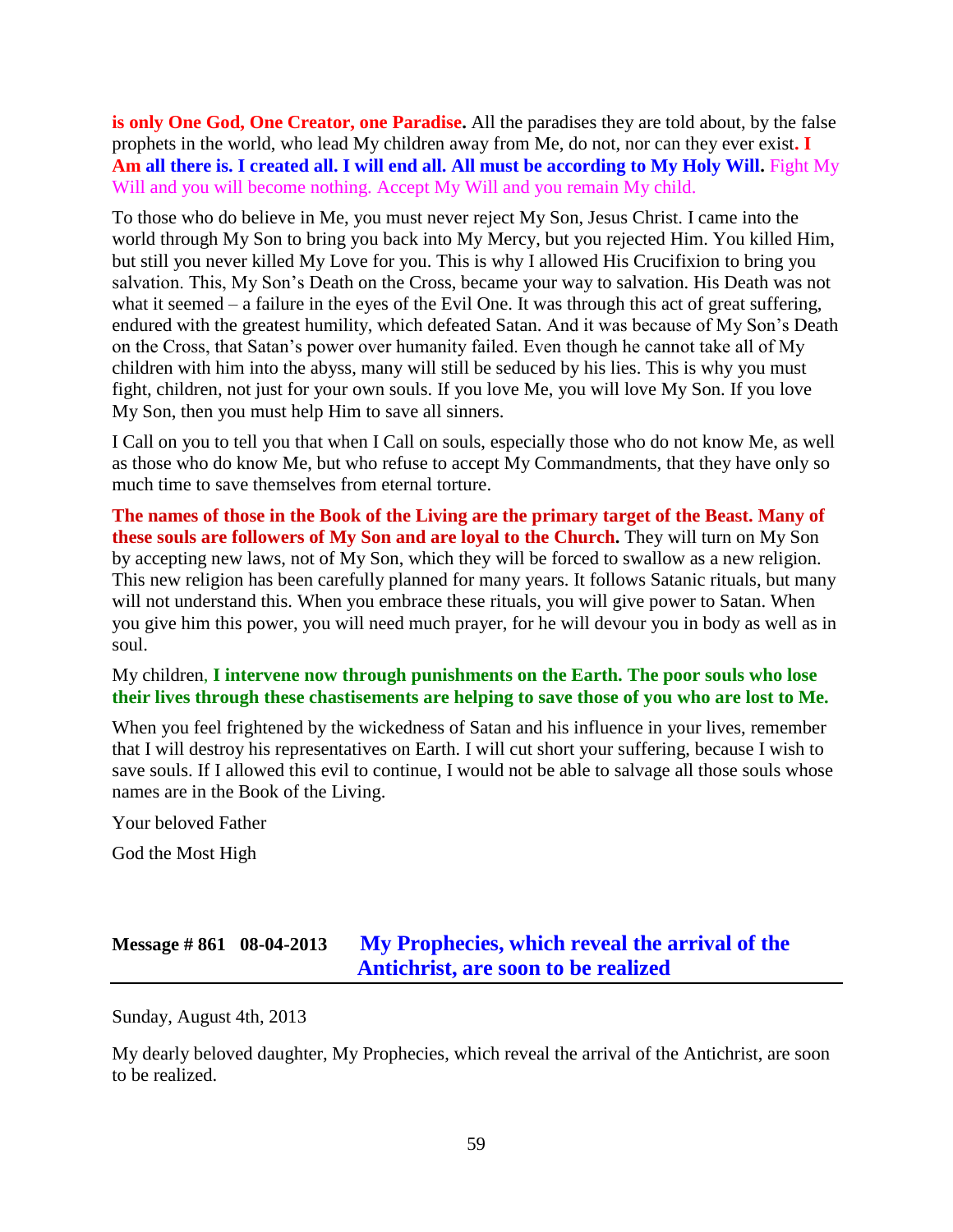**is only One God, One Creator, one Paradise.** All the paradises they are told about, by the false prophets in the world, who lead My children away from Me, do not, nor can they ever exist**. I Am all there is. I created all. I will end all. All must be according to My Holy Will.** Fight My Will and you will become nothing. Accept My Will and you remain My child.

To those who do believe in Me, you must never reject My Son, Jesus Christ. I came into the world through My Son to bring you back into My Mercy, but you rejected Him. You killed Him, but still you never killed My Love for you. This is why I allowed His Crucifixion to bring you salvation. This, My Son's Death on the Cross, became your way to salvation. His Death was not what it seemed – a failure in the eyes of the Evil One. It was through this act of great suffering, endured with the greatest humility, which defeated Satan. And it was because of My Son's Death on the Cross, that Satan's power over humanity failed. Even though he cannot take all of My children with him into the abyss, many will still be seduced by his lies. This is why you must fight, children, not just for your own souls. If you love Me, you will love My Son. If you love My Son, then you must help Him to save all sinners.

I Call on you to tell you that when I Call on souls, especially those who do not know Me, as well as those who do know Me, but who refuse to accept My Commandments, that they have only so much time to save themselves from eternal torture.

**The names of those in the Book of the Living are the primary target of the Beast. Many of these souls are followers of My Son and are loyal to the Church.** They will turn on My Son by accepting new laws, not of My Son, which they will be forced to swallow as a new religion. This new religion has been carefully planned for many years. It follows Satanic rituals, but many will not understand this. When you embrace these rituals, you will give power to Satan. When you give him this power, you will need much prayer, for he will devour you in body as well as in soul.

#### My children, **I intervene now through punishments on the Earth. The poor souls who lose their lives through these chastisements are helping to save those of you who are lost to Me.**

When you feel frightened by the wickedness of Satan and his influence in your lives, remember that I will destroy his representatives on Earth. I will cut short your suffering, because I wish to save souls. If I allowed this evil to continue, I would not be able to salvage all those souls whose names are in the Book of the Living.

Your beloved Father

God the Most High

### **Message # 861 08-04-2013 [My Prophecies, which reveal the arrival of the](http://www.thewarningsecondcoming.com/my-prophecies-which-reveal-the-arrival-of-the-antichrist-are-soon-to-be-realised/)  [Antichrist, are soon to be realized](http://www.thewarningsecondcoming.com/my-prophecies-which-reveal-the-arrival-of-the-antichrist-are-soon-to-be-realised/)**

Sunday, August 4th, 2013

My dearly beloved daughter, My Prophecies, which reveal the arrival of the Antichrist, are soon to be realized.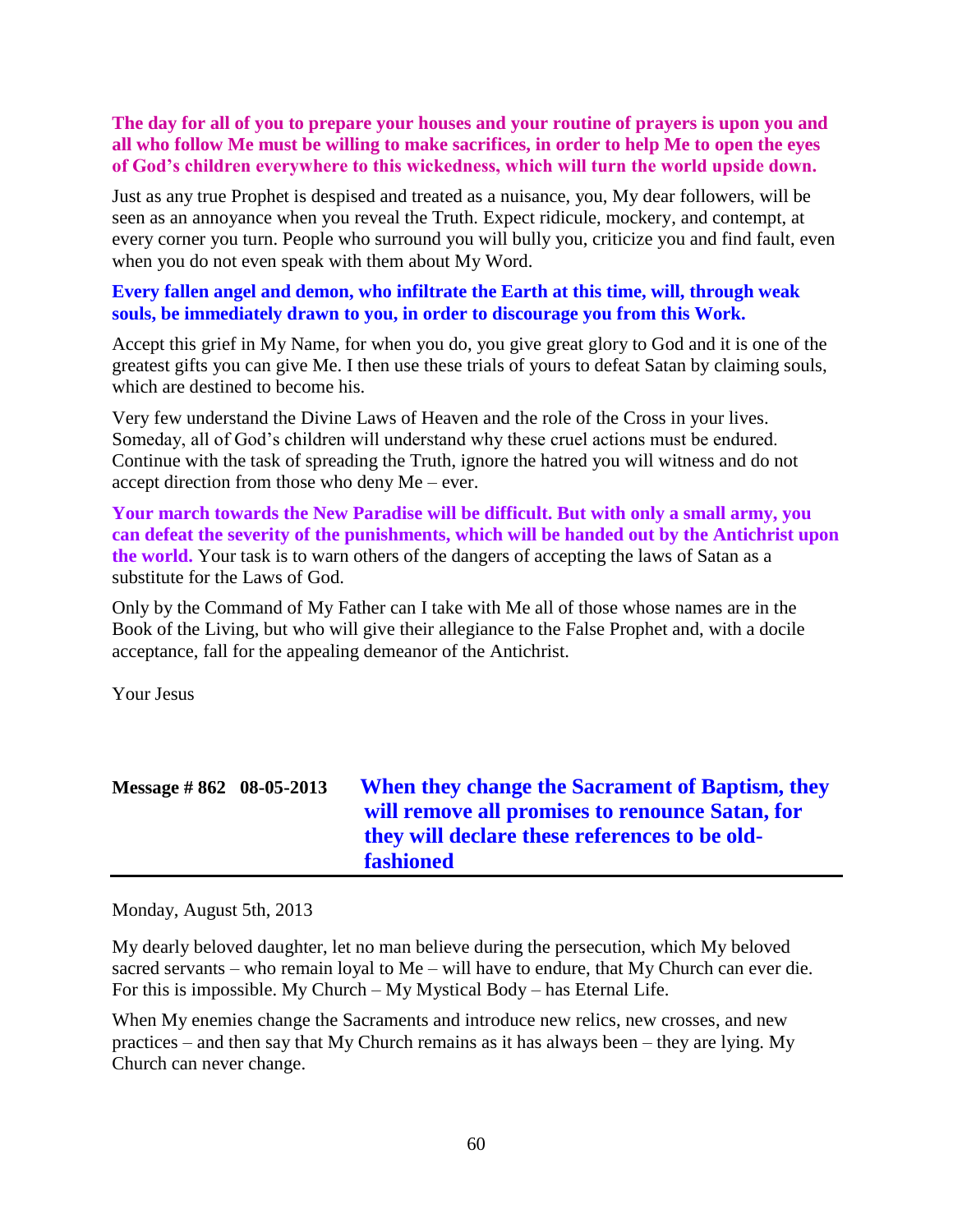#### **The day for all of you to prepare your houses and your routine of prayers is upon you and all who follow Me must be willing to make sacrifices, in order to help Me to open the eyes of God's children everywhere to this wickedness, which will turn the world upside down.**

Just as any true Prophet is despised and treated as a nuisance, you, My dear followers, will be seen as an annoyance when you reveal the Truth. Expect ridicule, mockery, and contempt, at every corner you turn. People who surround you will bully you, criticize you and find fault, even when you do not even speak with them about My Word.

#### **Every fallen angel and demon, who infiltrate the Earth at this time, will, through weak souls, be immediately drawn to you, in order to discourage you from this Work.**

Accept this grief in My Name, for when you do, you give great glory to God and it is one of the greatest gifts you can give Me. I then use these trials of yours to defeat Satan by claiming souls, which are destined to become his.

Very few understand the Divine Laws of Heaven and the role of the Cross in your lives. Someday, all of God's children will understand why these cruel actions must be endured. Continue with the task of spreading the Truth, ignore the hatred you will witness and do not accept direction from those who deny Me – ever.

**Your march towards the New Paradise will be difficult. But with only a small army, you can defeat the severity of the punishments, which will be handed out by the Antichrist upon the world.** Your task is to warn others of the dangers of accepting the laws of Satan as a substitute for the Laws of God.

Only by the Command of My Father can I take with Me all of those whose names are in the Book of the Living, but who will give their allegiance to the False Prophet and, with a docile acceptance, fall for the appealing demeanor of the Antichrist.

Your Jesus

| Message $\# 862 \quad 08-05-2013$ |  | When they change the Sacrament of Baptism, they<br>will remove all promises to renounce Satan, for |
|-----------------------------------|--|----------------------------------------------------------------------------------------------------|
|                                   |  | they will declare these references to be old-                                                      |
|                                   |  | <b>fashioned</b>                                                                                   |

Monday, August 5th, 2013

My dearly beloved daughter, let no man believe during the persecution, which My beloved sacred servants – who remain loyal to Me – will have to endure, that My Church can ever die. For this is impossible. My Church – My Mystical Body – has Eternal Life.

When My enemies change the Sacraments and introduce new relics, new crosses, and new practices – and then say that My Church remains as it has always been – they are lying. My Church can never change.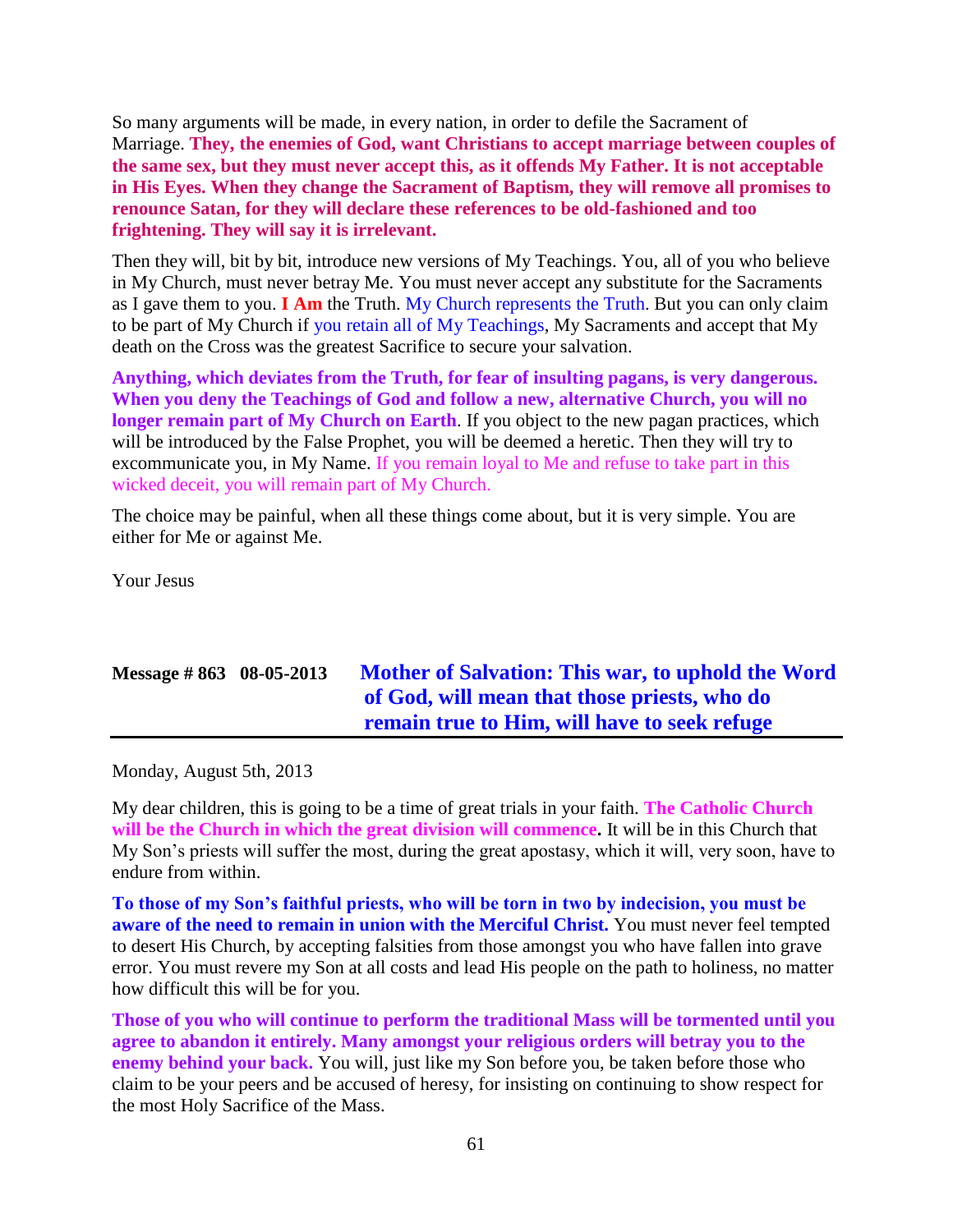So many arguments will be made, in every nation, in order to defile the Sacrament of Marriage. **They, the enemies of God, want Christians to accept marriage between couples of the same sex, but they must never accept this, as it offends My Father. It is not acceptable in His Eyes. When they change the Sacrament of Baptism, they will remove all promises to renounce Satan, for they will declare these references to be old-fashioned and too frightening. They will say it is irrelevant.**

Then they will, bit by bit, introduce new versions of My Teachings. You, all of you who believe in My Church, must never betray Me. You must never accept any substitute for the Sacraments as I gave them to you. **I Am** the Truth. My Church represents the Truth. But you can only claim to be part of My Church if you retain all of My Teachings, My Sacraments and accept that My death on the Cross was the greatest Sacrifice to secure your salvation.

**Anything, which deviates from the Truth, for fear of insulting pagans, is very dangerous. When you deny the Teachings of God and follow a new, alternative Church, you will no longer remain part of My Church on Earth**. If you object to the new pagan practices, which will be introduced by the False Prophet, you will be deemed a heretic. Then they will try to excommunicate you, in My Name. If you remain loyal to Me and refuse to take part in this wicked deceit, you will remain part of My Church.

The choice may be painful, when all these things come about, but it is very simple. You are either for Me or against Me.

Your Jesus

## **Message # 863 08-05-2013 [Mother of Salvation: This war, to uphold the Word](http://www.thewarningsecondcoming.com/mother-of-salvation-this-war-to-uphold-the-word-of-god-will-mean-that-those-priests-who-do-remain-true-to-him-will-have-to-seek-refuge/)  of God, will mean [that those priests, who do](http://www.thewarningsecondcoming.com/mother-of-salvation-this-war-to-uphold-the-word-of-god-will-mean-that-those-priests-who-do-remain-true-to-him-will-have-to-seek-refuge/)  [remain true to Him, will have to seek refuge](http://www.thewarningsecondcoming.com/mother-of-salvation-this-war-to-uphold-the-word-of-god-will-mean-that-those-priests-who-do-remain-true-to-him-will-have-to-seek-refuge/)**

Monday, August 5th, 2013

My dear children, this is going to be a time of great trials in your faith. **The Catholic Church will be the Church in which the great division will commence.** It will be in this Church that My Son's priests will suffer the most, during the great apostasy, which it will, very soon, have to endure from within.

**To those of my Son's faithful priests, who will be torn in two by indecision, you must be aware of the need to remain in union with the Merciful Christ.** You must never feel tempted to desert His Church, by accepting falsities from those amongst you who have fallen into grave error. You must revere my Son at all costs and lead His people on the path to holiness, no matter how difficult this will be for you.

**Those of you who will continue to perform the traditional Mass will be tormented until you agree to abandon it entirely. Many amongst your religious orders will betray you to the enemy behind your back.** You will, just like my Son before you, be taken before those who claim to be your peers and be accused of heresy, for insisting on continuing to show respect for the most Holy Sacrifice of the Mass.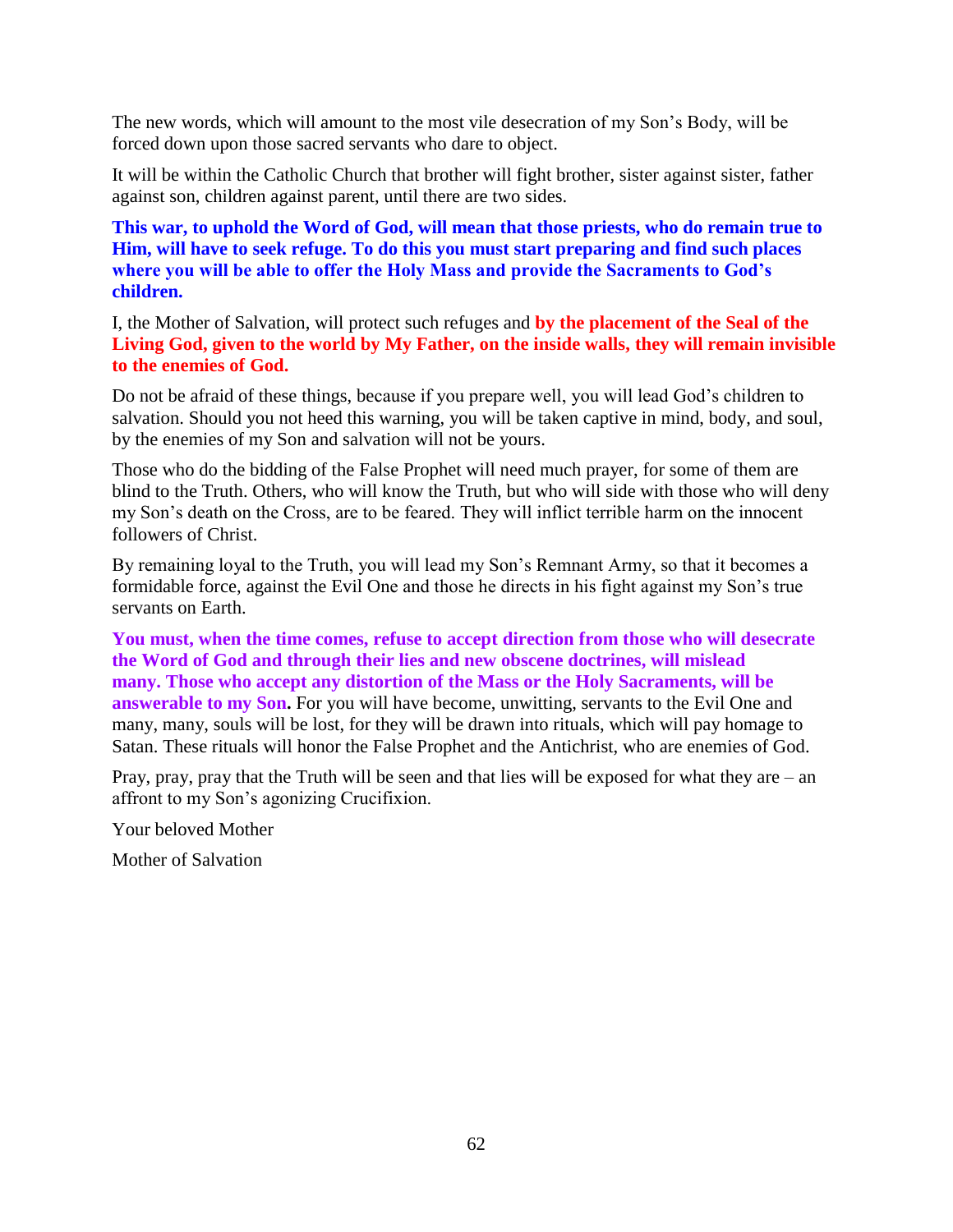The new words, which will amount to the most vile desecration of my Son's Body, will be forced down upon those sacred servants who dare to object.

It will be within the Catholic Church that brother will fight brother, sister against sister, father against son, children against parent, until there are two sides.

**This war, to uphold the Word of God, will mean that those priests, who do remain true to Him, will have to seek refuge. To do this you must start preparing and find such places where you will be able to offer the Holy Mass and provide the Sacraments to God's children.**

I, the Mother of Salvation, will protect such refuges and **by the placement of the Seal of the Living God, given to the world by My Father, on the inside walls, they will remain invisible to the enemies of God.**

Do not be afraid of these things, because if you prepare well, you will lead God's children to salvation. Should you not heed this warning, you will be taken captive in mind, body, and soul, by the enemies of my Son and salvation will not be yours.

Those who do the bidding of the False Prophet will need much prayer, for some of them are blind to the Truth. Others, who will know the Truth, but who will side with those who will deny my Son's death on the Cross, are to be feared. They will inflict terrible harm on the innocent followers of Christ.

By remaining loyal to the Truth, you will lead my Son's Remnant Army, so that it becomes a formidable force, against the Evil One and those he directs in his fight against my Son's true servants on Earth.

**You must, when the time comes, refuse to accept direction from those who will desecrate the Word of God and through their lies and new obscene doctrines, will mislead many. Those who accept any distortion of the Mass or the Holy Sacraments, will be answerable to my Son.** For you will have become, unwitting, servants to the Evil One and many, many, souls will be lost, for they will be drawn into rituals, which will pay homage to Satan. These rituals will honor the False Prophet and the Antichrist, who are enemies of God.

Pray, pray, pray that the Truth will be seen and that lies will be exposed for what they are – an affront to my Son's agonizing Crucifixion.

Your beloved Mother

Mother of Salvation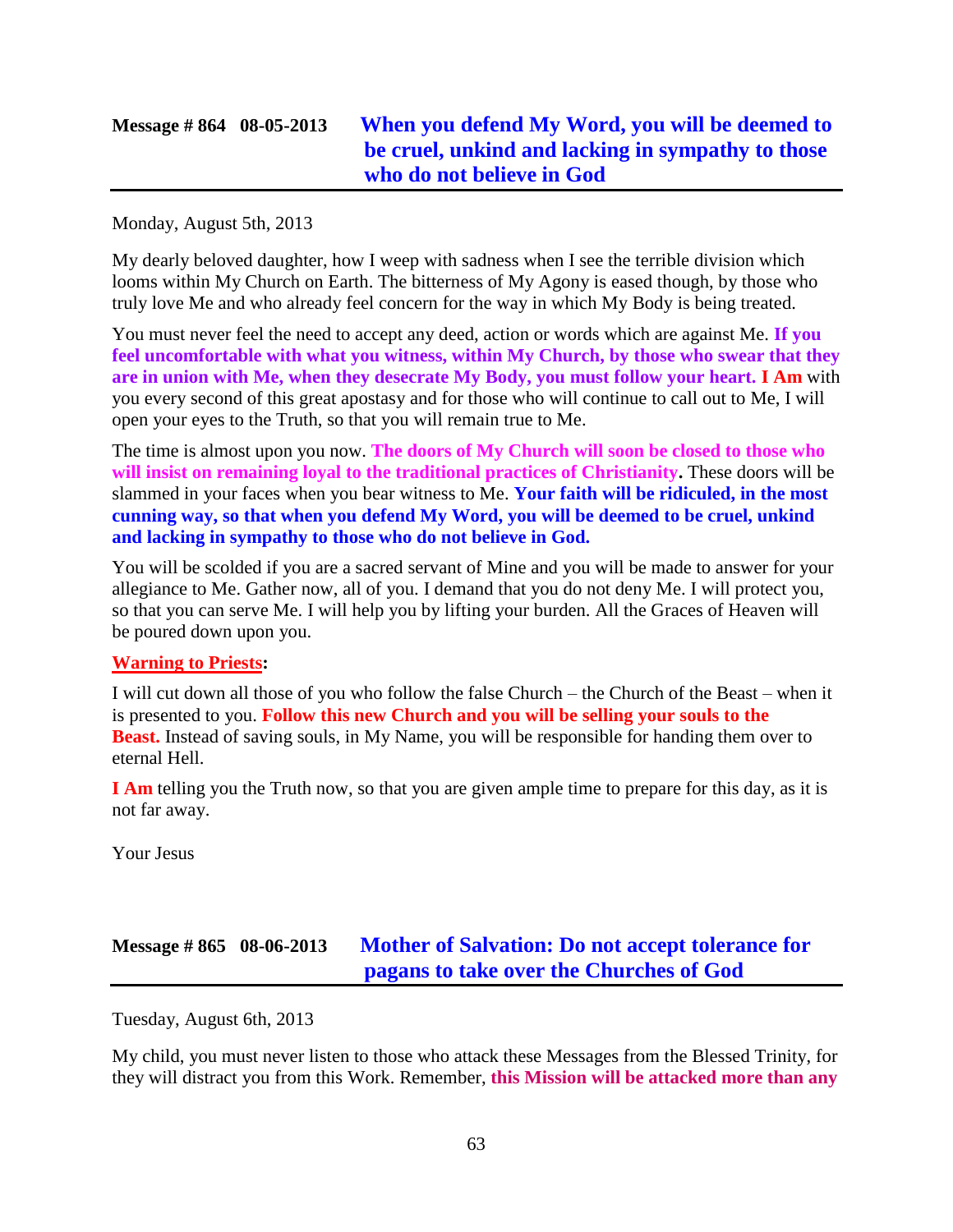# **Message # 864 08-05-2013 [When you defend My Word, you will be deemed to](http://www.thewarningsecondcoming.com/when-you-defend-my-word-you-will-be-deemed-to-be-cruel-unkind-and-lacking-in-sympathy-to-those-who-do-not-believe-in-god/)  [be cruel, unkind and lacking in sympathy to those](http://www.thewarningsecondcoming.com/when-you-defend-my-word-you-will-be-deemed-to-be-cruel-unkind-and-lacking-in-sympathy-to-those-who-do-not-believe-in-god/)  [who do not believe in God](http://www.thewarningsecondcoming.com/when-you-defend-my-word-you-will-be-deemed-to-be-cruel-unkind-and-lacking-in-sympathy-to-those-who-do-not-believe-in-god/)**

#### Monday, August 5th, 2013

My dearly beloved daughter, how I weep with sadness when I see the terrible division which looms within My Church on Earth. The bitterness of My Agony is eased though, by those who truly love Me and who already feel concern for the way in which My Body is being treated.

You must never feel the need to accept any deed, action or words which are against Me. **If you feel uncomfortable with what you witness, within My Church, by those who swear that they are in union with Me, when they desecrate My Body, you must follow your heart. I Am** with you every second of this great apostasy and for those who will continue to call out to Me, I will open your eyes to the Truth, so that you will remain true to Me.

The time is almost upon you now. **The doors of My Church will soon be closed to those who will insist on remaining loyal to the traditional practices of Christianity.** These doors will be slammed in your faces when you bear witness to Me. **Your faith will be ridiculed, in the most cunning way, so that when you defend My Word, you will be deemed to be cruel, unkind and lacking in sympathy to those who do not believe in God.**

You will be scolded if you are a sacred servant of Mine and you will be made to answer for your allegiance to Me. Gather now, all of you. I demand that you do not deny Me. I will protect you, so that you can serve Me. I will help you by lifting your burden. All the Graces of Heaven will be poured down upon you.

#### **Warning to Priests:**

I will cut down all those of you who follow the false Church – the Church of the Beast – when it is presented to you. **Follow this new Church and you will be selling your souls to the Beast.** Instead of saving souls, in My Name, you will be responsible for handing them over to eternal Hell.

**I Am** telling you the Truth now, so that you are given ample time to prepare for this day, as it is not far away.

Your Jesus

## **Message # 865 08-06-2013 [Mother of Salvation: Do not accept tolerance for](http://www.thewarningsecondcoming.com/mother-of-salvation-do-not-accept-tolerance-for-pagans-to-take-over-the-churches-of-god/)  [pagans to take over the Churches of God](http://www.thewarningsecondcoming.com/mother-of-salvation-do-not-accept-tolerance-for-pagans-to-take-over-the-churches-of-god/)**

Tuesday, August 6th, 2013

My child, you must never listen to those who attack these Messages from the Blessed Trinity, for they will distract you from this Work. Remember, **this Mission will be attacked more than any**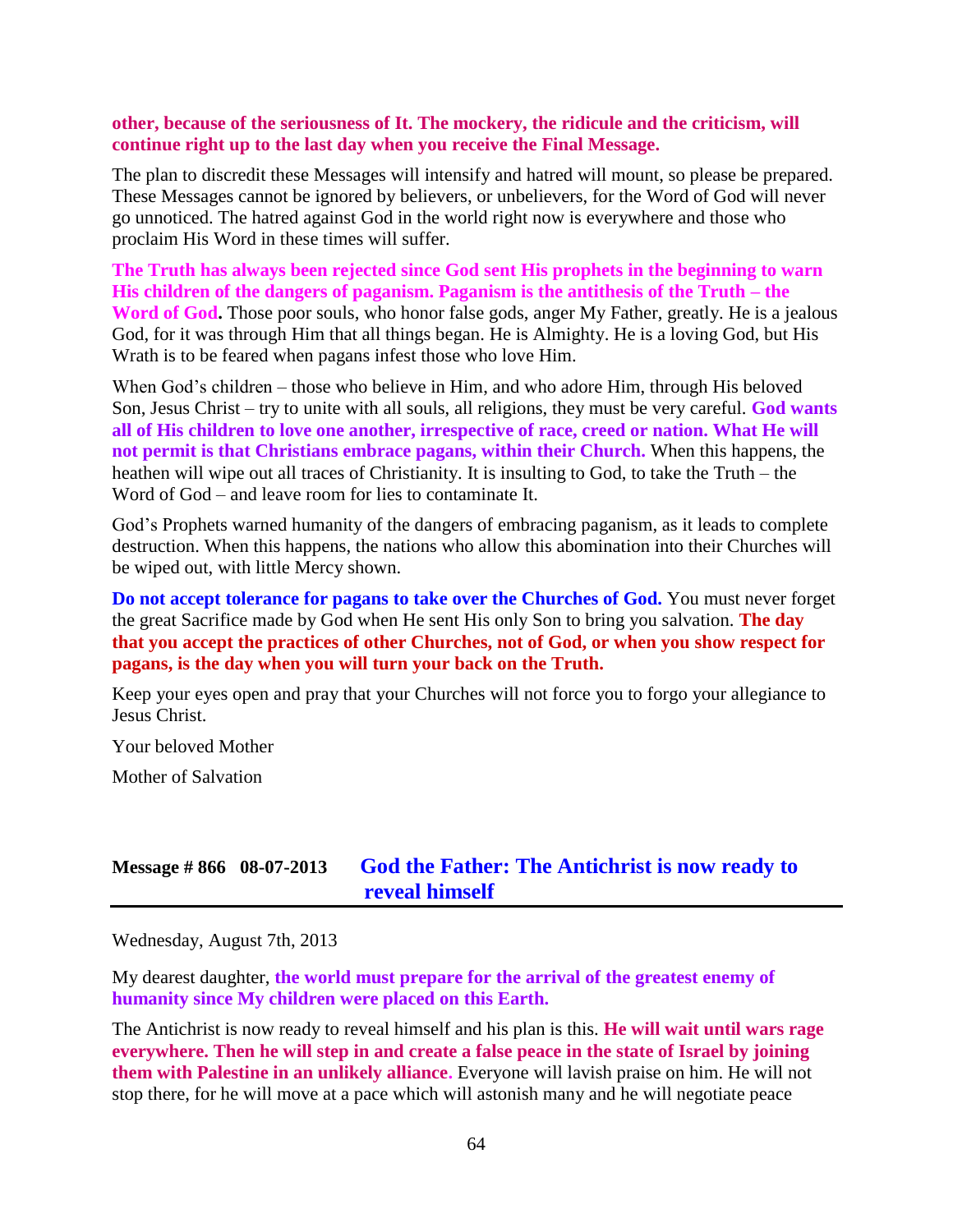#### **other, because of the seriousness of It. The mockery, the ridicule and the criticism, will continue right up to the last day when you receive the Final Message.**

The plan to discredit these Messages will intensify and hatred will mount, so please be prepared. These Messages cannot be ignored by believers, or unbelievers, for the Word of God will never go unnoticed. The hatred against God in the world right now is everywhere and those who proclaim His Word in these times will suffer.

**The Truth has always been rejected since God sent His prophets in the beginning to warn His children of the dangers of paganism. Paganism is the antithesis of the Truth – the Word of God.** Those poor souls, who honor false gods, anger My Father, greatly. He is a jealous God, for it was through Him that all things began. He is Almighty. He is a loving God, but His Wrath is to be feared when pagans infest those who love Him.

When God's children – those who believe in Him, and who adore Him, through His beloved Son, Jesus Christ – try to unite with all souls, all religions, they must be very careful. **God wants all of His children to love one another, irrespective of race, creed or nation. What He will not permit is that Christians embrace pagans, within their Church.** When this happens, the heathen will wipe out all traces of Christianity. It is insulting to God, to take the Truth – the Word of God – and leave room for lies to contaminate It.

God's Prophets warned humanity of the dangers of embracing paganism, as it leads to complete destruction. When this happens, the nations who allow this abomination into their Churches will be wiped out, with little Mercy shown.

**Do not accept tolerance for pagans to take over the Churches of God.** You must never forget the great Sacrifice made by God when He sent His only Son to bring you salvation. **The day that you accept the practices of other Churches, not of God, or when you show respect for pagans, is the day when you will turn your back on the Truth.**

Keep your eyes open and pray that your Churches will not force you to forgo your allegiance to Jesus Christ.

Your beloved Mother

Mother of Salvation

### **Message # 866 08-07-2013 [God the Father: The Antichrist is now ready to](http://www.thewarningsecondcoming.com/god-the-father-the-antichrist-is-now-ready-to-reveal-himself/)  [reveal himself](http://www.thewarningsecondcoming.com/god-the-father-the-antichrist-is-now-ready-to-reveal-himself/)**

Wednesday, August 7th, 2013

My dearest daughter, **the world must prepare for the arrival of the greatest enemy of humanity since My children were placed on this Earth.**

The Antichrist is now ready to reveal himself and his plan is this. **He will wait until wars rage everywhere. Then he will step in and create a false peace in the state of Israel by joining them with Palestine in an unlikely alliance.** Everyone will lavish praise on him. He will not stop there, for he will move at a pace which will astonish many and he will negotiate peace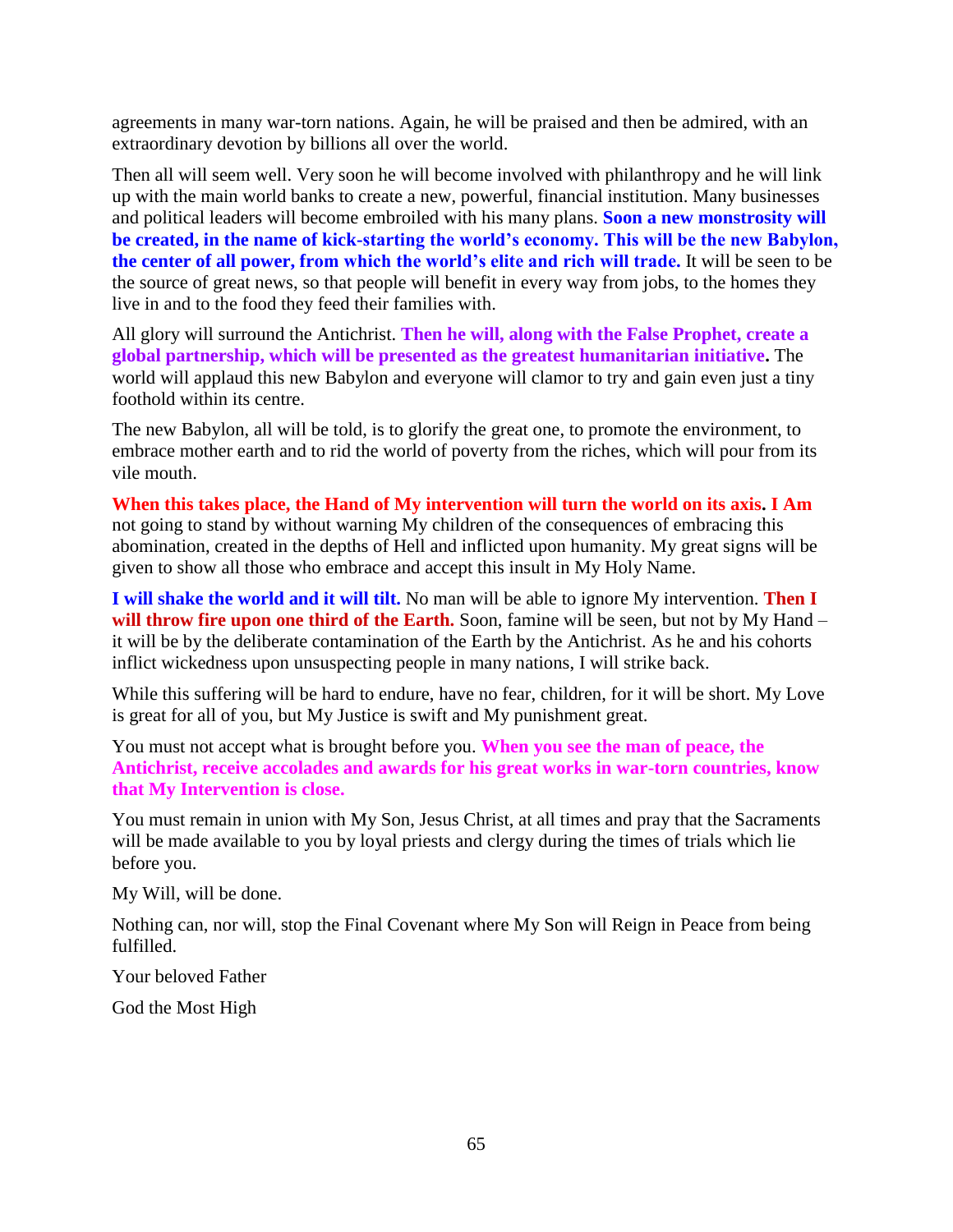agreements in many war-torn nations. Again, he will be praised and then be admired, with an extraordinary devotion by billions all over the world.

Then all will seem well. Very soon he will become involved with philanthropy and he will link up with the main world banks to create a new, powerful, financial institution. Many businesses and political leaders will become embroiled with his many plans. **Soon a new monstrosity will be created, in the name of kick-starting the world's economy. This will be the new Babylon, the center of all power, from which the world's elite and rich will trade.** It will be seen to be the source of great news, so that people will benefit in every way from jobs, to the homes they live in and to the food they feed their families with.

All glory will surround the Antichrist. **Then he will, along with the False Prophet, create a global partnership, which will be presented as the greatest humanitarian initiative.** The world will applaud this new Babylon and everyone will clamor to try and gain even just a tiny foothold within its centre.

The new Babylon, all will be told, is to glorify the great one, to promote the environment, to embrace mother earth and to rid the world of poverty from the riches, which will pour from its vile mouth.

**When this takes place, the Hand of My intervention will turn the world on its axis. I Am** not going to stand by without warning My children of the consequences of embracing this abomination, created in the depths of Hell and inflicted upon humanity. My great signs will be given to show all those who embrace and accept this insult in My Holy Name.

**I will shake the world and it will tilt.** No man will be able to ignore My intervention. **Then I**  will throw fire upon one third of the Earth. Soon, famine will be seen, but not by My Hand – it will be by the deliberate contamination of the Earth by the Antichrist. As he and his cohorts inflict wickedness upon unsuspecting people in many nations, I will strike back.

While this suffering will be hard to endure, have no fear, children, for it will be short. My Love is great for all of you, but My Justice is swift and My punishment great.

You must not accept what is brought before you. **When you see the man of peace, the Antichrist, receive accolades and awards for his great works in war-torn countries, know that My Intervention is close.**

You must remain in union with My Son, Jesus Christ, at all times and pray that the Sacraments will be made available to you by loyal priests and clergy during the times of trials which lie before you.

My Will, will be done.

Nothing can, nor will, stop the Final Covenant where My Son will Reign in Peace from being fulfilled.

Your beloved Father

God the Most High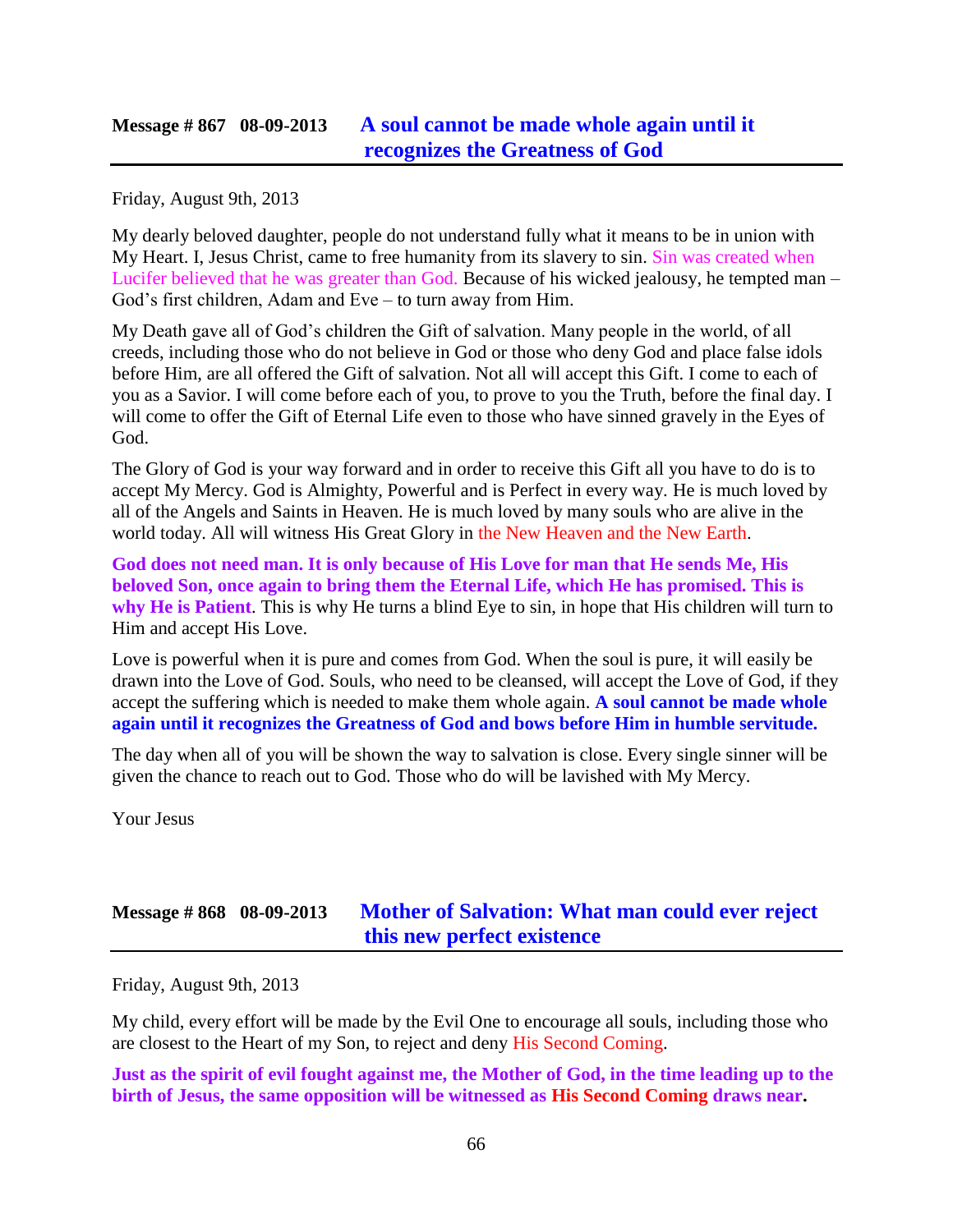Friday, August 9th, 2013

My dearly beloved daughter, people do not understand fully what it means to be in union with My Heart. I, Jesus Christ, came to free humanity from its slavery to sin. Sin was created when Lucifer believed that he was greater than God. Because of his wicked jealousy, he tempted man – God's first children, Adam and Eve – to turn away from Him.

My Death gave all of God's children the Gift of salvation. Many people in the world, of all creeds, including those who do not believe in God or those who deny God and place false idols before Him, are all offered the Gift of salvation. Not all will accept this Gift. I come to each of you as a Savior. I will come before each of you, to prove to you the Truth, before the final day. I will come to offer the Gift of Eternal Life even to those who have sinned gravely in the Eyes of God.

The Glory of God is your way forward and in order to receive this Gift all you have to do is to accept My Mercy. God is Almighty, Powerful and is Perfect in every way. He is much loved by all of the Angels and Saints in Heaven. He is much loved by many souls who are alive in the world today. All will witness His Great Glory in the New Heaven and the New Earth.

**God does not need man. It is only because of His Love for man that He sends Me, His beloved Son, once again to bring them the Eternal Life, which He has promised. This is why He is Patient**. This is why He turns a blind Eye to sin, in hope that His children will turn to Him and accept His Love.

Love is powerful when it is pure and comes from God. When the soul is pure, it will easily be drawn into the Love of God. Souls, who need to be cleansed, will accept the Love of God, if they accept the suffering which is needed to make them whole again. **A soul cannot be made whole again until it recognizes the Greatness of God and bows before Him in humble servitude.**

The day when all of you will be shown the way to salvation is close. Every single sinner will be given the chance to reach out to God. Those who do will be lavished with My Mercy.

Your Jesus

# **Message # 868 08-09-2013 [Mother of Salvation: What man could ever reject](http://www.thewarningsecondcoming.com/mother-of-salvation-what-man-could-ever-reject-this-new-perfect-existence/)  [this new perfect existence](http://www.thewarningsecondcoming.com/mother-of-salvation-what-man-could-ever-reject-this-new-perfect-existence/)**

Friday, August 9th, 2013

My child, every effort will be made by the Evil One to encourage all souls, including those who are closest to the Heart of my Son, to reject and deny His Second Coming.

**Just as the spirit of evil fought against me, the Mother of God, in the time leading up to the birth of Jesus, the same opposition will be witnessed as His Second Coming draws near.**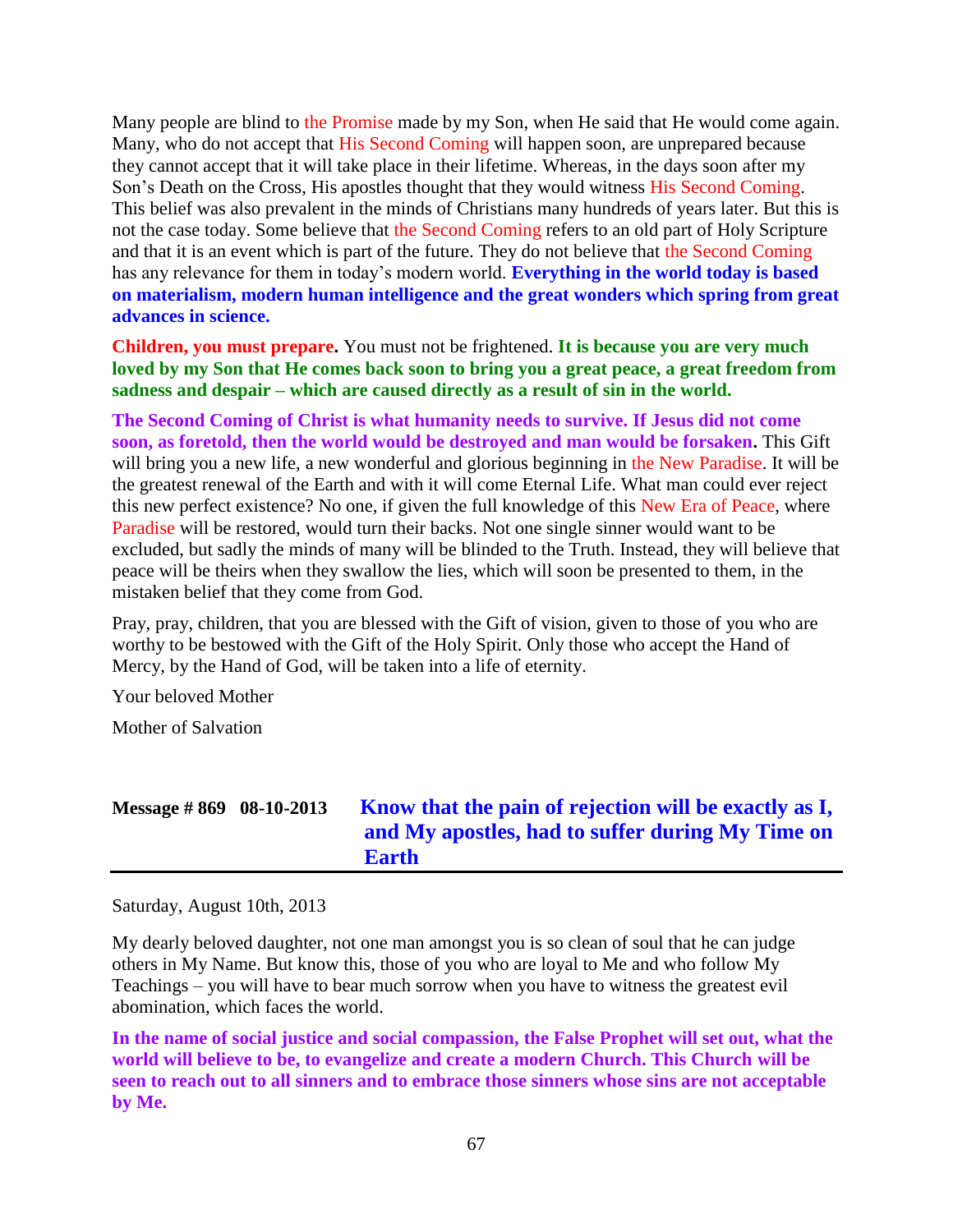Many people are blind to the Promise made by my Son, when He said that He would come again. Many, who do not accept that His Second Coming will happen soon, are unprepared because they cannot accept that it will take place in their lifetime. Whereas, in the days soon after my Son's Death on the Cross, His apostles thought that they would witness His Second Coming. This belief was also prevalent in the minds of Christians many hundreds of years later. But this is not the case today. Some believe that the Second Coming refers to an old part of Holy Scripture and that it is an event which is part of the future. They do not believe that the Second Coming has any relevance for them in today's modern world. **Everything in the world today is based on materialism, modern human intelligence and the great wonders which spring from great advances in science.**

**Children, you must prepare.** You must not be frightened. **It is because you are very much loved by my Son that He comes back soon to bring you a great peace, a great freedom from sadness and despair – which are caused directly as a result of sin in the world.**

**The Second Coming of Christ is what humanity needs to survive. If Jesus did not come soon, as foretold, then the world would be destroyed and man would be forsaken.** This Gift will bring you a new life, a new wonderful and glorious beginning in the New Paradise. It will be the greatest renewal of the Earth and with it will come Eternal Life. What man could ever reject this new perfect existence? No one, if given the full knowledge of this New Era of Peace, where Paradise will be restored, would turn their backs. Not one single sinner would want to be excluded, but sadly the minds of many will be blinded to the Truth. Instead, they will believe that peace will be theirs when they swallow the lies, which will soon be presented to them, in the mistaken belief that they come from God.

Pray, pray, children, that you are blessed with the Gift of vision, given to those of you who are worthy to be bestowed with the Gift of the Holy Spirit. Only those who accept the Hand of Mercy, by the Hand of God, will be taken into a life of eternity.

Your beloved Mother

Mother of Salvation

# **Message # 869 08-10-2013 [Know that the pain of rejection will be exactly as I,](http://www.thewarningsecondcoming.com/know-that-the-pain-of-rejection-will-be-exactly-as-i-and-my-apostles-had-to-suffer-during-my-time-on-earth/)  [and My apostles, had to suffer during My Time on](http://www.thewarningsecondcoming.com/know-that-the-pain-of-rejection-will-be-exactly-as-i-and-my-apostles-had-to-suffer-during-my-time-on-earth/)  [Earth](http://www.thewarningsecondcoming.com/know-that-the-pain-of-rejection-will-be-exactly-as-i-and-my-apostles-had-to-suffer-during-my-time-on-earth/)**

Saturday, August 10th, 2013

My dearly beloved daughter, not one man amongst you is so clean of soul that he can judge others in My Name. But know this, those of you who are loyal to Me and who follow My Teachings – you will have to bear much sorrow when you have to witness the greatest evil abomination, which faces the world.

**In the name of social justice and social compassion, the False Prophet will set out, what the world will believe to be, to evangelize and create a modern Church. This Church will be seen to reach out to all sinners and to embrace those sinners whose sins are not acceptable by Me.**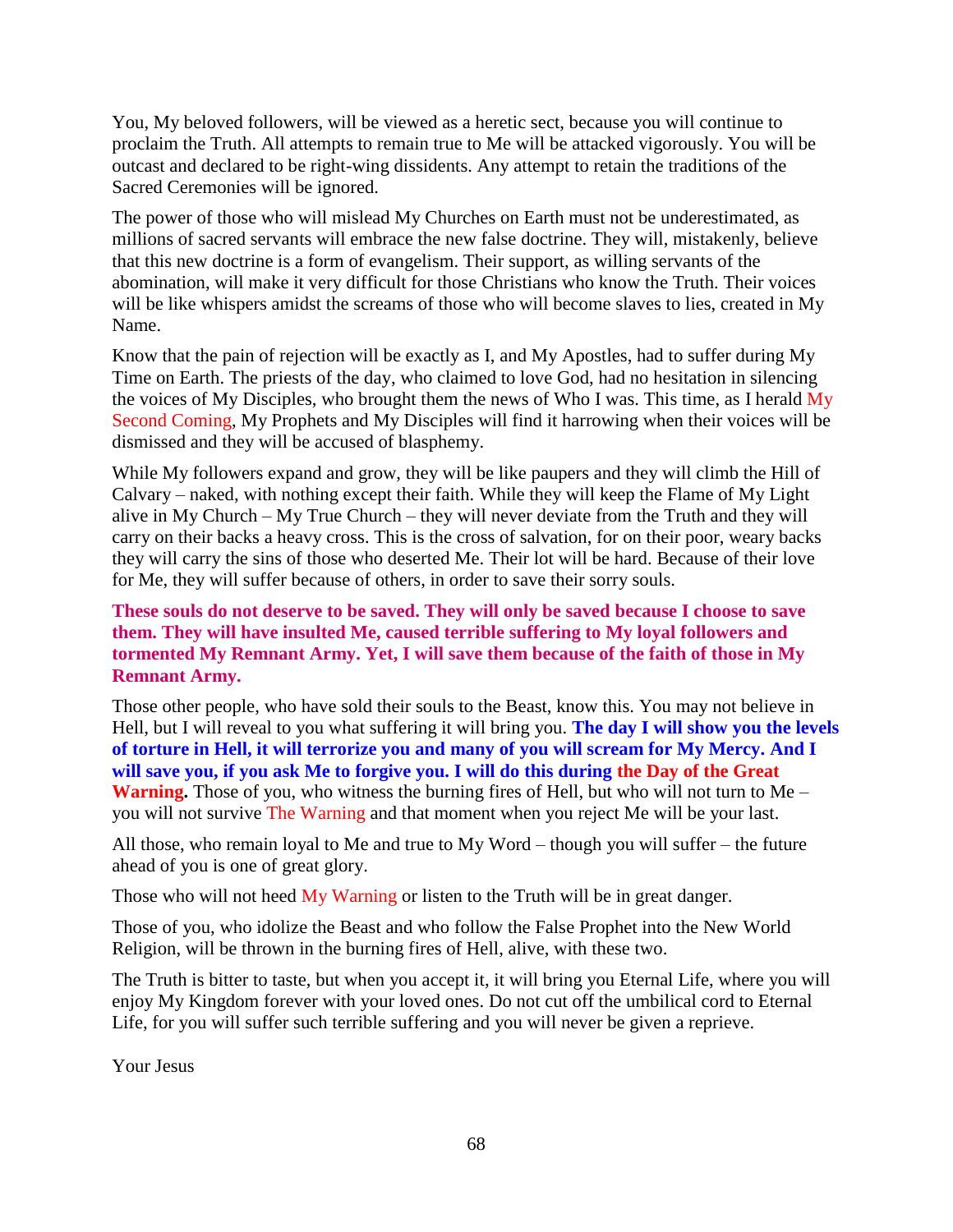You, My beloved followers, will be viewed as a heretic sect, because you will continue to proclaim the Truth. All attempts to remain true to Me will be attacked vigorously. You will be outcast and declared to be right-wing dissidents. Any attempt to retain the traditions of the Sacred Ceremonies will be ignored.

The power of those who will mislead My Churches on Earth must not be underestimated, as millions of sacred servants will embrace the new false doctrine. They will, mistakenly, believe that this new doctrine is a form of evangelism. Their support, as willing servants of the abomination, will make it very difficult for those Christians who know the Truth. Their voices will be like whispers amidst the screams of those who will become slaves to lies, created in My Name.

Know that the pain of rejection will be exactly as I, and My Apostles, had to suffer during My Time on Earth. The priests of the day, who claimed to love God, had no hesitation in silencing the voices of My Disciples, who brought them the news of Who I was. This time, as I herald My Second Coming, My Prophets and My Disciples will find it harrowing when their voices will be dismissed and they will be accused of blasphemy.

While My followers expand and grow, they will be like paupers and they will climb the Hill of Calvary – naked, with nothing except their faith. While they will keep the Flame of My Light alive in My Church – My True Church – they will never deviate from the Truth and they will carry on their backs a heavy cross. This is the cross of salvation, for on their poor, weary backs they will carry the sins of those who deserted Me. Their lot will be hard. Because of their love for Me, they will suffer because of others, in order to save their sorry souls.

#### **These souls do not deserve to be saved. They will only be saved because I choose to save them. They will have insulted Me, caused terrible suffering to My loyal followers and tormented My Remnant Army. Yet, I will save them because of the faith of those in My Remnant Army.**

Those other people, who have sold their souls to the Beast, know this. You may not believe in Hell, but I will reveal to you what suffering it will bring you. **The day I will show you the levels of torture in Hell, it will terrorize you and many of you will scream for My Mercy. And I will save you, if you ask Me to forgive you. I will do this during the Day of the Great Warning.** Those of you, who witness the burning fires of Hell, but who will not turn to Me – you will not survive The Warning and that moment when you reject Me will be your last.

All those, who remain loyal to Me and true to My Word – though you will suffer – the future ahead of you is one of great glory.

Those who will not heed My Warning or listen to the Truth will be in great danger.

Those of you, who idolize the Beast and who follow the False Prophet into the New World Religion, will be thrown in the burning fires of Hell, alive, with these two.

The Truth is bitter to taste, but when you accept it, it will bring you Eternal Life, where you will enjoy My Kingdom forever with your loved ones. Do not cut off the umbilical cord to Eternal Life, for you will suffer such terrible suffering and you will never be given a reprieve.

Your Jesus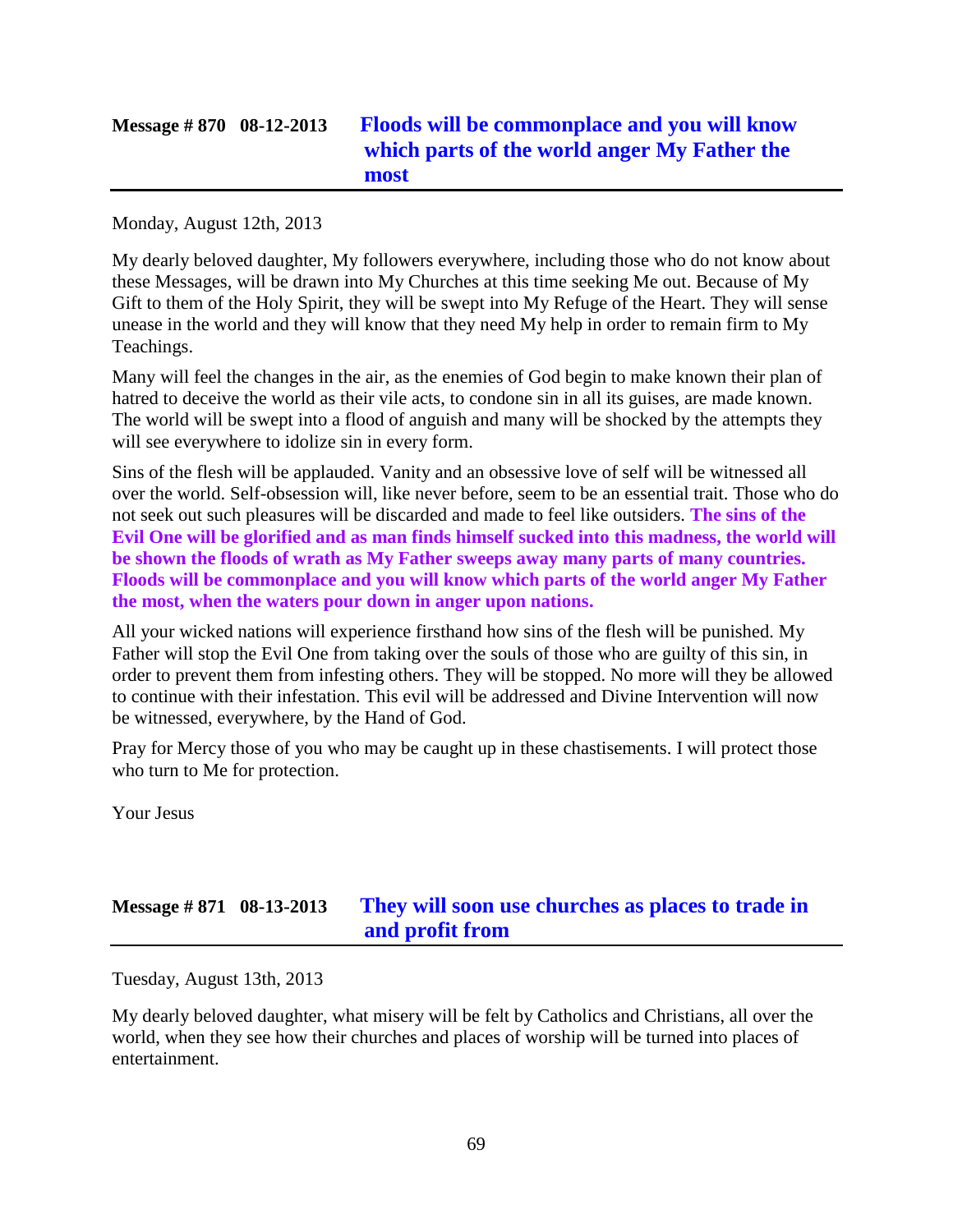# **Message # 870 08-12-2013 [Floods will be commonplace and you will know](http://www.thewarningsecondcoming.com/floods-will-be-commonplace-and-you-will-know-which-parts-of-the-world-anger-my-father-the-most/)  [which parts of the world anger My Father the](http://www.thewarningsecondcoming.com/floods-will-be-commonplace-and-you-will-know-which-parts-of-the-world-anger-my-father-the-most/)  [most](http://www.thewarningsecondcoming.com/floods-will-be-commonplace-and-you-will-know-which-parts-of-the-world-anger-my-father-the-most/)**

Monday, August 12th, 2013

My dearly beloved daughter, My followers everywhere, including those who do not know about these Messages, will be drawn into My Churches at this time seeking Me out. Because of My Gift to them of the Holy Spirit, they will be swept into My Refuge of the Heart. They will sense unease in the world and they will know that they need My help in order to remain firm to My Teachings.

Many will feel the changes in the air, as the enemies of God begin to make known their plan of hatred to deceive the world as their vile acts, to condone sin in all its guises, are made known. The world will be swept into a flood of anguish and many will be shocked by the attempts they will see everywhere to idolize sin in every form.

Sins of the flesh will be applauded. Vanity and an obsessive love of self will be witnessed all over the world. Self-obsession will, like never before, seem to be an essential trait. Those who do not seek out such pleasures will be discarded and made to feel like outsiders. **The sins of the Evil One will be glorified and as man finds himself sucked into this madness, the world will be shown the floods of wrath as My Father sweeps away many parts of many countries. Floods will be commonplace and you will know which parts of the world anger My Father the most, when the waters pour down in anger upon nations.**

All your wicked nations will experience firsthand how sins of the flesh will be punished. My Father will stop the Evil One from taking over the souls of those who are guilty of this sin, in order to prevent them from infesting others. They will be stopped. No more will they be allowed to continue with their infestation. This evil will be addressed and Divine Intervention will now be witnessed, everywhere, by the Hand of God.

Pray for Mercy those of you who may be caught up in these chastisements. I will protect those who turn to Me for protection.

Your Jesus

## **Message # 871 08-13-2013 [They will soon use churches as places to trade in](http://www.thewarningsecondcoming.com/they-will-soon-use-churches-as-places-to-trade-in-and-profit-from/)  [and profit from](http://www.thewarningsecondcoming.com/they-will-soon-use-churches-as-places-to-trade-in-and-profit-from/)**

Tuesday, August 13th, 2013

My dearly beloved daughter, what misery will be felt by Catholics and Christians, all over the world, when they see how their churches and places of worship will be turned into places of entertainment.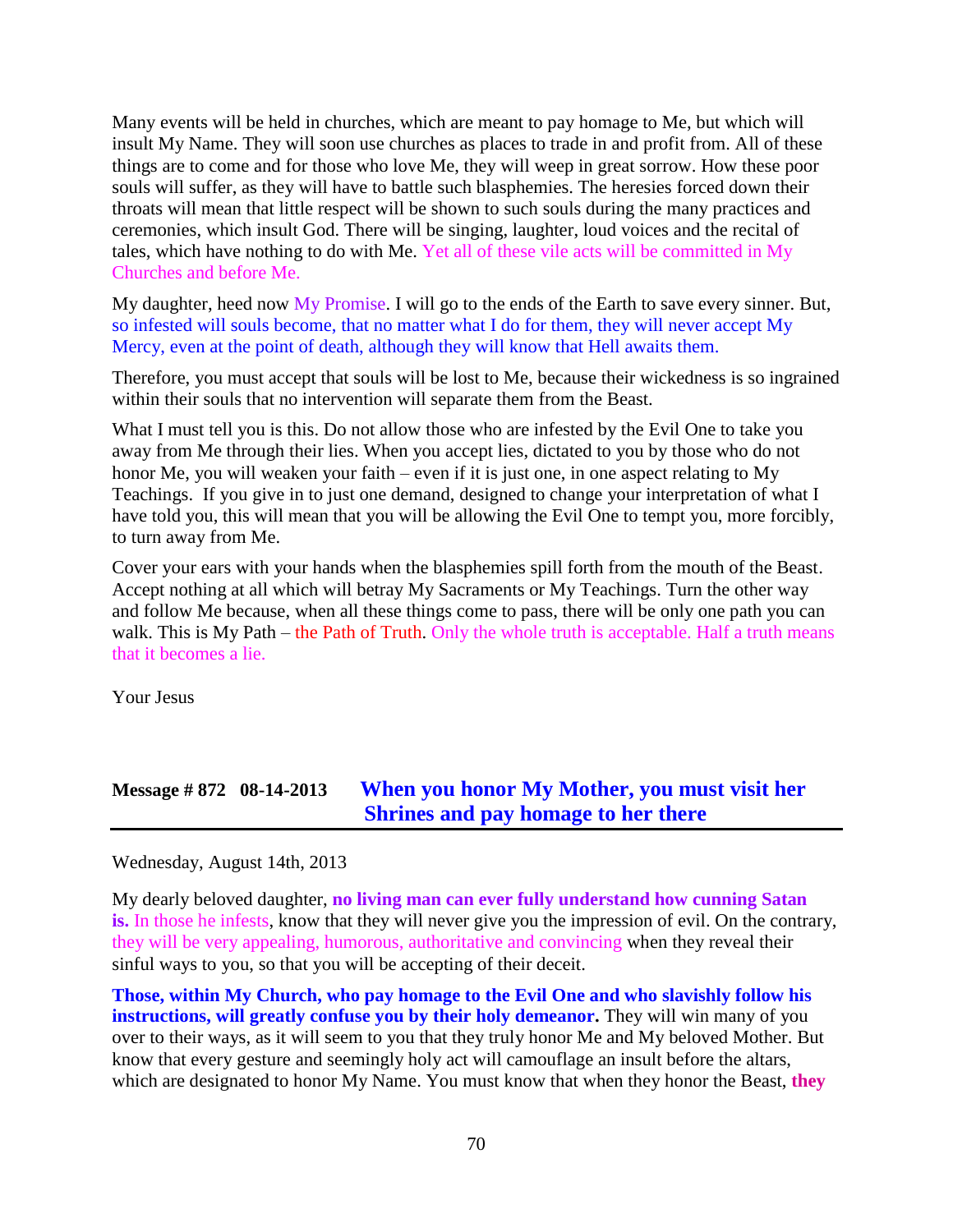Many events will be held in churches, which are meant to pay homage to Me, but which will insult My Name. They will soon use churches as places to trade in and profit from. All of these things are to come and for those who love Me, they will weep in great sorrow. How these poor souls will suffer, as they will have to battle such blasphemies. The heresies forced down their throats will mean that little respect will be shown to such souls during the many practices and ceremonies, which insult God. There will be singing, laughter, loud voices and the recital of tales, which have nothing to do with Me. Yet all of these vile acts will be committed in My Churches and before Me.

My daughter, heed now My Promise. I will go to the ends of the Earth to save every sinner. But, so infested will souls become, that no matter what I do for them, they will never accept My Mercy, even at the point of death, although they will know that Hell awaits them.

Therefore, you must accept that souls will be lost to Me, because their wickedness is so ingrained within their souls that no intervention will separate them from the Beast.

What I must tell you is this. Do not allow those who are infested by the Evil One to take you away from Me through their lies. When you accept lies, dictated to you by those who do not honor Me, you will weaken your faith – even if it is just one, in one aspect relating to My Teachings. If you give in to just one demand, designed to change your interpretation of what I have told you, this will mean that you will be allowing the Evil One to tempt you, more forcibly, to turn away from Me.

Cover your ears with your hands when the blasphemies spill forth from the mouth of the Beast. Accept nothing at all which will betray My Sacraments or My Teachings. Turn the other way and follow Me because, when all these things come to pass, there will be only one path you can walk. This is My Path – the Path of Truth. Only the whole truth is acceptable. Half a truth means that it becomes a lie.

Your Jesus

## **Message # 872 08-14-2013 [When you honor My Mother, you must visit her](http://www.thewarningsecondcoming.com/when-you-honour-my-mother-you-must-visit-her-shrines-and-pay-homage-to-her-there/)  [Shrines and pay homage to her there](http://www.thewarningsecondcoming.com/when-you-honour-my-mother-you-must-visit-her-shrines-and-pay-homage-to-her-there/)**

Wednesday, August 14th, 2013

My dearly beloved daughter, **no living man can ever fully understand how cunning Satan is.** In those he infests, know that they will never give you the impression of evil. On the contrary, they will be very appealing, humorous, authoritative and convincing when they reveal their sinful ways to you, so that you will be accepting of their deceit.

**Those, within My Church, who pay homage to the Evil One and who slavishly follow his instructions, will greatly confuse you by their holy demeanor.** They will win many of you over to their ways, as it will seem to you that they truly honor Me and My beloved Mother. But know that every gesture and seemingly holy act will camouflage an insult before the altars, which are designated to honor My Name. You must know that when they honor the Beast, they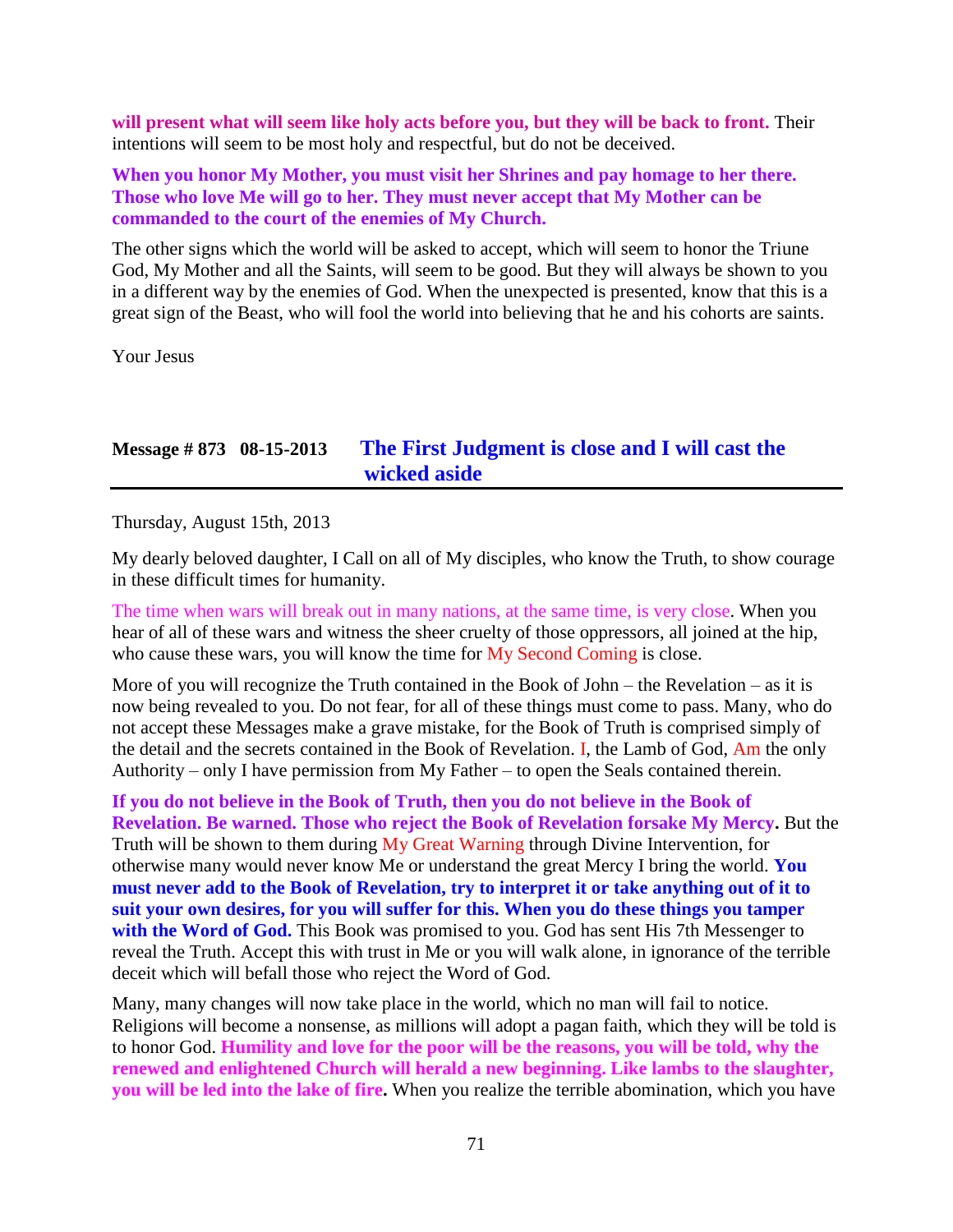**will present what will seem like holy acts before you, but they will be back to front.** Their intentions will seem to be most holy and respectful, but do not be deceived.

**When you honor My Mother, you must visit her Shrines and pay homage to her there. Those who love Me will go to her. They must never accept that My Mother can be commanded to the court of the enemies of My Church.**

The other signs which the world will be asked to accept, which will seem to honor the Triune God, My Mother and all the Saints, will seem to be good. But they will always be shown to you in a different way by the enemies of God. When the unexpected is presented, know that this is a great sign of the Beast, who will fool the world into believing that he and his cohorts are saints.

Your Jesus

## **Message # 873 08-15-2013 [The First Judgment is close and I will cast the](http://www.thewarningsecondcoming.com/the-first-judgement-is-close-and-i-will-cast-the-wicked-aside/)  [wicked aside](http://www.thewarningsecondcoming.com/the-first-judgement-is-close-and-i-will-cast-the-wicked-aside/)**

Thursday, August 15th, 2013

My dearly beloved daughter, I Call on all of My disciples, who know the Truth, to show courage in these difficult times for humanity.

The time when wars will break out in many nations, at the same time, is very close. When you hear of all of these wars and witness the sheer cruelty of those oppressors, all joined at the hip, who cause these wars, you will know the time for My Second Coming is close.

More of you will recognize the Truth contained in the Book of John – the Revelation – as it is now being revealed to you. Do not fear, for all of these things must come to pass. Many, who do not accept these Messages make a grave mistake, for the Book of Truth is comprised simply of the detail and the secrets contained in the Book of Revelation. I, the Lamb of God, Am the only Authority – only I have permission from My Father – to open the Seals contained therein.

**If you do not believe in the Book of Truth, then you do not believe in the Book of Revelation. Be warned. Those who reject the Book of Revelation forsake My Mercy.** But the Truth will be shown to them during My Great Warning through Divine Intervention, for otherwise many would never know Me or understand the great Mercy I bring the world. **You must never add to the Book of Revelation, try to interpret it or take anything out of it to suit your own desires, for you will suffer for this. When you do these things you tamper**  with the Word of God. This Book was promised to you. God has sent His 7th Messenger to reveal the Truth. Accept this with trust in Me or you will walk alone, in ignorance of the terrible deceit which will befall those who reject the Word of God.

Many, many changes will now take place in the world, which no man will fail to notice. Religions will become a nonsense, as millions will adopt a pagan faith, which they will be told is to honor God. **Humility and love for the poor will be the reasons, you will be told, why the renewed and enlightened Church will herald a new beginning. Like lambs to the slaughter, you will be led into the lake of fire.** When you realize the terrible abomination, which you have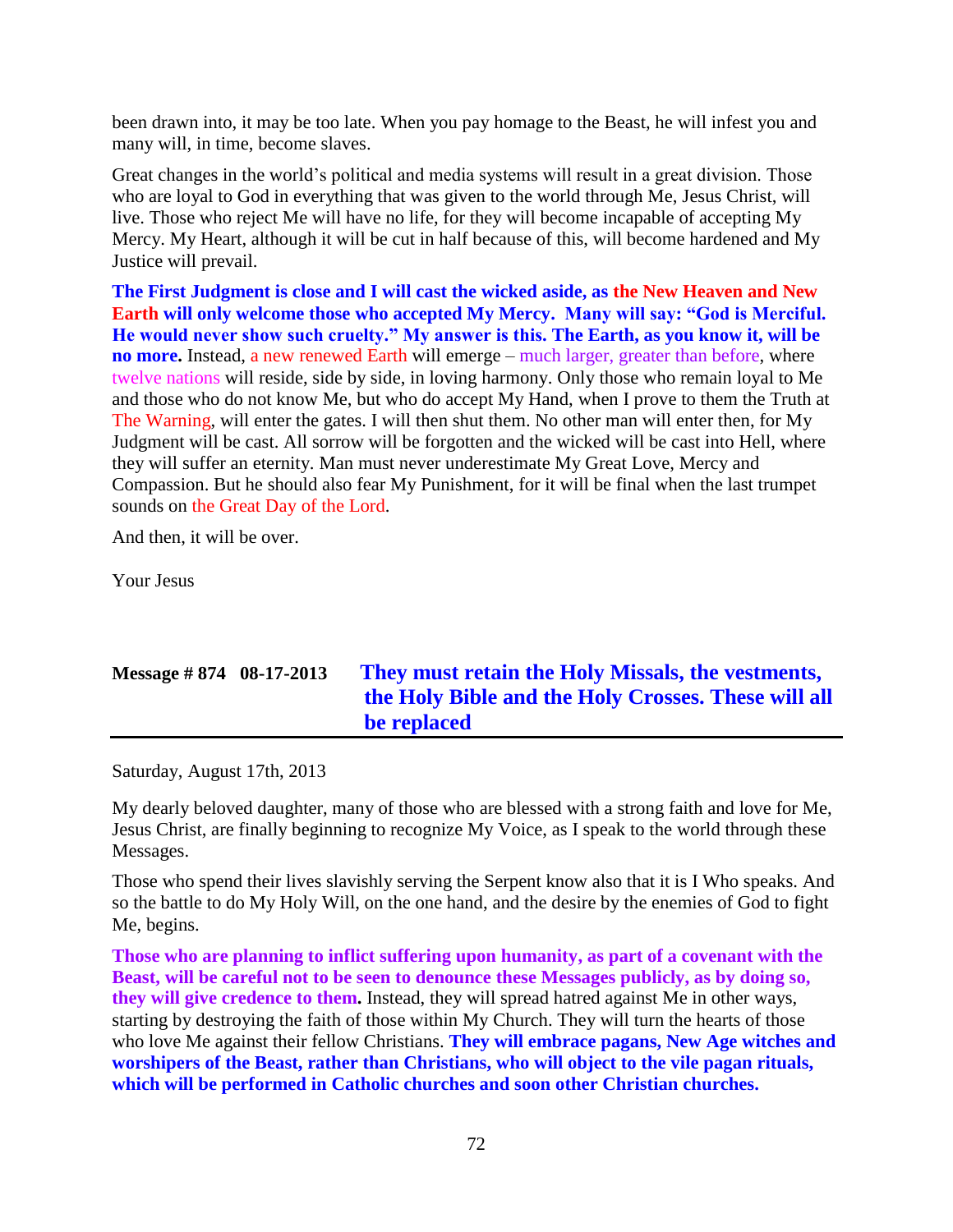been drawn into, it may be too late. When you pay homage to the Beast, he will infest you and many will, in time, become slaves.

Great changes in the world's political and media systems will result in a great division. Those who are loyal to God in everything that was given to the world through Me, Jesus Christ, will live. Those who reject Me will have no life, for they will become incapable of accepting My Mercy. My Heart, although it will be cut in half because of this, will become hardened and My Justice will prevail.

**The First Judgment is close and I will cast the wicked aside, as the New Heaven and New Earth will only welcome those who accepted My Mercy. Many will say: "God is Merciful. He would never show such cruelty." My answer is this. The Earth, as you know it, will be no more.** Instead, a new renewed Earth will emerge – much larger, greater than before, where twelve nations will reside, side by side, in loving harmony. Only those who remain loyal to Me and those who do not know Me, but who do accept My Hand, when I prove to them the Truth at The Warning, will enter the gates. I will then shut them. No other man will enter then, for My Judgment will be cast. All sorrow will be forgotten and the wicked will be cast into Hell, where they will suffer an eternity. Man must never underestimate My Great Love, Mercy and Compassion. But he should also fear My Punishment, for it will be final when the last trumpet sounds on the Great Day of the Lord.

And then, it will be over.

Your Jesus

## **Message # 874 08-17-2013 [They must retain the Holy Missals, the vestments,](http://www.thewarningsecondcoming.com/they-must-retain-the-holy-missals-the-vestments-the-holy-bible-and-the-holy-crosses-these-will-all-be-replaced/)  [the Holy Bible and the Holy Crosses. These will all](http://www.thewarningsecondcoming.com/they-must-retain-the-holy-missals-the-vestments-the-holy-bible-and-the-holy-crosses-these-will-all-be-replaced/)  [be replaced](http://www.thewarningsecondcoming.com/they-must-retain-the-holy-missals-the-vestments-the-holy-bible-and-the-holy-crosses-these-will-all-be-replaced/)**

Saturday, August 17th, 2013

My dearly beloved daughter, many of those who are blessed with a strong faith and love for Me, Jesus Christ, are finally beginning to recognize My Voice, as I speak to the world through these Messages.

Those who spend their lives slavishly serving the Serpent know also that it is I Who speaks. And so the battle to do My Holy Will, on the one hand, and the desire by the enemies of God to fight Me, begins.

**Those who are planning to inflict suffering upon humanity, as part of a covenant with the Beast, will be careful not to be seen to denounce these Messages publicly, as by doing so, they will give credence to them.** Instead, they will spread hatred against Me in other ways, starting by destroying the faith of those within My Church. They will turn the hearts of those who love Me against their fellow Christians. **They will embrace pagans, New Age witches and worshipers of the Beast, rather than Christians, who will object to the vile pagan rituals, which will be performed in Catholic churches and soon other Christian churches.**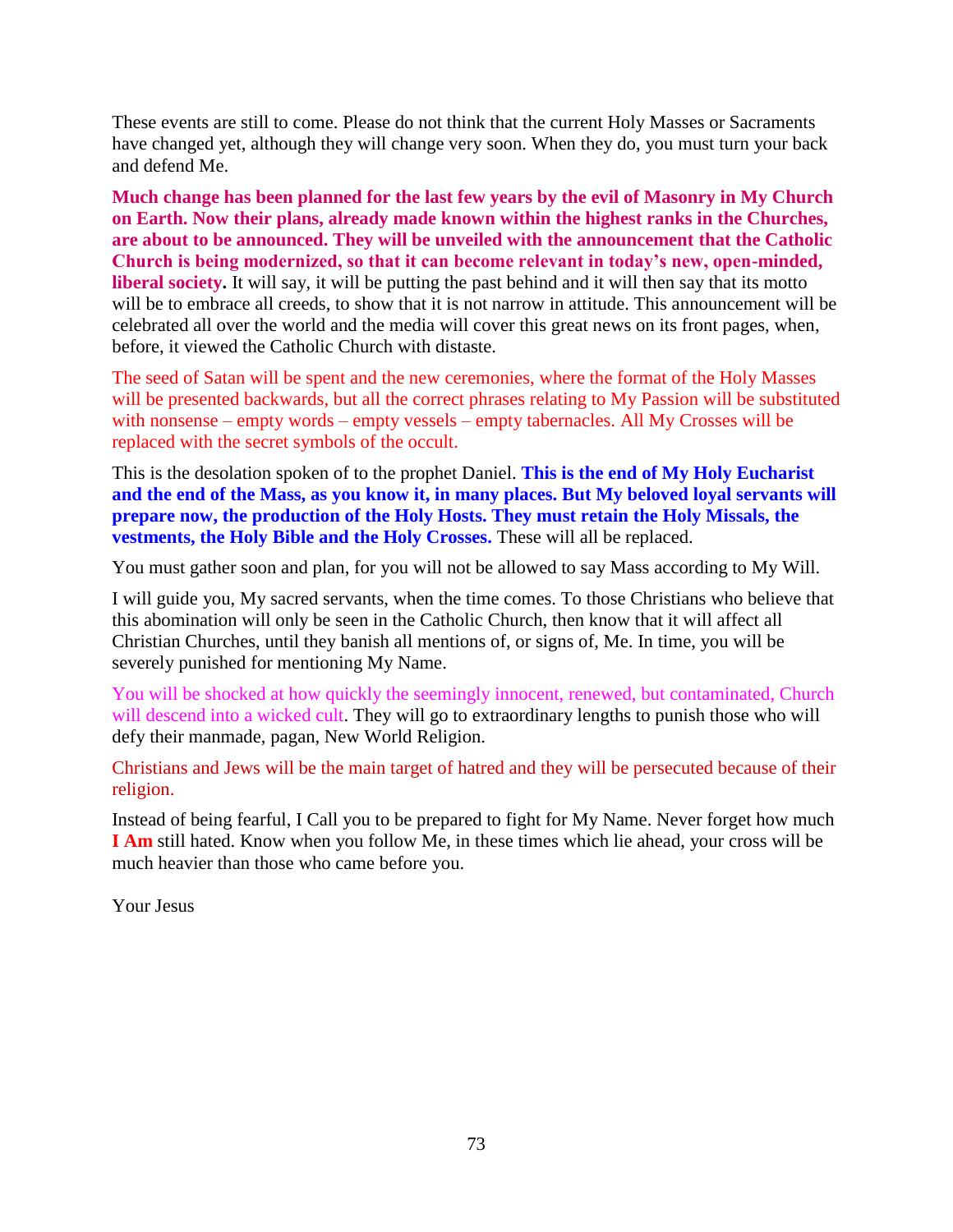These events are still to come. Please do not think that the current Holy Masses or Sacraments have changed yet, although they will change very soon. When they do, you must turn your back and defend Me.

**Much change has been planned for the last few years by the evil of Masonry in My Church on Earth. Now their plans, already made known within the highest ranks in the Churches, are about to be announced. They will be unveiled with the announcement that the Catholic Church is being modernized, so that it can become relevant in today's new, open-minded, liberal society.** It will say, it will be putting the past behind and it will then say that its motto will be to embrace all creeds, to show that it is not narrow in attitude. This announcement will be celebrated all over the world and the media will cover this great news on its front pages, when, before, it viewed the Catholic Church with distaste.

The seed of Satan will be spent and the new ceremonies, where the format of the Holy Masses will be presented backwards, but all the correct phrases relating to My Passion will be substituted with nonsense – empty words – empty vessels – empty tabernacles. All My Crosses will be replaced with the secret symbols of the occult.

This is the desolation spoken of to the prophet Daniel. **This is the end of My Holy Eucharist and the end of the Mass, as you know it, in many places. But My beloved loyal servants will prepare now, the production of the Holy Hosts. They must retain the Holy Missals, the vestments, the Holy Bible and the Holy Crosses.** These will all be replaced.

You must gather soon and plan, for you will not be allowed to say Mass according to My Will.

I will guide you, My sacred servants, when the time comes. To those Christians who believe that this abomination will only be seen in the Catholic Church, then know that it will affect all Christian Churches, until they banish all mentions of, or signs of, Me. In time, you will be severely punished for mentioning My Name.

You will be shocked at how quickly the seemingly innocent, renewed, but contaminated, Church will descend into a wicked cult. They will go to extraordinary lengths to punish those who will defy their manmade, pagan, New World Religion.

Christians and Jews will be the main target of hatred and they will be persecuted because of their religion.

Instead of being fearful, I Call you to be prepared to fight for My Name. Never forget how much **I Am** still hated. Know when you follow Me, in these times which lie ahead, your cross will be much heavier than those who came before you.

Your Jesus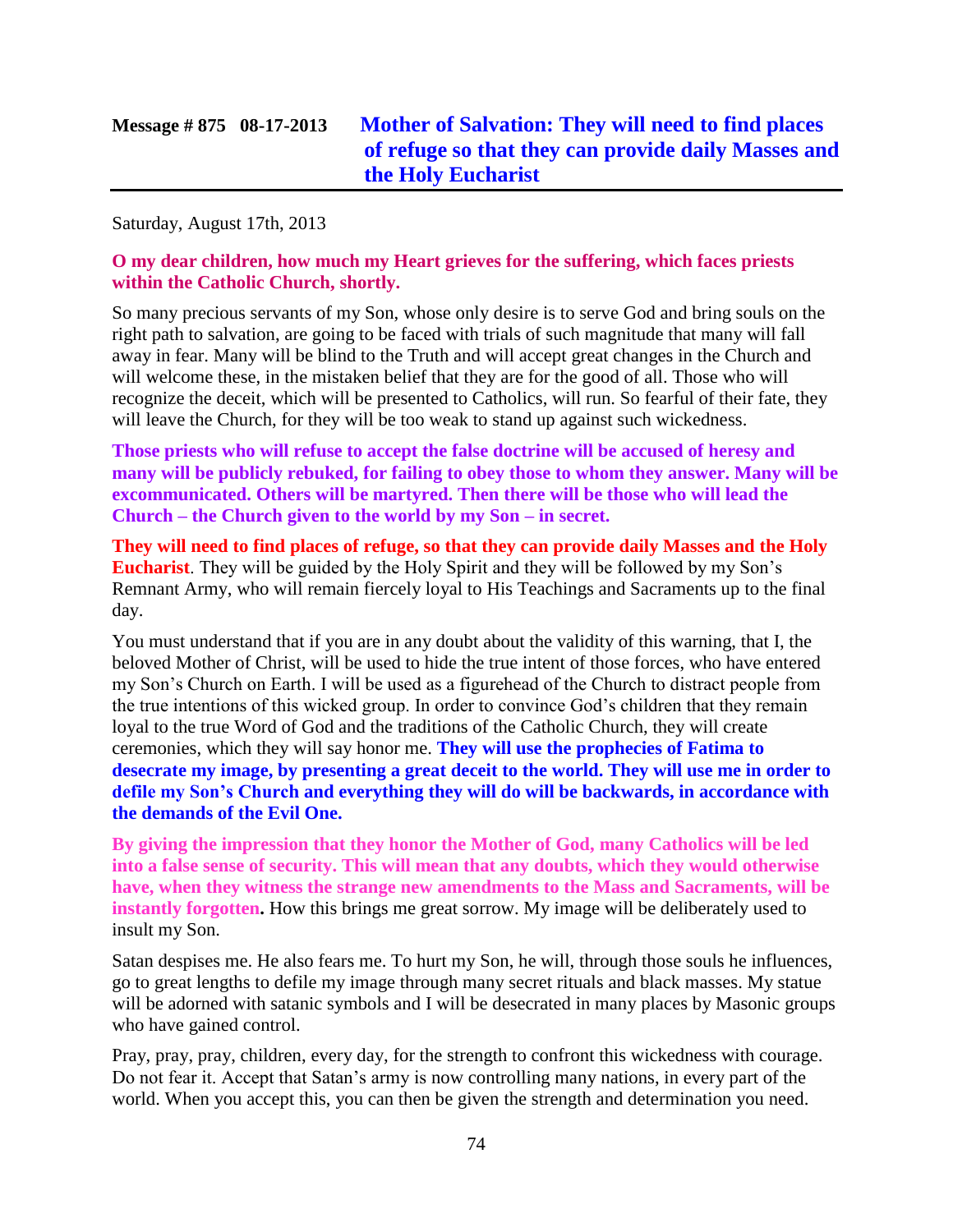Saturday, August 17th, 2013

#### **O my dear children, how much my Heart grieves for the suffering, which faces priests within the Catholic Church, shortly.**

So many precious servants of my Son, whose only desire is to serve God and bring souls on the right path to salvation, are going to be faced with trials of such magnitude that many will fall away in fear. Many will be blind to the Truth and will accept great changes in the Church and will welcome these, in the mistaken belief that they are for the good of all. Those who will recognize the deceit, which will be presented to Catholics, will run. So fearful of their fate, they will leave the Church, for they will be too weak to stand up against such wickedness.

**Those priests who will refuse to accept the false doctrine will be accused of heresy and many will be publicly rebuked, for failing to obey those to whom they answer. Many will be excommunicated. Others will be martyred. Then there will be those who will lead the Church – the Church given to the world by my Son – in secret.**

**They will need to find places of refuge, so that they can provide daily Masses and the Holy Eucharist**. They will be guided by the Holy Spirit and they will be followed by my Son's Remnant Army, who will remain fiercely loyal to His Teachings and Sacraments up to the final day.

You must understand that if you are in any doubt about the validity of this warning, that I, the beloved Mother of Christ, will be used to hide the true intent of those forces, who have entered my Son's Church on Earth. I will be used as a figurehead of the Church to distract people from the true intentions of this wicked group. In order to convince God's children that they remain loyal to the true Word of God and the traditions of the Catholic Church, they will create ceremonies, which they will say honor me. **They will use the prophecies of Fatima to desecrate my image, by presenting a great deceit to the world. They will use me in order to defile my Son's Church and everything they will do will be backwards, in accordance with the demands of the Evil One.**

**By giving the impression that they honor the Mother of God, many Catholics will be led into a false sense of security. This will mean that any doubts, which they would otherwise have, when they witness the strange new amendments to the Mass and Sacraments, will be instantly forgotten.** How this brings me great sorrow. My image will be deliberately used to insult my Son.

Satan despises me. He also fears me. To hurt my Son, he will, through those souls he influences, go to great lengths to defile my image through many secret rituals and black masses. My statue will be adorned with satanic symbols and I will be desecrated in many places by Masonic groups who have gained control.

Pray, pray, pray, children, every day, for the strength to confront this wickedness with courage. Do not fear it. Accept that Satan's army is now controlling many nations, in every part of the world. When you accept this, you can then be given the strength and determination you need.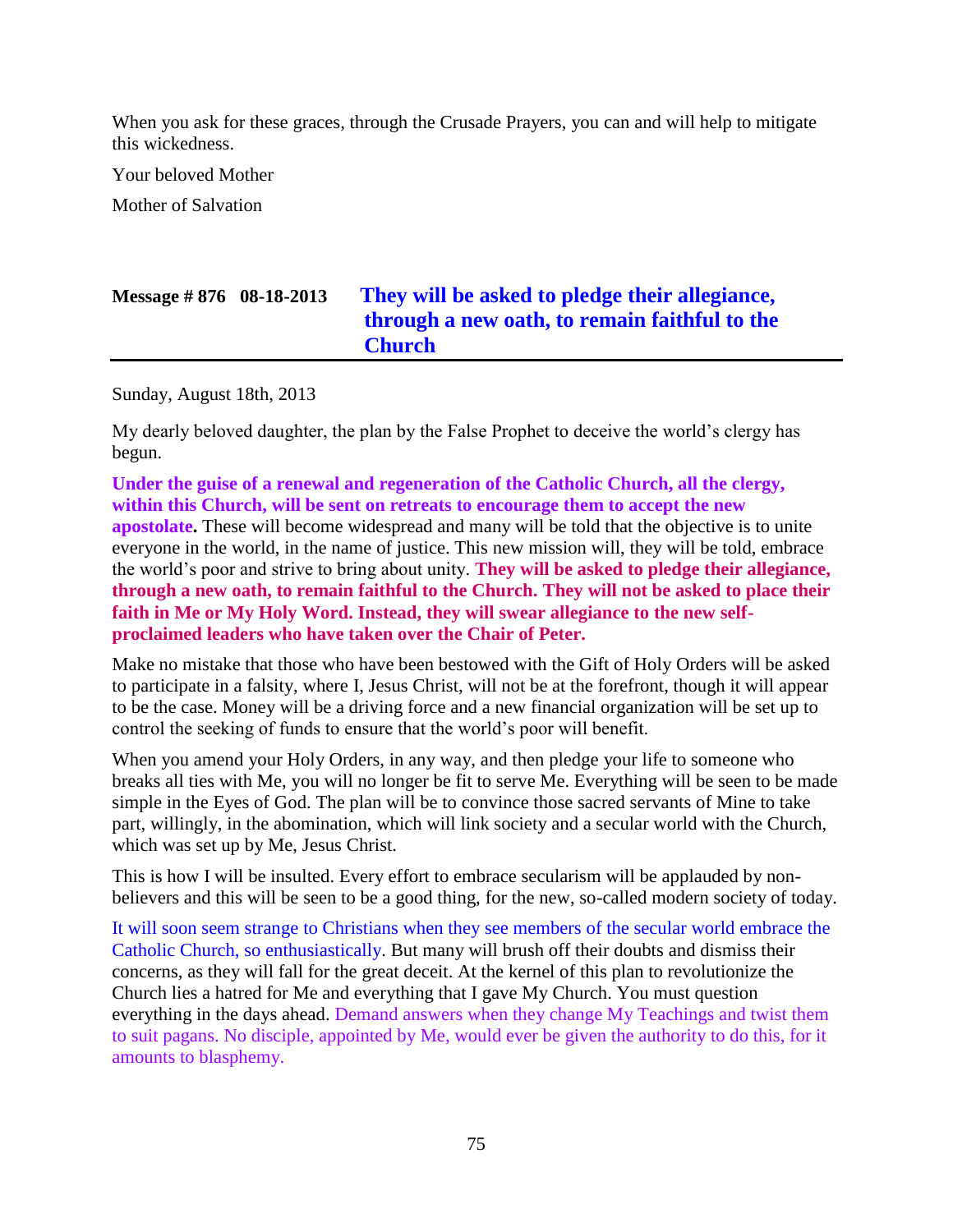When you ask for these graces, through the Crusade Prayers, you can and will help to mitigate this wickedness.

Your beloved Mother

Mother of Salvation

## **Message # 876 08-18-2013 [They will be asked to pledge their allegiance,](http://www.thewarningsecondcoming.com/they-will-be-asked-to-pledge-their-allegiance-through-a-new-oath-to-remain-faithful-to-the-church/)  [through a new oath, to remain faithful to the](http://www.thewarningsecondcoming.com/they-will-be-asked-to-pledge-their-allegiance-through-a-new-oath-to-remain-faithful-to-the-church/)  [Church](http://www.thewarningsecondcoming.com/they-will-be-asked-to-pledge-their-allegiance-through-a-new-oath-to-remain-faithful-to-the-church/)**

Sunday, August 18th, 2013

My dearly beloved daughter, the plan by the False Prophet to deceive the world's clergy has begun.

**Under the guise of a renewal and regeneration of the Catholic Church, all the clergy, within this Church, will be sent on retreats to encourage them to accept the new apostolate.** These will become widespread and many will be told that the objective is to unite everyone in the world, in the name of justice. This new mission will, they will be told, embrace the world's poor and strive to bring about unity. **They will be asked to pledge their allegiance, through a new oath, to remain faithful to the Church. They will not be asked to place their faith in Me or My Holy Word. Instead, they will swear allegiance to the new selfproclaimed leaders who have taken over the Chair of Peter.**

Make no mistake that those who have been bestowed with the Gift of Holy Orders will be asked to participate in a falsity, where I, Jesus Christ, will not be at the forefront, though it will appear to be the case. Money will be a driving force and a new financial organization will be set up to control the seeking of funds to ensure that the world's poor will benefit.

When you amend your Holy Orders, in any way, and then pledge your life to someone who breaks all ties with Me, you will no longer be fit to serve Me. Everything will be seen to be made simple in the Eyes of God. The plan will be to convince those sacred servants of Mine to take part, willingly, in the abomination, which will link society and a secular world with the Church, which was set up by Me, Jesus Christ.

This is how I will be insulted. Every effort to embrace secularism will be applauded by nonbelievers and this will be seen to be a good thing, for the new, so-called modern society of today.

It will soon seem strange to Christians when they see members of the secular world embrace the Catholic Church, so enthusiastically. But many will brush off their doubts and dismiss their concerns, as they will fall for the great deceit. At the kernel of this plan to revolutionize the Church lies a hatred for Me and everything that I gave My Church. You must question everything in the days ahead. Demand answers when they change My Teachings and twist them to suit pagans. No disciple, appointed by Me, would ever be given the authority to do this, for it amounts to blasphemy.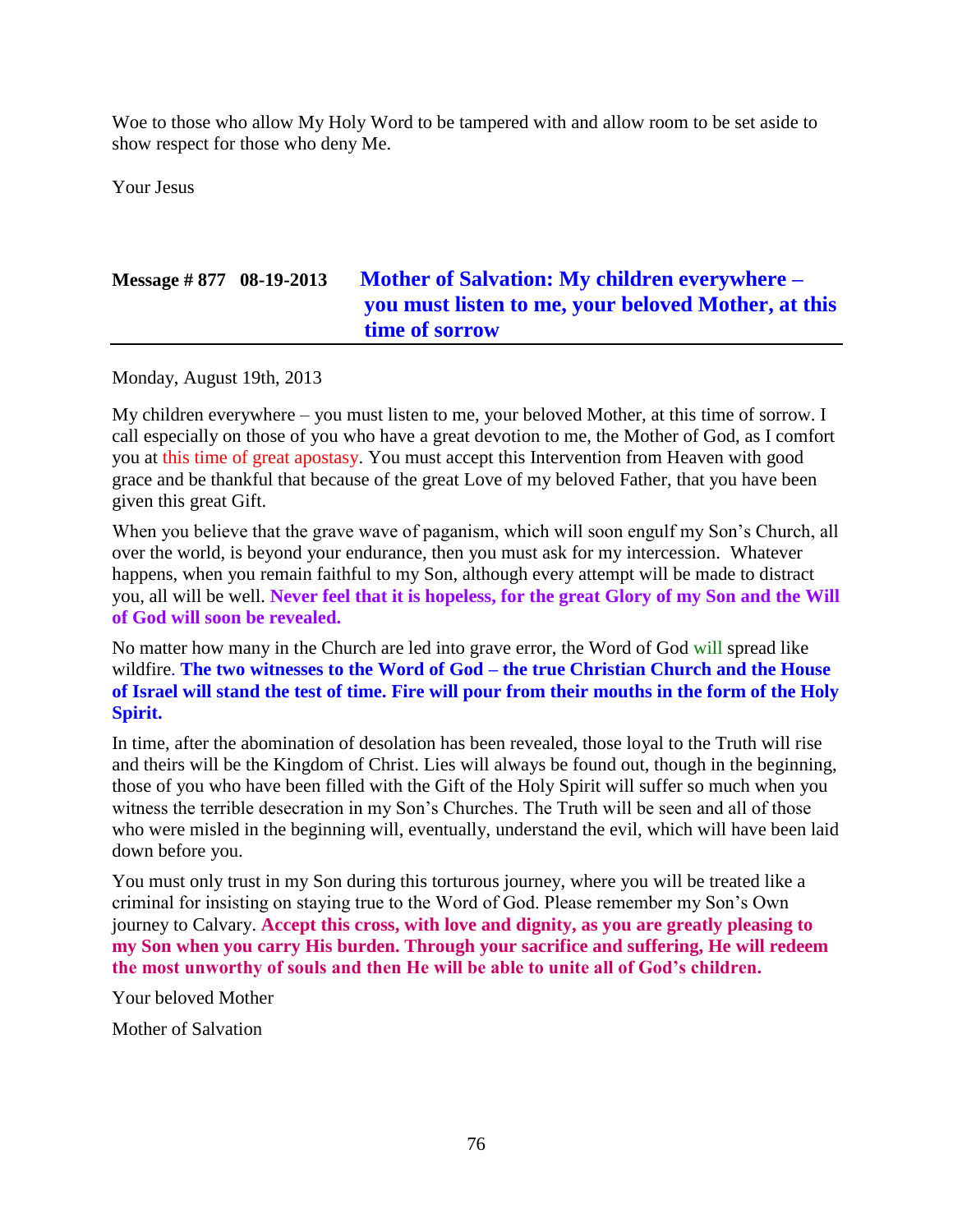Woe to those who allow My Holy Word to be tampered with and allow room to be set aside to show respect for those who deny Me.

Your Jesus

## **Message # 877 08-19-2013 [Mother of Salvation: My children everywhere –](http://www.thewarningsecondcoming.com/mother-of-salvation-my-children-everywhere-you-must-listen-to-me-your-beloved-mother-at-this-time-of-sorrow/) [you must listen to me, your beloved Mother, at this](http://www.thewarningsecondcoming.com/mother-of-salvation-my-children-everywhere-you-must-listen-to-me-your-beloved-mother-at-this-time-of-sorrow/)  [time of sorrow](http://www.thewarningsecondcoming.com/mother-of-salvation-my-children-everywhere-you-must-listen-to-me-your-beloved-mother-at-this-time-of-sorrow/)**

Monday, August 19th, 2013

My children everywhere – you must listen to me, your beloved Mother, at this time of sorrow. I call especially on those of you who have a great devotion to me, the Mother of God, as I comfort you at this time of great apostasy. You must accept this Intervention from Heaven with good grace and be thankful that because of the great Love of my beloved Father, that you have been given this great Gift.

When you believe that the grave wave of paganism, which will soon engulf my Son's Church, all over the world, is beyond your endurance, then you must ask for my intercession. Whatever happens, when you remain faithful to my Son, although every attempt will be made to distract you, all will be well. **Never feel that it is hopeless, for the great Glory of my Son and the Will of God will soon be revealed.**

No matter how many in the Church are led into grave error, the Word of God will spread like wildfire. **The two witnesses to the Word of God – the true Christian Church and the House of Israel will stand the test of time. Fire will pour from their mouths in the form of the Holy Spirit.**

In time, after the abomination of desolation has been revealed, those loyal to the Truth will rise and theirs will be the Kingdom of Christ. Lies will always be found out, though in the beginning, those of you who have been filled with the Gift of the Holy Spirit will suffer so much when you witness the terrible desecration in my Son's Churches. The Truth will be seen and all of those who were misled in the beginning will, eventually, understand the evil, which will have been laid down before you.

You must only trust in my Son during this torturous journey, where you will be treated like a criminal for insisting on staying true to the Word of God. Please remember my Son's Own journey to Calvary. **Accept this cross, with love and dignity, as you are greatly pleasing to my Son when you carry His burden. Through your sacrifice and suffering, He will redeem the most unworthy of souls and then He will be able to unite all of God's children.**

Your beloved Mother

Mother of Salvation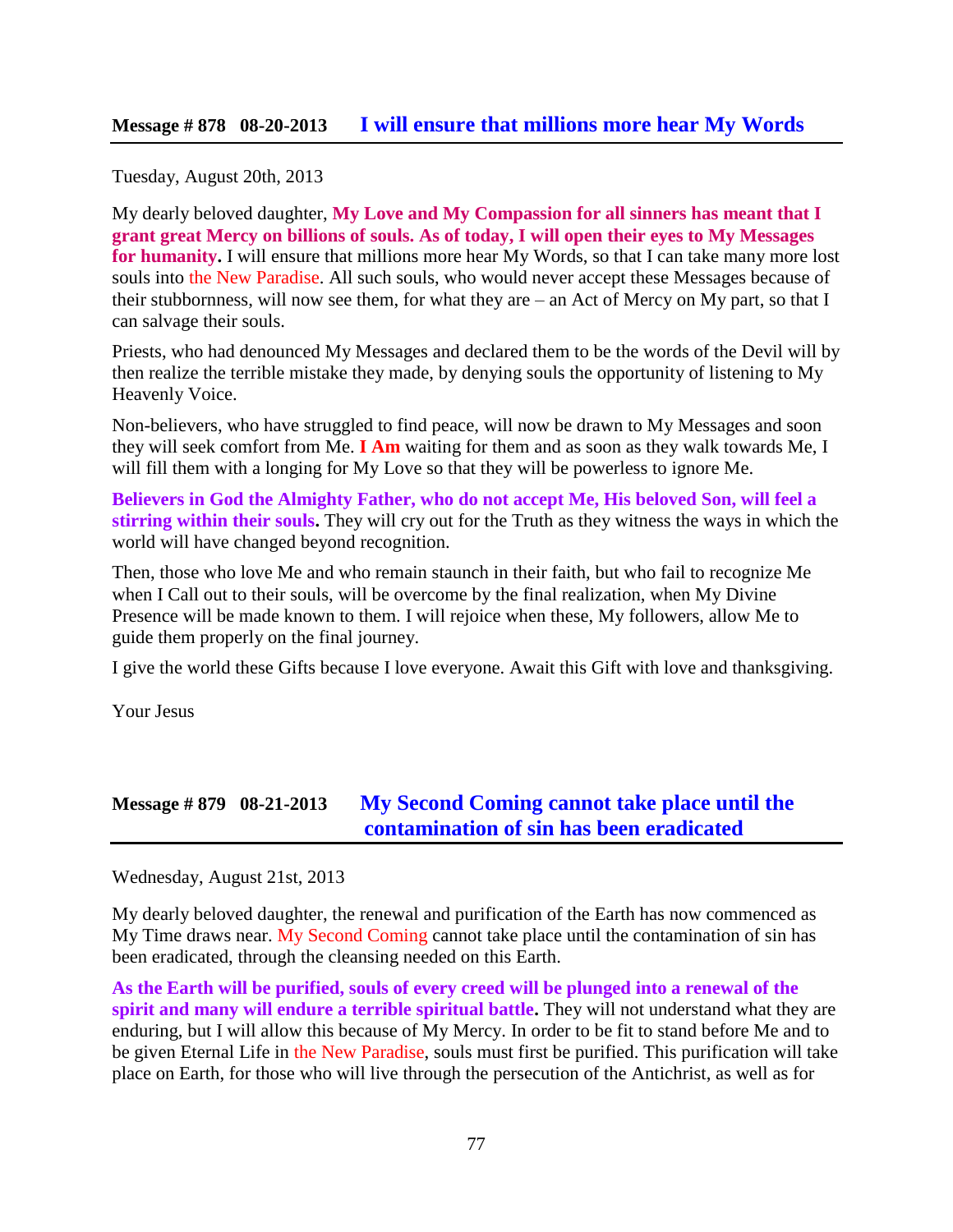Tuesday, August 20th, 2013

My dearly beloved daughter, **My Love and My Compassion for all sinners has meant that I grant great Mercy on billions of souls. As of today, I will open their eyes to My Messages for humanity.** I will ensure that millions more hear My Words, so that I can take many more lost souls into the New Paradise. All such souls, who would never accept these Messages because of their stubbornness, will now see them, for what they are – an Act of Mercy on My part, so that I can salvage their souls.

Priests, who had denounced My Messages and declared them to be the words of the Devil will by then realize the terrible mistake they made, by denying souls the opportunity of listening to My Heavenly Voice.

Non-believers, who have struggled to find peace, will now be drawn to My Messages and soon they will seek comfort from Me. **I Am** waiting for them and as soon as they walk towards Me, I will fill them with a longing for My Love so that they will be powerless to ignore Me.

**Believers in God the Almighty Father, who do not accept Me, His beloved Son, will feel a stirring within their souls.** They will cry out for the Truth as they witness the ways in which the world will have changed beyond recognition.

Then, those who love Me and who remain staunch in their faith, but who fail to recognize Me when I Call out to their souls, will be overcome by the final realization, when My Divine Presence will be made known to them. I will rejoice when these, My followers, allow Me to guide them properly on the final journey.

I give the world these Gifts because I love everyone. Await this Gift with love and thanksgiving.

Your Jesus

### **Message # 879 08-21-2013 [My Second Coming cannot take place until the](http://www.thewarningsecondcoming.com/my-second-coming-cannot-take-place-until-the-contamination-of-sin-has-been-eradicated/)  [contamination of sin has been eradicated](http://www.thewarningsecondcoming.com/my-second-coming-cannot-take-place-until-the-contamination-of-sin-has-been-eradicated/)**

Wednesday, August 21st, 2013

My dearly beloved daughter, the renewal and purification of the Earth has now commenced as My Time draws near. My Second Coming cannot take place until the contamination of sin has been eradicated, through the cleansing needed on this Earth.

**As the Earth will be purified, souls of every creed will be plunged into a renewal of the spirit and many will endure a terrible spiritual battle.** They will not understand what they are enduring, but I will allow this because of My Mercy. In order to be fit to stand before Me and to be given Eternal Life in the New Paradise, souls must first be purified. This purification will take place on Earth, for those who will live through the persecution of the Antichrist, as well as for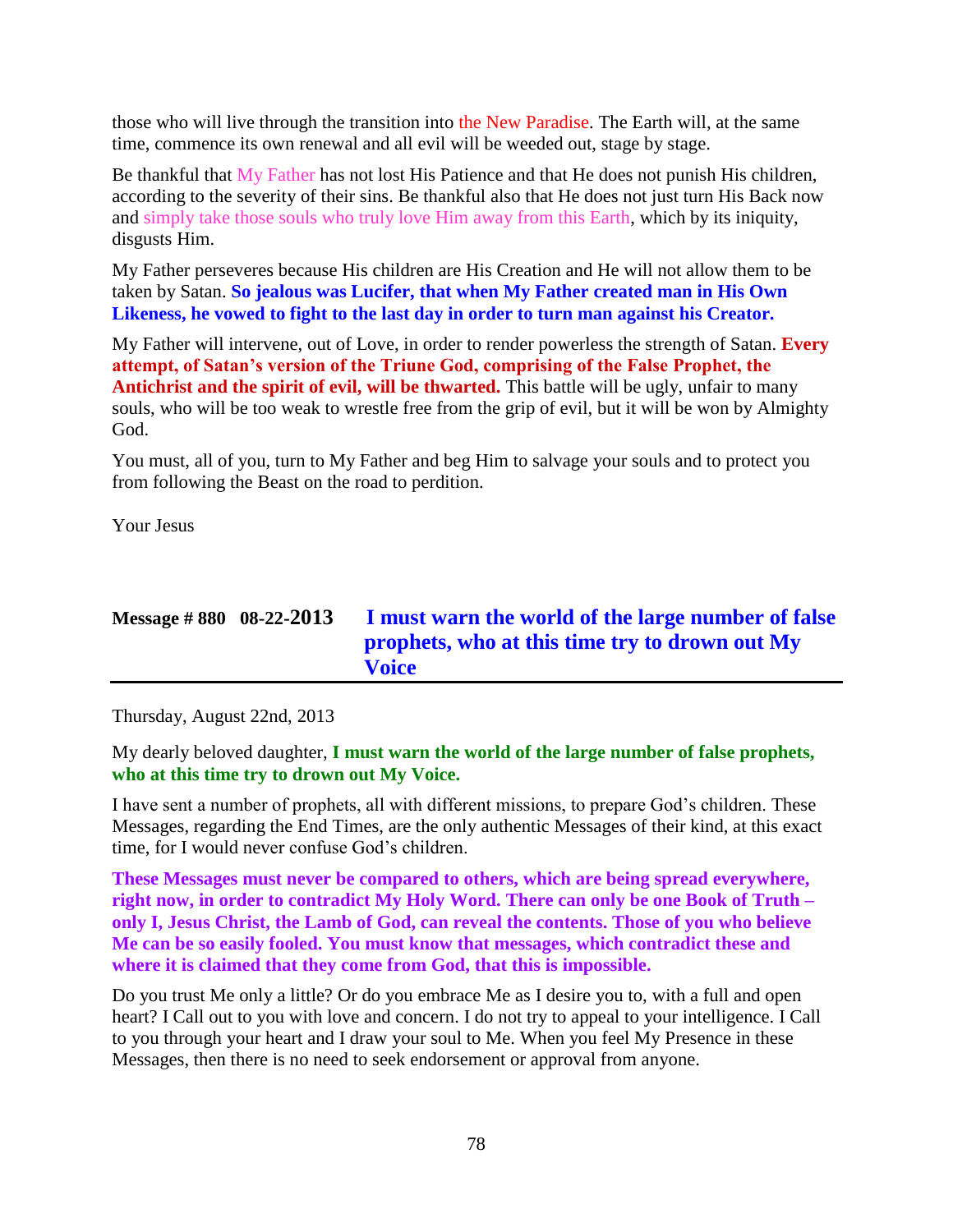those who will live through the transition into the New Paradise. The Earth will, at the same time, commence its own renewal and all evil will be weeded out, stage by stage.

Be thankful that My Father has not lost His Patience and that He does not punish His children, according to the severity of their sins. Be thankful also that He does not just turn His Back now and simply take those souls who truly love Him away from this Earth, which by its iniquity, disgusts Him.

My Father perseveres because His children are His Creation and He will not allow them to be taken by Satan. **So jealous was Lucifer, that when My Father created man in His Own Likeness, he vowed to fight to the last day in order to turn man against his Creator.**

My Father will intervene, out of Love, in order to render powerless the strength of Satan. **Every attempt, of Satan's version of the Triune God, comprising of the False Prophet, the Antichrist and the spirit of evil, will be thwarted.** This battle will be ugly, unfair to many souls, who will be too weak to wrestle free from the grip of evil, but it will be won by Almighty God.

You must, all of you, turn to My Father and beg Him to salvage your souls and to protect you from following the Beast on the road to perdition.

Your Jesus

| Message $\# 880 \quad 08-22-2013$ | I must warn the world of the large number of false |
|-----------------------------------|----------------------------------------------------|
|                                   | prophets, who at this time try to drown out My     |
|                                   | <b>Voice</b>                                       |

Thursday, August 22nd, 2013

My dearly beloved daughter, **I must warn the world of the large number of false prophets, who at this time try to drown out My Voice.**

I have sent a number of prophets, all with different missions, to prepare God's children. These Messages, regarding the End Times, are the only authentic Messages of their kind, at this exact time, for I would never confuse God's children.

**These Messages must never be compared to others, which are being spread everywhere, right now, in order to contradict My Holy Word. There can only be one Book of Truth – only I, Jesus Christ, the Lamb of God, can reveal the contents. Those of you who believe Me can be so easily fooled. You must know that messages, which contradict these and where it is claimed that they come from God, that this is impossible.**

Do you trust Me only a little? Or do you embrace Me as I desire you to, with a full and open heart? I Call out to you with love and concern. I do not try to appeal to your intelligence. I Call to you through your heart and I draw your soul to Me. When you feel My Presence in these Messages, then there is no need to seek endorsement or approval from anyone.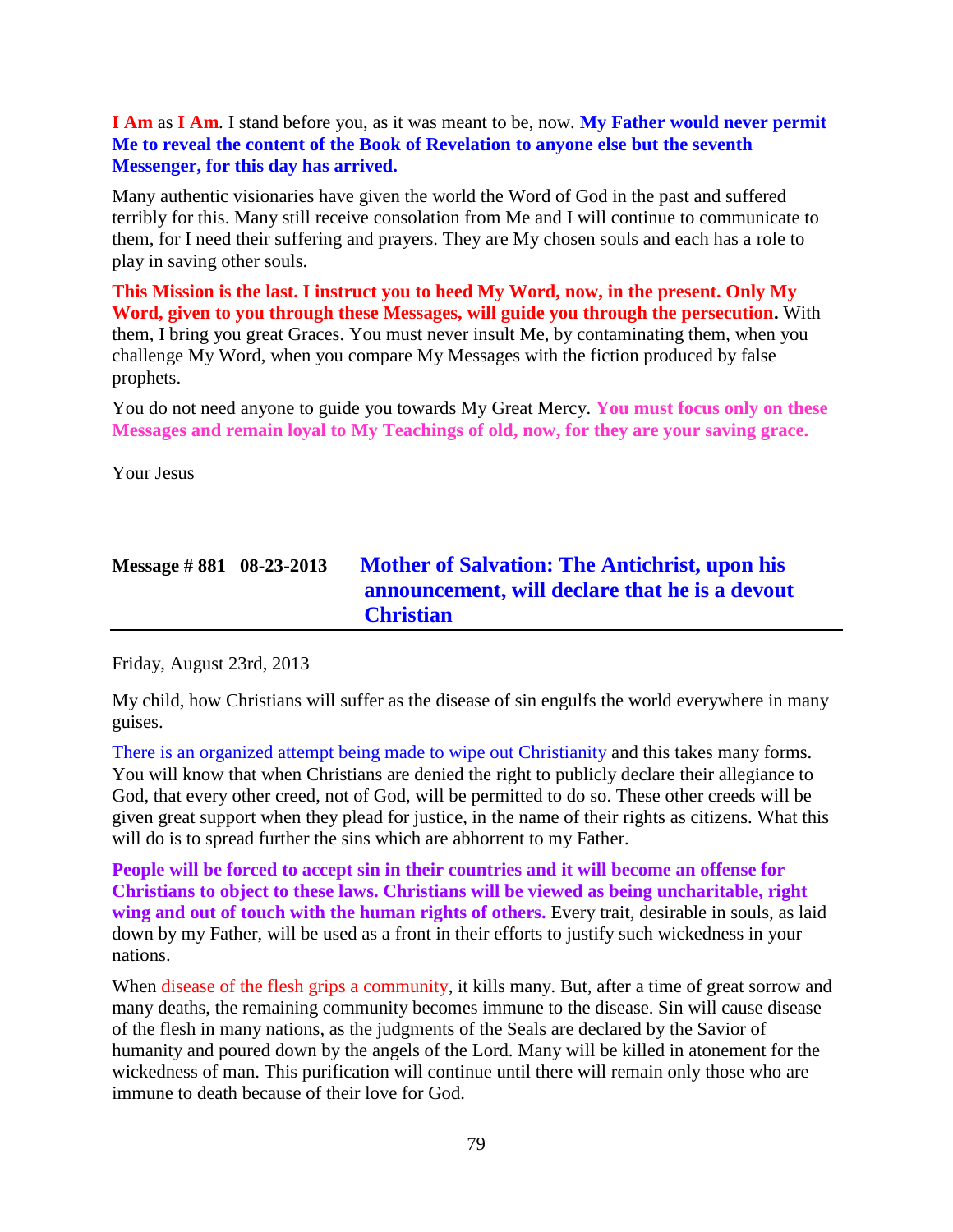**I Am** as **I Am**. I stand before you, as it was meant to be, now. **My Father would never permit Me to reveal the content of the Book of Revelation to anyone else but the seventh Messenger, for this day has arrived.**

Many authentic visionaries have given the world the Word of God in the past and suffered terribly for this. Many still receive consolation from Me and I will continue to communicate to them, for I need their suffering and prayers. They are My chosen souls and each has a role to play in saving other souls.

**This Mission is the last. I instruct you to heed My Word, now, in the present. Only My Word, given to you through these Messages, will guide you through the persecution.** With them, I bring you great Graces. You must never insult Me, by contaminating them, when you challenge My Word, when you compare My Messages with the fiction produced by false prophets.

You do not need anyone to guide you towards My Great Mercy. **You must focus only on these Messages and remain loyal to My Teachings of old, now, for they are your saving grace.**

Your Jesus

# **Message # 881 08-23-2013 [Mother of Salvation: The Antichrist, upon his](http://www.thewarningsecondcoming.com/mother-of-salvation-the-antichrist-upon-his-announcement-will-declare-that-he-is-a-devout-christian/)  [announcement, will declare that he is a devout](http://www.thewarningsecondcoming.com/mother-of-salvation-the-antichrist-upon-his-announcement-will-declare-that-he-is-a-devout-christian/)  [Christian](http://www.thewarningsecondcoming.com/mother-of-salvation-the-antichrist-upon-his-announcement-will-declare-that-he-is-a-devout-christian/)**

Friday, August 23rd, 2013

My child, how Christians will suffer as the disease of sin engulfs the world everywhere in many guises.

There is an organized attempt being made to wipe out Christianity and this takes many forms. You will know that when Christians are denied the right to publicly declare their allegiance to God, that every other creed, not of God, will be permitted to do so. These other creeds will be given great support when they plead for justice, in the name of their rights as citizens. What this will do is to spread further the sins which are abhorrent to my Father.

**People will be forced to accept sin in their countries and it will become an offense for Christians to object to these laws. Christians will be viewed as being uncharitable, right wing and out of touch with the human rights of others.** Every trait, desirable in souls, as laid down by my Father, will be used as a front in their efforts to justify such wickedness in your nations.

When disease of the flesh grips a community, it kills many. But, after a time of great sorrow and many deaths, the remaining community becomes immune to the disease. Sin will cause disease of the flesh in many nations, as the judgments of the Seals are declared by the Savior of humanity and poured down by the angels of the Lord. Many will be killed in atonement for the wickedness of man. This purification will continue until there will remain only those who are immune to death because of their love for God.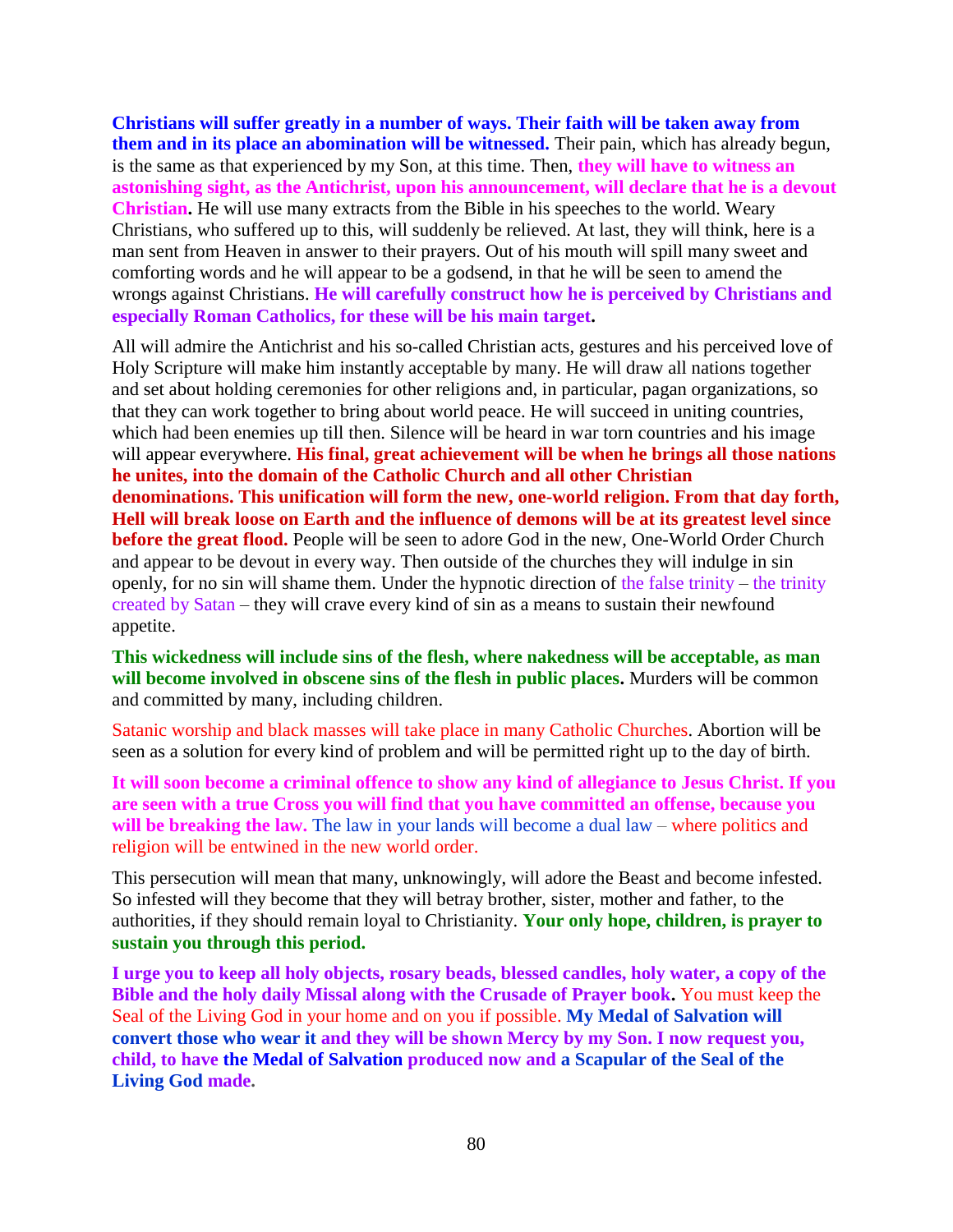**Christians will suffer greatly in a number of ways. Their faith will be taken away from them and in its place an abomination will be witnessed.** Their pain, which has already begun, is the same as that experienced by my Son, at this time. Then, **they will have to witness an astonishing sight, as the Antichrist, upon his announcement, will declare that he is a devout Christian.** He will use many extracts from the Bible in his speeches to the world. Weary Christians, who suffered up to this, will suddenly be relieved. At last, they will think, here is a man sent from Heaven in answer to their prayers. Out of his mouth will spill many sweet and comforting words and he will appear to be a godsend, in that he will be seen to amend the wrongs against Christians. **He will carefully construct how he is perceived by Christians and especially Roman Catholics, for these will be his main target.**

All will admire the Antichrist and his so-called Christian acts, gestures and his perceived love of Holy Scripture will make him instantly acceptable by many. He will draw all nations together and set about holding ceremonies for other religions and, in particular, pagan organizations, so that they can work together to bring about world peace. He will succeed in uniting countries, which had been enemies up till then. Silence will be heard in war torn countries and his image will appear everywhere. **His final, great achievement will be when he brings all those nations he unites, into the domain of the Catholic Church and all other Christian denominations. This unification will form the new, one-world religion. From that day forth, Hell will break loose on Earth and the influence of demons will be at its greatest level since before the great flood.** People will be seen to adore God in the new, One-World Order Church and appear to be devout in every way. Then outside of the churches they will indulge in sin openly, for no sin will shame them. Under the hypnotic direction of the false trinity – the trinity created by Satan – they will crave every kind of sin as a means to sustain their newfound appetite.

**This wickedness will include sins of the flesh, where nakedness will be acceptable, as man will become involved in obscene sins of the flesh in public places.** Murders will be common and committed by many, including children.

Satanic worship and black masses will take place in many Catholic Churches. Abortion will be seen as a solution for every kind of problem and will be permitted right up to the day of birth.

**It will soon become a criminal offence to show any kind of allegiance to Jesus Christ. If you are seen with a true Cross you will find that you have committed an offense, because you**  will be breaking the law. The law in your lands will become a dual law – where politics and religion will be entwined in the new world order.

This persecution will mean that many, unknowingly, will adore the Beast and become infested. So infested will they become that they will betray brother, sister, mother and father, to the authorities, if they should remain loyal to Christianity. **Your only hope, children, is prayer to sustain you through this period.**

**I urge you to keep all holy objects, rosary beads, blessed candles, holy water, a copy of the Bible and the holy daily Missal along with the Crusade of Prayer book.** You must keep the Seal of the Living God in your home and on you if possible. **My Medal of Salvation will convert those who wear it and they will be shown Mercy by my Son. I now request you, child, to have the Medal of Salvation produced now and a Scapular of the Seal of the Living God made.**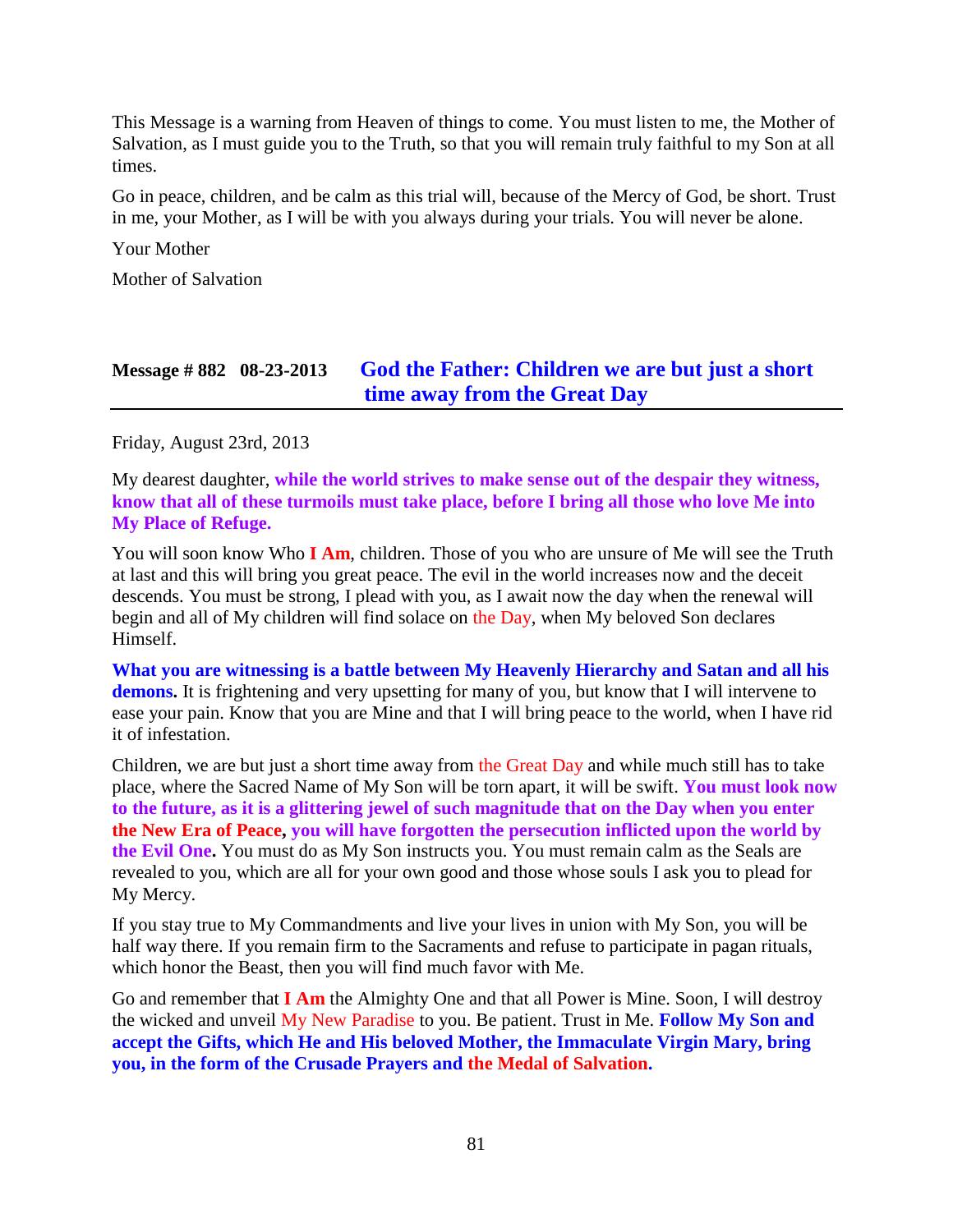This Message is a warning from Heaven of things to come. You must listen to me, the Mother of Salvation, as I must guide you to the Truth, so that you will remain truly faithful to my Son at all times.

Go in peace, children, and be calm as this trial will, because of the Mercy of God, be short. Trust in me, your Mother, as I will be with you always during your trials. You will never be alone.

Your Mother

Mother of Salvation

### **Message # 882 08-23-2013 [God the Father: Children we are but just a short](http://www.thewarningsecondcoming.com/god-the-father-children-we-are-but-just-a-short-time-away-from-the-great-day/)  [time away from the Great Day](http://www.thewarningsecondcoming.com/god-the-father-children-we-are-but-just-a-short-time-away-from-the-great-day/)**

Friday, August 23rd, 2013

My dearest daughter, **while the world strives to make sense out of the despair they witness, know that all of these turmoils must take place, before I bring all those who love Me into My Place of Refuge.**

You will soon know Who **I Am**, children. Those of you who are unsure of Me will see the Truth at last and this will bring you great peace. The evil in the world increases now and the deceit descends. You must be strong, I plead with you, as I await now the day when the renewal will begin and all of My children will find solace on the Day, when My beloved Son declares Himself.

**What you are witnessing is a battle between My Heavenly Hierarchy and Satan and all his demons.** It is frightening and very upsetting for many of you, but know that I will intervene to ease your pain. Know that you are Mine and that I will bring peace to the world, when I have rid it of infestation.

Children, we are but just a short time away from the Great Day and while much still has to take place, where the Sacred Name of My Son will be torn apart, it will be swift. **You must look now to the future, as it is a glittering jewel of such magnitude that on the Day when you enter the New Era of Peace, you will have forgotten the persecution inflicted upon the world by the Evil One.** You must do as My Son instructs you. You must remain calm as the Seals are revealed to you, which are all for your own good and those whose souls I ask you to plead for My Mercy.

If you stay true to My Commandments and live your lives in union with My Son, you will be half way there. If you remain firm to the Sacraments and refuse to participate in pagan rituals, which honor the Beast, then you will find much favor with Me.

Go and remember that **I Am** the Almighty One and that all Power is Mine. Soon, I will destroy the wicked and unveil My New Paradise to you. Be patient. Trust in Me. **Follow My Son and accept the Gifts, which He and His beloved Mother, the Immaculate Virgin Mary, bring you, in the form of the Crusade Prayers and the Medal of Salvation.**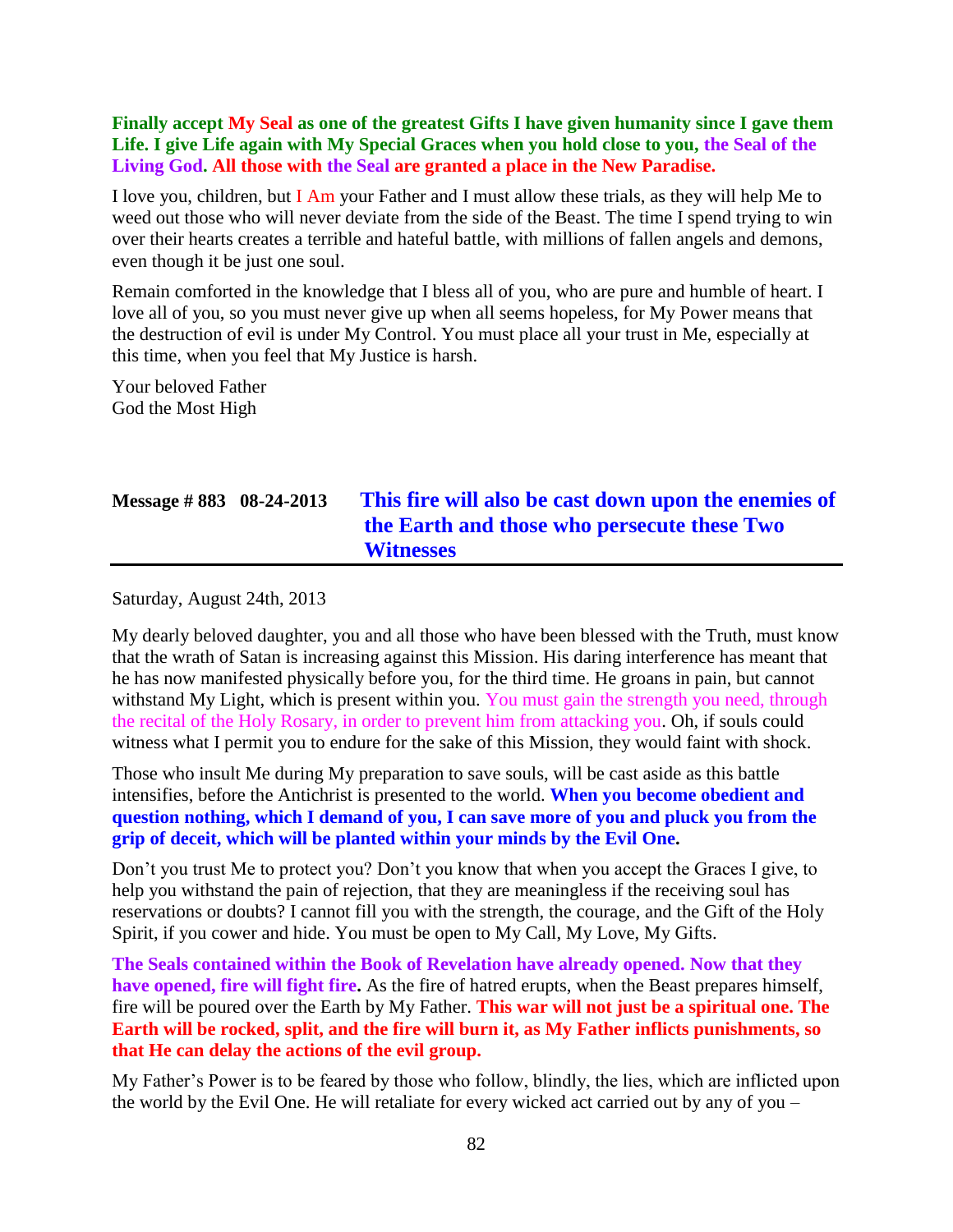#### **Finally accept My Seal as one of the greatest Gifts I have given humanity since I gave them Life. I give Life again with My Special Graces when you hold close to you, the Seal of the Living God. All those with the Seal are granted a place in the New Paradise.**

I love you, children, but I Am your Father and I must allow these trials, as they will help Me to weed out those who will never deviate from the side of the Beast. The time I spend trying to win over their hearts creates a terrible and hateful battle, with millions of fallen angels and demons, even though it be just one soul.

Remain comforted in the knowledge that I bless all of you, who are pure and humble of heart. I love all of you, so you must never give up when all seems hopeless, for My Power means that the destruction of evil is under My Control. You must place all your trust in Me, especially at this time, when you feel that My Justice is harsh.

Your beloved Father God the Most High

## **Message # 883 08-24-2013 [This fire will also be cast down upon the enemies of](http://www.thewarningsecondcoming.com/this-fire-will-also-be-cast-down-upon-the-enemies-of-the-earth-and-those-who-persecute-these-two-witnesses/)  [the Earth and those who persecute these Two](http://www.thewarningsecondcoming.com/this-fire-will-also-be-cast-down-upon-the-enemies-of-the-earth-and-those-who-persecute-these-two-witnesses/)  [Witnesses](http://www.thewarningsecondcoming.com/this-fire-will-also-be-cast-down-upon-the-enemies-of-the-earth-and-those-who-persecute-these-two-witnesses/)**

Saturday, August 24th, 2013

My dearly beloved daughter, you and all those who have been blessed with the Truth, must know that the wrath of Satan is increasing against this Mission. His daring interference has meant that he has now manifested physically before you, for the third time. He groans in pain, but cannot withstand My Light, which is present within you. You must gain the strength you need, through the recital of the Holy Rosary, in order to prevent him from attacking you. Oh, if souls could witness what I permit you to endure for the sake of this Mission, they would faint with shock.

Those who insult Me during My preparation to save souls, will be cast aside as this battle intensifies, before the Antichrist is presented to the world. **When you become obedient and question nothing, which I demand of you, I can save more of you and pluck you from the grip of deceit, which will be planted within your minds by the Evil One.**

Don't you trust Me to protect you? Don't you know that when you accept the Graces I give, to help you withstand the pain of rejection, that they are meaningless if the receiving soul has reservations or doubts? I cannot fill you with the strength, the courage, and the Gift of the Holy Spirit, if you cower and hide. You must be open to My Call, My Love, My Gifts.

**The Seals contained within the Book of Revelation have already opened. Now that they have opened, fire will fight fire.** As the fire of hatred erupts, when the Beast prepares himself, fire will be poured over the Earth by My Father. **This war will not just be a spiritual one. The Earth will be rocked, split, and the fire will burn it, as My Father inflicts punishments, so that He can delay the actions of the evil group.**

My Father's Power is to be feared by those who follow, blindly, the lies, which are inflicted upon the world by the Evil One. He will retaliate for every wicked act carried out by any of you –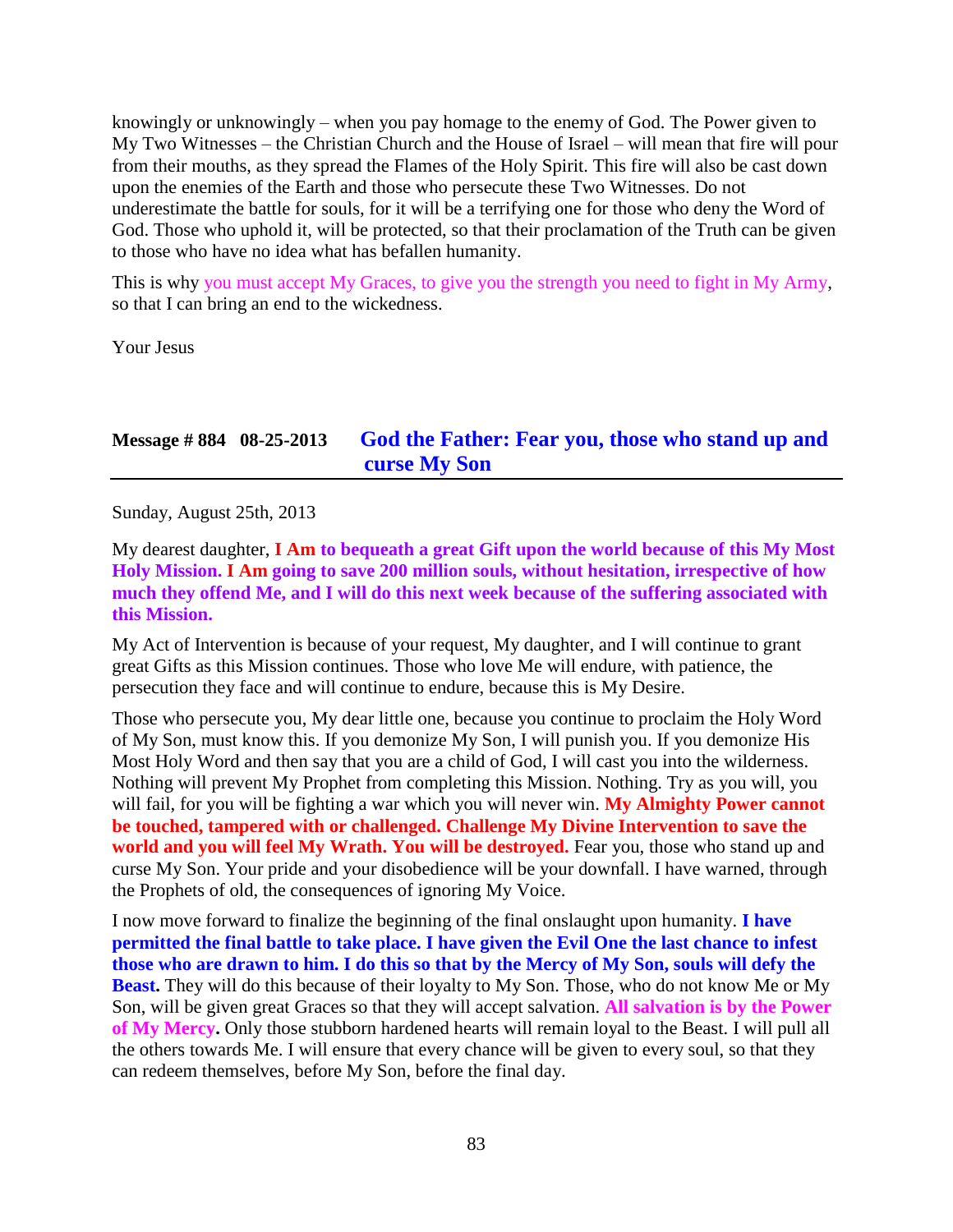knowingly or unknowingly – when you pay homage to the enemy of God. The Power given to My Two Witnesses – the Christian Church and the House of Israel – will mean that fire will pour from their mouths, as they spread the Flames of the Holy Spirit. This fire will also be cast down upon the enemies of the Earth and those who persecute these Two Witnesses. Do not underestimate the battle for souls, for it will be a terrifying one for those who deny the Word of God. Those who uphold it, will be protected, so that their proclamation of the Truth can be given to those who have no idea what has befallen humanity.

This is why you must accept My Graces, to give you the strength you need to fight in My Army, so that I can bring an end to the wickedness.

Your Jesus

## **Message # 884 08-25-2013 [God the Father: Fear you, those who stand up and](http://www.thewarningsecondcoming.com/god-the-father-fear-you-those-who-stand-up-and-curse-my-son/)  [curse My Son](http://www.thewarningsecondcoming.com/god-the-father-fear-you-those-who-stand-up-and-curse-my-son/)**

Sunday, August 25th, 2013

My dearest daughter, **I Am to bequeath a great Gift upon the world because of this My Most Holy Mission. I Am going to save 200 million souls, without hesitation, irrespective of how much they offend Me, and I will do this next week because of the suffering associated with this Mission.**

My Act of Intervention is because of your request, My daughter, and I will continue to grant great Gifts as this Mission continues. Those who love Me will endure, with patience, the persecution they face and will continue to endure, because this is My Desire.

Those who persecute you, My dear little one, because you continue to proclaim the Holy Word of My Son, must know this. If you demonize My Son, I will punish you. If you demonize His Most Holy Word and then say that you are a child of God, I will cast you into the wilderness. Nothing will prevent My Prophet from completing this Mission. Nothing. Try as you will, you will fail, for you will be fighting a war which you will never win. **My Almighty Power cannot be touched, tampered with or challenged. Challenge My Divine Intervention to save the world and you will feel My Wrath. You will be destroyed.** Fear you, those who stand up and curse My Son. Your pride and your disobedience will be your downfall. I have warned, through the Prophets of old, the consequences of ignoring My Voice.

I now move forward to finalize the beginning of the final onslaught upon humanity. **I have permitted the final battle to take place. I have given the Evil One the last chance to infest those who are drawn to him. I do this so that by the Mercy of My Son, souls will defy the Beast.** They will do this because of their loyalty to My Son. Those, who do not know Me or My Son, will be given great Graces so that they will accept salvation. **All salvation is by the Power of My Mercy.** Only those stubborn hardened hearts will remain loyal to the Beast. I will pull all the others towards Me. I will ensure that every chance will be given to every soul, so that they can redeem themselves, before My Son, before the final day.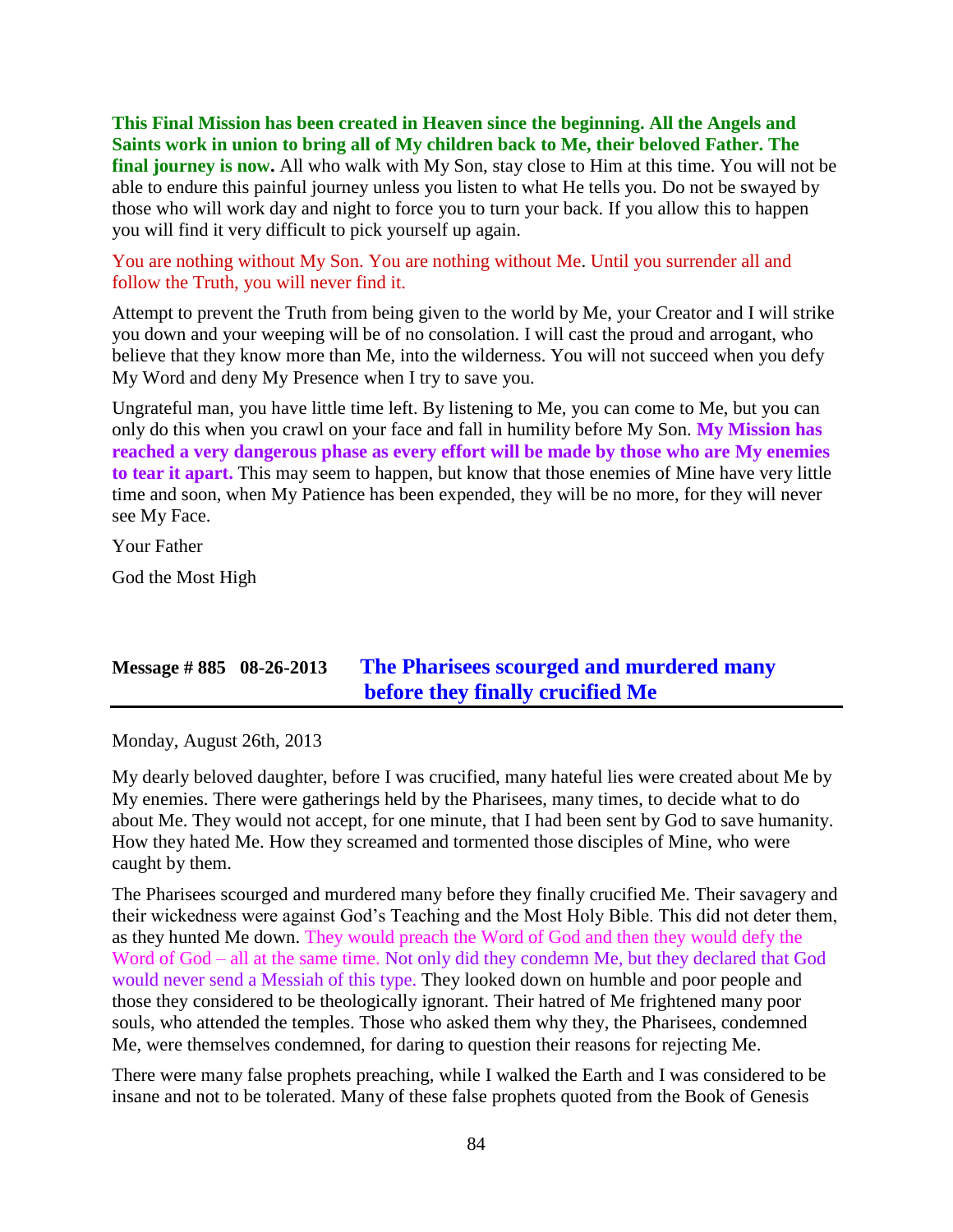**This Final Mission has been created in Heaven since the beginning. All the Angels and Saints work in union to bring all of My children back to Me, their beloved Father. The final journey is now.** All who walk with My Son, stay close to Him at this time. You will not be able to endure this painful journey unless you listen to what He tells you. Do not be swayed by those who will work day and night to force you to turn your back. If you allow this to happen you will find it very difficult to pick yourself up again.

You are nothing without My Son. You are nothing without Me. Until you surrender all and follow the Truth, you will never find it.

Attempt to prevent the Truth from being given to the world by Me, your Creator and I will strike you down and your weeping will be of no consolation. I will cast the proud and arrogant, who believe that they know more than Me, into the wilderness. You will not succeed when you defy My Word and deny My Presence when I try to save you.

Ungrateful man, you have little time left. By listening to Me, you can come to Me, but you can only do this when you crawl on your face and fall in humility before My Son. **My Mission has reached a very dangerous phase as every effort will be made by those who are My enemies to tear it apart.** This may seem to happen, but know that those enemies of Mine have very little time and soon, when My Patience has been expended, they will be no more, for they will never see My Face.

Your Father

God the Most High

## **Message # 885 08-26-2013 [The Pharisees scourged and murdered many](http://www.thewarningsecondcoming.com/the-pharisees-scourged-and-murdered-many-before-they-finally-crucified-me/)  [before they finally crucified Me](http://www.thewarningsecondcoming.com/the-pharisees-scourged-and-murdered-many-before-they-finally-crucified-me/)**

Monday, August 26th, 2013

My dearly beloved daughter, before I was crucified, many hateful lies were created about Me by My enemies. There were gatherings held by the Pharisees, many times, to decide what to do about Me. They would not accept, for one minute, that I had been sent by God to save humanity. How they hated Me. How they screamed and tormented those disciples of Mine, who were caught by them.

The Pharisees scourged and murdered many before they finally crucified Me. Their savagery and their wickedness were against God's Teaching and the Most Holy Bible. This did not deter them, as they hunted Me down. They would preach the Word of God and then they would defy the Word of God – all at the same time. Not only did they condemn Me, but they declared that God would never send a Messiah of this type. They looked down on humble and poor people and those they considered to be theologically ignorant. Their hatred of Me frightened many poor souls, who attended the temples. Those who asked them why they, the Pharisees, condemned Me, were themselves condemned, for daring to question their reasons for rejecting Me.

There were many false prophets preaching, while I walked the Earth and I was considered to be insane and not to be tolerated. Many of these false prophets quoted from the Book of Genesis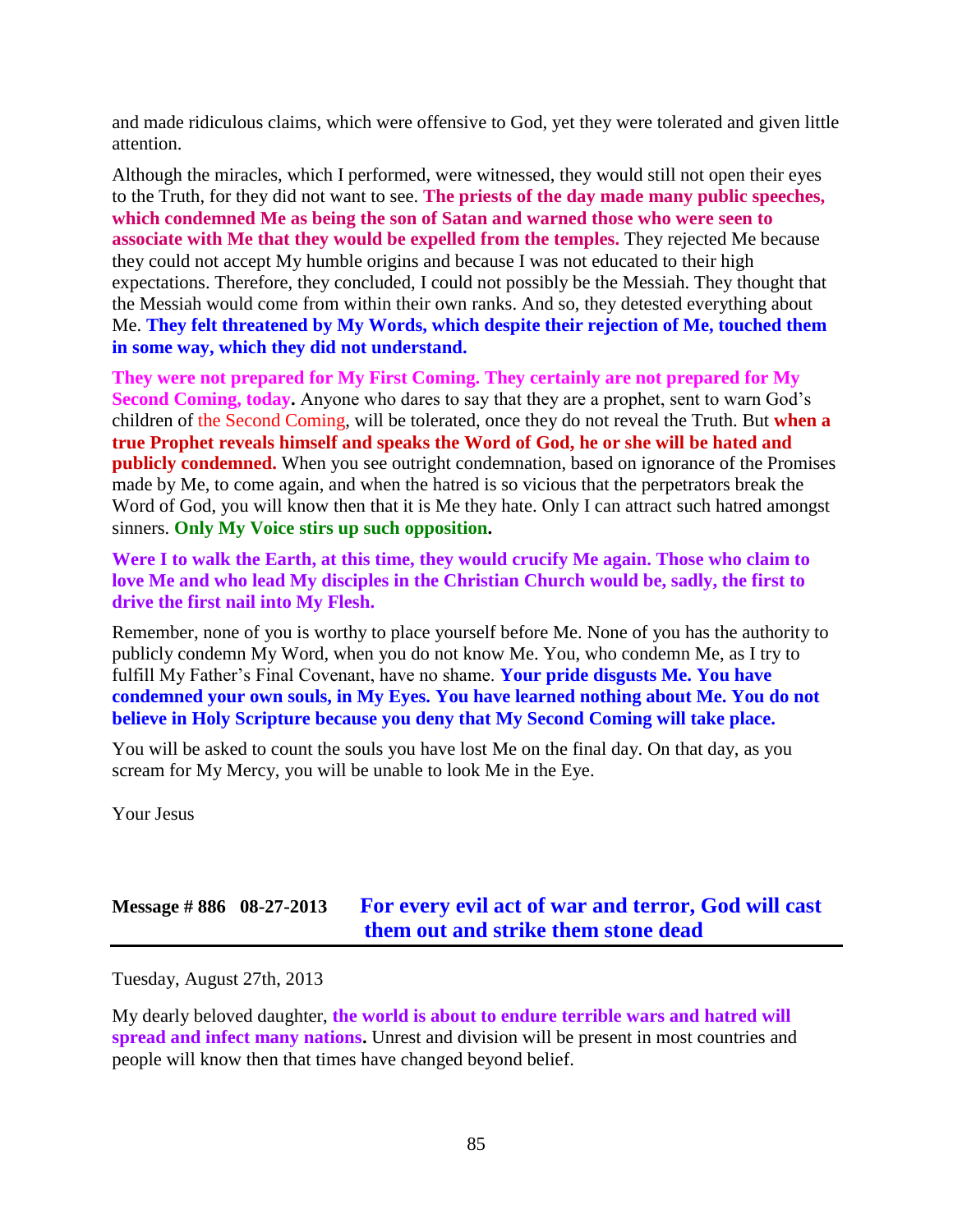and made ridiculous claims, which were offensive to God, yet they were tolerated and given little attention.

Although the miracles, which I performed, were witnessed, they would still not open their eyes to the Truth, for they did not want to see. **The priests of the day made many public speeches, which condemned Me as being the son of Satan and warned those who were seen to associate with Me that they would be expelled from the temples.** They rejected Me because they could not accept My humble origins and because I was not educated to their high expectations. Therefore, they concluded, I could not possibly be the Messiah. They thought that the Messiah would come from within their own ranks. And so, they detested everything about Me. **They felt threatened by My Words, which despite their rejection of Me, touched them in some way, which they did not understand.**

**They were not prepared for My First Coming. They certainly are not prepared for My Second Coming, today.** Anyone who dares to say that they are a prophet, sent to warn God's children of the Second Coming, will be tolerated, once they do not reveal the Truth. But **when a true Prophet reveals himself and speaks the Word of God, he or she will be hated and publicly condemned.** When you see outright condemnation, based on ignorance of the Promises made by Me, to come again, and when the hatred is so vicious that the perpetrators break the Word of God, you will know then that it is Me they hate. Only I can attract such hatred amongst sinners. **Only My Voice stirs up such opposition.**

**Were I to walk the Earth, at this time, they would crucify Me again. Those who claim to love Me and who lead My disciples in the Christian Church would be, sadly, the first to drive the first nail into My Flesh.**

Remember, none of you is worthy to place yourself before Me. None of you has the authority to publicly condemn My Word, when you do not know Me. You, who condemn Me, as I try to fulfill My Father's Final Covenant, have no shame. **Your pride disgusts Me. You have condemned your own souls, in My Eyes. You have learned nothing about Me. You do not believe in Holy Scripture because you deny that My Second Coming will take place.**

You will be asked to count the souls you have lost Me on the final day. On that day, as you scream for My Mercy, you will be unable to look Me in the Eye.

Your Jesus

# **Message # 886 08-27-2013 [For every evil act of war and terror, God will cast](http://www.thewarningsecondcoming.com/for-every-evil-act-of-war-and-terror-god-will-cast-them-out-and-strike-them-stone-dead/)  [them out and strike them stone dead](http://www.thewarningsecondcoming.com/for-every-evil-act-of-war-and-terror-god-will-cast-them-out-and-strike-them-stone-dead/)**

Tuesday, August 27th, 2013

My dearly beloved daughter, **the world is about to endure terrible wars and hatred will spread and infect many nations.** Unrest and division will be present in most countries and people will know then that times have changed beyond belief.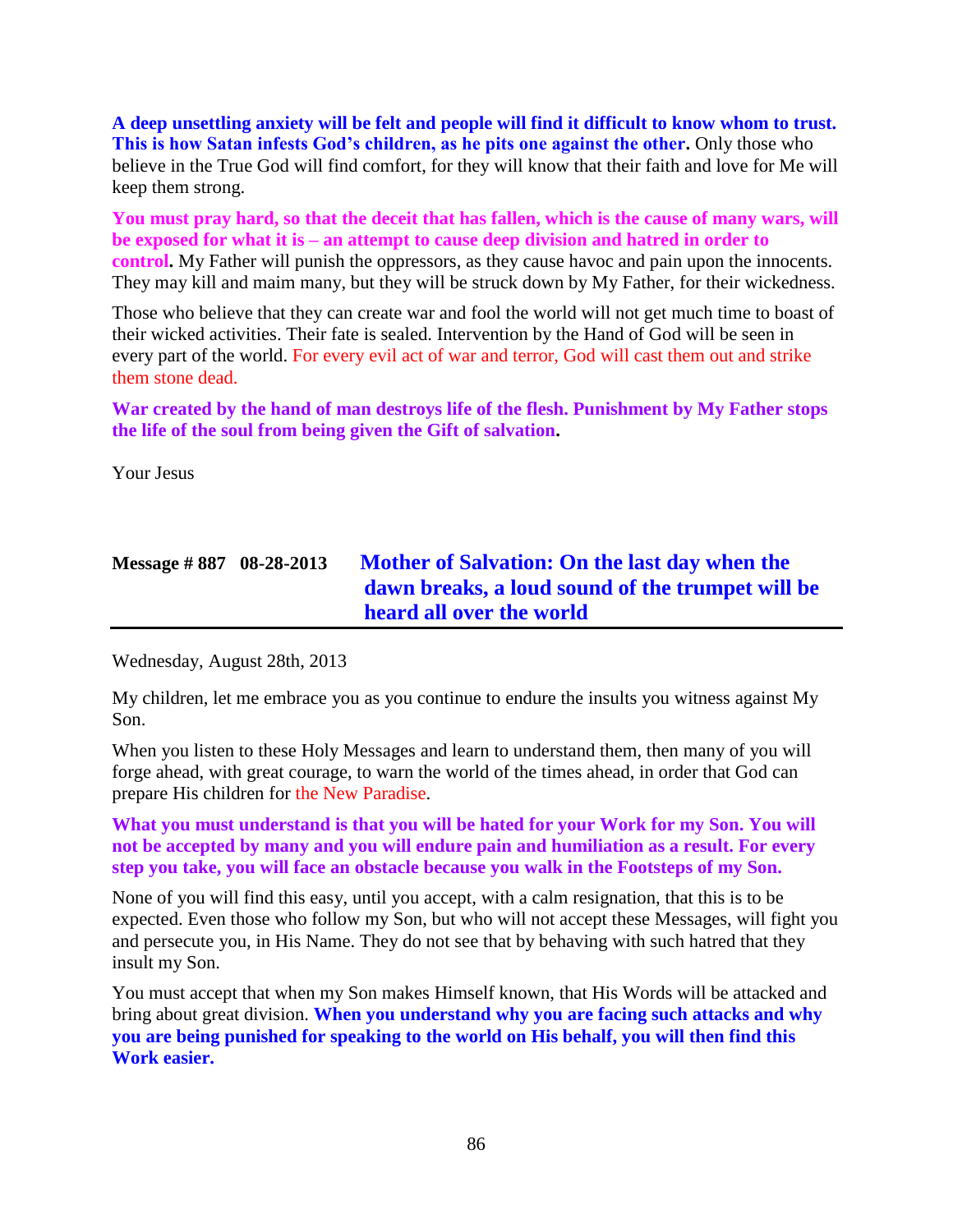**A deep unsettling anxiety will be felt and people will find it difficult to know whom to trust. This is how Satan infests God's children, as he pits one against the other.** Only those who believe in the True God will find comfort, for they will know that their faith and love for Me will keep them strong.

**You must pray hard, so that the deceit that has fallen, which is the cause of many wars, will be exposed for what it is – an attempt to cause deep division and hatred in order to control.** My Father will punish the oppressors, as they cause havoc and pain upon the innocents. They may kill and maim many, but they will be struck down by My Father, for their wickedness.

Those who believe that they can create war and fool the world will not get much time to boast of their wicked activities. Their fate is sealed. Intervention by the Hand of God will be seen in every part of the world. For every evil act of war and terror, God will cast them out and strike them stone dead.

**War created by the hand of man destroys life of the flesh. Punishment by My Father stops the life of the soul from being given the Gift of salvation.**

Your Jesus

## **Message # 887 08-28-2013 [Mother of Salvation: On the last day when the](http://www.thewarningsecondcoming.com/mother-of-salvation-on-the-last-day-when-the-dawn-breaks-a-loud-sound-of-the-trumpet-will-be-heard-all-over-the-world/)  [dawn breaks, a loud sound of the trumpet will be](http://www.thewarningsecondcoming.com/mother-of-salvation-on-the-last-day-when-the-dawn-breaks-a-loud-sound-of-the-trumpet-will-be-heard-all-over-the-world/)  [heard all over the world](http://www.thewarningsecondcoming.com/mother-of-salvation-on-the-last-day-when-the-dawn-breaks-a-loud-sound-of-the-trumpet-will-be-heard-all-over-the-world/)**

Wednesday, August 28th, 2013

My children, let me embrace you as you continue to endure the insults you witness against My Son.

When you listen to these Holy Messages and learn to understand them, then many of you will forge ahead, with great courage, to warn the world of the times ahead, in order that God can prepare His children for the New Paradise.

**What you must understand is that you will be hated for your Work for my Son. You will not be accepted by many and you will endure pain and humiliation as a result. For every step you take, you will face an obstacle because you walk in the Footsteps of my Son.**

None of you will find this easy, until you accept, with a calm resignation, that this is to be expected. Even those who follow my Son, but who will not accept these Messages, will fight you and persecute you, in His Name. They do not see that by behaving with such hatred that they insult my Son.

You must accept that when my Son makes Himself known, that His Words will be attacked and bring about great division. **When you understand why you are facing such attacks and why you are being punished for speaking to the world on His behalf, you will then find this Work easier.**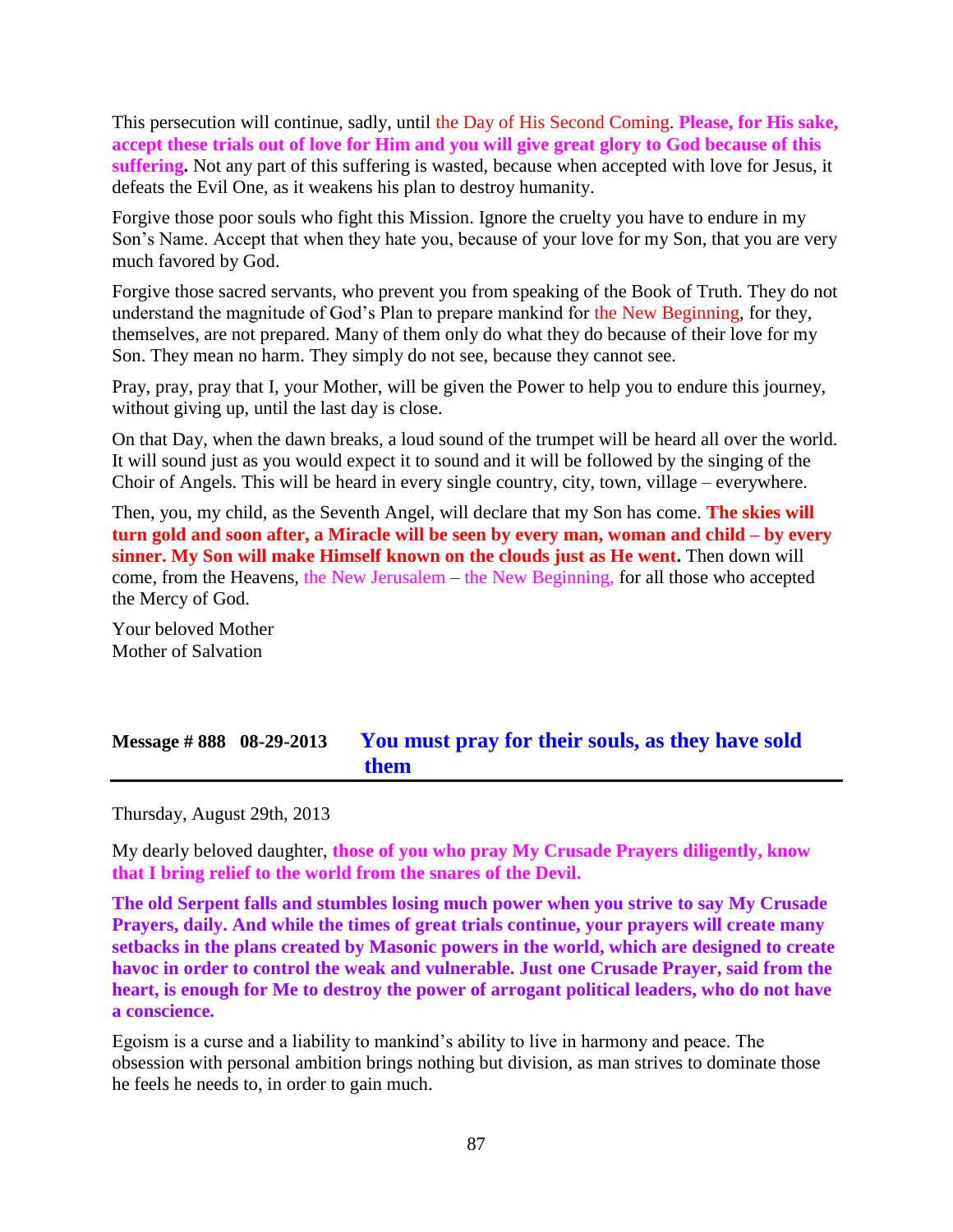This persecution will continue, sadly, until the Day of His Second Coming. **Please, for His sake, accept these trials out of love for Him and you will give great glory to God because of this suffering.** Not any part of this suffering is wasted, because when accepted with love for Jesus, it defeats the Evil One, as it weakens his plan to destroy humanity.

Forgive those poor souls who fight this Mission. Ignore the cruelty you have to endure in my Son's Name. Accept that when they hate you, because of your love for my Son, that you are very much favored by God.

Forgive those sacred servants, who prevent you from speaking of the Book of Truth. They do not understand the magnitude of God's Plan to prepare mankind for the New Beginning, for they, themselves, are not prepared. Many of them only do what they do because of their love for my Son. They mean no harm. They simply do not see, because they cannot see.

Pray, pray, pray that I, your Mother, will be given the Power to help you to endure this journey, without giving up, until the last day is close.

On that Day, when the dawn breaks, a loud sound of the trumpet will be heard all over the world. It will sound just as you would expect it to sound and it will be followed by the singing of the Choir of Angels. This will be heard in every single country, city, town, village – everywhere.

Then, you, my child, as the Seventh Angel, will declare that my Son has come. **The skies will turn gold and soon after, a Miracle will be seen by every man, woman and child – by every sinner. My Son will make Himself known on the clouds just as He went.** Then down will come, from the Heavens, the New Jerusalem – the New Beginning, for all those who accepted the Mercy of God.

Your beloved Mother Mother of Salvation

# **Message # 888 08-29-2013 [You must pray for their souls, as they have sold](http://www.thewarningsecondcoming.com/you-must-pray-for-their-souls-as-they-have-sold-them/)  [them](http://www.thewarningsecondcoming.com/you-must-pray-for-their-souls-as-they-have-sold-them/)**

Thursday, August 29th, 2013

My dearly beloved daughter, **those of you who pray My Crusade Prayers diligently, know that I bring relief to the world from the snares of the Devil.**

**The old Serpent falls and stumbles losing much power when you strive to say My Crusade Prayers, daily. And while the times of great trials continue, your prayers will create many setbacks in the plans created by Masonic powers in the world, which are designed to create havoc in order to control the weak and vulnerable. Just one Crusade Prayer, said from the heart, is enough for Me to destroy the power of arrogant political leaders, who do not have a conscience.**

Egoism is a curse and a liability to mankind's ability to live in harmony and peace. The obsession with personal ambition brings nothing but division, as man strives to dominate those he feels he needs to, in order to gain much.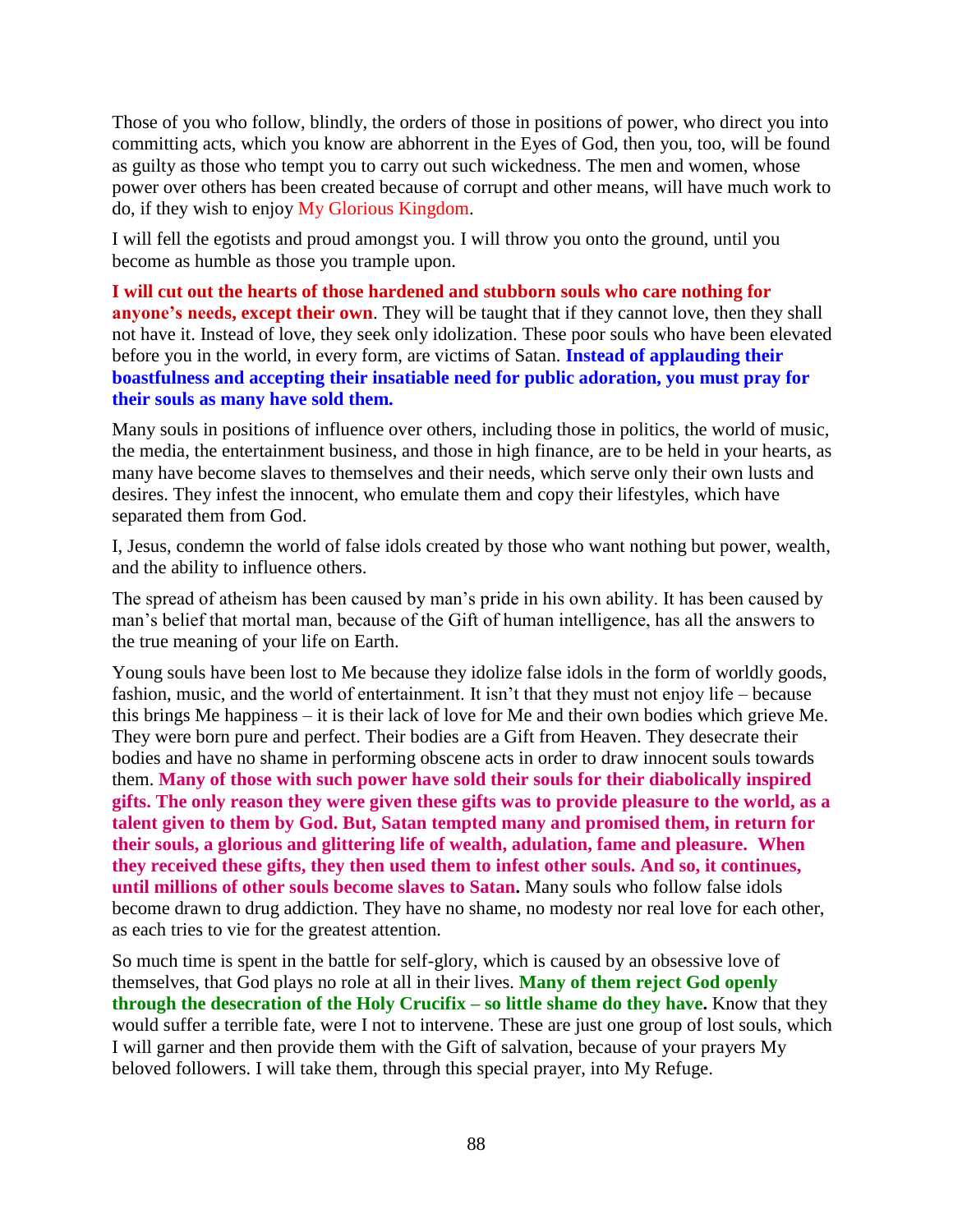Those of you who follow, blindly, the orders of those in positions of power, who direct you into committing acts, which you know are abhorrent in the Eyes of God, then you, too, will be found as guilty as those who tempt you to carry out such wickedness. The men and women, whose power over others has been created because of corrupt and other means, will have much work to do, if they wish to enjoy My Glorious Kingdom.

I will fell the egotists and proud amongst you. I will throw you onto the ground, until you become as humble as those you trample upon.

**I will cut out the hearts of those hardened and stubborn souls who care nothing for anyone's needs, except their own**. They will be taught that if they cannot love, then they shall not have it. Instead of love, they seek only idolization. These poor souls who have been elevated before you in the world, in every form, are victims of Satan. **Instead of applauding their boastfulness and accepting their insatiable need for public adoration, you must pray for their souls as many have sold them.**

Many souls in positions of influence over others, including those in politics, the world of music, the media, the entertainment business, and those in high finance, are to be held in your hearts, as many have become slaves to themselves and their needs, which serve only their own lusts and desires. They infest the innocent, who emulate them and copy their lifestyles, which have separated them from God.

I, Jesus, condemn the world of false idols created by those who want nothing but power, wealth, and the ability to influence others.

The spread of atheism has been caused by man's pride in his own ability. It has been caused by man's belief that mortal man, because of the Gift of human intelligence, has all the answers to the true meaning of your life on Earth.

Young souls have been lost to Me because they idolize false idols in the form of worldly goods, fashion, music, and the world of entertainment. It isn't that they must not enjoy life – because this brings Me happiness – it is their lack of love for Me and their own bodies which grieve Me. They were born pure and perfect. Their bodies are a Gift from Heaven. They desecrate their bodies and have no shame in performing obscene acts in order to draw innocent souls towards them. **Many of those with such power have sold their souls for their diabolically inspired gifts. The only reason they were given these gifts was to provide pleasure to the world, as a talent given to them by God. But, Satan tempted many and promised them, in return for their souls, a glorious and glittering life of wealth, adulation, fame and pleasure. When they received these gifts, they then used them to infest other souls. And so, it continues, until millions of other souls become slaves to Satan.** Many souls who follow false idols become drawn to drug addiction. They have no shame, no modesty nor real love for each other, as each tries to vie for the greatest attention.

So much time is spent in the battle for self-glory, which is caused by an obsessive love of themselves, that God plays no role at all in their lives. **Many of them reject God openly through the desecration of the Holy Crucifix – so little shame do they have.** Know that they would suffer a terrible fate, were I not to intervene. These are just one group of lost souls, which I will garner and then provide them with the Gift of salvation, because of your prayers My beloved followers. I will take them, through this special prayer, into My Refuge.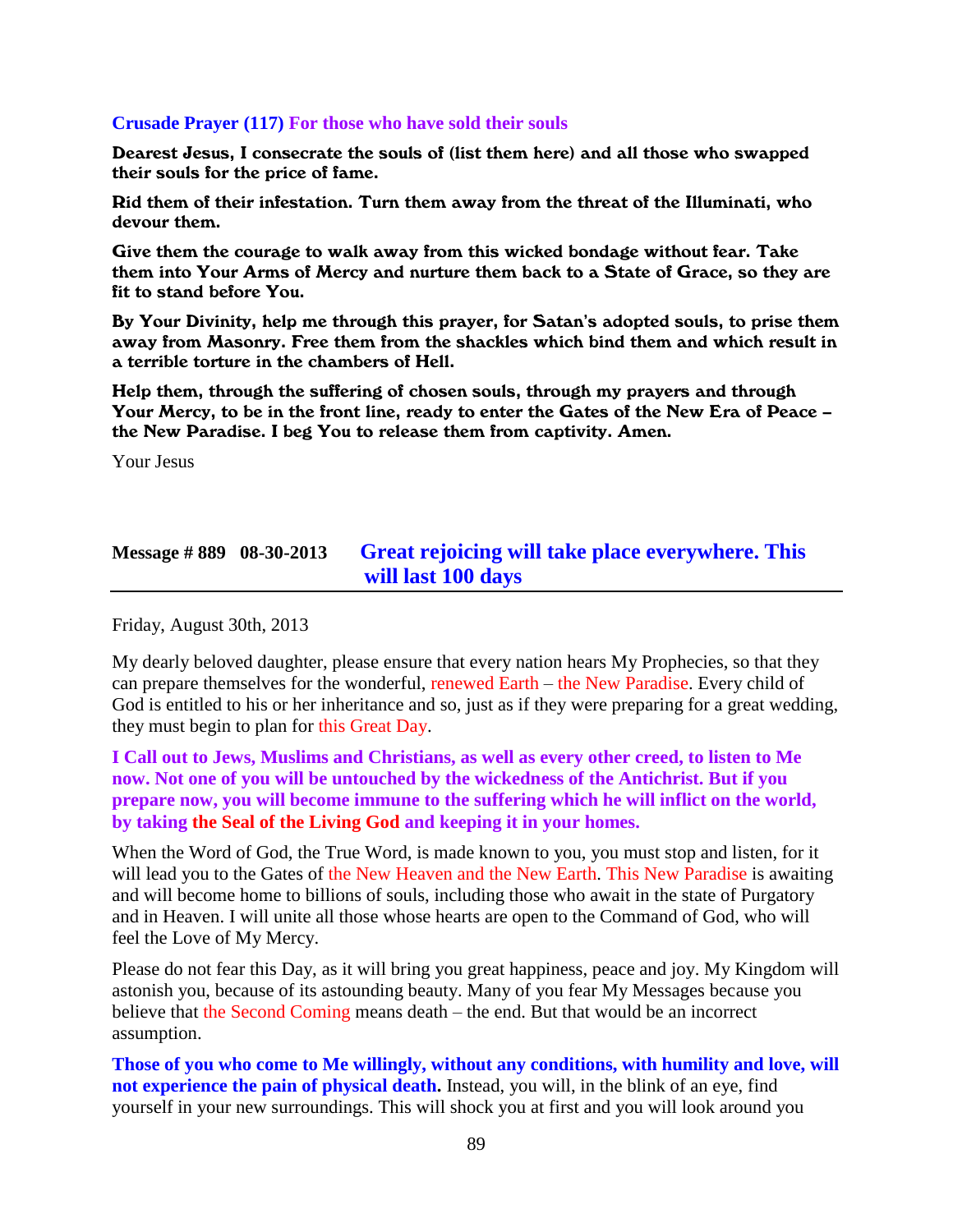#### **Crusade Prayer (117) For those who have sold their souls**

Dearest Jesus, I consecrate the souls of (list them here) and all those who swapped their souls for the price of fame.

Rid them of their infestation. Turn them away from the threat of the Illuminati, who devour them.

Give them the courage to walk away from this wicked bondage without fear. Take them into Your Arms of Mercy and nurture them back to a State of Grace, so they are fit to stand before You.

By Your Divinity, help me through this prayer, for Satan's adopted souls, to prise them away from Masonry. Free them from the shackles which bind them and which result in a terrible torture in the chambers of Hell.

Help them, through the suffering of chosen souls, through my prayers and through Your Mercy, to be in the front line, ready to enter the Gates of the New Era of Peace – the New Paradise. I beg You to release them from captivity. Amen.

Your Jesus

### **Message # 889 08-30-2013 [Great rejoicing will take place everywhere. This](http://www.thewarningsecondcoming.com/great-rejoicing-will-take-place-everywhere-this-will-last-100-days-2/)  [will last 100 days](http://www.thewarningsecondcoming.com/great-rejoicing-will-take-place-everywhere-this-will-last-100-days-2/)**

Friday, August 30th, 2013

My dearly beloved daughter, please ensure that every nation hears My Prophecies, so that they can prepare themselves for the wonderful, renewed Earth – the New Paradise. Every child of God is entitled to his or her inheritance and so, just as if they were preparing for a great wedding, they must begin to plan for this Great Day.

**I Call out to Jews, Muslims and Christians, as well as every other creed, to listen to Me now. Not one of you will be untouched by the wickedness of the Antichrist. But if you prepare now, you will become immune to the suffering which he will inflict on the world, by taking the Seal of the Living God and keeping it in your homes.**

When the Word of God, the True Word, is made known to you, you must stop and listen, for it will lead you to the Gates of the New Heaven and the New Earth. This New Paradise is awaiting and will become home to billions of souls, including those who await in the state of Purgatory and in Heaven. I will unite all those whose hearts are open to the Command of God, who will feel the Love of My Mercy.

Please do not fear this Day, as it will bring you great happiness, peace and joy. My Kingdom will astonish you, because of its astounding beauty. Many of you fear My Messages because you believe that the Second Coming means death – the end. But that would be an incorrect assumption.

**Those of you who come to Me willingly, without any conditions, with humility and love, will not experience the pain of physical death.** Instead, you will, in the blink of an eye, find yourself in your new surroundings. This will shock you at first and you will look around you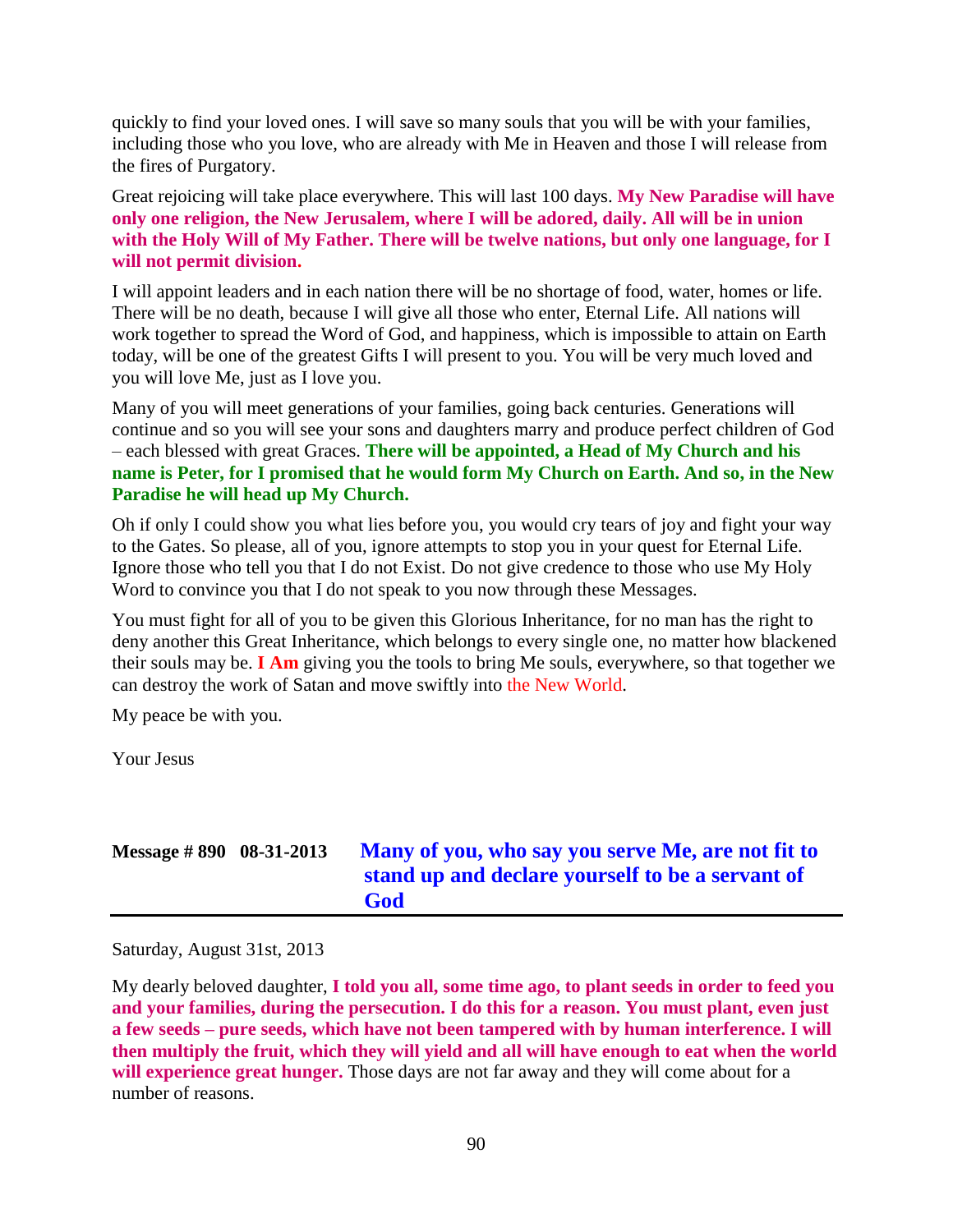quickly to find your loved ones. I will save so many souls that you will be with your families, including those who you love, who are already with Me in Heaven and those I will release from the fires of Purgatory.

Great rejoicing will take place everywhere. This will last 100 days. **My New Paradise will have only one religion, the New Jerusalem, where I will be adored, daily. All will be in union with the Holy Will of My Father. There will be twelve nations, but only one language, for I will not permit division.**

I will appoint leaders and in each nation there will be no shortage of food, water, homes or life. There will be no death, because I will give all those who enter, Eternal Life. All nations will work together to spread the Word of God, and happiness, which is impossible to attain on Earth today, will be one of the greatest Gifts I will present to you. You will be very much loved and you will love Me, just as I love you.

Many of you will meet generations of your families, going back centuries. Generations will continue and so you will see your sons and daughters marry and produce perfect children of God – each blessed with great Graces. **There will be appointed, a Head of My Church and his name is Peter, for I promised that he would form My Church on Earth. And so, in the New Paradise he will head up My Church.**

Oh if only I could show you what lies before you, you would cry tears of joy and fight your way to the Gates. So please, all of you, ignore attempts to stop you in your quest for Eternal Life. Ignore those who tell you that I do not Exist. Do not give credence to those who use My Holy Word to convince you that I do not speak to you now through these Messages.

You must fight for all of you to be given this Glorious Inheritance, for no man has the right to deny another this Great Inheritance, which belongs to every single one, no matter how blackened their souls may be. **I Am** giving you the tools to bring Me souls, everywhere, so that together we can destroy the work of Satan and move swiftly into the New World.

My peace be with you.

Your Jesus

| Message $\# 890$ 08-31-2013 | Many of you, who say you serve Me, are not fit to |
|-----------------------------|---------------------------------------------------|
|                             | stand up and declare yourself to be a servant of  |
|                             | God                                               |

Saturday, August 31st, 2013

My dearly beloved daughter, **I told you all, some time ago, to plant seeds in order to feed you and your families, during the persecution. I do this for a reason. You must plant, even just a few seeds – pure seeds, which have not been tampered with by human interference. I will then multiply the fruit, which they will yield and all will have enough to eat when the world will experience great hunger.** Those days are not far away and they will come about for a number of reasons.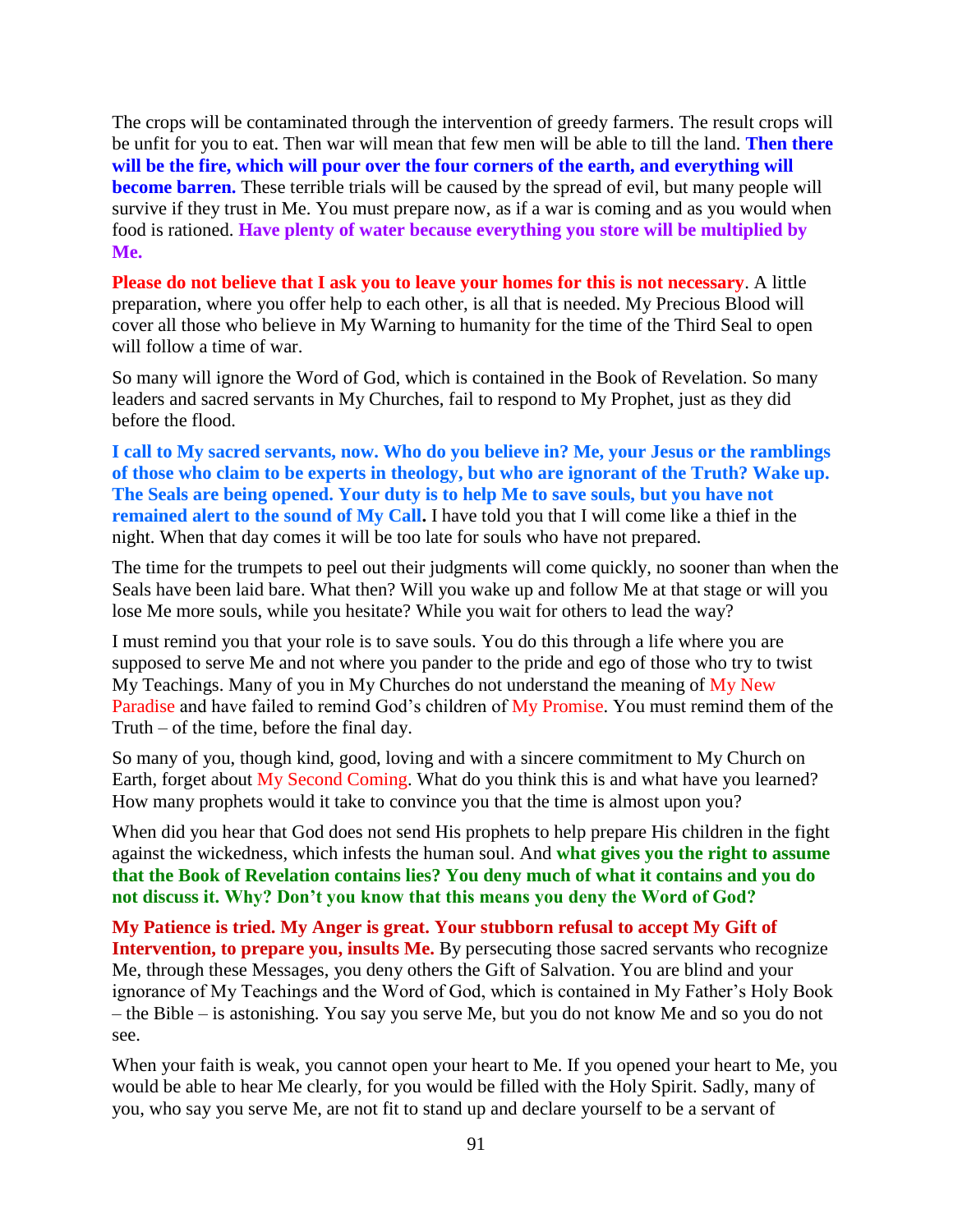The crops will be contaminated through the intervention of greedy farmers. The result crops will be unfit for you to eat. Then war will mean that few men will be able to till the land. **Then there will be the fire, which will pour over the four corners of the earth, and everything will become barren.** These terrible trials will be caused by the spread of evil, but many people will survive if they trust in Me. You must prepare now, as if a war is coming and as you would when food is rationed. **Have plenty of water because everything you store will be multiplied by Me.**

**Please do not believe that I ask you to leave your homes for this is not necessary**. A little preparation, where you offer help to each other, is all that is needed. My Precious Blood will cover all those who believe in My Warning to humanity for the time of the Third Seal to open will follow a time of war.

So many will ignore the Word of God, which is contained in the Book of Revelation. So many leaders and sacred servants in My Churches, fail to respond to My Prophet, just as they did before the flood.

**I call to My sacred servants, now. Who do you believe in? Me, your Jesus or the ramblings of those who claim to be experts in theology, but who are ignorant of the Truth? Wake up. The Seals are being opened. Your duty is to help Me to save souls, but you have not remained alert to the sound of My Call.** I have told you that I will come like a thief in the night. When that day comes it will be too late for souls who have not prepared.

The time for the trumpets to peel out their judgments will come quickly, no sooner than when the Seals have been laid bare. What then? Will you wake up and follow Me at that stage or will you lose Me more souls, while you hesitate? While you wait for others to lead the way?

I must remind you that your role is to save souls. You do this through a life where you are supposed to serve Me and not where you pander to the pride and ego of those who try to twist My Teachings. Many of you in My Churches do not understand the meaning of My New Paradise and have failed to remind God's children of My Promise. You must remind them of the Truth – of the time, before the final day.

So many of you, though kind, good, loving and with a sincere commitment to My Church on Earth, forget about My Second Coming. What do you think this is and what have you learned? How many prophets would it take to convince you that the time is almost upon you?

When did you hear that God does not send His prophets to help prepare His children in the fight against the wickedness, which infests the human soul. And **what gives you the right to assume that the Book of Revelation contains lies? You deny much of what it contains and you do not discuss it. Why? Don't you know that this means you deny the Word of God?**

**My Patience is tried. My Anger is great. Your stubborn refusal to accept My Gift of Intervention, to prepare you, insults Me.** By persecuting those sacred servants who recognize Me, through these Messages, you deny others the Gift of Salvation. You are blind and your ignorance of My Teachings and the Word of God, which is contained in My Father's Holy Book – the Bible – is astonishing. You say you serve Me, but you do not know Me and so you do not see.

When your faith is weak, you cannot open your heart to Me. If you opened your heart to Me, you would be able to hear Me clearly, for you would be filled with the Holy Spirit. Sadly, many of you, who say you serve Me, are not fit to stand up and declare yourself to be a servant of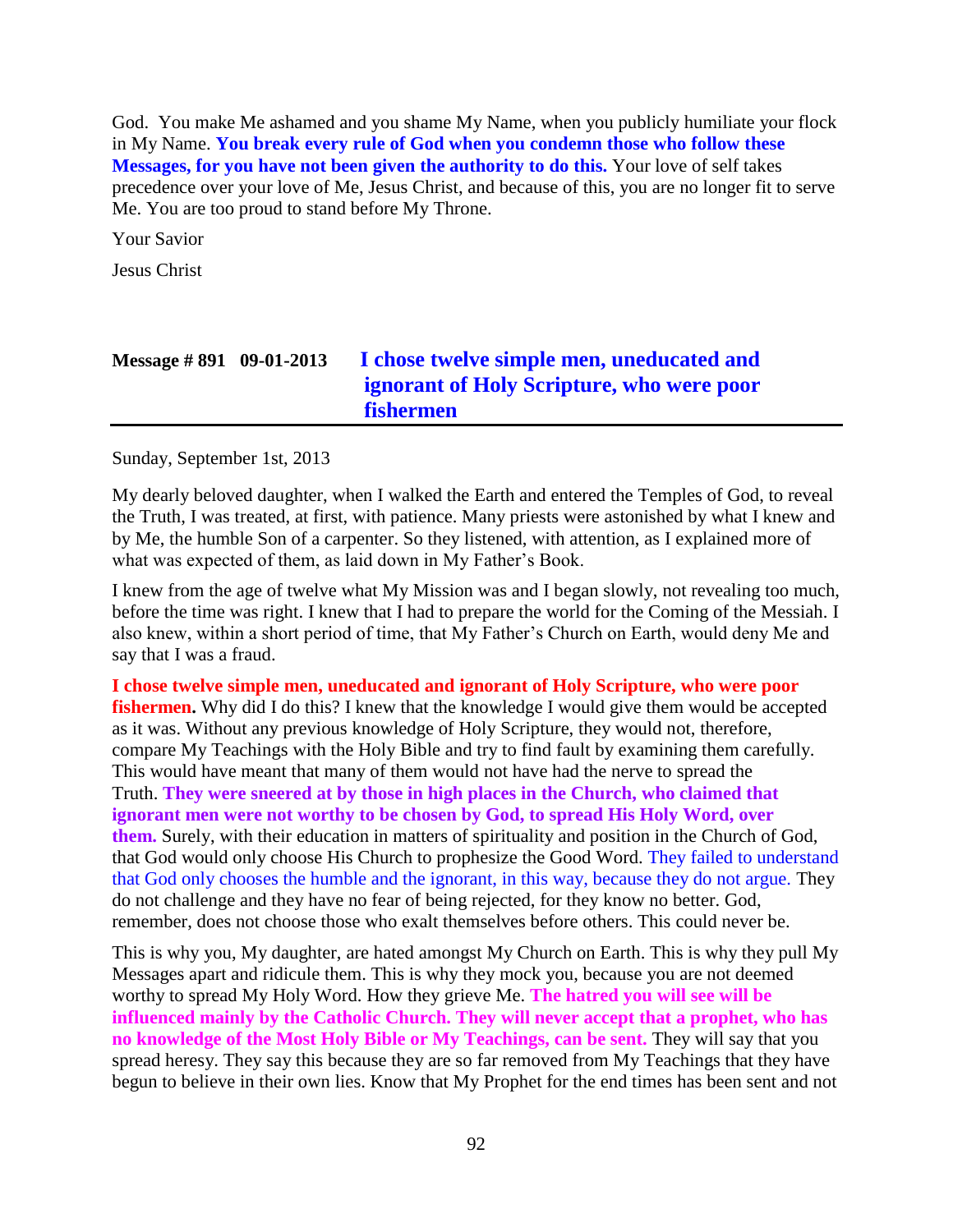God. You make Me ashamed and you shame My Name, when you publicly humiliate your flock in My Name. **You break every rule of God when you condemn those who follow these Messages, for you have not been given the authority to do this.** Your love of self takes precedence over your love of Me, Jesus Christ, and because of this, you are no longer fit to serve Me. You are too proud to stand before My Throne.

Your Savior

Jesus Christ

| Message $\# 891 \quad 09-01-2013$ | I chose twelve simple men, uneducated and |
|-----------------------------------|-------------------------------------------|
|                                   | ignorant of Holy Scripture, who were poor |
|                                   | <b>fishermen</b>                          |

Sunday, September 1st, 2013

My dearly beloved daughter, when I walked the Earth and entered the Temples of God, to reveal the Truth, I was treated, at first, with patience. Many priests were astonished by what I knew and by Me, the humble Son of a carpenter. So they listened, with attention, as I explained more of what was expected of them, as laid down in My Father's Book.

I knew from the age of twelve what My Mission was and I began slowly, not revealing too much, before the time was right. I knew that I had to prepare the world for the Coming of the Messiah. I also knew, within a short period of time, that My Father's Church on Earth, would deny Me and say that I was a fraud.

**I chose twelve simple men, uneducated and ignorant of Holy Scripture, who were poor fishermen.** Why did I do this? I knew that the knowledge I would give them would be accepted as it was. Without any previous knowledge of Holy Scripture, they would not, therefore, compare My Teachings with the Holy Bible and try to find fault by examining them carefully. This would have meant that many of them would not have had the nerve to spread the Truth. **They were sneered at by those in high places in the Church, who claimed that ignorant men were not worthy to be chosen by God, to spread His Holy Word, over them.** Surely, with their education in matters of spirituality and position in the Church of God, that God would only choose His Church to prophesize the Good Word. They failed to understand that God only chooses the humble and the ignorant, in this way, because they do not argue. They do not challenge and they have no fear of being rejected, for they know no better. God, remember, does not choose those who exalt themselves before others. This could never be.

This is why you, My daughter, are hated amongst My Church on Earth. This is why they pull My Messages apart and ridicule them. This is why they mock you, because you are not deemed worthy to spread My Holy Word. How they grieve Me. **The hatred you will see will be influenced mainly by the Catholic Church. They will never accept that a prophet, who has no knowledge of the Most Holy Bible or My Teachings, can be sent.** They will say that you spread heresy. They say this because they are so far removed from My Teachings that they have begun to believe in their own lies. Know that My Prophet for the end times has been sent and not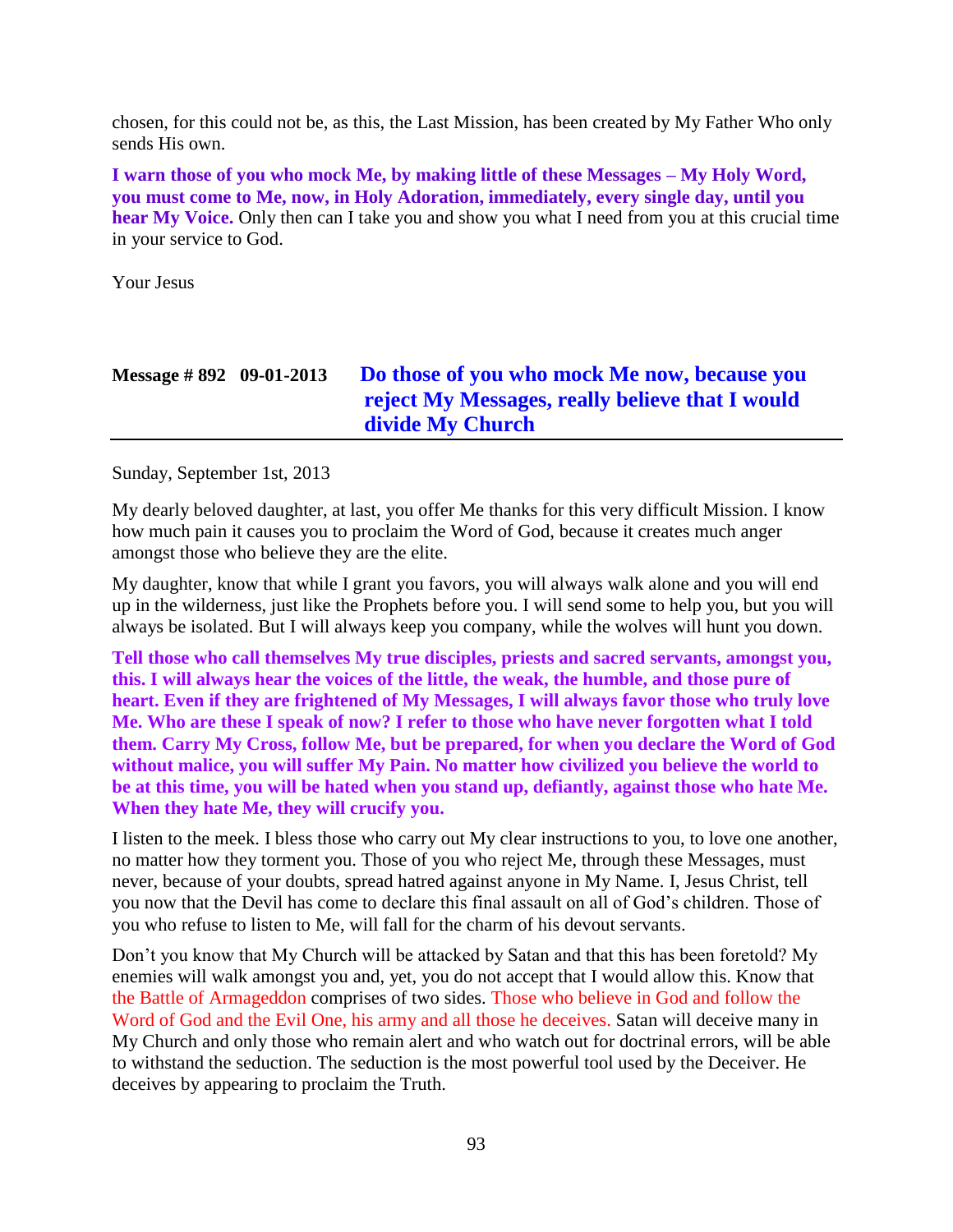chosen, for this could not be, as this, the Last Mission, has been created by My Father Who only sends His own.

**I warn those of you who mock Me, by making little of these Messages – My Holy Word, you must come to Me, now, in Holy Adoration, immediately, every single day, until you hear My Voice.** Only then can I take you and show you what I need from you at this crucial time in your service to God.

Your Jesus

# **Message # 892 09-01-2013 [Do those of you who mock Me now, because you](http://www.thewarningsecondcoming.com/do-those-of-you-who-mock-me-now-because-you-reject-my-messages-really-believe-that-i-would-divide-my-church/)  [reject My Messages, really believe that I would](http://www.thewarningsecondcoming.com/do-those-of-you-who-mock-me-now-because-you-reject-my-messages-really-believe-that-i-would-divide-my-church/)  [divide My Church](http://www.thewarningsecondcoming.com/do-those-of-you-who-mock-me-now-because-you-reject-my-messages-really-believe-that-i-would-divide-my-church/)**

Sunday, September 1st, 2013

My dearly beloved daughter, at last, you offer Me thanks for this very difficult Mission. I know how much pain it causes you to proclaim the Word of God, because it creates much anger amongst those who believe they are the elite.

My daughter, know that while I grant you favors, you will always walk alone and you will end up in the wilderness, just like the Prophets before you. I will send some to help you, but you will always be isolated. But I will always keep you company, while the wolves will hunt you down.

**Tell those who call themselves My true disciples, priests and sacred servants, amongst you, this. I will always hear the voices of the little, the weak, the humble, and those pure of heart. Even if they are frightened of My Messages, I will always favor those who truly love Me. Who are these I speak of now? I refer to those who have never forgotten what I told them. Carry My Cross, follow Me, but be prepared, for when you declare the Word of God without malice, you will suffer My Pain. No matter how civilized you believe the world to be at this time, you will be hated when you stand up, defiantly, against those who hate Me. When they hate Me, they will crucify you.**

I listen to the meek. I bless those who carry out My clear instructions to you, to love one another, no matter how they torment you. Those of you who reject Me, through these Messages, must never, because of your doubts, spread hatred against anyone in My Name. I, Jesus Christ, tell you now that the Devil has come to declare this final assault on all of God's children. Those of you who refuse to listen to Me, will fall for the charm of his devout servants.

Don't you know that My Church will be attacked by Satan and that this has been foretold? My enemies will walk amongst you and, yet, you do not accept that I would allow this. Know that the Battle of Armageddon comprises of two sides. Those who believe in God and follow the Word of God and the Evil One, his army and all those he deceives. Satan will deceive many in My Church and only those who remain alert and who watch out for doctrinal errors, will be able to withstand the seduction. The seduction is the most powerful tool used by the Deceiver. He deceives by appearing to proclaim the Truth.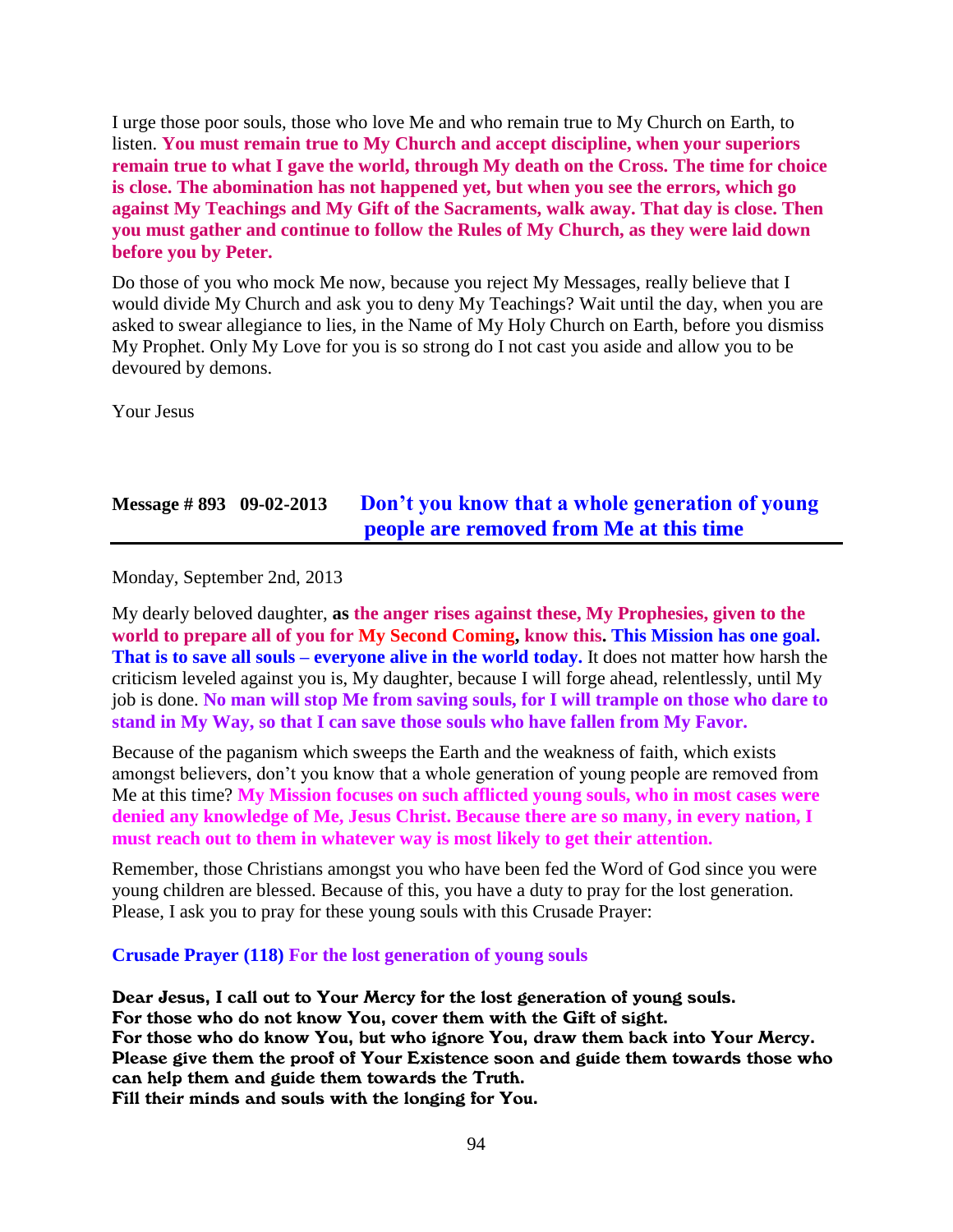I urge those poor souls, those who love Me and who remain true to My Church on Earth, to listen. **You must remain true to My Church and accept discipline, when your superiors remain true to what I gave the world, through My death on the Cross. The time for choice is close. The abomination has not happened yet, but when you see the errors, which go against My Teachings and My Gift of the Sacraments, walk away. That day is close. Then you must gather and continue to follow the Rules of My Church, as they were laid down before you by Peter.**

Do those of you who mock Me now, because you reject My Messages, really believe that I would divide My Church and ask you to deny My Teachings? Wait until the day, when you are asked to swear allegiance to lies, in the Name of My Holy Church on Earth, before you dismiss My Prophet. Only My Love for you is so strong do I not cast you aside and allow you to be devoured by demons.

Your Jesus

## **Message # 893 09-02-2013 [Don't you know that a whole generation of young](http://www.thewarningsecondcoming.com/dont-you-know-that-a-whole-generation-of-young-people-are-removed-from-me-at-this-time/)  [people are removed from Me at this time](http://www.thewarningsecondcoming.com/dont-you-know-that-a-whole-generation-of-young-people-are-removed-from-me-at-this-time/)**

Monday, September 2nd, 2013

My dearly beloved daughter, **as the anger rises against these, My Prophesies, given to the world to prepare all of you for My Second Coming, know this. This Mission has one goal. That is to save all souls – everyone alive in the world today.** It does not matter how harsh the criticism leveled against you is, My daughter, because I will forge ahead, relentlessly, until My job is done. **No man will stop Me from saving souls, for I will trample on those who dare to stand in My Way, so that I can save those souls who have fallen from My Favor.**

Because of the paganism which sweeps the Earth and the weakness of faith, which exists amongst believers, don't you know that a whole generation of young people are removed from Me at this time? **My Mission focuses on such afflicted young souls, who in most cases were denied any knowledge of Me, Jesus Christ. Because there are so many, in every nation, I must reach out to them in whatever way is most likely to get their attention.**

Remember, those Christians amongst you who have been fed the Word of God since you were young children are blessed. Because of this, you have a duty to pray for the lost generation. Please, I ask you to pray for these young souls with this Crusade Prayer:

**Crusade Prayer (118) For the lost generation of young souls**

Dear Jesus, I call out to Your Mercy for the lost generation of young souls. For those who do not know You, cover them with the Gift of sight. For those who do know You, but who ignore You, draw them back into Your Mercy. Please give them the proof of Your Existence soon and guide them towards those who can help them and guide them towards the Truth. Fill their minds and souls with the longing for You.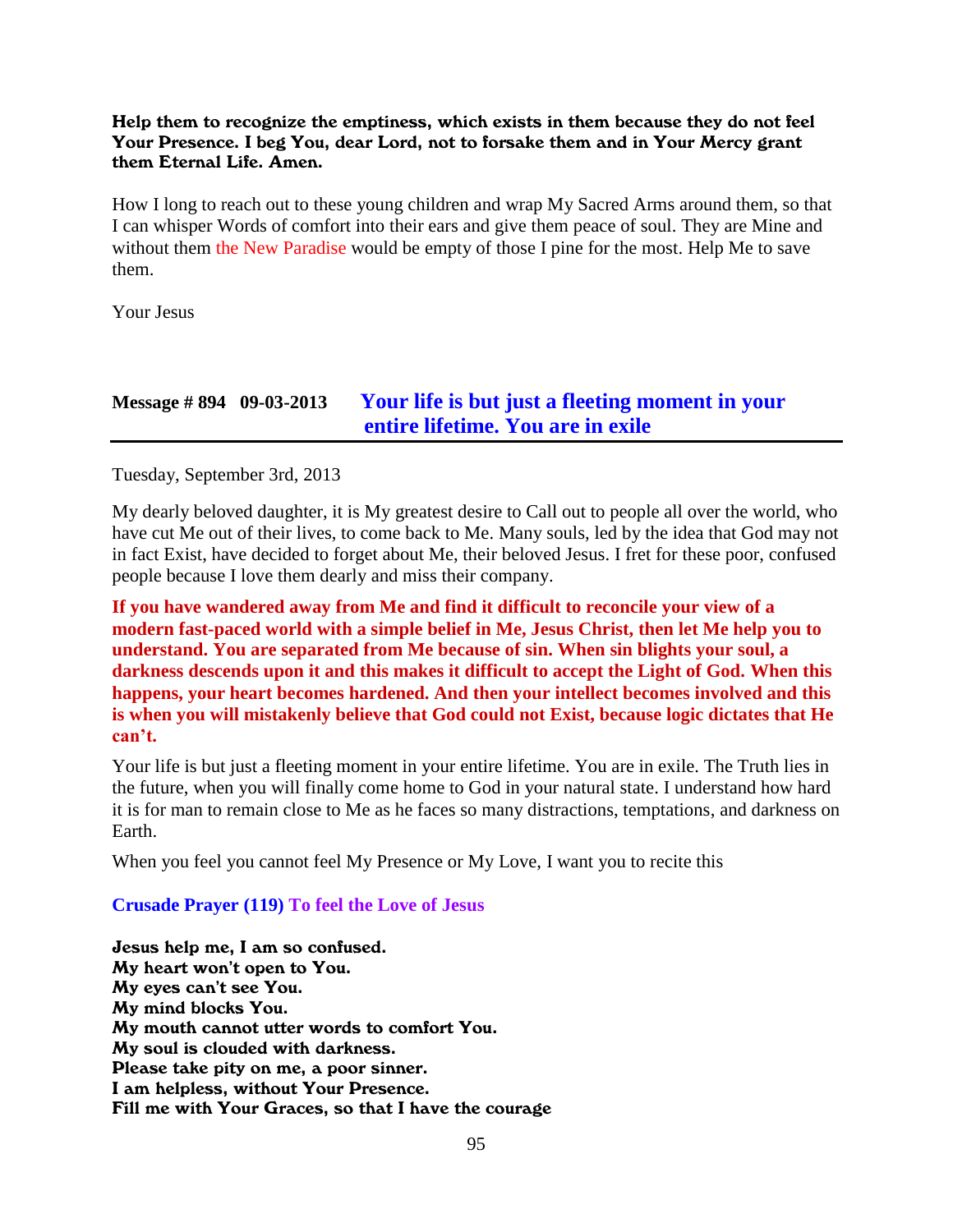#### Help them to recognize the emptiness, which exists in them because they do not feel Your Presence. I beg You, dear Lord, not to forsake them and in Your Mercy grant them Eternal Life. Amen.

How I long to reach out to these young children and wrap My Sacred Arms around them, so that I can whisper Words of comfort into their ears and give them peace of soul. They are Mine and without them the New Paradise would be empty of those I pine for the most. Help Me to save them.

Your Jesus

### **Message # 894 09-03-2013 [Your life is but just a fleeting moment in your](http://www.thewarningsecondcoming.com/your-life-is-but-just-a-fleeting-moment-in-your-entire-lifetime-you-are-in-exile/)  [entire lifetime. You are in exile](http://www.thewarningsecondcoming.com/your-life-is-but-just-a-fleeting-moment-in-your-entire-lifetime-you-are-in-exile/)**

Tuesday, September 3rd, 2013

My dearly beloved daughter, it is My greatest desire to Call out to people all over the world, who have cut Me out of their lives, to come back to Me. Many souls, led by the idea that God may not in fact Exist, have decided to forget about Me, their beloved Jesus. I fret for these poor, confused people because I love them dearly and miss their company.

**If you have wandered away from Me and find it difficult to reconcile your view of a modern fast-paced world with a simple belief in Me, Jesus Christ, then let Me help you to understand. You are separated from Me because of sin. When sin blights your soul, a darkness descends upon it and this makes it difficult to accept the Light of God. When this happens, your heart becomes hardened. And then your intellect becomes involved and this is when you will mistakenly believe that God could not Exist, because logic dictates that He can't.**

Your life is but just a fleeting moment in your entire lifetime. You are in exile. The Truth lies in the future, when you will finally come home to God in your natural state. I understand how hard it is for man to remain close to Me as he faces so many distractions, temptations, and darkness on Earth.

When you feel you cannot feel My Presence or My Love, I want you to recite this

#### **Crusade Prayer (119) To feel the Love of Jesus**

Jesus help me, I am so confused. My heart won't open to You. My eyes can't see You. My mind blocks You. My mouth cannot utter words to comfort You. My soul is clouded with darkness. Please take pity on me, a poor sinner. I am helpless, without Your Presence. Fill me with Your Graces, so that I have the courage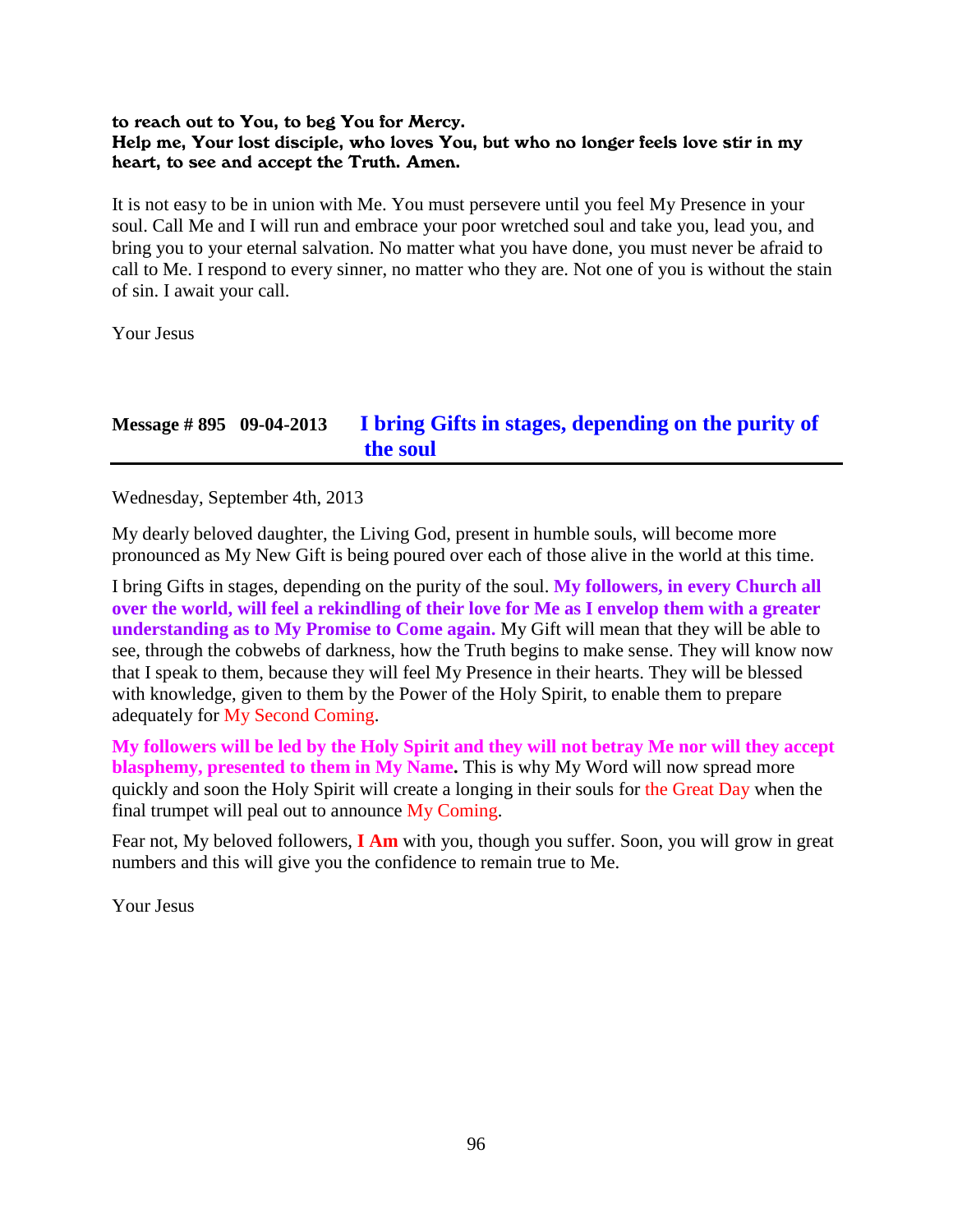#### to reach out to You, to beg You for Mercy. Help me, Your lost disciple, who loves You, but who no longer feels love stir in my heart, to see and accept the Truth. Amen.

It is not easy to be in union with Me. You must persevere until you feel My Presence in your soul. Call Me and I will run and embrace your poor wretched soul and take you, lead you, and bring you to your eternal salvation. No matter what you have done, you must never be afraid to call to Me. I respond to every sinner, no matter who they are. Not one of you is without the stain of sin. I await your call.

Your Jesus

## **Message # 895 09-04-2013 [I bring Gifts in stages, depending on the purity of](http://www.thewarningsecondcoming.com/i-bring-gifts-in-stages-depending-on-the-purity-of-the-soul/)  [the soul](http://www.thewarningsecondcoming.com/i-bring-gifts-in-stages-depending-on-the-purity-of-the-soul/)**

Wednesday, September 4th, 2013

My dearly beloved daughter, the Living God, present in humble souls, will become more pronounced as My New Gift is being poured over each of those alive in the world at this time.

I bring Gifts in stages, depending on the purity of the soul. **My followers, in every Church all over the world, will feel a rekindling of their love for Me as I envelop them with a greater understanding as to My Promise to Come again.** My Gift will mean that they will be able to see, through the cobwebs of darkness, how the Truth begins to make sense. They will know now that I speak to them, because they will feel My Presence in their hearts. They will be blessed with knowledge, given to them by the Power of the Holy Spirit, to enable them to prepare adequately for My Second Coming.

**My followers will be led by the Holy Spirit and they will not betray Me nor will they accept blasphemy, presented to them in My Name.** This is why My Word will now spread more quickly and soon the Holy Spirit will create a longing in their souls for the Great Day when the final trumpet will peal out to announce My Coming.

Fear not, My beloved followers, **I Am** with you, though you suffer. Soon, you will grow in great numbers and this will give you the confidence to remain true to Me.

Your Jesus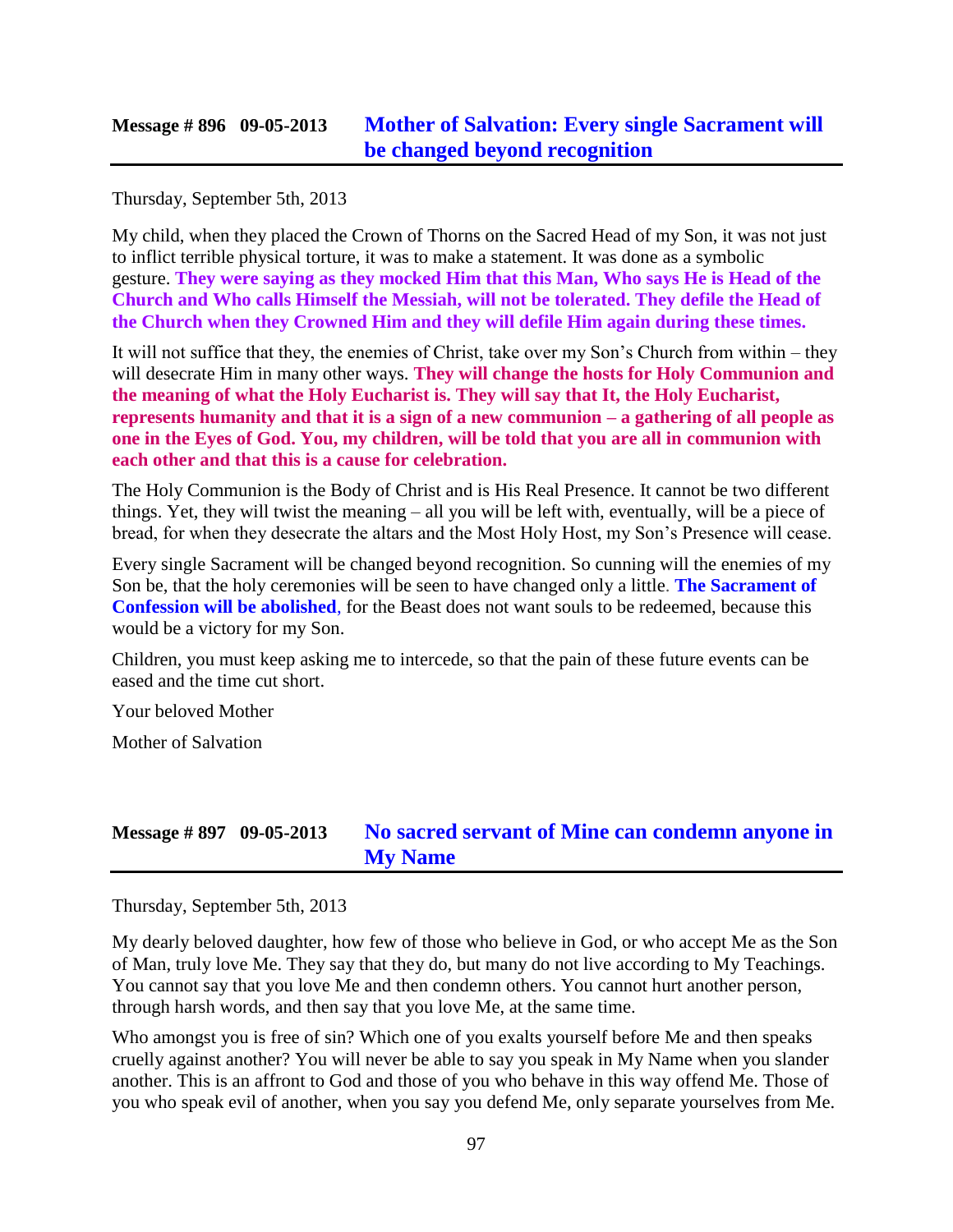Thursday, September 5th, 2013

My child, when they placed the Crown of Thorns on the Sacred Head of my Son, it was not just to inflict terrible physical torture, it was to make a statement. It was done as a symbolic gesture. **They were saying as they mocked Him that this Man, Who says He is Head of the Church and Who calls Himself the Messiah, will not be tolerated. They defile the Head of the Church when they Crowned Him and they will defile Him again during these times.**

It will not suffice that they, the enemies of Christ, take over my Son's Church from within – they will desecrate Him in many other ways. **They will change the hosts for Holy Communion and the meaning of what the Holy Eucharist is. They will say that It, the Holy Eucharist, represents humanity and that it is a sign of a new communion – a gathering of all people as one in the Eyes of God. You, my children, will be told that you are all in communion with each other and that this is a cause for celebration.**

The Holy Communion is the Body of Christ and is His Real Presence. It cannot be two different things. Yet, they will twist the meaning – all you will be left with, eventually, will be a piece of bread, for when they desecrate the altars and the Most Holy Host, my Son's Presence will cease.

Every single Sacrament will be changed beyond recognition. So cunning will the enemies of my Son be, that the holy ceremonies will be seen to have changed only a little. **The Sacrament of Confession will be abolished**, for the Beast does not want souls to be redeemed, because this would be a victory for my Son.

Children, you must keep asking me to intercede, so that the pain of these future events can be eased and the time cut short.

Your beloved Mother

Mother of Salvation

## **Message # 897 09-05-2013 [No sacred servant of Mine can condemn anyone in](http://www.thewarningsecondcoming.com/no-sacred-servant-of-mine-can-condemn-anyone-in-my-name/)  [My Name](http://www.thewarningsecondcoming.com/no-sacred-servant-of-mine-can-condemn-anyone-in-my-name/)**

Thursday, September 5th, 2013

My dearly beloved daughter, how few of those who believe in God, or who accept Me as the Son of Man, truly love Me. They say that they do, but many do not live according to My Teachings. You cannot say that you love Me and then condemn others. You cannot hurt another person, through harsh words, and then say that you love Me, at the same time.

Who amongst you is free of sin? Which one of you exalts yourself before Me and then speaks cruelly against another? You will never be able to say you speak in My Name when you slander another. This is an affront to God and those of you who behave in this way offend Me. Those of you who speak evil of another, when you say you defend Me, only separate yourselves from Me.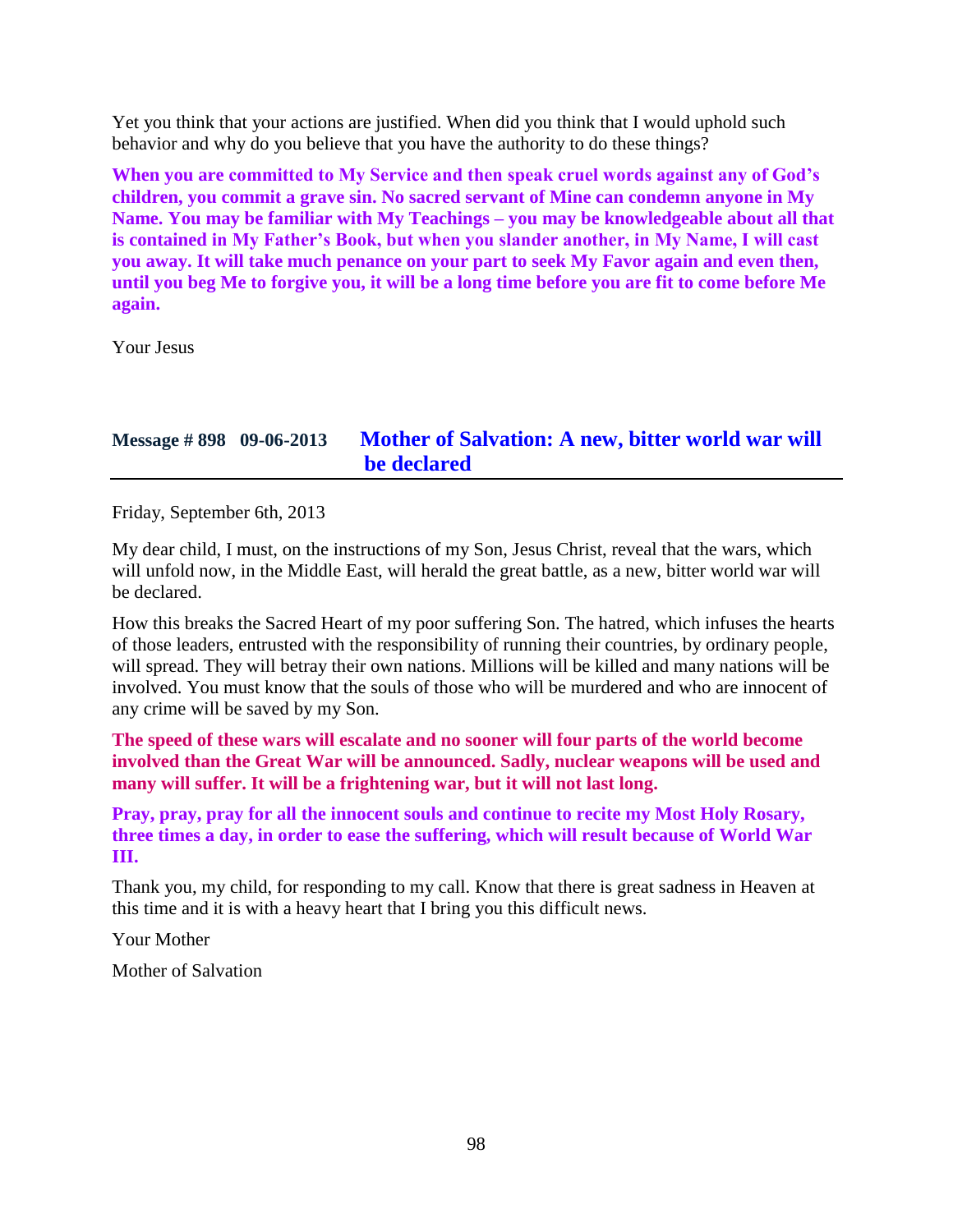Yet you think that your actions are justified. When did you think that I would uphold such behavior and why do you believe that you have the authority to do these things?

**When you are committed to My Service and then speak cruel words against any of God's children, you commit a grave sin. No sacred servant of Mine can condemn anyone in My Name. You may be familiar with My Teachings – you may be knowledgeable about all that is contained in My Father's Book, but when you slander another, in My Name, I will cast you away. It will take much penance on your part to seek My Favor again and even then, until you beg Me to forgive you, it will be a long time before you are fit to come before Me again.**

Your Jesus

# **Message # 898 09-06-2013 [Mother of Salvation: A new, bitter world war will](http://www.thewarningsecondcoming.com/mother-of-salvation-a-new-bitter-world-war-will-be-declared/)  [be declared](http://www.thewarningsecondcoming.com/mother-of-salvation-a-new-bitter-world-war-will-be-declared/)**

Friday, September 6th, 2013

My dear child, I must, on the instructions of my Son, Jesus Christ, reveal that the wars, which will unfold now, in the Middle East, will herald the great battle, as a new, bitter world war will be declared.

How this breaks the Sacred Heart of my poor suffering Son. The hatred, which infuses the hearts of those leaders, entrusted with the responsibility of running their countries, by ordinary people, will spread. They will betray their own nations. Millions will be killed and many nations will be involved. You must know that the souls of those who will be murdered and who are innocent of any crime will be saved by my Son.

**The speed of these wars will escalate and no sooner will four parts of the world become involved than the Great War will be announced. Sadly, nuclear weapons will be used and many will suffer. It will be a frightening war, but it will not last long.**

**Pray, pray, pray for all the innocent souls and continue to recite my Most Holy Rosary, three times a day, in order to ease the suffering, which will result because of World War III.**

Thank you, my child, for responding to my call. Know that there is great sadness in Heaven at this time and it is with a heavy heart that I bring you this difficult news.

Your Mother

Mother of Salvation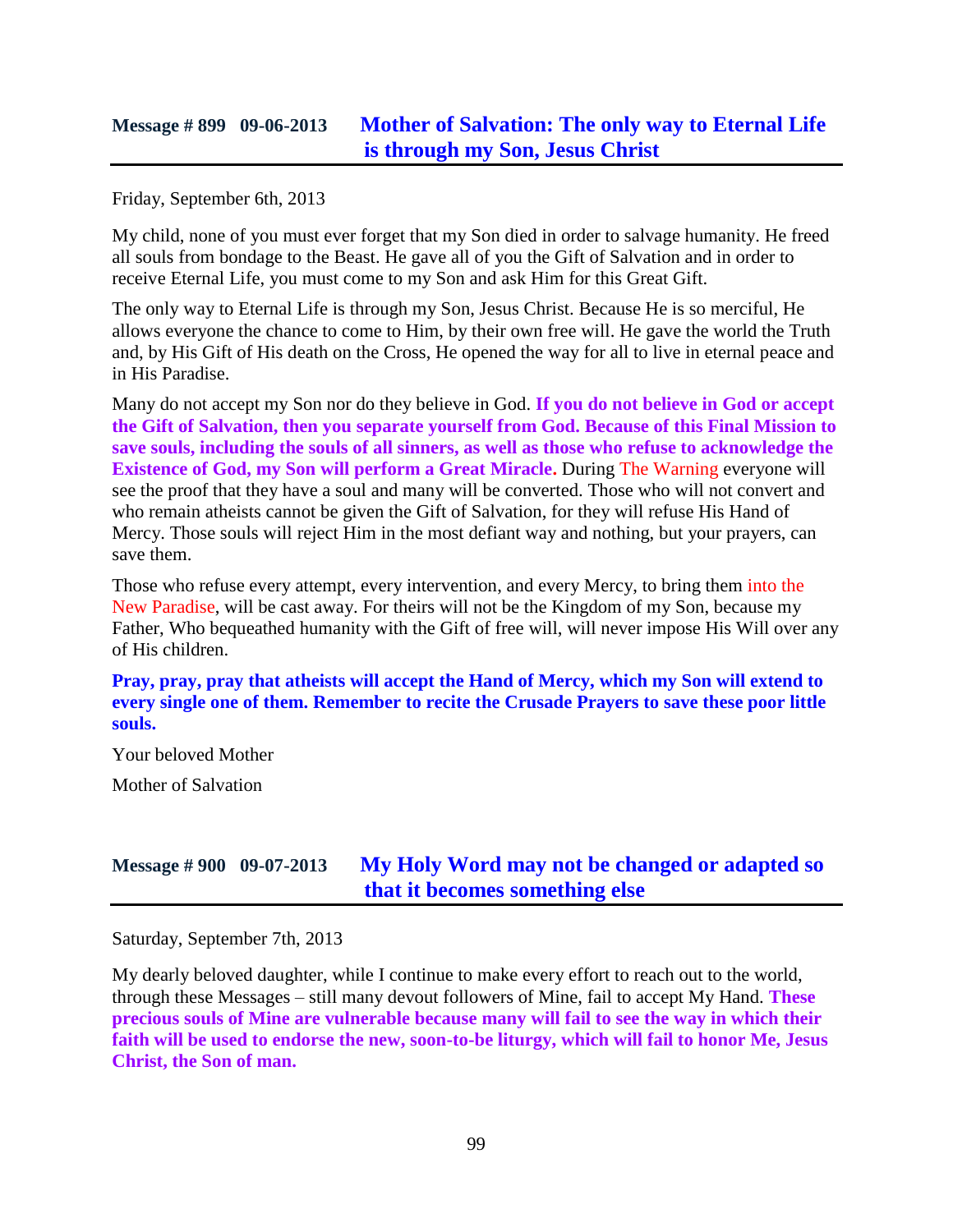Friday, September 6th, 2013

My child, none of you must ever forget that my Son died in order to salvage humanity. He freed all souls from bondage to the Beast. He gave all of you the Gift of Salvation and in order to receive Eternal Life, you must come to my Son and ask Him for this Great Gift.

The only way to Eternal Life is through my Son, Jesus Christ. Because He is so merciful, He allows everyone the chance to come to Him, by their own free will. He gave the world the Truth and, by His Gift of His death on the Cross, He opened the way for all to live in eternal peace and in His Paradise.

Many do not accept my Son nor do they believe in God. **If you do not believe in God or accept the Gift of Salvation, then you separate yourself from God. Because of this Final Mission to save souls, including the souls of all sinners, as well as those who refuse to acknowledge the Existence of God, my Son will perform a Great Miracle.** During The Warning everyone will see the proof that they have a soul and many will be converted. Those who will not convert and who remain atheists cannot be given the Gift of Salvation, for they will refuse His Hand of Mercy. Those souls will reject Him in the most defiant way and nothing, but your prayers, can save them.

Those who refuse every attempt, every intervention, and every Mercy, to bring them into the New Paradise, will be cast away. For theirs will not be the Kingdom of my Son, because my Father, Who bequeathed humanity with the Gift of free will, will never impose His Will over any of His children.

**Pray, pray, pray that atheists will accept the Hand of Mercy, which my Son will extend to every single one of them. Remember to recite the Crusade Prayers to save these poor little souls.**

Your beloved Mother

Mother of Salvation

# **Message # 900 09-07-2013 [My Holy Word may not be changed or adapted so](http://www.thewarningsecondcoming.com/my-holy-word-may-not-be-changed-or-adapted-so-that-it-becomes-something-else/)  [that it becomes something else](http://www.thewarningsecondcoming.com/my-holy-word-may-not-be-changed-or-adapted-so-that-it-becomes-something-else/)**

Saturday, September 7th, 2013

My dearly beloved daughter, while I continue to make every effort to reach out to the world, through these Messages – still many devout followers of Mine, fail to accept My Hand. **These precious souls of Mine are vulnerable because many will fail to see the way in which their faith will be used to endorse the new, soon-to-be liturgy, which will fail to honor Me, Jesus Christ, the Son of man.**